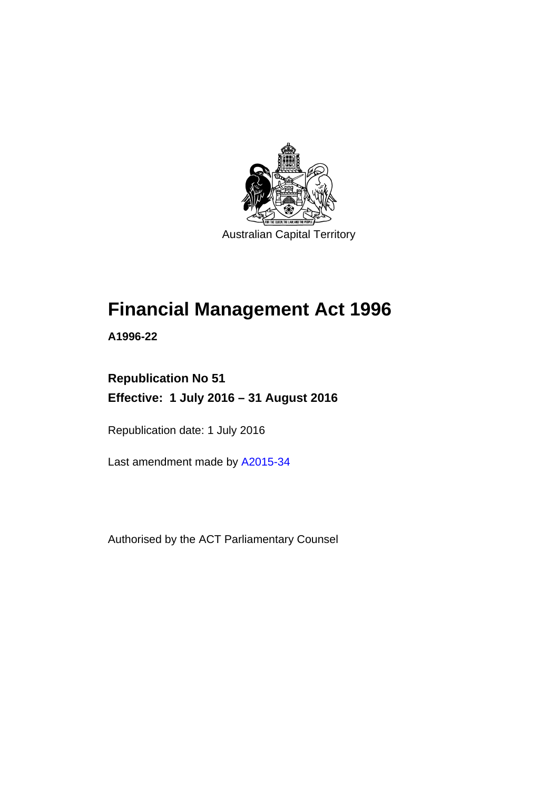

Australian Capital Territory

# **Financial Management Act 1996**

**A1996-22** 

# **Republication No 51 Effective: 1 July 2016 – 31 August 2016**

Republication date: 1 July 2016

Last amendment made by [A2015-34](http://www.legislation.act.gov.au/a/2015-34/default.asp)

Authorised by the ACT Parliamentary Counsel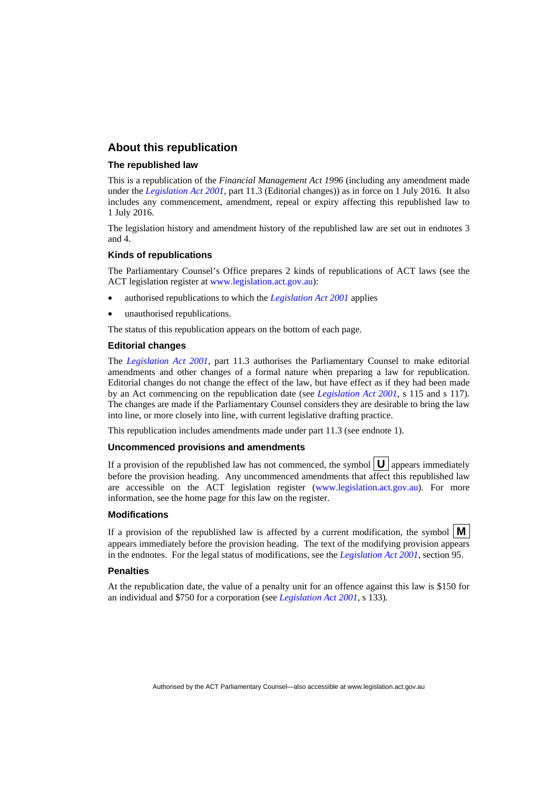## **About this republication**

### **The republished law**

This is a republication of the *Financial Management Act 1996* (including any amendment made under the *[Legislation Act 2001](http://www.legislation.act.gov.au/a/2001-14)*, part 11.3 (Editorial changes)) as in force on 1 July 2016*.* It also includes any commencement, amendment, repeal or expiry affecting this republished law to 1 July 2016.

The legislation history and amendment history of the republished law are set out in endnotes 3 and 4.

### **Kinds of republications**

The Parliamentary Counsel's Office prepares 2 kinds of republications of ACT laws (see the ACT legislation register at [www.legislation.act.gov.au](http://www.legislation.act.gov.au/)):

- authorised republications to which the *[Legislation Act 2001](http://www.legislation.act.gov.au/a/2001-14)* applies
- unauthorised republications.

The status of this republication appears on the bottom of each page.

#### **Editorial changes**

The *[Legislation Act 2001](http://www.legislation.act.gov.au/a/2001-14)*, part 11.3 authorises the Parliamentary Counsel to make editorial amendments and other changes of a formal nature when preparing a law for republication. Editorial changes do not change the effect of the law, but have effect as if they had been made by an Act commencing on the republication date (see *[Legislation Act 2001](http://www.legislation.act.gov.au/a/2001-14)*, s 115 and s 117). The changes are made if the Parliamentary Counsel considers they are desirable to bring the law into line, or more closely into line, with current legislative drafting practice.

This republication includes amendments made under part 11.3 (see endnote 1).

#### **Uncommenced provisions and amendments**

If a provision of the republished law has not commenced, the symbol  $\mathbf{U}$  appears immediately before the provision heading. Any uncommenced amendments that affect this republished law are accessible on the ACT legislation register [\(www.legislation.act.gov.au\)](http://www.legislation.act.gov.au/). For more information, see the home page for this law on the register.

#### **Modifications**

If a provision of the republished law is affected by a current modification, the symbol  $\mathbf{M}$ appears immediately before the provision heading. The text of the modifying provision appears in the endnotes. For the legal status of modifications, see the *[Legislation Act 2001](http://www.legislation.act.gov.au/a/2001-14)*, section 95.

#### **Penalties**

At the republication date, the value of a penalty unit for an offence against this law is \$150 for an individual and \$750 for a corporation (see *[Legislation Act 2001](http://www.legislation.act.gov.au/a/2001-14)*, s 133).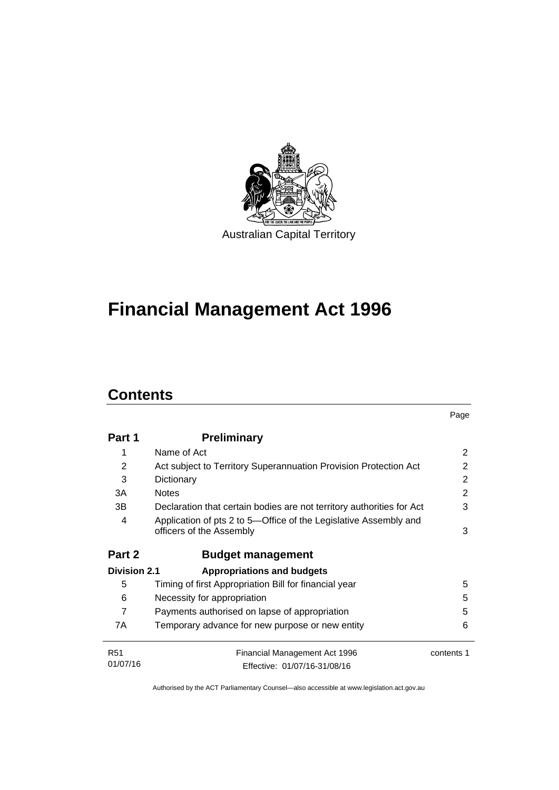

# **Financial Management Act 1996**

# **Contents**

l.

|                     |                                                                                              | Page       |
|---------------------|----------------------------------------------------------------------------------------------|------------|
| Part 1              | <b>Preliminary</b>                                                                           |            |
| 1                   | Name of Act                                                                                  | 2          |
| 2                   | Act subject to Territory Superannuation Provision Protection Act                             | 2          |
| 3                   | Dictionary                                                                                   | 2          |
| 3A                  | <b>Notes</b>                                                                                 | 2          |
| 3B                  | Declaration that certain bodies are not territory authorities for Act                        | 3          |
| 4                   | Application of pts 2 to 5-Office of the Legislative Assembly and<br>officers of the Assembly | 3          |
| Part 2              | <b>Budget management</b>                                                                     |            |
| <b>Division 2.1</b> | <b>Appropriations and budgets</b>                                                            |            |
| 5                   | Timing of first Appropriation Bill for financial year                                        | 5          |
| 6                   | Necessity for appropriation                                                                  | 5          |
| $\overline{7}$      | Payments authorised on lapse of appropriation                                                | 5          |
| 7A                  | Temporary advance for new purpose or new entity                                              | 6          |
| <b>R51</b>          | Financial Management Act 1996                                                                | contents 1 |
| 01/07/16            | Effective: 01/07/16-31/08/16                                                                 |            |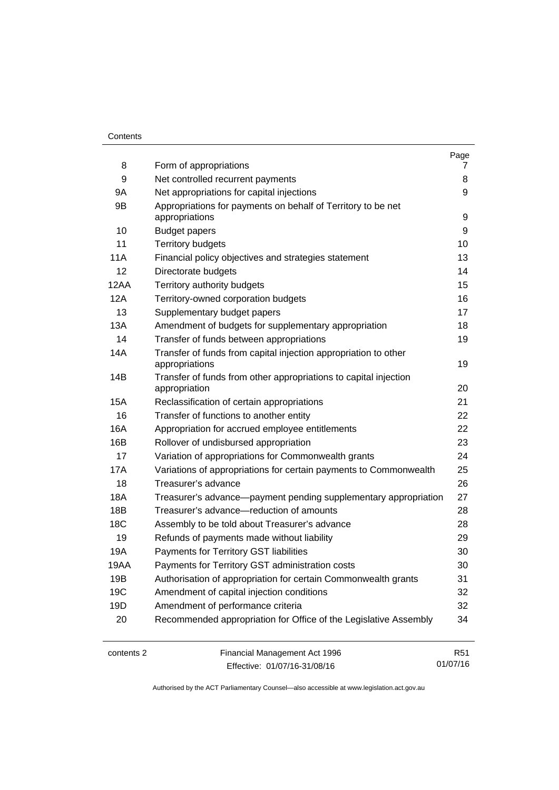## **Contents**

| 8               | Form of appropriations                                                            | Page<br>7 |
|-----------------|-----------------------------------------------------------------------------------|-----------|
| 9               | Net controlled recurrent payments                                                 | 8         |
| 9Α              | Net appropriations for capital injections                                         | 9         |
| 9B              | Appropriations for payments on behalf of Territory to be net                      |           |
|                 | appropriations                                                                    | 9         |
| 10              | <b>Budget papers</b>                                                              | 9         |
| 11              | <b>Territory budgets</b>                                                          | 10        |
| 11A             | Financial policy objectives and strategies statement                              | 13        |
| 12              | Directorate budgets                                                               | 14        |
| 12AA            | Territory authority budgets                                                       | 15        |
| 12A             | Territory-owned corporation budgets                                               | 16        |
| 13              | Supplementary budget papers                                                       | 17        |
| 13A             | Amendment of budgets for supplementary appropriation                              | 18        |
| 14              | Transfer of funds between appropriations                                          | 19        |
| 14A             | Transfer of funds from capital injection appropriation to other<br>appropriations | 19        |
| 14B             | Transfer of funds from other appropriations to capital injection<br>appropriation | 20        |
| 15A             | Reclassification of certain appropriations                                        | 21        |
| 16              | Transfer of functions to another entity                                           | 22        |
| 16A             | Appropriation for accrued employee entitlements                                   | 22        |
| 16B             | Rollover of undisbursed appropriation                                             | 23        |
| 17              | Variation of appropriations for Commonwealth grants                               | 24        |
| 17A             | Variations of appropriations for certain payments to Commonwealth                 | 25        |
| 18              | Treasurer's advance                                                               | 26        |
| 18A             | Treasurer's advance-payment pending supplementary appropriation                   | 27        |
| 18B             | Treasurer's advance-reduction of amounts                                          | 28        |
| 18 <sub>C</sub> | Assembly to be told about Treasurer's advance                                     | 28        |
| 19              | Refunds of payments made without liability                                        | 29        |
| 19A             | Payments for Territory GST liabilities                                            | 30        |
| 19AA            | Payments for Territory GST administration costs                                   | 30        |
| 19B             | Authorisation of appropriation for certain Commonwealth grants                    | 31        |
| 19C             | Amendment of capital injection conditions                                         | 32        |
| 19D             | Amendment of performance criteria                                                 | 32        |
| 20              | Recommended appropriation for Office of the Legislative Assembly                  | 34        |

contents 2 Financial Management Act 1996 Effective: 01/07/16-31/08/16

R51 01/07/16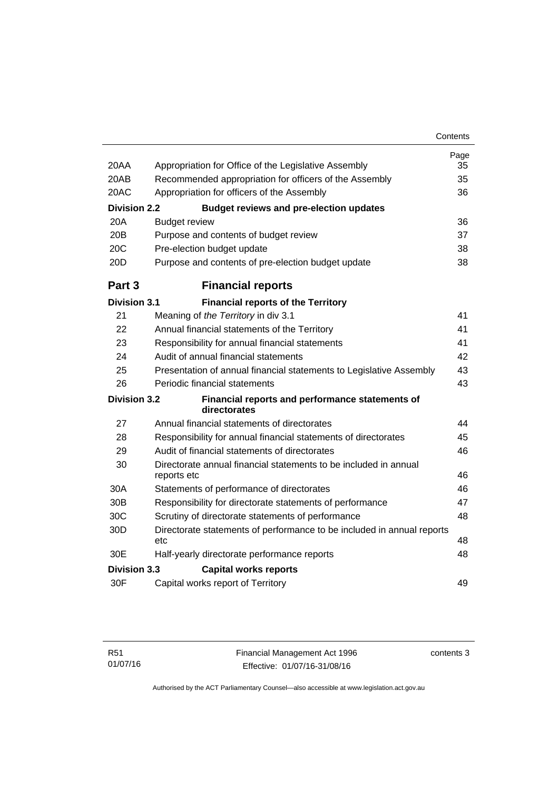| 20AA                | Appropriation for Office of the Legislative Assembly                            | Page<br>35 |
|---------------------|---------------------------------------------------------------------------------|------------|
| 20AB                | Recommended appropriation for officers of the Assembly                          | 35         |
| 20AC                | Appropriation for officers of the Assembly                                      | 36         |
| <b>Division 2.2</b> | <b>Budget reviews and pre-election updates</b>                                  |            |
| 20A                 | <b>Budget review</b>                                                            | 36         |
| 20B                 | Purpose and contents of budget review                                           | 37         |
| 20C                 | Pre-election budget update                                                      | 38         |
| 20D                 | Purpose and contents of pre-election budget update                              | 38         |
| Part <sub>3</sub>   | <b>Financial reports</b>                                                        |            |
| <b>Division 3.1</b> | <b>Financial reports of the Territory</b>                                       |            |
| 21                  | Meaning of the Territory in div 3.1                                             | 41         |
| 22                  | Annual financial statements of the Territory                                    | 41         |
| 23                  | Responsibility for annual financial statements                                  | 41         |
| 24                  | Audit of annual financial statements                                            | 42         |
| 25                  | Presentation of annual financial statements to Legislative Assembly             | 43         |
| 26                  | Periodic financial statements                                                   | 43         |
| <b>Division 3.2</b> | Financial reports and performance statements of<br>directorates                 |            |
| 27                  | Annual financial statements of directorates                                     | 44         |
| 28                  | Responsibility for annual financial statements of directorates                  | 45         |
| 29                  | Audit of financial statements of directorates                                   | 46         |
| 30                  | Directorate annual financial statements to be included in annual<br>reports etc | 46         |
| 30A                 | Statements of performance of directorates                                       | 46         |
| 30 <sub>B</sub>     | Responsibility for directorate statements of performance                        | 47         |
| 30C                 | Scrutiny of directorate statements of performance                               | 48         |
| 30D                 | Directorate statements of performance to be included in annual reports          |            |
|                     | etc                                                                             | 48         |
| 30E                 | Half-yearly directorate performance reports                                     | 48         |
| <b>Division 3.3</b> | <b>Capital works reports</b>                                                    |            |
| 30F                 | Capital works report of Territory                                               | 49         |

contents 3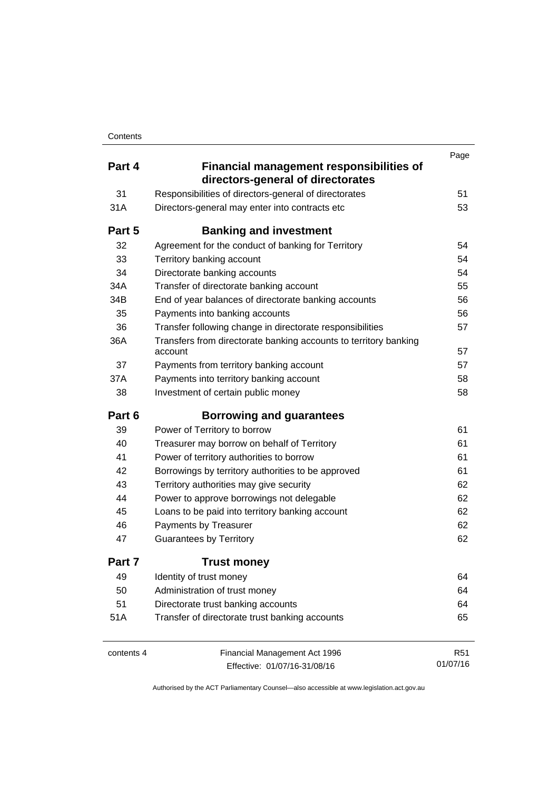|            |                                                                                      | Page            |
|------------|--------------------------------------------------------------------------------------|-----------------|
| Part 4     | <b>Financial management responsibilities of</b><br>directors-general of directorates |                 |
| 31         | Responsibilities of directors-general of directorates                                | 51              |
| 31A        | Directors-general may enter into contracts etc                                       | 53              |
| Part 5     | <b>Banking and investment</b>                                                        |                 |
| 32         | Agreement for the conduct of banking for Territory                                   | 54              |
| 33         | Territory banking account                                                            | 54              |
| 34         | Directorate banking accounts                                                         | 54              |
| 34A        | Transfer of directorate banking account                                              | 55              |
| 34B        | End of year balances of directorate banking accounts                                 | 56              |
| 35         | Payments into banking accounts                                                       | 56              |
| 36         | Transfer following change in directorate responsibilities                            | 57              |
| 36A        | Transfers from directorate banking accounts to territory banking<br>account          | 57              |
| 37         | Payments from territory banking account                                              | 57              |
| 37A        | Payments into territory banking account                                              | 58              |
| 38         | Investment of certain public money                                                   | 58              |
| Part 6     | <b>Borrowing and guarantees</b>                                                      |                 |
| 39         | Power of Territory to borrow                                                         | 61              |
| 40         | Treasurer may borrow on behalf of Territory                                          | 61              |
| 41         | Power of territory authorities to borrow                                             | 61              |
| 42         | Borrowings by territory authorities to be approved                                   | 61              |
| 43         | Territory authorities may give security                                              | 62              |
| 44         | Power to approve borrowings not delegable                                            | 62              |
| 45         | Loans to be paid into territory banking account                                      | 62              |
| 46         | Payments by Treasurer                                                                | 62              |
| 47         | <b>Guarantees by Territory</b>                                                       | 62              |
| Part 7     | <b>Trust money</b>                                                                   |                 |
| 49         | Identity of trust money                                                              | 64              |
| 50         | Administration of trust money                                                        | 64              |
| 51         | Directorate trust banking accounts                                                   | 64              |
| 51A        | Transfer of directorate trust banking accounts                                       | 65              |
| contents 4 | Financial Management Act 1996                                                        | R <sub>51</sub> |
|            | Effective: 01/07/16-31/08/16                                                         | 01/07/16        |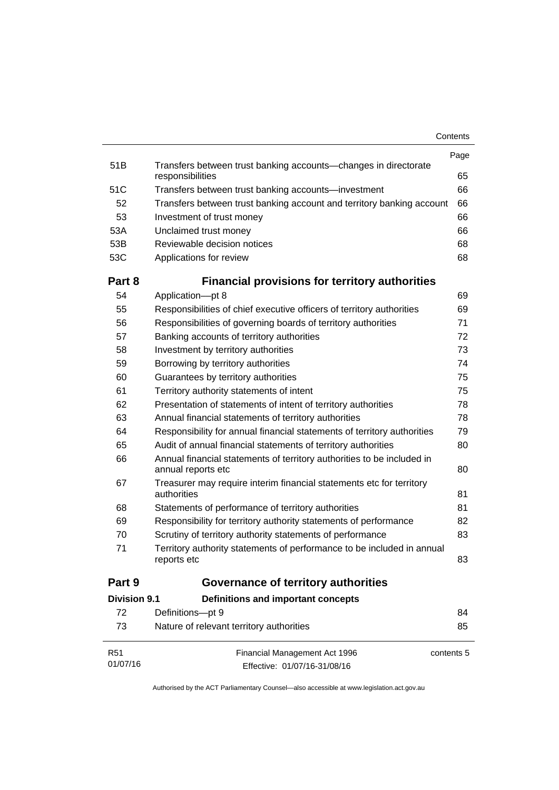| Contents |
|----------|
|----------|

|                 |                                                                                              | Page       |
|-----------------|----------------------------------------------------------------------------------------------|------------|
| 51B             | Transfers between trust banking accounts-changes in directorate<br>responsibilities          | 65         |
| 51C             | Transfers between trust banking accounts—investment                                          | 66         |
| 52              | Transfers between trust banking account and territory banking account                        | 66         |
| 53              | Investment of trust money                                                                    | 66         |
| 53A             | Unclaimed trust money                                                                        | 66         |
| 53B             | Reviewable decision notices                                                                  | 68         |
| 53C             | Applications for review                                                                      | 68         |
| Part 8          | <b>Financial provisions for territory authorities</b>                                        |            |
| 54              | Application-pt 8                                                                             | 69         |
| 55              | Responsibilities of chief executive officers of territory authorities                        | 69         |
| 56              | Responsibilities of governing boards of territory authorities                                | 71         |
| 57              | Banking accounts of territory authorities                                                    | 72         |
| 58              | Investment by territory authorities                                                          | 73         |
| 59              | Borrowing by territory authorities                                                           | 74         |
| 60              | Guarantees by territory authorities                                                          | 75         |
| 61              | Territory authority statements of intent                                                     | 75         |
| 62              | Presentation of statements of intent of territory authorities                                | 78         |
| 63              | Annual financial statements of territory authorities                                         | 78         |
| 64              | Responsibility for annual financial statements of territory authorities                      | 79         |
| 65              | Audit of annual financial statements of territory authorities                                | 80         |
| 66              | Annual financial statements of territory authorities to be included in<br>annual reports etc | 80         |
| 67              | Treasurer may require interim financial statements etc for territory<br>authorities          | 81         |
| 68              | Statements of performance of territory authorities                                           | 81         |
| 69              | Responsibility for territory authority statements of performance                             | 82         |
| 70              | Scrutiny of territory authority statements of performance                                    | 83         |
| 71              | Territory authority statements of performance to be included in annual<br>reports etc        | 83         |
| Part 9          | Governance of territory authorities                                                          |            |
| Division 9.1    | Definitions and important concepts                                                           |            |
| 72              | Definitions-pt 9                                                                             | 84         |
| 73              | Nature of relevant territory authorities                                                     | 85         |
| R <sub>51</sub> | Financial Management Act 1996                                                                | contents 5 |
| 01/07/16        | Effective: 01/07/16-31/08/16                                                                 |            |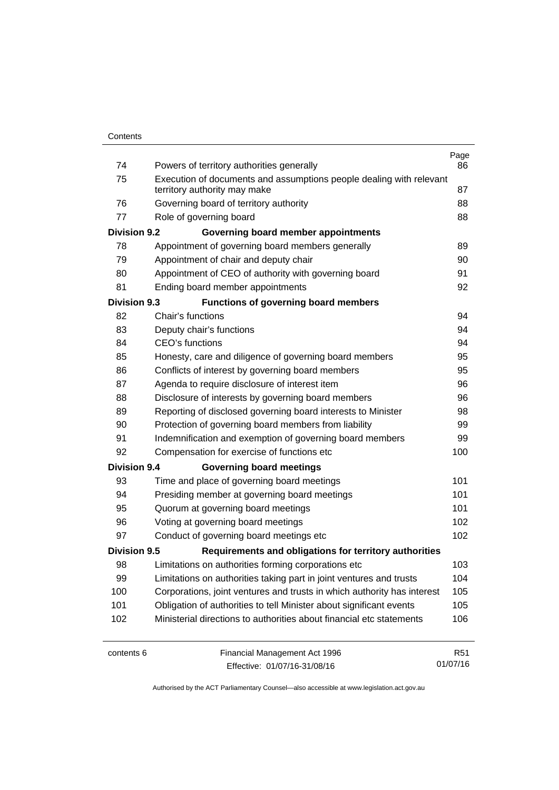| 74                  | Powers of territory authorities generally                               | Page<br>86      |
|---------------------|-------------------------------------------------------------------------|-----------------|
| 75                  | Execution of documents and assumptions people dealing with relevant     |                 |
|                     | territory authority may make                                            | 87              |
| 76                  | Governing board of territory authority                                  | 88              |
| 77                  | Role of governing board                                                 | 88              |
| <b>Division 9.2</b> | Governing board member appointments                                     |                 |
| 78                  | Appointment of governing board members generally                        | 89              |
| 79                  | Appointment of chair and deputy chair                                   | 90              |
| 80                  | Appointment of CEO of authority with governing board                    | 91              |
| 81                  | Ending board member appointments                                        | 92              |
| <b>Division 9.3</b> | <b>Functions of governing board members</b>                             |                 |
| 82                  | Chair's functions                                                       | 94              |
| 83                  | Deputy chair's functions                                                | 94              |
| 84                  | <b>CEO's functions</b>                                                  | 94              |
| 85                  | Honesty, care and diligence of governing board members                  | 95              |
| 86                  | Conflicts of interest by governing board members                        | 95              |
| 87                  | Agenda to require disclosure of interest item                           | 96              |
| 88                  | Disclosure of interests by governing board members                      | 96              |
| 89                  | Reporting of disclosed governing board interests to Minister            | 98              |
| 90                  | Protection of governing board members from liability                    | 99              |
| 91                  | Indemnification and exemption of governing board members                | 99              |
| 92                  | Compensation for exercise of functions etc                              | 100             |
| <b>Division 9.4</b> | <b>Governing board meetings</b>                                         |                 |
| 93                  | Time and place of governing board meetings                              | 101             |
| 94                  | Presiding member at governing board meetings                            | 101             |
| 95                  | Quorum at governing board meetings                                      | 101             |
| 96                  | Voting at governing board meetings                                      | 102             |
| 97                  | Conduct of governing board meetings etc                                 | 102             |
| <b>Division 9.5</b> | Requirements and obligations for territory authorities                  |                 |
| 98                  | Limitations on authorities forming corporations etc                     | 103             |
| 99                  | Limitations on authorities taking part in joint ventures and trusts     | 104             |
| 100                 | Corporations, joint ventures and trusts in which authority has interest | 105             |
| 101                 | Obligation of authorities to tell Minister about significant events     | 105             |
| 102                 | Ministerial directions to authorities about financial etc statements    | 106             |
| contents 6          | Financial Management Act 1996                                           | R <sub>51</sub> |

Effective: 01/07/16-31/08/16

01/07/16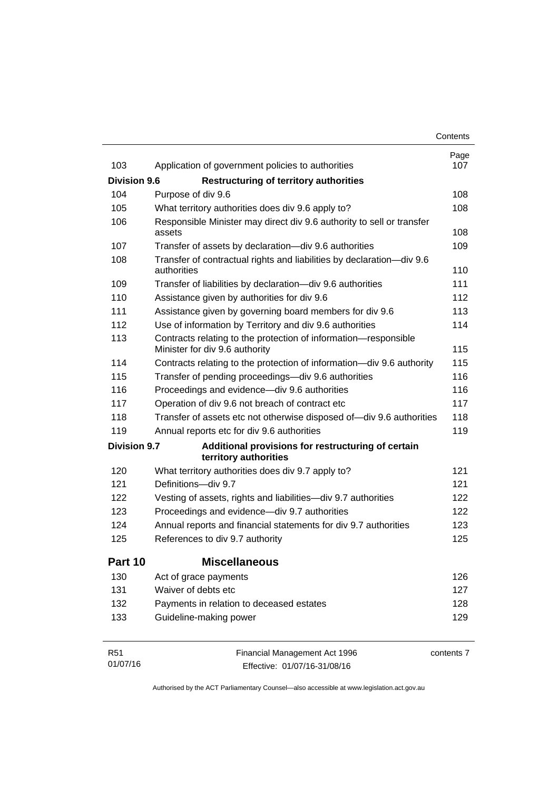|                     |                                                                                                   | Contents    |
|---------------------|---------------------------------------------------------------------------------------------------|-------------|
| 103                 |                                                                                                   | Page<br>107 |
|                     | Application of government policies to authorities                                                 |             |
| <b>Division 9.6</b> | <b>Restructuring of territory authorities</b>                                                     |             |
| 104                 | Purpose of div 9.6                                                                                | 108         |
| 105                 | What territory authorities does div 9.6 apply to?                                                 | 108         |
| 106                 | Responsible Minister may direct div 9.6 authority to sell or transfer<br>assets                   | 108         |
| 107                 | Transfer of assets by declaration-div 9.6 authorities                                             | 109         |
| 108                 | Transfer of contractual rights and liabilities by declaration-div 9.6<br>authorities              | 110         |
| 109                 | Transfer of liabilities by declaration-div 9.6 authorities                                        | 111         |
| 110                 | Assistance given by authorities for div 9.6                                                       | 112         |
| 111                 | Assistance given by governing board members for div 9.6                                           | 113         |
| 112                 | Use of information by Territory and div 9.6 authorities                                           | 114         |
| 113                 | Contracts relating to the protection of information-responsible<br>Minister for div 9.6 authority | 115         |
| 114                 | Contracts relating to the protection of information-div 9.6 authority                             | 115         |
| 115                 | Transfer of pending proceedings-div 9.6 authorities                                               | 116         |
| 116                 | Proceedings and evidence-div 9.6 authorities                                                      | 116         |
| 117                 | Operation of div 9.6 not breach of contract etc                                                   | 117         |
| 118                 | Transfer of assets etc not otherwise disposed of-div 9.6 authorities                              | 118         |
| 119                 | Annual reports etc for div 9.6 authorities                                                        | 119         |
| <b>Division 9.7</b> | Additional provisions for restructuring of certain<br>territory authorities                       |             |
| 120                 | What territory authorities does div 9.7 apply to?                                                 | 121         |
| 121                 | Definitions-div 9.7                                                                               | 121         |
| 122                 | Vesting of assets, rights and liabilities-div 9.7 authorities                                     | 122         |
| 123                 | Proceedings and evidence-div 9.7 authorities                                                      | 122         |
| 124                 | Annual reports and financial statements for div 9.7 authorities                                   | 123         |
| 125                 | References to div 9.7 authority                                                                   | 125         |
| Part 10             | <b>Miscellaneous</b>                                                                              |             |
| 130                 | Act of grace payments                                                                             | 126         |
| 131                 | Waiver of debts etc                                                                               | 127         |
| 132                 | Payments in relation to deceased estates                                                          | 128         |
| 133                 | Guideline-making power                                                                            | 129         |
| R <sub>51</sub>     | Financial Management Act 1996                                                                     | contents 7  |

Effective: 01/07/16-31/08/16

01/07/16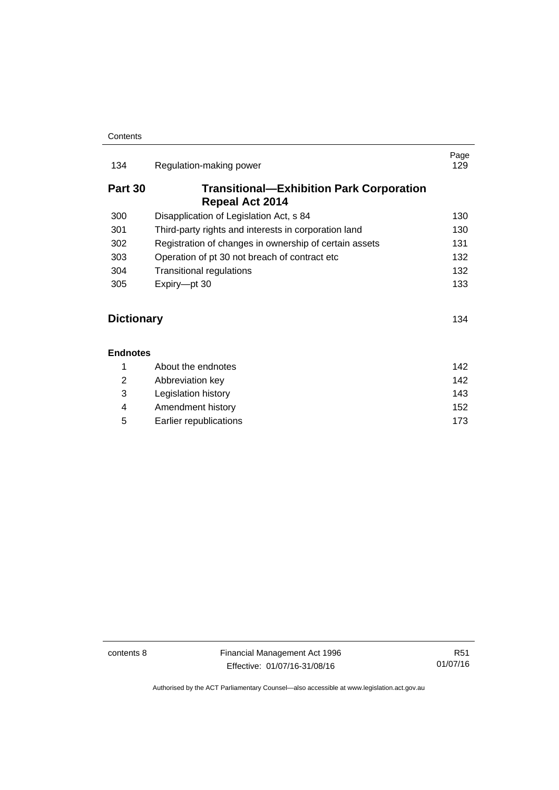| 134               | Regulation-making power                                                   | Page<br>129 |
|-------------------|---------------------------------------------------------------------------|-------------|
| Part 30           | <b>Transitional—Exhibition Park Corporation</b><br><b>Repeal Act 2014</b> |             |
| 300               | Disapplication of Legislation Act, s 84                                   | 130         |
| 301               | Third-party rights and interests in corporation land                      | 130         |
| 302               | Registration of changes in ownership of certain assets                    | 131         |
| 303               | Operation of pt 30 not breach of contract etc                             | 132         |
| 304               | <b>Transitional regulations</b>                                           | 132         |
| 305               | Expiry-pt 30                                                              | 133         |
| <b>Dictionary</b> |                                                                           | 134         |
| <b>Endnotes</b>   |                                                                           |             |

[About the endnotes 142](#page-151-1) [Abbreviation key 142](#page-151-2) [Legislation history 143](#page-152-0) [Amendment history 152](#page-161-0) [Earlier republications 173](#page-182-0)

contents 8 Financial Management Act 1996 Effective: 01/07/16-31/08/16

R51 01/07/16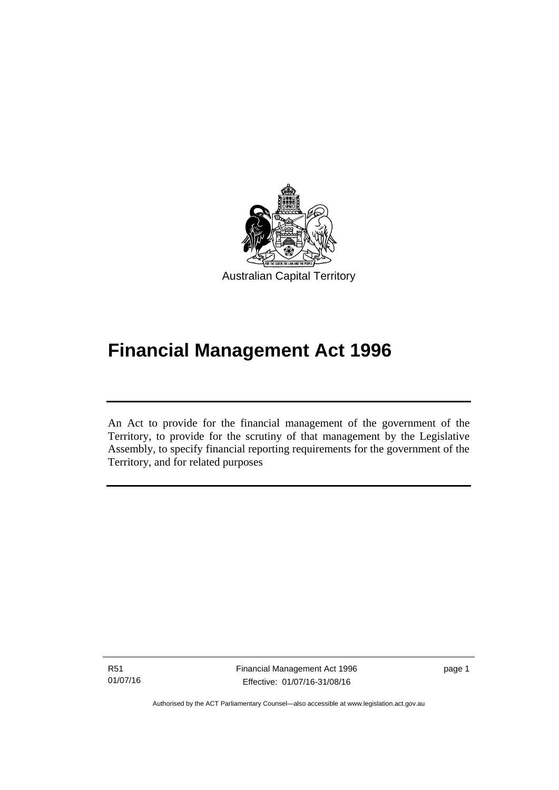

# **Financial Management Act 1996**

An Act to provide for the financial management of the government of the Territory, to provide for the scrutiny of that management by the Legislative Assembly, to specify financial reporting requirements for the government of the Territory, and for related purposes

R51 01/07/16

l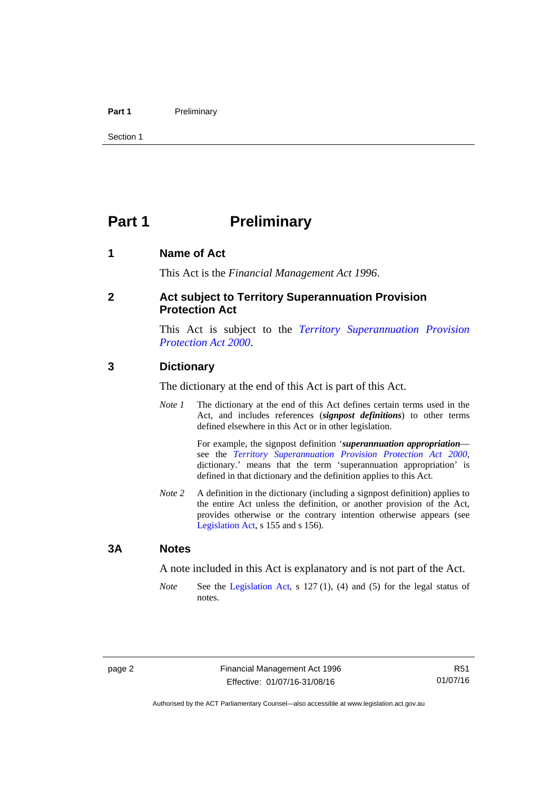### Part 1 **Preliminary**

Section 1

# <span id="page-11-0"></span>**Part 1** Preliminary

# <span id="page-11-1"></span>**1 Name of Act**

This Act is the *Financial Management Act 1996*.

## <span id="page-11-2"></span>**2 Act subject to Territory Superannuation Provision Protection Act**

This Act is subject to the *[Territory Superannuation Provision](http://www.legislation.act.gov.au/a/2000-21)  [Protection Act 2000](http://www.legislation.act.gov.au/a/2000-21)*.

## <span id="page-11-3"></span>**3 Dictionary**

The dictionary at the end of this Act is part of this Act.

*Note 1* The dictionary at the end of this Act defines certain terms used in the Act, and includes references (*signpost definitions*) to other terms defined elsewhere in this Act or in other legislation.

> For example, the signpost definition '*superannuation appropriation* see the *[Territory Superannuation Provision Protection Act 2000](http://www.legislation.act.gov.au/a/2000-21)*, dictionary.' means that the term 'superannuation appropriation' is defined in that dictionary and the definition applies to this Act.

*Note 2* A definition in the dictionary (including a signpost definition) applies to the entire Act unless the definition, or another provision of the Act, provides otherwise or the contrary intention otherwise appears (see [Legislation Act,](http://www.legislation.act.gov.au/a/2001-14) s 155 and s 156).

## <span id="page-11-4"></span>**3A Notes**

A note included in this Act is explanatory and is not part of the Act.

*Note* See the [Legislation Act,](http://www.legislation.act.gov.au/a/2001-14) s 127 (1), (4) and (5) for the legal status of notes.

R51 01/07/16

Authorised by the ACT Parliamentary Counsel—also accessible at www.legislation.act.gov.au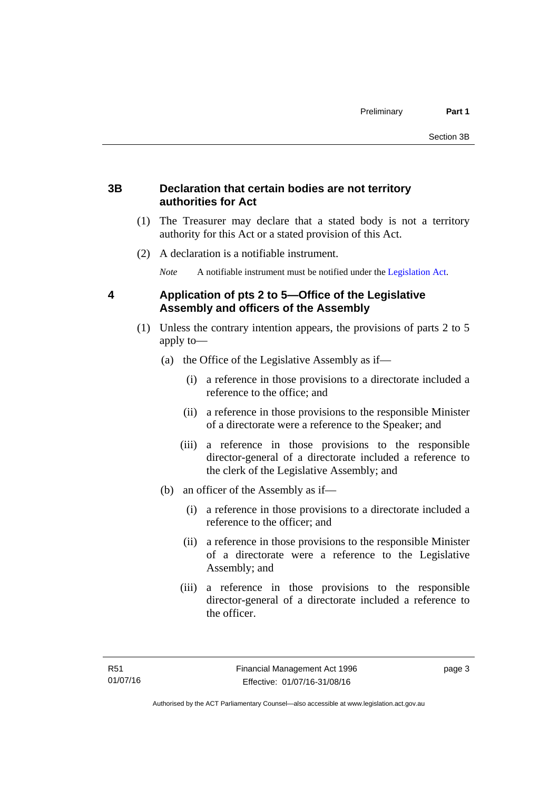# <span id="page-12-0"></span>**3B Declaration that certain bodies are not territory authorities for Act**

- (1) The Treasurer may declare that a stated body is not a territory authority for this Act or a stated provision of this Act.
- (2) A declaration is a notifiable instrument.

*Note* A notifiable instrument must be notified under the [Legislation Act](http://www.legislation.act.gov.au/a/2001-14).

# <span id="page-12-1"></span>**4 Application of pts 2 to 5—Office of the Legislative Assembly and officers of the Assembly**

- (1) Unless the contrary intention appears, the provisions of parts 2 to 5 apply to—
	- (a) the Office of the Legislative Assembly as if—
		- (i) a reference in those provisions to a directorate included a reference to the office; and
		- (ii) a reference in those provisions to the responsible Minister of a directorate were a reference to the Speaker; and
		- (iii) a reference in those provisions to the responsible director-general of a directorate included a reference to the clerk of the Legislative Assembly; and
	- (b) an officer of the Assembly as if—
		- (i) a reference in those provisions to a directorate included a reference to the officer; and
		- (ii) a reference in those provisions to the responsible Minister of a directorate were a reference to the Legislative Assembly; and
		- (iii) a reference in those provisions to the responsible director-general of a directorate included a reference to the officer.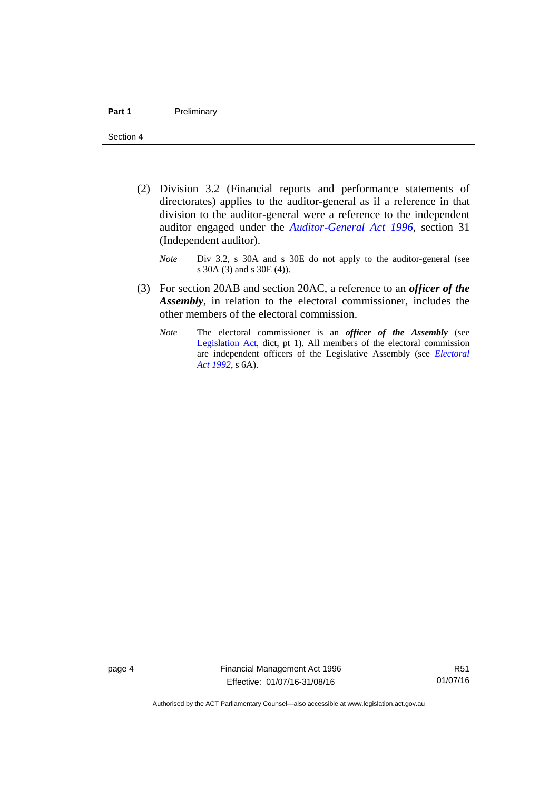- (2) Division 3.2 (Financial reports and performance statements of directorates) applies to the auditor-general as if a reference in that division to the auditor-general were a reference to the independent auditor engaged under the *[Auditor-General Act 1996](http://www.legislation.act.gov.au/a/1996-23)*, section 31 (Independent auditor).
	- *Note* Div 3.2, s 30A and s 30E do not apply to the auditor-general (see s 30A (3) and s 30E (4)).
- (3) For section 20AB and section 20AC, a reference to an *officer of the Assembly*, in relation to the electoral commissioner, includes the other members of the electoral commission.
	- *Note* The electoral commissioner is an *officer of the Assembly* (see [Legislation Act](http://www.legislation.act.gov.au/a/2001-14), dict, pt 1). All members of the electoral commission are independent officers of the Legislative Assembly (see *[Electoral](http://www.legislation.act.gov.au/a/1992-71)  [Act 1992](http://www.legislation.act.gov.au/a/1992-71)*, s 6A).

page 4 Financial Management Act 1996 Effective: 01/07/16-31/08/16

R51 01/07/16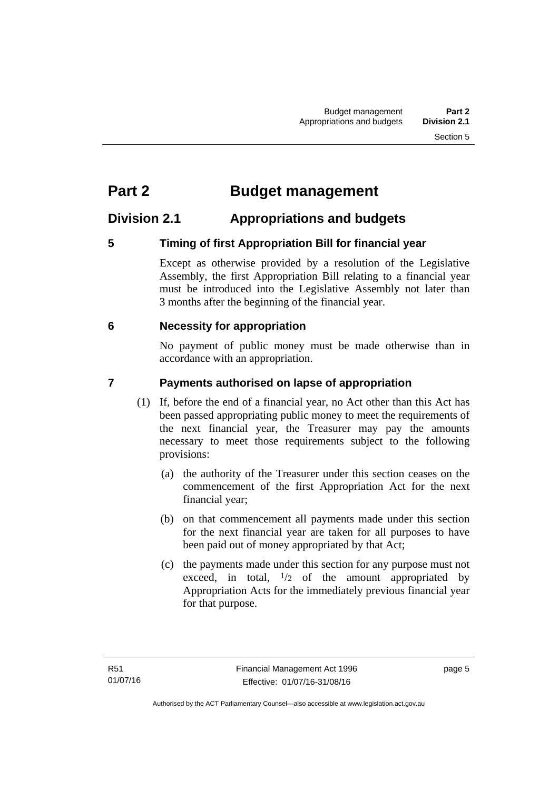# <span id="page-14-0"></span>**Part 2 Budget management**

# <span id="page-14-1"></span>**Division 2.1 Appropriations and budgets**

# <span id="page-14-2"></span>**5 Timing of first Appropriation Bill for financial year**

Except as otherwise provided by a resolution of the Legislative Assembly, the first Appropriation Bill relating to a financial year must be introduced into the Legislative Assembly not later than 3 months after the beginning of the financial year.

# <span id="page-14-3"></span> **6 Necessity for appropriation**

No payment of public money must be made otherwise than in accordance with an appropriation.

# <span id="page-14-4"></span>**7 Payments authorised on lapse of appropriation**

- (1) If, before the end of a financial year, no Act other than this Act has been passed appropriating public money to meet the requirements of the next financial year, the Treasurer may pay the amounts necessary to meet those requirements subject to the following provisions:
	- (a) the authority of the Treasurer under this section ceases on the commencement of the first Appropriation Act for the next financial year;
	- (b) on that commencement all payments made under this section for the next financial year are taken for all purposes to have been paid out of money appropriated by that Act;
	- (c) the payments made under this section for any purpose must not exceed, in total,  $\frac{1}{2}$  of the amount appropriated by Appropriation Acts for the immediately previous financial year for that purpose.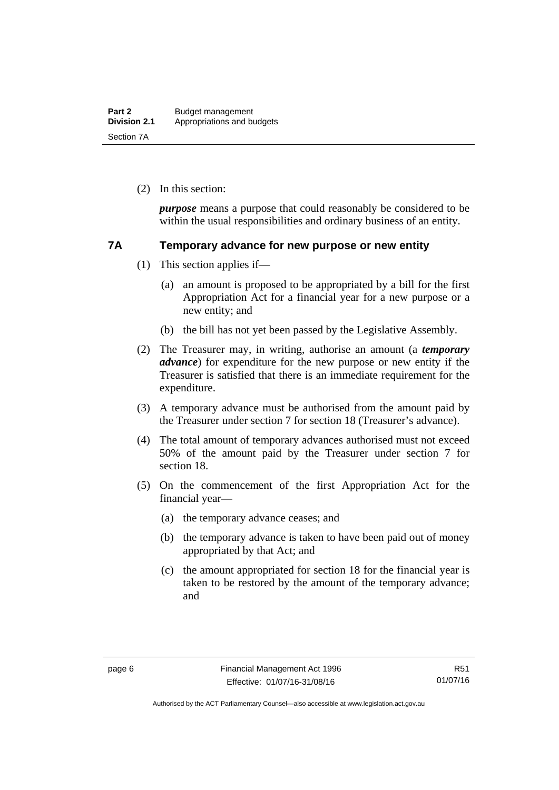(2) In this section:

*purpose* means a purpose that could reasonably be considered to be within the usual responsibilities and ordinary business of an entity.

# <span id="page-15-0"></span>**7A Temporary advance for new purpose or new entity**

- (1) This section applies if—
	- (a) an amount is proposed to be appropriated by a bill for the first Appropriation Act for a financial year for a new purpose or a new entity; and
	- (b) the bill has not yet been passed by the Legislative Assembly.
- (2) The Treasurer may, in writing, authorise an amount (a *temporary advance*) for expenditure for the new purpose or new entity if the Treasurer is satisfied that there is an immediate requirement for the expenditure.
- (3) A temporary advance must be authorised from the amount paid by the Treasurer under section 7 for section 18 (Treasurer's advance).
- (4) The total amount of temporary advances authorised must not exceed 50% of the amount paid by the Treasurer under section 7 for section 18.
- (5) On the commencement of the first Appropriation Act for the financial year—
	- (a) the temporary advance ceases; and
	- (b) the temporary advance is taken to have been paid out of money appropriated by that Act; and
	- (c) the amount appropriated for section 18 for the financial year is taken to be restored by the amount of the temporary advance; and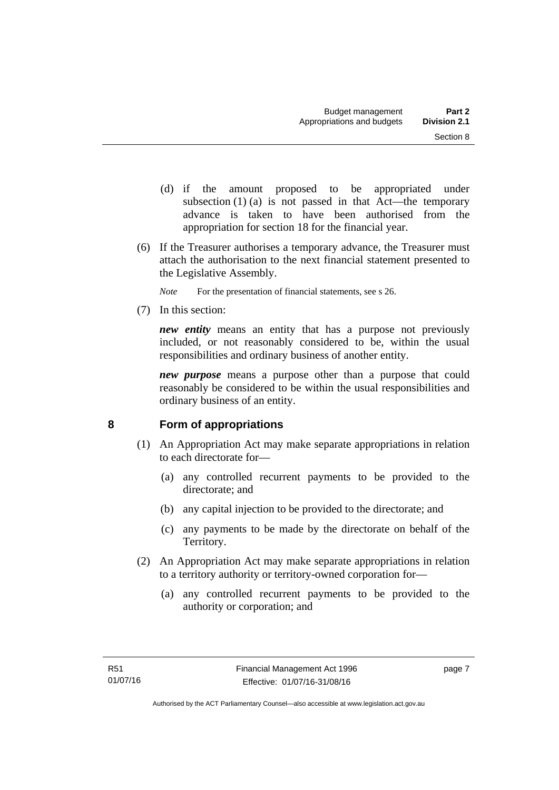- (d) if the amount proposed to be appropriated under subsection  $(1)$  (a) is not passed in that Act—the temporary advance is taken to have been authorised from the appropriation for section 18 for the financial year.
- (6) If the Treasurer authorises a temporary advance, the Treasurer must attach the authorisation to the next financial statement presented to the Legislative Assembly.
	- *Note* For the presentation of financial statements, see s 26.
- (7) In this section:

*new entity* means an entity that has a purpose not previously included, or not reasonably considered to be, within the usual responsibilities and ordinary business of another entity.

*new purpose* means a purpose other than a purpose that could reasonably be considered to be within the usual responsibilities and ordinary business of an entity.

# <span id="page-16-0"></span>**8 Form of appropriations**

- (1) An Appropriation Act may make separate appropriations in relation to each directorate for—
	- (a) any controlled recurrent payments to be provided to the directorate; and
	- (b) any capital injection to be provided to the directorate; and
	- (c) any payments to be made by the directorate on behalf of the Territory.
- (2) An Appropriation Act may make separate appropriations in relation to a territory authority or territory-owned corporation for—
	- (a) any controlled recurrent payments to be provided to the authority or corporation; and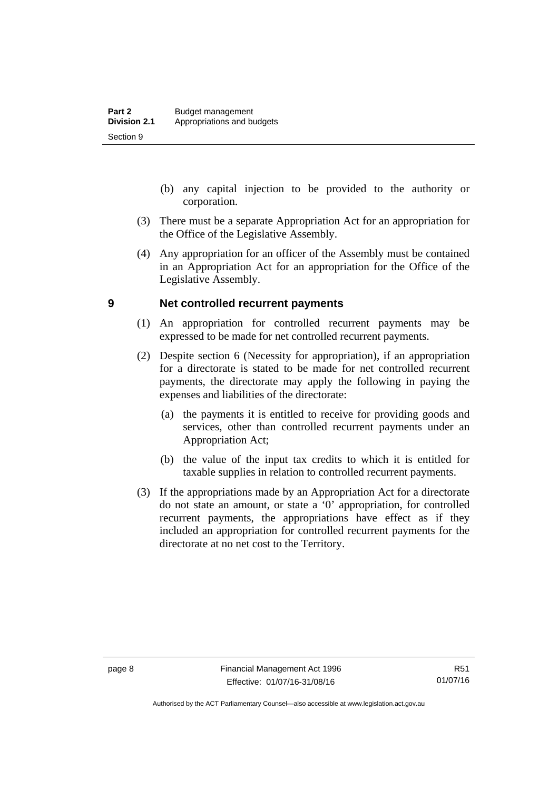- (b) any capital injection to be provided to the authority or corporation.
- (3) There must be a separate Appropriation Act for an appropriation for the Office of the Legislative Assembly.
- (4) Any appropriation for an officer of the Assembly must be contained in an Appropriation Act for an appropriation for the Office of the Legislative Assembly.

# <span id="page-17-0"></span>**9 Net controlled recurrent payments**

- (1) An appropriation for controlled recurrent payments may be expressed to be made for net controlled recurrent payments.
- (2) Despite section 6 (Necessity for appropriation), if an appropriation for a directorate is stated to be made for net controlled recurrent payments, the directorate may apply the following in paying the expenses and liabilities of the directorate:
	- (a) the payments it is entitled to receive for providing goods and services, other than controlled recurrent payments under an Appropriation Act;
	- (b) the value of the input tax credits to which it is entitled for taxable supplies in relation to controlled recurrent payments.
- (3) If the appropriations made by an Appropriation Act for a directorate do not state an amount, or state a '0' appropriation, for controlled recurrent payments, the appropriations have effect as if they included an appropriation for controlled recurrent payments for the directorate at no net cost to the Territory.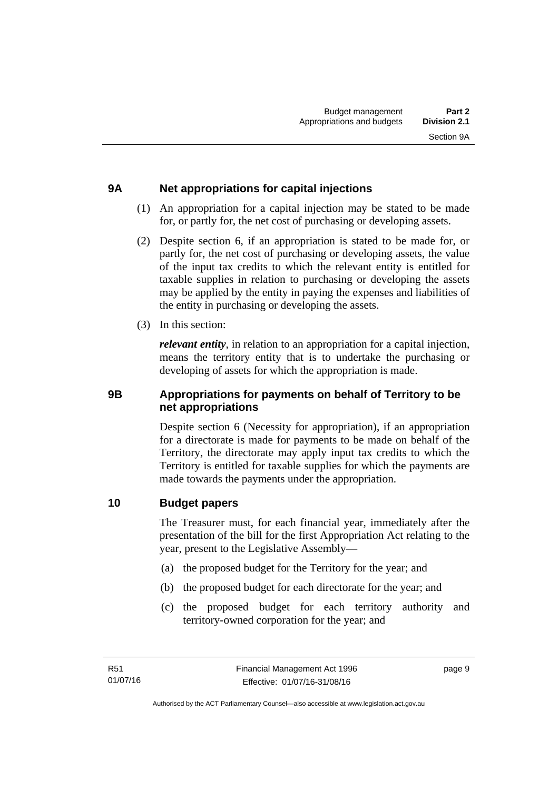# <span id="page-18-0"></span>**9A Net appropriations for capital injections**

- (1) An appropriation for a capital injection may be stated to be made for, or partly for, the net cost of purchasing or developing assets.
- (2) Despite section 6, if an appropriation is stated to be made for, or partly for, the net cost of purchasing or developing assets, the value of the input tax credits to which the relevant entity is entitled for taxable supplies in relation to purchasing or developing the assets may be applied by the entity in paying the expenses and liabilities of the entity in purchasing or developing the assets.
- (3) In this section:

*relevant entity*, in relation to an appropriation for a capital injection, means the territory entity that is to undertake the purchasing or developing of assets for which the appropriation is made.

# <span id="page-18-1"></span>**9B Appropriations for payments on behalf of Territory to be net appropriations**

Despite section 6 (Necessity for appropriation), if an appropriation for a directorate is made for payments to be made on behalf of the Territory, the directorate may apply input tax credits to which the Territory is entitled for taxable supplies for which the payments are made towards the payments under the appropriation.

# <span id="page-18-2"></span>**10 Budget papers**

The Treasurer must, for each financial year, immediately after the presentation of the bill for the first Appropriation Act relating to the year, present to the Legislative Assembly—

- (a) the proposed budget for the Territory for the year; and
- (b) the proposed budget for each directorate for the year; and
- (c) the proposed budget for each territory authority and territory-owned corporation for the year; and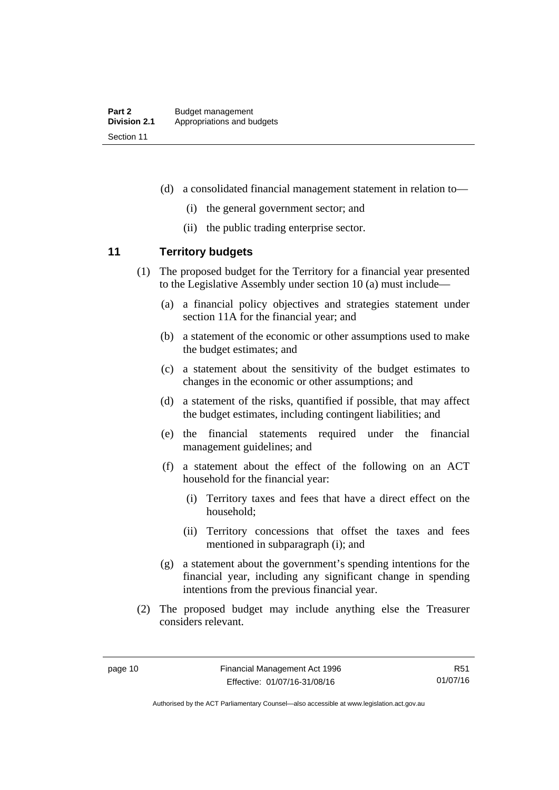- (d) a consolidated financial management statement in relation to—
	- (i) the general government sector; and
	- (ii) the public trading enterprise sector.

# <span id="page-19-0"></span>**11 Territory budgets**

- (1) The proposed budget for the Territory for a financial year presented to the Legislative Assembly under section 10 (a) must include—
	- (a) a financial policy objectives and strategies statement under section 11A for the financial year; and
	- (b) a statement of the economic or other assumptions used to make the budget estimates; and
	- (c) a statement about the sensitivity of the budget estimates to changes in the economic or other assumptions; and
	- (d) a statement of the risks, quantified if possible, that may affect the budget estimates, including contingent liabilities; and
	- (e) the financial statements required under the financial management guidelines; and
	- (f) a statement about the effect of the following on an ACT household for the financial year:
		- (i) Territory taxes and fees that have a direct effect on the household;
		- (ii) Territory concessions that offset the taxes and fees mentioned in subparagraph (i); and
	- (g) a statement about the government's spending intentions for the financial year, including any significant change in spending intentions from the previous financial year.
- (2) The proposed budget may include anything else the Treasurer considers relevant.

R51 01/07/16

Authorised by the ACT Parliamentary Counsel—also accessible at www.legislation.act.gov.au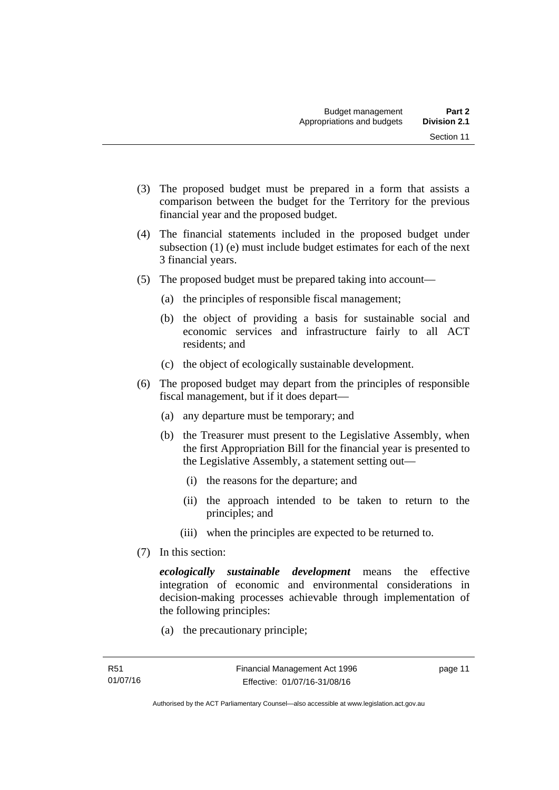- (3) The proposed budget must be prepared in a form that assists a comparison between the budget for the Territory for the previous financial year and the proposed budget.
- (4) The financial statements included in the proposed budget under subsection (1) (e) must include budget estimates for each of the next 3 financial years.
- (5) The proposed budget must be prepared taking into account—
	- (a) the principles of responsible fiscal management;
	- (b) the object of providing a basis for sustainable social and economic services and infrastructure fairly to all ACT residents; and
	- (c) the object of ecologically sustainable development.
- (6) The proposed budget may depart from the principles of responsible fiscal management, but if it does depart—
	- (a) any departure must be temporary; and
	- (b) the Treasurer must present to the Legislative Assembly, when the first Appropriation Bill for the financial year is presented to the Legislative Assembly, a statement setting out—
		- (i) the reasons for the departure; and
		- (ii) the approach intended to be taken to return to the principles; and
		- (iii) when the principles are expected to be returned to.
- (7) In this section:

*ecologically sustainable development* means the effective integration of economic and environmental considerations in decision-making processes achievable through implementation of the following principles:

(a) the precautionary principle;

page 11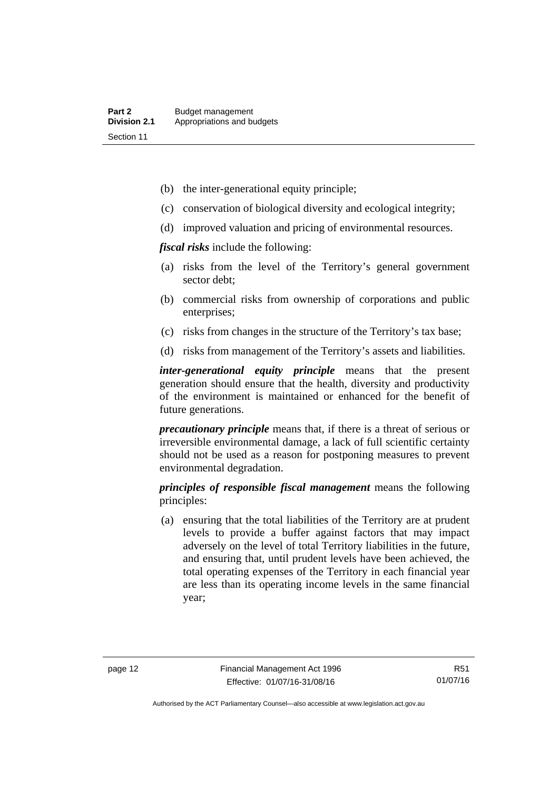- (b) the inter-generational equity principle;
- (c) conservation of biological diversity and ecological integrity;
- (d) improved valuation and pricing of environmental resources.

*fiscal risks* include the following:

- (a) risks from the level of the Territory's general government sector debt;
- (b) commercial risks from ownership of corporations and public enterprises;
- (c) risks from changes in the structure of the Territory's tax base;
- (d) risks from management of the Territory's assets and liabilities.

*inter-generational equity principle* means that the present generation should ensure that the health, diversity and productivity of the environment is maintained or enhanced for the benefit of future generations.

*precautionary principle* means that, if there is a threat of serious or irreversible environmental damage, a lack of full scientific certainty should not be used as a reason for postponing measures to prevent environmental degradation.

*principles of responsible fiscal management* means the following principles:

 (a) ensuring that the total liabilities of the Territory are at prudent levels to provide a buffer against factors that may impact adversely on the level of total Territory liabilities in the future, and ensuring that, until prudent levels have been achieved, the total operating expenses of the Territory in each financial year are less than its operating income levels in the same financial year;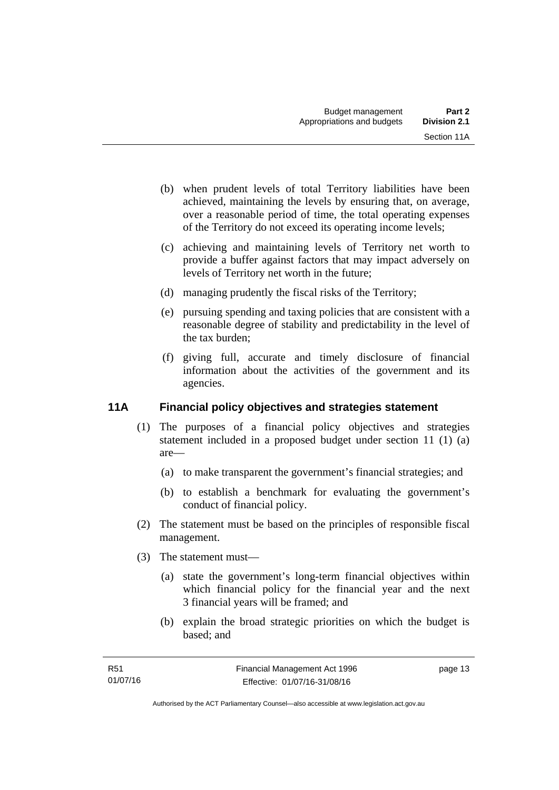- (b) when prudent levels of total Territory liabilities have been achieved, maintaining the levels by ensuring that, on average, over a reasonable period of time, the total operating expenses of the Territory do not exceed its operating income levels;
- (c) achieving and maintaining levels of Territory net worth to provide a buffer against factors that may impact adversely on levels of Territory net worth in the future;
- (d) managing prudently the fiscal risks of the Territory;
- (e) pursuing spending and taxing policies that are consistent with a reasonable degree of stability and predictability in the level of the tax burden;
- (f) giving full, accurate and timely disclosure of financial information about the activities of the government and its agencies.

# <span id="page-22-0"></span>**11A Financial policy objectives and strategies statement**

- (1) The purposes of a financial policy objectives and strategies statement included in a proposed budget under section 11 (1) (a) are—
	- (a) to make transparent the government's financial strategies; and
	- (b) to establish a benchmark for evaluating the government's conduct of financial policy.
- (2) The statement must be based on the principles of responsible fiscal management.
- (3) The statement must—
	- (a) state the government's long-term financial objectives within which financial policy for the financial year and the next 3 financial years will be framed; and
	- (b) explain the broad strategic priorities on which the budget is based; and

page 13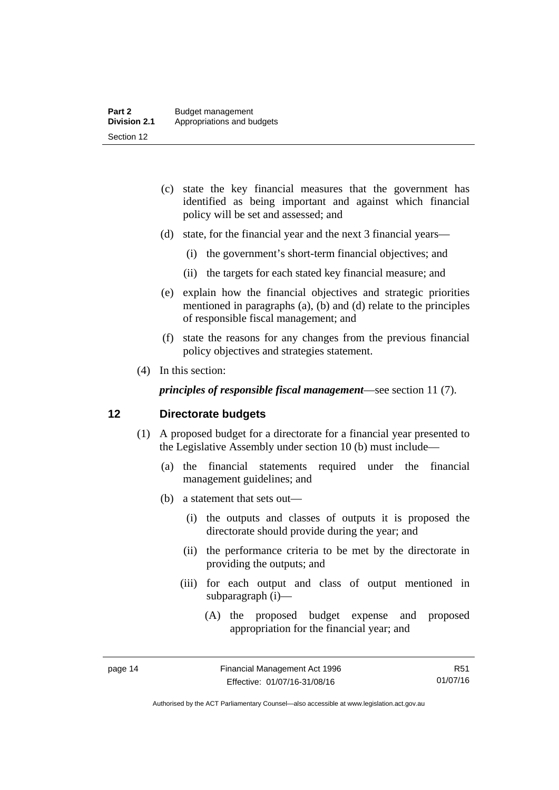- (c) state the key financial measures that the government has identified as being important and against which financial policy will be set and assessed; and
- (d) state, for the financial year and the next 3 financial years—
	- (i) the government's short-term financial objectives; and
	- (ii) the targets for each stated key financial measure; and
- (e) explain how the financial objectives and strategic priorities mentioned in paragraphs (a), (b) and (d) relate to the principles of responsible fiscal management; and
- (f) state the reasons for any changes from the previous financial policy objectives and strategies statement.
- (4) In this section:

*principles of responsible fiscal management*—see section 11 (7).

# <span id="page-23-0"></span>**12 Directorate budgets**

- (1) A proposed budget for a directorate for a financial year presented to the Legislative Assembly under section 10 (b) must include—
	- (a) the financial statements required under the financial management guidelines; and
	- (b) a statement that sets out—
		- (i) the outputs and classes of outputs it is proposed the directorate should provide during the year; and
		- (ii) the performance criteria to be met by the directorate in providing the outputs; and
		- (iii) for each output and class of output mentioned in subparagraph (i)—
			- (A) the proposed budget expense and proposed appropriation for the financial year; and

R51 01/07/16

Authorised by the ACT Parliamentary Counsel—also accessible at www.legislation.act.gov.au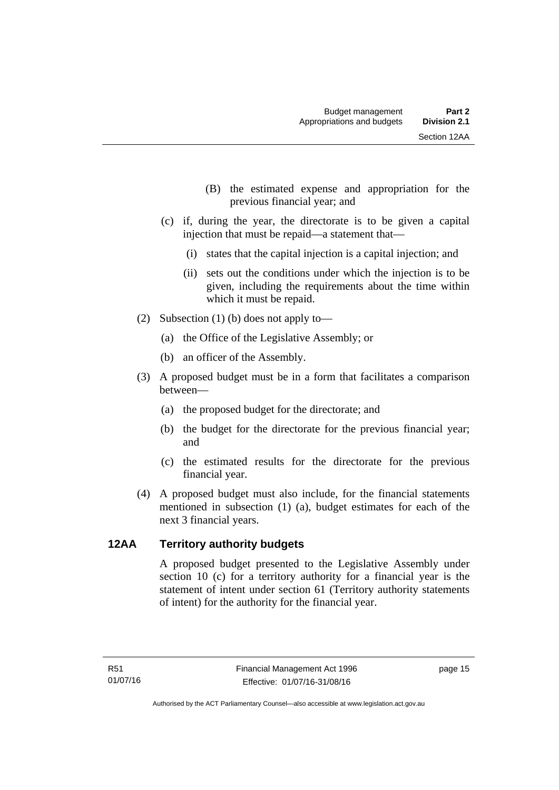- (B) the estimated expense and appropriation for the previous financial year; and
- (c) if, during the year, the directorate is to be given a capital injection that must be repaid—a statement that—
	- (i) states that the capital injection is a capital injection; and
	- (ii) sets out the conditions under which the injection is to be given, including the requirements about the time within which it must be repaid.
- (2) Subsection (1) (b) does not apply to—
	- (a) the Office of the Legislative Assembly; or
	- (b) an officer of the Assembly.
- (3) A proposed budget must be in a form that facilitates a comparison between—
	- (a) the proposed budget for the directorate; and
	- (b) the budget for the directorate for the previous financial year; and
	- (c) the estimated results for the directorate for the previous financial year.
- (4) A proposed budget must also include, for the financial statements mentioned in subsection (1) (a), budget estimates for each of the next 3 financial years.

# <span id="page-24-0"></span>**12AA Territory authority budgets**

A proposed budget presented to the Legislative Assembly under section 10 (c) for a territory authority for a financial year is the statement of intent under section 61 (Territory authority statements of intent) for the authority for the financial year.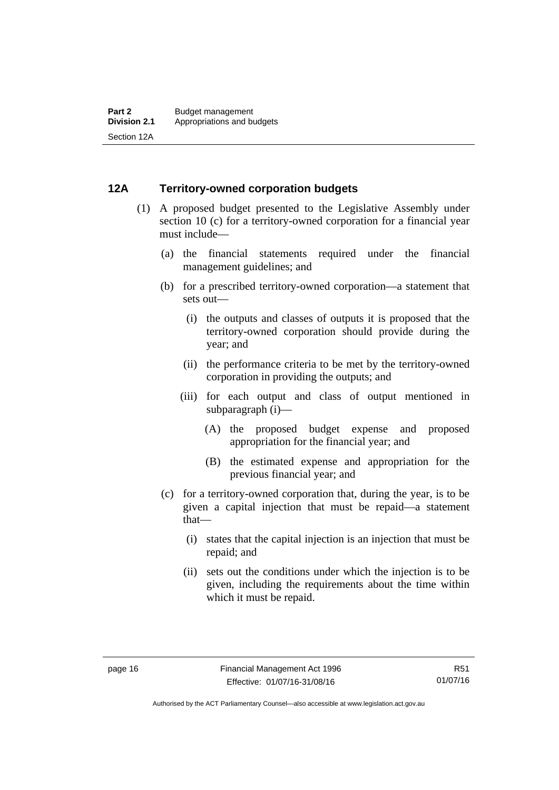# <span id="page-25-0"></span>**12A Territory-owned corporation budgets**

- (1) A proposed budget presented to the Legislative Assembly under section 10 (c) for a territory-owned corporation for a financial year must include—
	- (a) the financial statements required under the financial management guidelines; and
	- (b) for a prescribed territory-owned corporation—a statement that sets out—
		- (i) the outputs and classes of outputs it is proposed that the territory-owned corporation should provide during the year; and
		- (ii) the performance criteria to be met by the territory-owned corporation in providing the outputs; and
		- (iii) for each output and class of output mentioned in subparagraph (i)—
			- (A) the proposed budget expense and proposed appropriation for the financial year; and
			- (B) the estimated expense and appropriation for the previous financial year; and
	- (c) for a territory-owned corporation that, during the year, is to be given a capital injection that must be repaid—a statement that—
		- (i) states that the capital injection is an injection that must be repaid; and
		- (ii) sets out the conditions under which the injection is to be given, including the requirements about the time within which it must be repaid.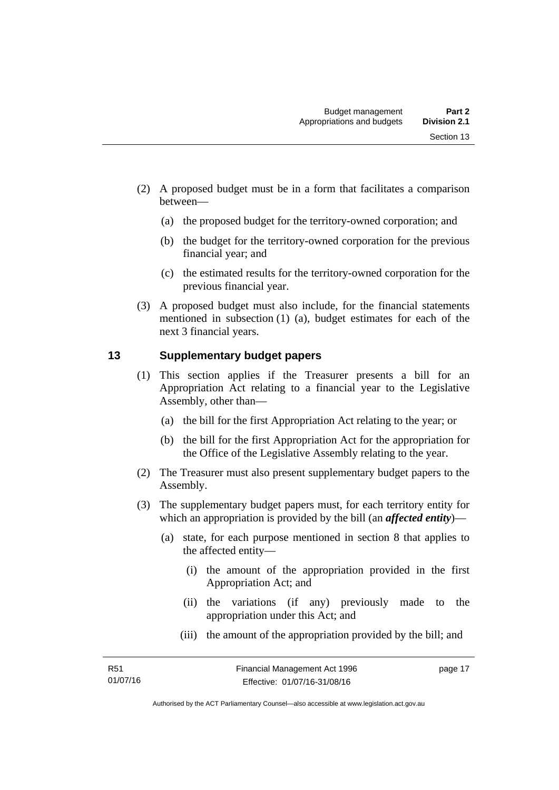- (2) A proposed budget must be in a form that facilitates a comparison between—
	- (a) the proposed budget for the territory-owned corporation; and
	- (b) the budget for the territory-owned corporation for the previous financial year; and
	- (c) the estimated results for the territory-owned corporation for the previous financial year.
- (3) A proposed budget must also include, for the financial statements mentioned in subsection (1) (a), budget estimates for each of the next 3 financial years.

# <span id="page-26-0"></span>**13 Supplementary budget papers**

- (1) This section applies if the Treasurer presents a bill for an Appropriation Act relating to a financial year to the Legislative Assembly, other than—
	- (a) the bill for the first Appropriation Act relating to the year; or
	- (b) the bill for the first Appropriation Act for the appropriation for the Office of the Legislative Assembly relating to the year.
- (2) The Treasurer must also present supplementary budget papers to the Assembly.
- (3) The supplementary budget papers must, for each territory entity for which an appropriation is provided by the bill (an *affected entity*)—
	- (a) state, for each purpose mentioned in section 8 that applies to the affected entity—
		- (i) the amount of the appropriation provided in the first Appropriation Act; and
		- (ii) the variations (if any) previously made to the appropriation under this Act; and
		- (iii) the amount of the appropriation provided by the bill; and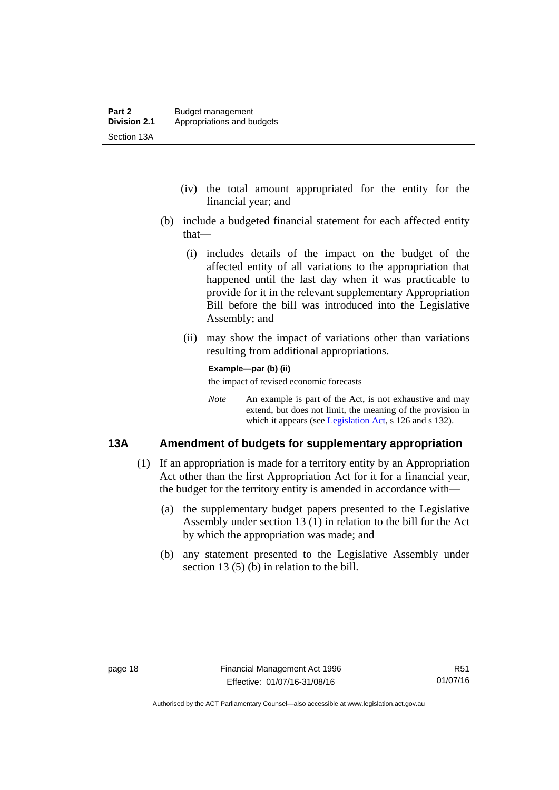- (iv) the total amount appropriated for the entity for the financial year; and
- (b) include a budgeted financial statement for each affected entity that—
	- (i) includes details of the impact on the budget of the affected entity of all variations to the appropriation that happened until the last day when it was practicable to provide for it in the relevant supplementary Appropriation Bill before the bill was introduced into the Legislative Assembly; and
	- (ii) may show the impact of variations other than variations resulting from additional appropriations.

#### **Example—par (b) (ii)**

the impact of revised economic forecasts

*Note* An example is part of the Act, is not exhaustive and may extend, but does not limit, the meaning of the provision in which it appears (see [Legislation Act,](http://www.legislation.act.gov.au/a/2001-14) s 126 and s 132).

# <span id="page-27-0"></span>**13A Amendment of budgets for supplementary appropriation**

- (1) If an appropriation is made for a territory entity by an Appropriation Act other than the first Appropriation Act for it for a financial year, the budget for the territory entity is amended in accordance with—
	- (a) the supplementary budget papers presented to the Legislative Assembly under section 13 (1) in relation to the bill for the Act by which the appropriation was made; and
	- (b) any statement presented to the Legislative Assembly under section 13 (5) (b) in relation to the bill.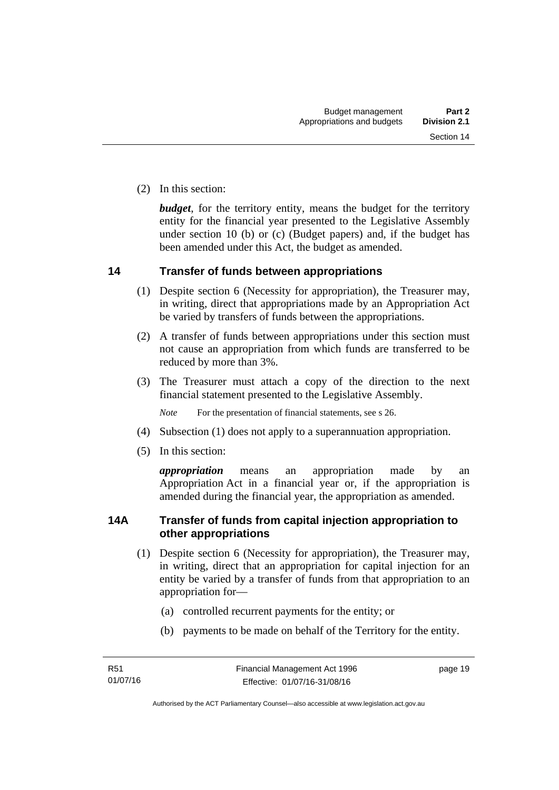(2) In this section:

*budget*, for the territory entity, means the budget for the territory entity for the financial year presented to the Legislative Assembly under section 10 (b) or (c) (Budget papers) and, if the budget has been amended under this Act, the budget as amended.

# <span id="page-28-0"></span>**14 Transfer of funds between appropriations**

- (1) Despite section 6 (Necessity for appropriation), the Treasurer may, in writing, direct that appropriations made by an Appropriation Act be varied by transfers of funds between the appropriations.
- (2) A transfer of funds between appropriations under this section must not cause an appropriation from which funds are transferred to be reduced by more than 3%.
- (3) The Treasurer must attach a copy of the direction to the next financial statement presented to the Legislative Assembly.

*Note* For the presentation of financial statements, see s 26.

- (4) Subsection (1) does not apply to a superannuation appropriation.
- (5) In this section:

*appropriation* means an appropriation made by an Appropriation Act in a financial year or, if the appropriation is amended during the financial year, the appropriation as amended.

# <span id="page-28-1"></span>**14A Transfer of funds from capital injection appropriation to other appropriations**

- (1) Despite section 6 (Necessity for appropriation), the Treasurer may, in writing, direct that an appropriation for capital injection for an entity be varied by a transfer of funds from that appropriation to an appropriation for—
	- (a) controlled recurrent payments for the entity; or
	- (b) payments to be made on behalf of the Territory for the entity.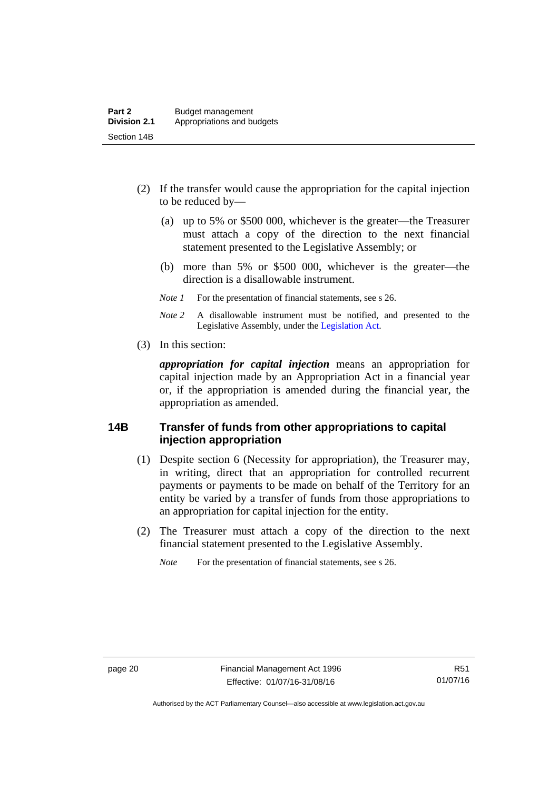- (2) If the transfer would cause the appropriation for the capital injection to be reduced by—
	- (a) up to 5% or \$500 000, whichever is the greater—the Treasurer must attach a copy of the direction to the next financial statement presented to the Legislative Assembly; or
	- (b) more than 5% or \$500 000, whichever is the greater—the direction is a disallowable instrument.
	- *Note 1* For the presentation of financial statements, see s 26.
	- *Note 2* A disallowable instrument must be notified, and presented to the Legislative Assembly, under the [Legislation Act.](http://www.legislation.act.gov.au/a/2001-14)
- (3) In this section:

*appropriation for capital injection* means an appropriation for capital injection made by an Appropriation Act in a financial year or, if the appropriation is amended during the financial year, the appropriation as amended.

# <span id="page-29-0"></span>**14B Transfer of funds from other appropriations to capital injection appropriation**

- (1) Despite section 6 (Necessity for appropriation), the Treasurer may, in writing, direct that an appropriation for controlled recurrent payments or payments to be made on behalf of the Territory for an entity be varied by a transfer of funds from those appropriations to an appropriation for capital injection for the entity.
- (2) The Treasurer must attach a copy of the direction to the next financial statement presented to the Legislative Assembly.

*Note* For the presentation of financial statements, see s 26.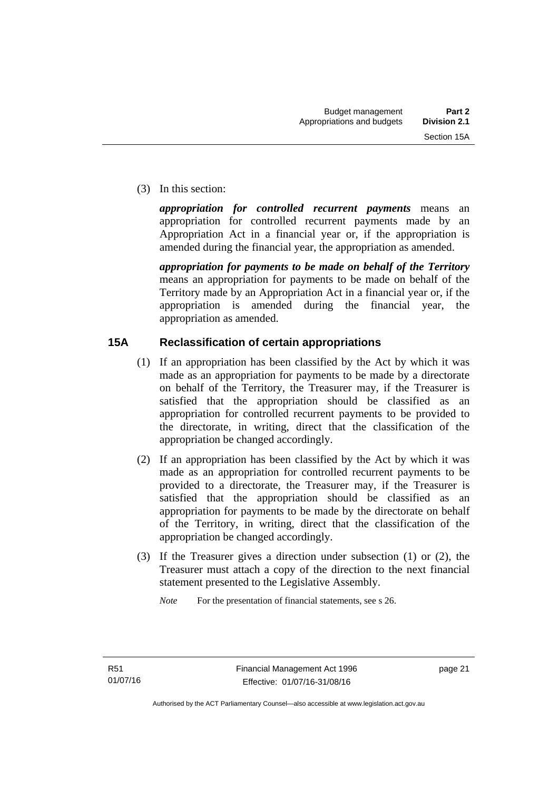(3) In this section:

*appropriation for controlled recurrent payments* means an appropriation for controlled recurrent payments made by an Appropriation Act in a financial year or, if the appropriation is amended during the financial year, the appropriation as amended.

*appropriation for payments to be made on behalf of the Territory* means an appropriation for payments to be made on behalf of the Territory made by an Appropriation Act in a financial year or, if the appropriation is amended during the financial year, the appropriation as amended.

# <span id="page-30-0"></span>**15A Reclassification of certain appropriations**

- (1) If an appropriation has been classified by the Act by which it was made as an appropriation for payments to be made by a directorate on behalf of the Territory, the Treasurer may, if the Treasurer is satisfied that the appropriation should be classified as an appropriation for controlled recurrent payments to be provided to the directorate, in writing, direct that the classification of the appropriation be changed accordingly.
- (2) If an appropriation has been classified by the Act by which it was made as an appropriation for controlled recurrent payments to be provided to a directorate, the Treasurer may, if the Treasurer is satisfied that the appropriation should be classified as an appropriation for payments to be made by the directorate on behalf of the Territory, in writing, direct that the classification of the appropriation be changed accordingly.
- (3) If the Treasurer gives a direction under subsection (1) or (2), the Treasurer must attach a copy of the direction to the next financial statement presented to the Legislative Assembly.

*Note* For the presentation of financial statements, see s 26.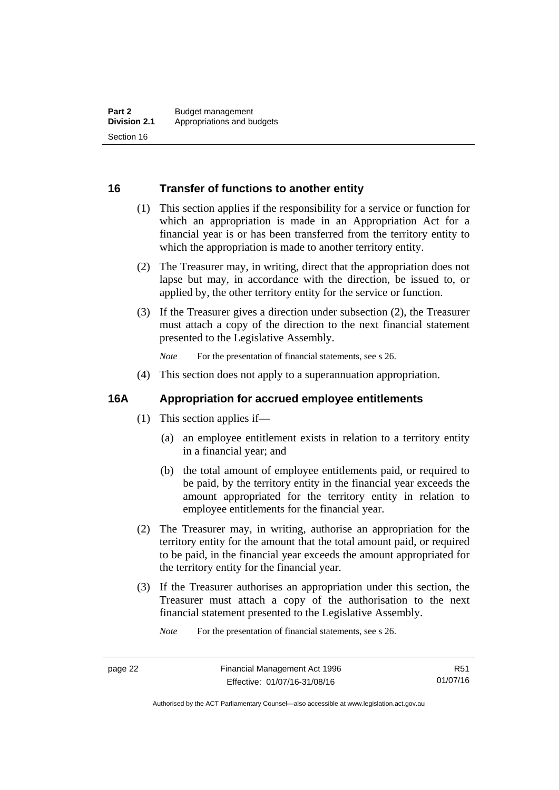# <span id="page-31-0"></span>**16 Transfer of functions to another entity**

- (1) This section applies if the responsibility for a service or function for which an appropriation is made in an Appropriation Act for a financial year is or has been transferred from the territory entity to which the appropriation is made to another territory entity.
- (2) The Treasurer may, in writing, direct that the appropriation does not lapse but may, in accordance with the direction, be issued to, or applied by, the other territory entity for the service or function.
- (3) If the Treasurer gives a direction under subsection (2), the Treasurer must attach a copy of the direction to the next financial statement presented to the Legislative Assembly.

*Note* For the presentation of financial statements, see s 26.

(4) This section does not apply to a superannuation appropriation.

# <span id="page-31-1"></span>**16A Appropriation for accrued employee entitlements**

- (1) This section applies if—
	- (a) an employee entitlement exists in relation to a territory entity in a financial year; and
	- (b) the total amount of employee entitlements paid, or required to be paid, by the territory entity in the financial year exceeds the amount appropriated for the territory entity in relation to employee entitlements for the financial year.
- (2) The Treasurer may, in writing, authorise an appropriation for the territory entity for the amount that the total amount paid, or required to be paid, in the financial year exceeds the amount appropriated for the territory entity for the financial year.
- (3) If the Treasurer authorises an appropriation under this section, the Treasurer must attach a copy of the authorisation to the next financial statement presented to the Legislative Assembly.

*Note* For the presentation of financial statements, see s 26.

R51 01/07/16

Authorised by the ACT Parliamentary Counsel—also accessible at www.legislation.act.gov.au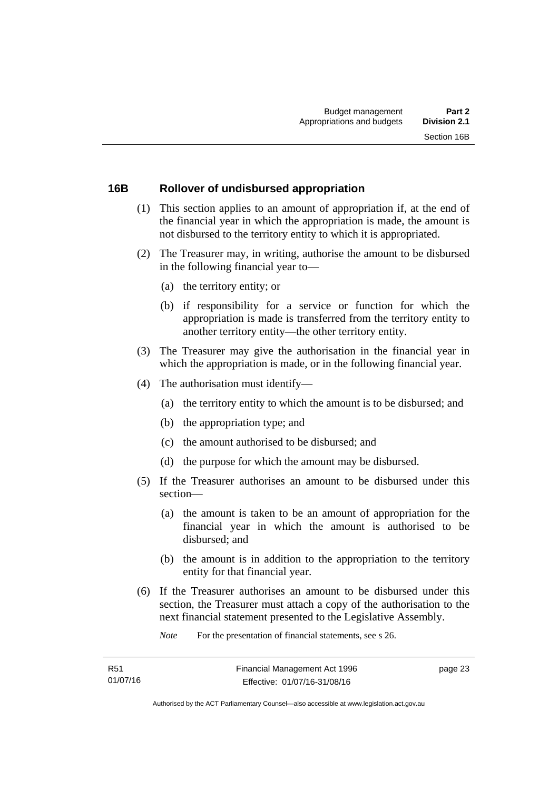## <span id="page-32-0"></span>**16B Rollover of undisbursed appropriation**

- (1) This section applies to an amount of appropriation if, at the end of the financial year in which the appropriation is made, the amount is not disbursed to the territory entity to which it is appropriated.
- (2) The Treasurer may, in writing, authorise the amount to be disbursed in the following financial year to—
	- (a) the territory entity; or
	- (b) if responsibility for a service or function for which the appropriation is made is transferred from the territory entity to another territory entity—the other territory entity.
- (3) The Treasurer may give the authorisation in the financial year in which the appropriation is made, or in the following financial year.
- (4) The authorisation must identify—
	- (a) the territory entity to which the amount is to be disbursed; and
	- (b) the appropriation type; and
	- (c) the amount authorised to be disbursed; and
	- (d) the purpose for which the amount may be disbursed.
- (5) If the Treasurer authorises an amount to be disbursed under this section—
	- (a) the amount is taken to be an amount of appropriation for the financial year in which the amount is authorised to be disbursed; and
	- (b) the amount is in addition to the appropriation to the territory entity for that financial year.
- (6) If the Treasurer authorises an amount to be disbursed under this section, the Treasurer must attach a copy of the authorisation to the next financial statement presented to the Legislative Assembly.

*Note* For the presentation of financial statements, see s 26.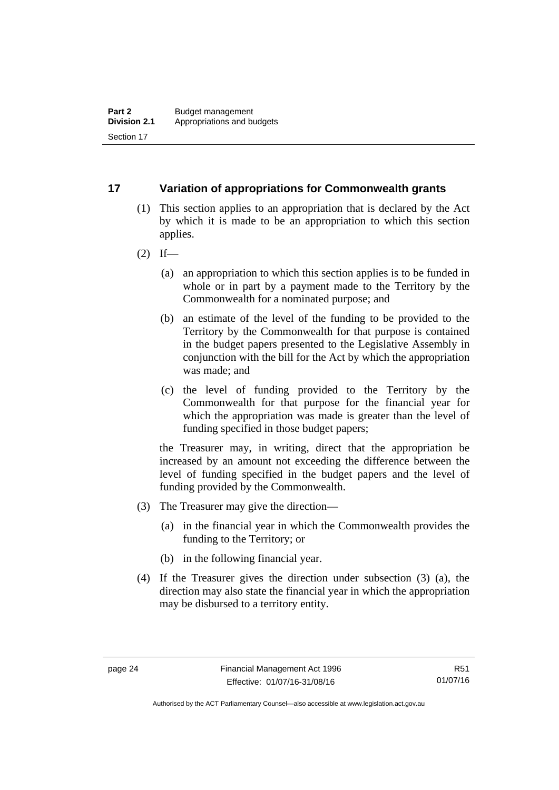# <span id="page-33-0"></span>**17 Variation of appropriations for Commonwealth grants**

- (1) This section applies to an appropriation that is declared by the Act by which it is made to be an appropriation to which this section applies.
- $(2)$  If—
	- (a) an appropriation to which this section applies is to be funded in whole or in part by a payment made to the Territory by the Commonwealth for a nominated purpose; and
	- (b) an estimate of the level of the funding to be provided to the Territory by the Commonwealth for that purpose is contained in the budget papers presented to the Legislative Assembly in conjunction with the bill for the Act by which the appropriation was made; and
	- (c) the level of funding provided to the Territory by the Commonwealth for that purpose for the financial year for which the appropriation was made is greater than the level of funding specified in those budget papers;

the Treasurer may, in writing, direct that the appropriation be increased by an amount not exceeding the difference between the level of funding specified in the budget papers and the level of funding provided by the Commonwealth.

- (3) The Treasurer may give the direction—
	- (a) in the financial year in which the Commonwealth provides the funding to the Territory; or
	- (b) in the following financial year.
- (4) If the Treasurer gives the direction under subsection (3) (a), the direction may also state the financial year in which the appropriation may be disbursed to a territory entity.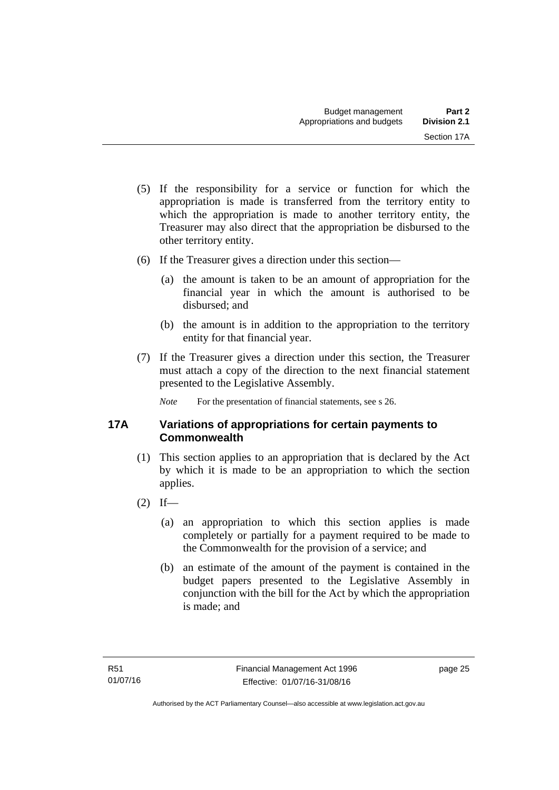- (5) If the responsibility for a service or function for which the appropriation is made is transferred from the territory entity to which the appropriation is made to another territory entity, the Treasurer may also direct that the appropriation be disbursed to the other territory entity.
- (6) If the Treasurer gives a direction under this section—
	- (a) the amount is taken to be an amount of appropriation for the financial year in which the amount is authorised to be disbursed; and
	- (b) the amount is in addition to the appropriation to the territory entity for that financial year.
- (7) If the Treasurer gives a direction under this section, the Treasurer must attach a copy of the direction to the next financial statement presented to the Legislative Assembly.

*Note* For the presentation of financial statements, see s 26.

# <span id="page-34-0"></span>**17A Variations of appropriations for certain payments to Commonwealth**

- (1) This section applies to an appropriation that is declared by the Act by which it is made to be an appropriation to which the section applies.
- $(2)$  If—
	- (a) an appropriation to which this section applies is made completely or partially for a payment required to be made to the Commonwealth for the provision of a service; and
	- (b) an estimate of the amount of the payment is contained in the budget papers presented to the Legislative Assembly in conjunction with the bill for the Act by which the appropriation is made; and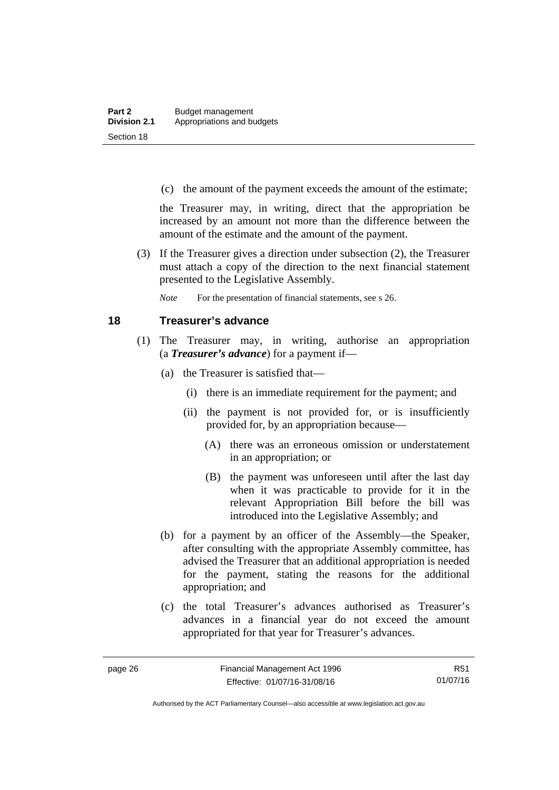(c) the amount of the payment exceeds the amount of the estimate;

the Treasurer may, in writing, direct that the appropriation be increased by an amount not more than the difference between the amount of the estimate and the amount of the payment.

 (3) If the Treasurer gives a direction under subsection (2), the Treasurer must attach a copy of the direction to the next financial statement presented to the Legislative Assembly.

*Note* For the presentation of financial statements, see s 26.

## <span id="page-35-0"></span>**18 Treasurer's advance**

- (1) The Treasurer may, in writing, authorise an appropriation (a *Treasurer's advance*) for a payment if—
	- (a) the Treasurer is satisfied that—
		- (i) there is an immediate requirement for the payment; and
		- (ii) the payment is not provided for, or is insufficiently provided for, by an appropriation because—
			- (A) there was an erroneous omission or understatement in an appropriation; or
			- (B) the payment was unforeseen until after the last day when it was practicable to provide for it in the relevant Appropriation Bill before the bill was introduced into the Legislative Assembly; and
	- (b) for a payment by an officer of the Assembly—the Speaker, after consulting with the appropriate Assembly committee, has advised the Treasurer that an additional appropriation is needed for the payment, stating the reasons for the additional appropriation; and
	- (c) the total Treasurer's advances authorised as Treasurer's advances in a financial year do not exceed the amount appropriated for that year for Treasurer's advances.

R51 01/07/16

Authorised by the ACT Parliamentary Counsel—also accessible at www.legislation.act.gov.au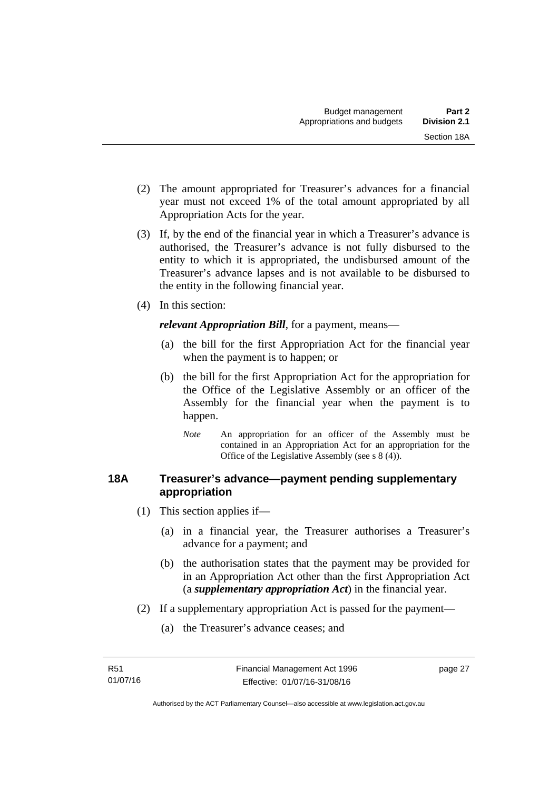- (2) The amount appropriated for Treasurer's advances for a financial year must not exceed 1% of the total amount appropriated by all Appropriation Acts for the year.
- (3) If, by the end of the financial year in which a Treasurer's advance is authorised, the Treasurer's advance is not fully disbursed to the entity to which it is appropriated, the undisbursed amount of the Treasurer's advance lapses and is not available to be disbursed to the entity in the following financial year.
- (4) In this section:

*relevant Appropriation Bill*, for a payment, means—

- (a) the bill for the first Appropriation Act for the financial year when the payment is to happen; or
- (b) the bill for the first Appropriation Act for the appropriation for the Office of the Legislative Assembly or an officer of the Assembly for the financial year when the payment is to happen.
	- *Note* An appropriation for an officer of the Assembly must be contained in an Appropriation Act for an appropriation for the Office of the Legislative Assembly (see s 8 (4)).

## **18A Treasurer's advance—payment pending supplementary appropriation**

- (1) This section applies if—
	- (a) in a financial year, the Treasurer authorises a Treasurer's advance for a payment; and
	- (b) the authorisation states that the payment may be provided for in an Appropriation Act other than the first Appropriation Act (a *supplementary appropriation Act*) in the financial year.
- (2) If a supplementary appropriation Act is passed for the payment—
	- (a) the Treasurer's advance ceases; and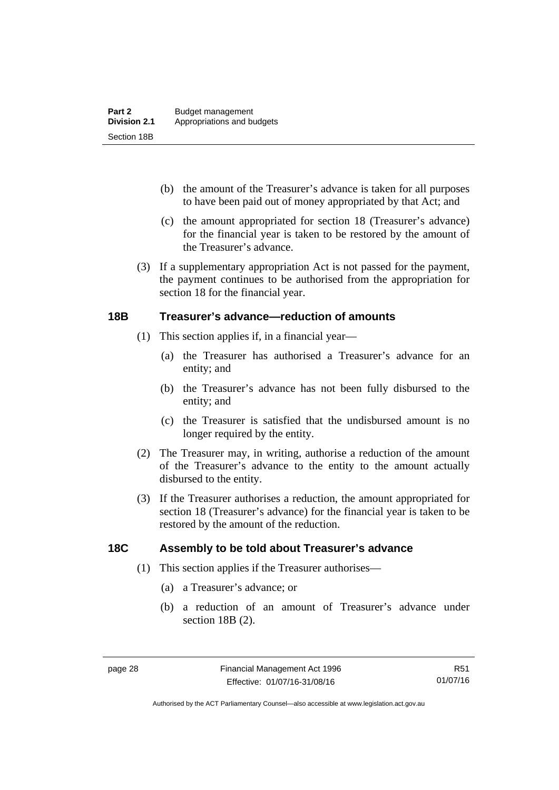- (b) the amount of the Treasurer's advance is taken for all purposes to have been paid out of money appropriated by that Act; and
- (c) the amount appropriated for section 18 (Treasurer's advance) for the financial year is taken to be restored by the amount of the Treasurer's advance.
- (3) If a supplementary appropriation Act is not passed for the payment, the payment continues to be authorised from the appropriation for section 18 for the financial year.

### **18B Treasurer's advance—reduction of amounts**

- (1) This section applies if, in a financial year—
	- (a) the Treasurer has authorised a Treasurer's advance for an entity; and
	- (b) the Treasurer's advance has not been fully disbursed to the entity; and
	- (c) the Treasurer is satisfied that the undisbursed amount is no longer required by the entity.
- (2) The Treasurer may, in writing, authorise a reduction of the amount of the Treasurer's advance to the entity to the amount actually disbursed to the entity.
- (3) If the Treasurer authorises a reduction, the amount appropriated for section 18 (Treasurer's advance) for the financial year is taken to be restored by the amount of the reduction.

## **18C Assembly to be told about Treasurer's advance**

- (1) This section applies if the Treasurer authorises—
	- (a) a Treasurer's advance; or
	- (b) a reduction of an amount of Treasurer's advance under section 18B (2).

Authorised by the ACT Parliamentary Counsel—also accessible at www.legislation.act.gov.au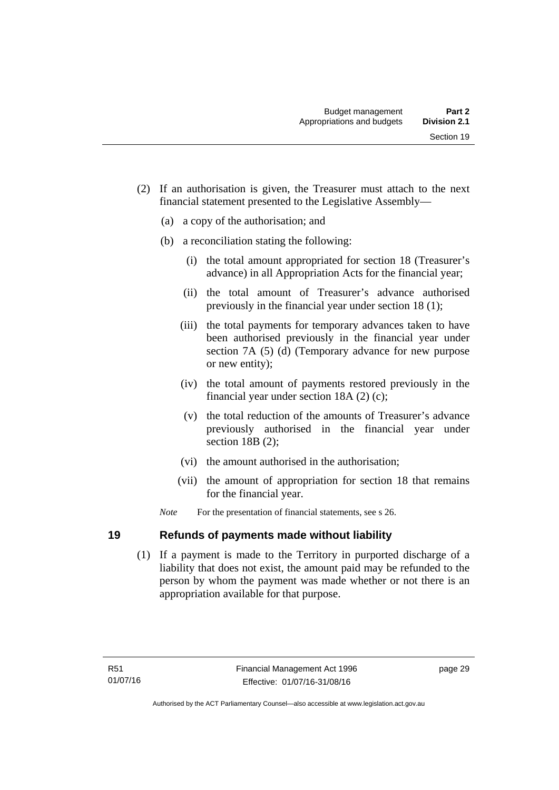- (2) If an authorisation is given, the Treasurer must attach to the next financial statement presented to the Legislative Assembly—
	- (a) a copy of the authorisation; and
	- (b) a reconciliation stating the following:
		- (i) the total amount appropriated for section 18 (Treasurer's advance) in all Appropriation Acts for the financial year;
		- (ii) the total amount of Treasurer's advance authorised previously in the financial year under section 18 (1);
		- (iii) the total payments for temporary advances taken to have been authorised previously in the financial year under section 7A (5) (d) (Temporary advance for new purpose or new entity);
		- (iv) the total amount of payments restored previously in the financial year under section 18A (2) (c);
		- (v) the total reduction of the amounts of Treasurer's advance previously authorised in the financial year under section 18B (2):
		- (vi) the amount authorised in the authorisation;
		- (vii) the amount of appropriation for section 18 that remains for the financial year.
	- *Note* For the presentation of financial statements, see s 26.

## **19 Refunds of payments made without liability**

 (1) If a payment is made to the Territory in purported discharge of a liability that does not exist, the amount paid may be refunded to the person by whom the payment was made whether or not there is an appropriation available for that purpose.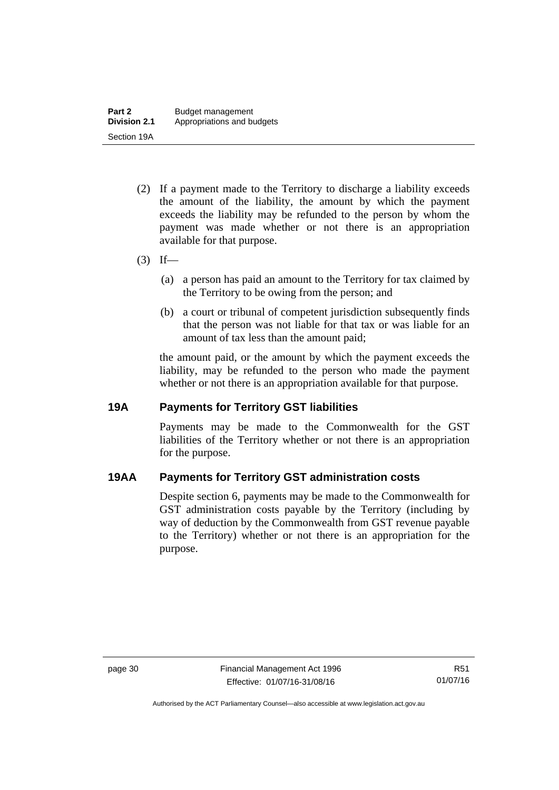- (2) If a payment made to the Territory to discharge a liability exceeds the amount of the liability, the amount by which the payment exceeds the liability may be refunded to the person by whom the payment was made whether or not there is an appropriation available for that purpose.
- $(3)$  If—
	- (a) a person has paid an amount to the Territory for tax claimed by the Territory to be owing from the person; and
	- (b) a court or tribunal of competent jurisdiction subsequently finds that the person was not liable for that tax or was liable for an amount of tax less than the amount paid;

the amount paid, or the amount by which the payment exceeds the liability, may be refunded to the person who made the payment whether or not there is an appropriation available for that purpose.

### **19A Payments for Territory GST liabilities**

Payments may be made to the Commonwealth for the GST liabilities of the Territory whether or not there is an appropriation for the purpose.

## **19AA Payments for Territory GST administration costs**

Despite section 6, payments may be made to the Commonwealth for GST administration costs payable by the Territory (including by way of deduction by the Commonwealth from GST revenue payable to the Territory) whether or not there is an appropriation for the purpose.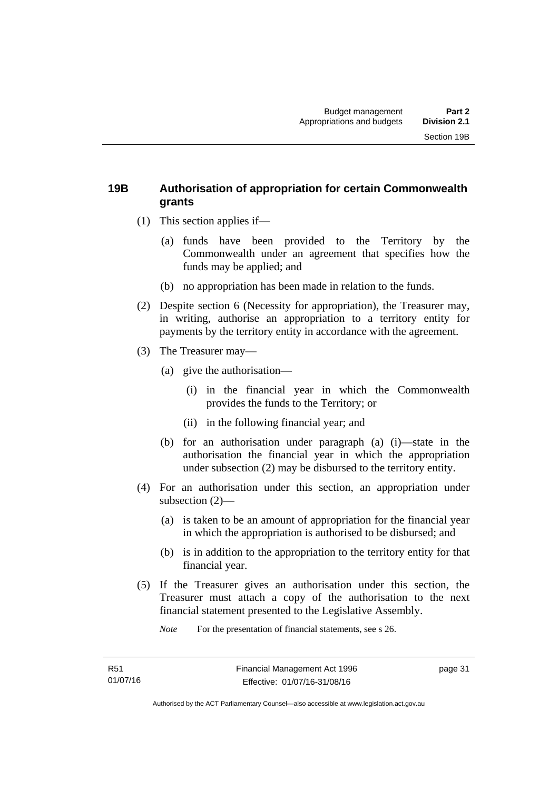## **19B Authorisation of appropriation for certain Commonwealth grants**

- (1) This section applies if—
	- (a) funds have been provided to the Territory by the Commonwealth under an agreement that specifies how the funds may be applied; and
	- (b) no appropriation has been made in relation to the funds.
- (2) Despite section 6 (Necessity for appropriation), the Treasurer may, in writing, authorise an appropriation to a territory entity for payments by the territory entity in accordance with the agreement.
- (3) The Treasurer may—
	- (a) give the authorisation—
		- (i) in the financial year in which the Commonwealth provides the funds to the Territory; or
		- (ii) in the following financial year; and
	- (b) for an authorisation under paragraph (a) (i)—state in the authorisation the financial year in which the appropriation under subsection (2) may be disbursed to the territory entity.
- (4) For an authorisation under this section, an appropriation under subsection (2)—
	- (a) is taken to be an amount of appropriation for the financial year in which the appropriation is authorised to be disbursed; and
	- (b) is in addition to the appropriation to the territory entity for that financial year.
- (5) If the Treasurer gives an authorisation under this section, the Treasurer must attach a copy of the authorisation to the next financial statement presented to the Legislative Assembly.

*Note* For the presentation of financial statements, see s 26.

page 31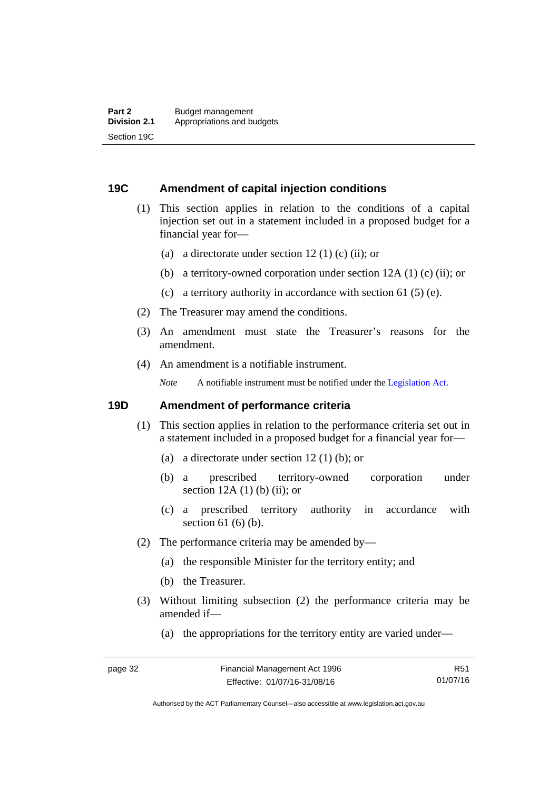### **19C Amendment of capital injection conditions**

- (1) This section applies in relation to the conditions of a capital injection set out in a statement included in a proposed budget for a financial year for—
	- (a) a directorate under section 12 (1) (c) (ii); or
	- (b) a territory-owned corporation under section 12A (1) (c) (ii); or
	- (c) a territory authority in accordance with section 61 (5) (e).
- (2) The Treasurer may amend the conditions.
- (3) An amendment must state the Treasurer's reasons for the amendment.
- (4) An amendment is a notifiable instrument.

*Note* A notifiable instrument must be notified under the [Legislation Act](http://www.legislation.act.gov.au/a/2001-14).

### **19D Amendment of performance criteria**

- (1) This section applies in relation to the performance criteria set out in a statement included in a proposed budget for a financial year for—
	- (a) a directorate under section 12 (1) (b); or
	- (b) a prescribed territory-owned corporation under section  $12A(1)$  (b) (ii); or
	- (c) a prescribed territory authority in accordance with section 61 (6) (b).
- (2) The performance criteria may be amended by—
	- (a) the responsible Minister for the territory entity; and
	- (b) the Treasurer.
- (3) Without limiting subsection (2) the performance criteria may be amended if—
	- (a) the appropriations for the territory entity are varied under—

R51 01/07/16

Authorised by the ACT Parliamentary Counsel—also accessible at www.legislation.act.gov.au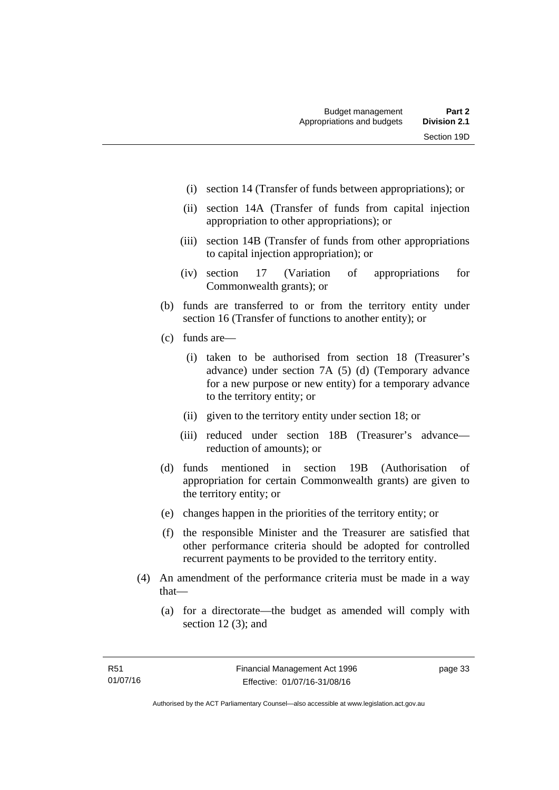- (i) section 14 (Transfer of funds between appropriations); or
- (ii) section 14A (Transfer of funds from capital injection appropriation to other appropriations); or
- (iii) section 14B (Transfer of funds from other appropriations to capital injection appropriation); or
- (iv) section 17 (Variation of appropriations for Commonwealth grants); or
- (b) funds are transferred to or from the territory entity under section 16 (Transfer of functions to another entity); or
- (c) funds are—
	- (i) taken to be authorised from section 18 (Treasurer's advance) under section 7A (5) (d) (Temporary advance for a new purpose or new entity) for a temporary advance to the territory entity; or
	- (ii) given to the territory entity under section 18; or
	- (iii) reduced under section 18B (Treasurer's advance reduction of amounts); or
- (d) funds mentioned in section 19B (Authorisation of appropriation for certain Commonwealth grants) are given to the territory entity; or
- (e) changes happen in the priorities of the territory entity; or
- (f) the responsible Minister and the Treasurer are satisfied that other performance criteria should be adopted for controlled recurrent payments to be provided to the territory entity.
- (4) An amendment of the performance criteria must be made in a way that—
	- (a) for a directorate—the budget as amended will comply with section 12 (3); and

page 33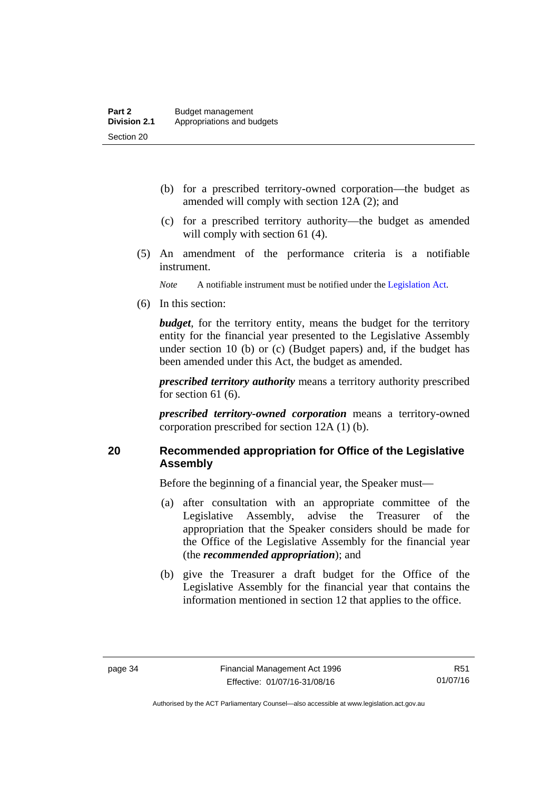- (b) for a prescribed territory-owned corporation—the budget as amended will comply with section 12A (2); and
- (c) for a prescribed territory authority—the budget as amended will comply with section 61 (4).
- (5) An amendment of the performance criteria is a notifiable instrument.

*Note* A notifiable instrument must be notified under the [Legislation Act](http://www.legislation.act.gov.au/a/2001-14).

(6) In this section:

*budget*, for the territory entity, means the budget for the territory entity for the financial year presented to the Legislative Assembly under section 10 (b) or (c) (Budget papers) and, if the budget has been amended under this Act, the budget as amended.

*prescribed territory authority* means a territory authority prescribed for section 61 (6).

*prescribed territory-owned corporation* means a territory-owned corporation prescribed for section 12A (1) (b).

## **20 Recommended appropriation for Office of the Legislative Assembly**

Before the beginning of a financial year, the Speaker must—

- (a) after consultation with an appropriate committee of the Legislative Assembly, advise the Treasurer of the appropriation that the Speaker considers should be made for the Office of the Legislative Assembly for the financial year (the *recommended appropriation*); and
- (b) give the Treasurer a draft budget for the Office of the Legislative Assembly for the financial year that contains the information mentioned in section 12 that applies to the office.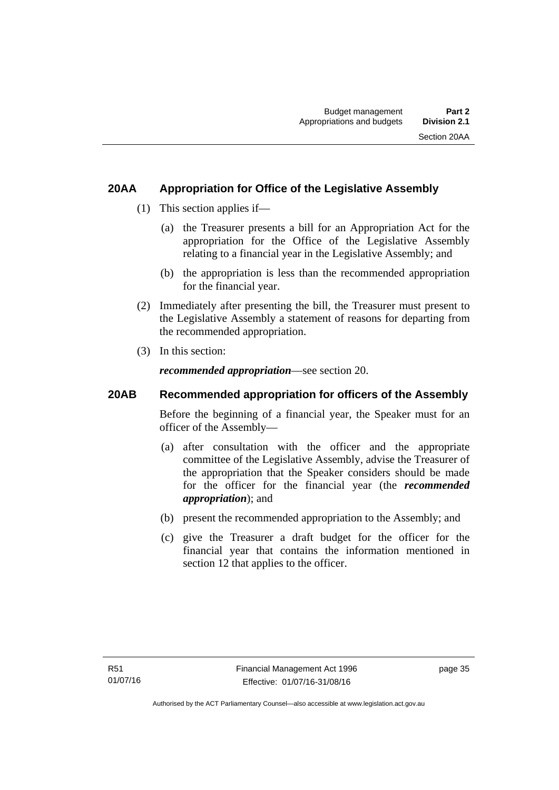## **20AA Appropriation for Office of the Legislative Assembly**

- (1) This section applies if—
	- (a) the Treasurer presents a bill for an Appropriation Act for the appropriation for the Office of the Legislative Assembly relating to a financial year in the Legislative Assembly; and
	- (b) the appropriation is less than the recommended appropriation for the financial year.
- (2) Immediately after presenting the bill, the Treasurer must present to the Legislative Assembly a statement of reasons for departing from the recommended appropriation.
- (3) In this section:

*recommended appropriation*—see section 20.

## **20AB Recommended appropriation for officers of the Assembly**

Before the beginning of a financial year, the Speaker must for an officer of the Assembly—

- (a) after consultation with the officer and the appropriate committee of the Legislative Assembly, advise the Treasurer of the appropriation that the Speaker considers should be made for the officer for the financial year (the *recommended appropriation*); and
- (b) present the recommended appropriation to the Assembly; and
- (c) give the Treasurer a draft budget for the officer for the financial year that contains the information mentioned in section 12 that applies to the officer.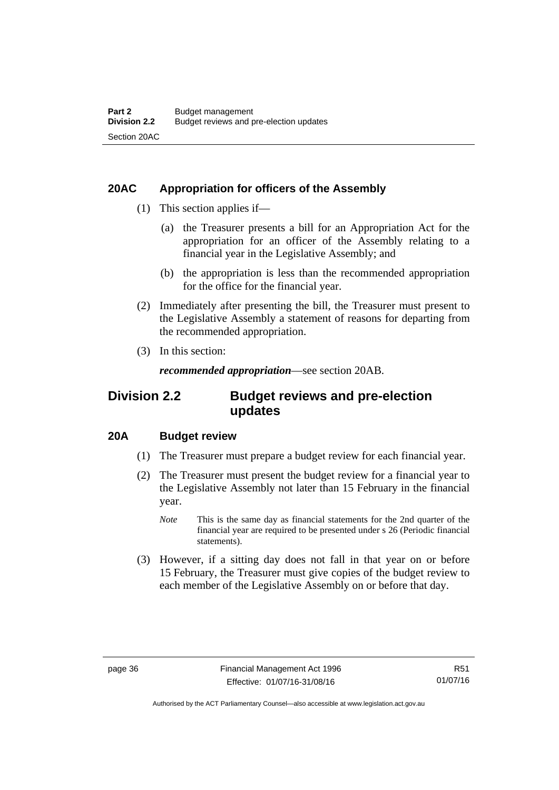## **20AC Appropriation for officers of the Assembly**

- (1) This section applies if—
	- (a) the Treasurer presents a bill for an Appropriation Act for the appropriation for an officer of the Assembly relating to a financial year in the Legislative Assembly; and
	- (b) the appropriation is less than the recommended appropriation for the office for the financial year.
- (2) Immediately after presenting the bill, the Treasurer must present to the Legislative Assembly a statement of reasons for departing from the recommended appropriation.
- (3) In this section:

*recommended appropriation*—see section 20AB.

## **Division 2.2 Budget reviews and pre-election updates**

## **20A Budget review**

- (1) The Treasurer must prepare a budget review for each financial year.
- (2) The Treasurer must present the budget review for a financial year to the Legislative Assembly not later than 15 February in the financial year.
	- *Note* This is the same day as financial statements for the 2nd quarter of the financial year are required to be presented under s 26 (Periodic financial statements).
- (3) However, if a sitting day does not fall in that year on or before 15 February, the Treasurer must give copies of the budget review to each member of the Legislative Assembly on or before that day.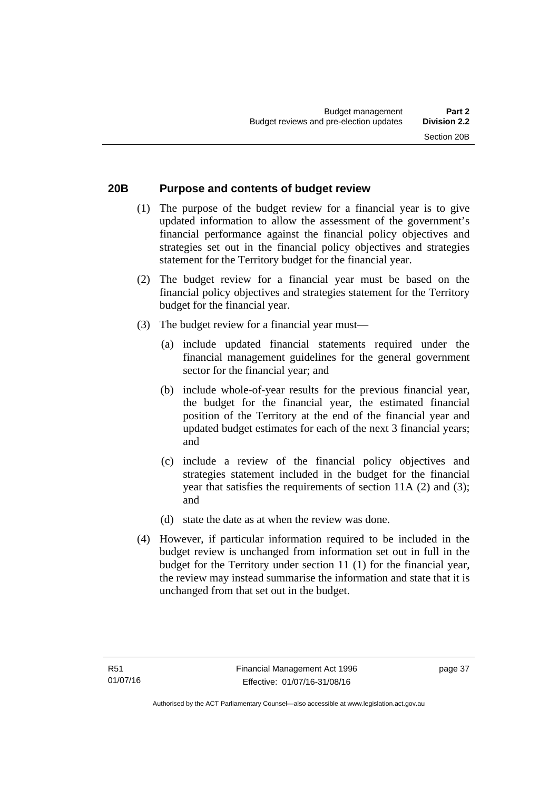## **20B Purpose and contents of budget review**

- (1) The purpose of the budget review for a financial year is to give updated information to allow the assessment of the government's financial performance against the financial policy objectives and strategies set out in the financial policy objectives and strategies statement for the Territory budget for the financial year.
- (2) The budget review for a financial year must be based on the financial policy objectives and strategies statement for the Territory budget for the financial year.
- (3) The budget review for a financial year must—
	- (a) include updated financial statements required under the financial management guidelines for the general government sector for the financial year; and
	- (b) include whole-of-year results for the previous financial year, the budget for the financial year, the estimated financial position of the Territory at the end of the financial year and updated budget estimates for each of the next 3 financial years; and
	- (c) include a review of the financial policy objectives and strategies statement included in the budget for the financial year that satisfies the requirements of section 11A (2) and (3); and
	- (d) state the date as at when the review was done.
- (4) However, if particular information required to be included in the budget review is unchanged from information set out in full in the budget for the Territory under section 11 (1) for the financial year, the review may instead summarise the information and state that it is unchanged from that set out in the budget.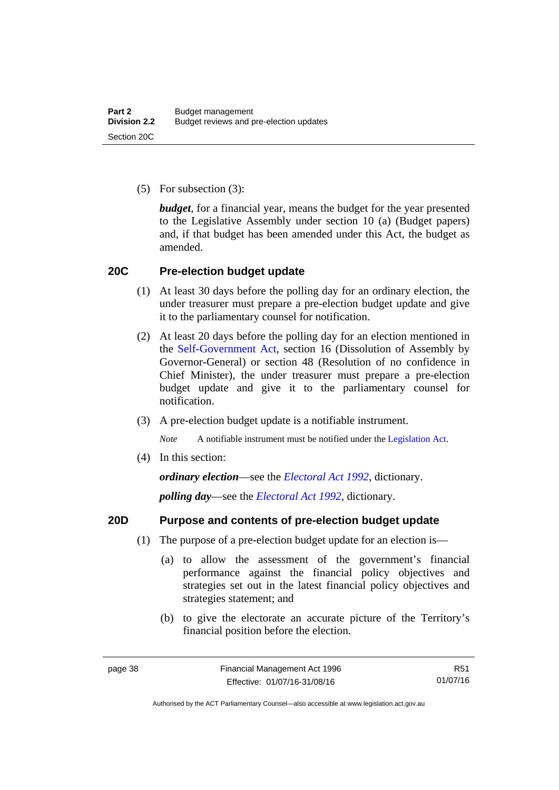(5) For subsection (3):

*budget*, for a financial year, means the budget for the year presented to the Legislative Assembly under section 10 (a) (Budget papers) and, if that budget has been amended under this Act, the budget as amended.

### **20C Pre-election budget update**

- (1) At least 30 days before the polling day for an ordinary election, the under treasurer must prepare a pre-election budget update and give it to the parliamentary counsel for notification.
- (2) At least 20 days before the polling day for an election mentioned in the [Self-Government Act,](http://www.comlaw.gov.au/Series/C2004A03699) section 16 (Dissolution of Assembly by Governor-General) or section 48 (Resolution of no confidence in Chief Minister), the under treasurer must prepare a pre-election budget update and give it to the parliamentary counsel for notification.
- (3) A pre-election budget update is a notifiable instrument.

*Note* A notifiable instrument must be notified under the [Legislation Act](http://www.legislation.act.gov.au/a/2001-14).

(4) In this section:

*ordinary election*—see the *[Electoral Act 1992](http://www.legislation.act.gov.au/a/1992-71)*, dictionary.

*polling day*—see the *[Electoral Act 1992](http://www.legislation.act.gov.au/a/1992-71)*, dictionary.

### **20D Purpose and contents of pre-election budget update**

- (1) The purpose of a pre-election budget update for an election is—
	- (a) to allow the assessment of the government's financial performance against the financial policy objectives and strategies set out in the latest financial policy objectives and strategies statement; and
	- (b) to give the electorate an accurate picture of the Territory's financial position before the election.

R51 01/07/16

Authorised by the ACT Parliamentary Counsel—also accessible at www.legislation.act.gov.au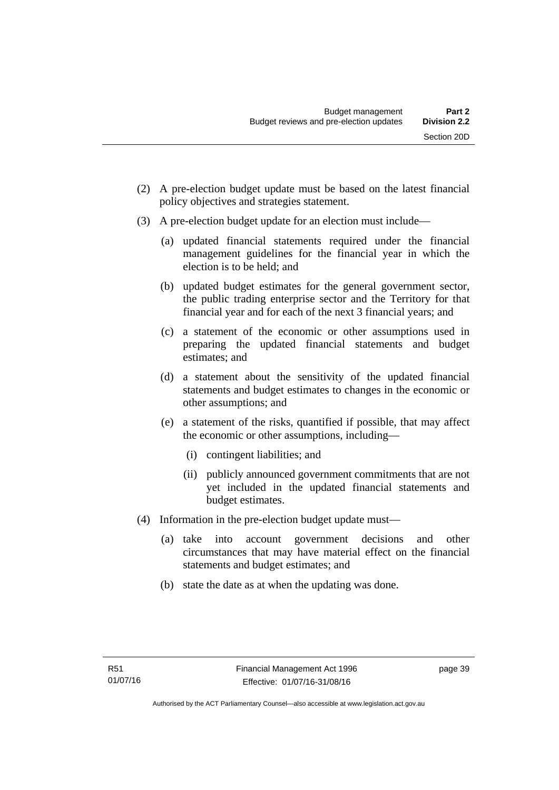- (2) A pre-election budget update must be based on the latest financial policy objectives and strategies statement.
- (3) A pre-election budget update for an election must include—
	- (a) updated financial statements required under the financial management guidelines for the financial year in which the election is to be held; and
	- (b) updated budget estimates for the general government sector, the public trading enterprise sector and the Territory for that financial year and for each of the next 3 financial years; and
	- (c) a statement of the economic or other assumptions used in preparing the updated financial statements and budget estimates; and
	- (d) a statement about the sensitivity of the updated financial statements and budget estimates to changes in the economic or other assumptions; and
	- (e) a statement of the risks, quantified if possible, that may affect the economic or other assumptions, including—
		- (i) contingent liabilities; and
		- (ii) publicly announced government commitments that are not yet included in the updated financial statements and budget estimates.
- (4) Information in the pre-election budget update must—
	- (a) take into account government decisions and other circumstances that may have material effect on the financial statements and budget estimates; and
	- (b) state the date as at when the updating was done.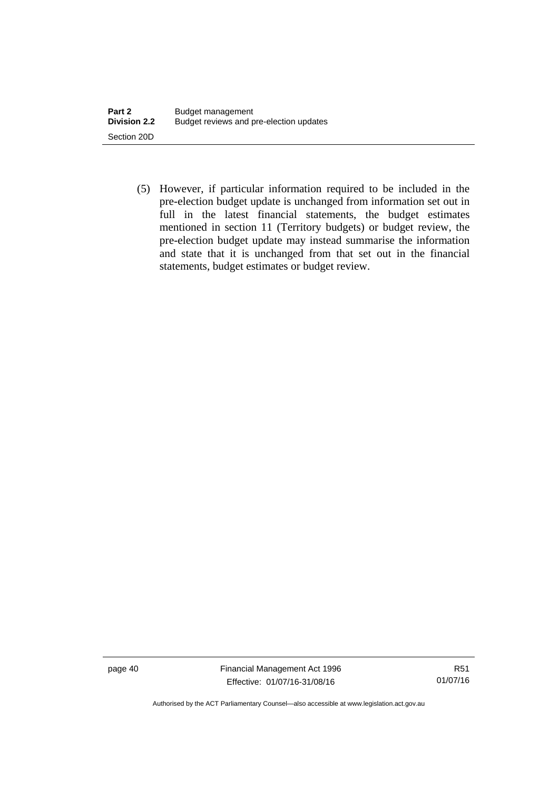(5) However, if particular information required to be included in the pre-election budget update is unchanged from information set out in full in the latest financial statements, the budget estimates mentioned in section 11 (Territory budgets) or budget review, the pre-election budget update may instead summarise the information and state that it is unchanged from that set out in the financial statements, budget estimates or budget review.

page 40 Financial Management Act 1996 Effective: 01/07/16-31/08/16

R51 01/07/16

Authorised by the ACT Parliamentary Counsel—also accessible at www.legislation.act.gov.au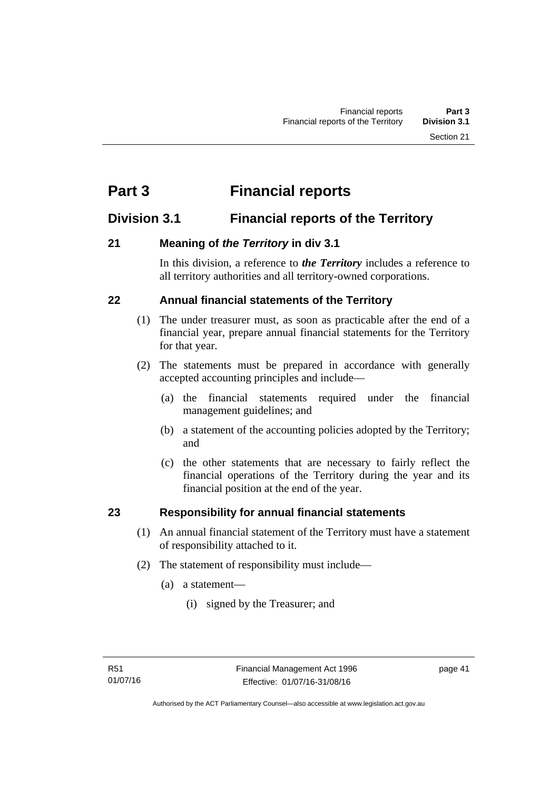# **Part 3 Financial reports**

## **Division 3.1 Financial reports of the Territory**

## **21 Meaning of** *the Territory* **in div 3.1**

In this division, a reference to *the Territory* includes a reference to all territory authorities and all territory-owned corporations.

## **22 Annual financial statements of the Territory**

- (1) The under treasurer must, as soon as practicable after the end of a financial year, prepare annual financial statements for the Territory for that year.
- (2) The statements must be prepared in accordance with generally accepted accounting principles and include—
	- (a) the financial statements required under the financial management guidelines; and
	- (b) a statement of the accounting policies adopted by the Territory; and
	- (c) the other statements that are necessary to fairly reflect the financial operations of the Territory during the year and its financial position at the end of the year.

## **23 Responsibility for annual financial statements**

- (1) An annual financial statement of the Territory must have a statement of responsibility attached to it.
- (2) The statement of responsibility must include—
	- (a) a statement—
		- (i) signed by the Treasurer; and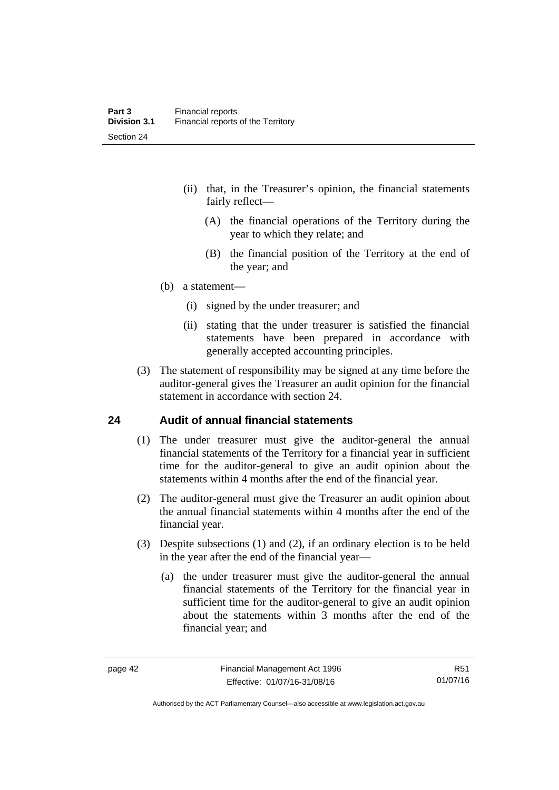- (ii) that, in the Treasurer's opinion, the financial statements fairly reflect—
	- (A) the financial operations of the Territory during the year to which they relate; and
	- (B) the financial position of the Territory at the end of the year; and
- (b) a statement—
	- (i) signed by the under treasurer; and
	- (ii) stating that the under treasurer is satisfied the financial statements have been prepared in accordance with generally accepted accounting principles.
- (3) The statement of responsibility may be signed at any time before the auditor-general gives the Treasurer an audit opinion for the financial statement in accordance with section 24.

### **24 Audit of annual financial statements**

- (1) The under treasurer must give the auditor-general the annual financial statements of the Territory for a financial year in sufficient time for the auditor-general to give an audit opinion about the statements within 4 months after the end of the financial year.
- (2) The auditor-general must give the Treasurer an audit opinion about the annual financial statements within 4 months after the end of the financial year.
- (3) Despite subsections (1) and (2), if an ordinary election is to be held in the year after the end of the financial year—
	- (a) the under treasurer must give the auditor-general the annual financial statements of the Territory for the financial year in sufficient time for the auditor-general to give an audit opinion about the statements within 3 months after the end of the financial year; and

R51 01/07/16

Authorised by the ACT Parliamentary Counsel—also accessible at www.legislation.act.gov.au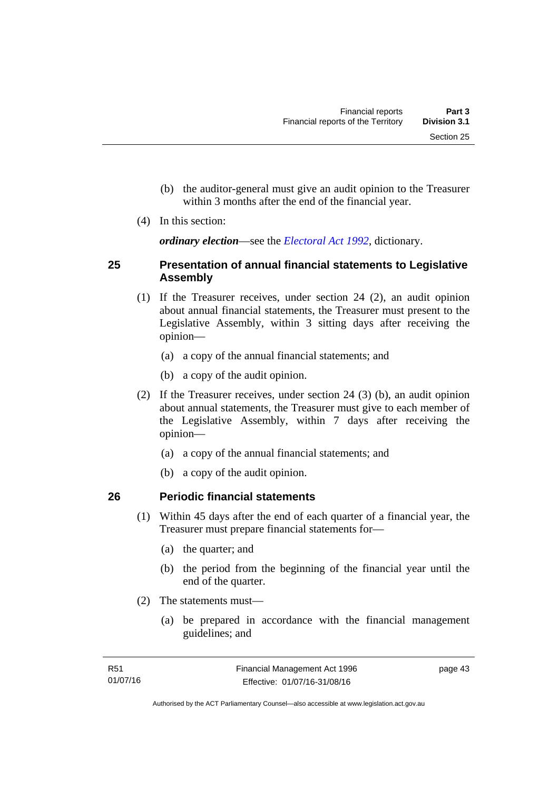- (b) the auditor-general must give an audit opinion to the Treasurer within 3 months after the end of the financial year.
- (4) In this section:

*ordinary election*—see the *[Electoral Act 1992](http://www.legislation.act.gov.au/a/1992-71)*, dictionary.

### **25 Presentation of annual financial statements to Legislative Assembly**

- (1) If the Treasurer receives, under section 24 (2), an audit opinion about annual financial statements, the Treasurer must present to the Legislative Assembly, within 3 sitting days after receiving the opinion—
	- (a) a copy of the annual financial statements; and
	- (b) a copy of the audit opinion.
- (2) If the Treasurer receives, under section 24 (3) (b), an audit opinion about annual statements, the Treasurer must give to each member of the Legislative Assembly, within 7 days after receiving the opinion—
	- (a) a copy of the annual financial statements; and
	- (b) a copy of the audit opinion.

## **26 Periodic financial statements**

- (1) Within 45 days after the end of each quarter of a financial year, the Treasurer must prepare financial statements for—
	- (a) the quarter; and
	- (b) the period from the beginning of the financial year until the end of the quarter.
- (2) The statements must—
	- (a) be prepared in accordance with the financial management guidelines; and

page 43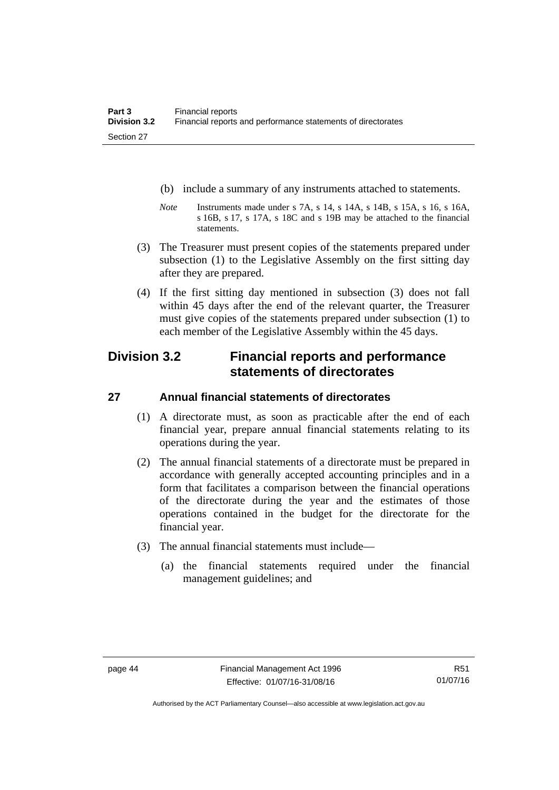- (b) include a summary of any instruments attached to statements.
- *Note* Instruments made under s 7A, s 14, s 14A, s 14B, s 15A, s 16, s 16A, s 16B, s 17, s 17A, s 18C and s 19B may be attached to the financial statements.
- (3) The Treasurer must present copies of the statements prepared under subsection (1) to the Legislative Assembly on the first sitting day after they are prepared.
- (4) If the first sitting day mentioned in subsection (3) does not fall within 45 days after the end of the relevant quarter, the Treasurer must give copies of the statements prepared under subsection (1) to each member of the Legislative Assembly within the 45 days.

## **Division 3.2 Financial reports and performance statements of directorates**

## **27 Annual financial statements of directorates**

- (1) A directorate must, as soon as practicable after the end of each financial year, prepare annual financial statements relating to its operations during the year.
- (2) The annual financial statements of a directorate must be prepared in accordance with generally accepted accounting principles and in a form that facilitates a comparison between the financial operations of the directorate during the year and the estimates of those operations contained in the budget for the directorate for the financial year.
- (3) The annual financial statements must include—
	- (a) the financial statements required under the financial management guidelines; and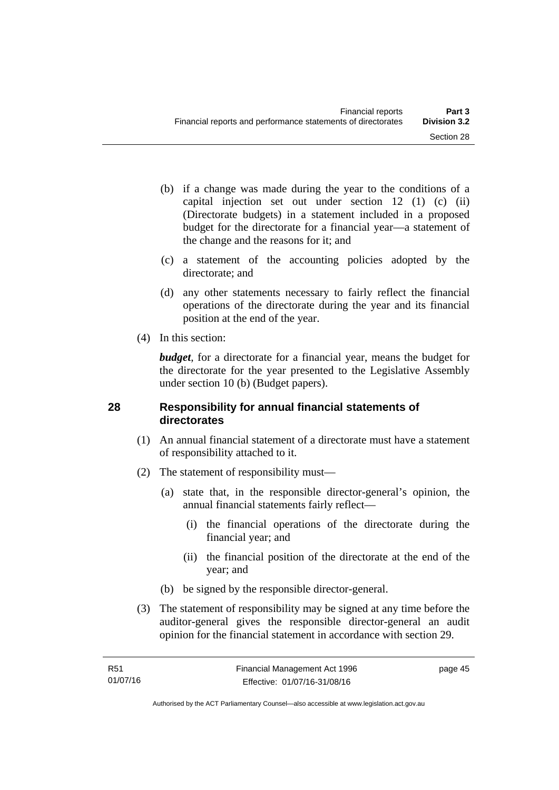- (b) if a change was made during the year to the conditions of a capital injection set out under section 12 (1) (c) (ii) (Directorate budgets) in a statement included in a proposed budget for the directorate for a financial year—a statement of the change and the reasons for it; and
- (c) a statement of the accounting policies adopted by the directorate; and
- (d) any other statements necessary to fairly reflect the financial operations of the directorate during the year and its financial position at the end of the year.
- (4) In this section:

*budget*, for a directorate for a financial year, means the budget for the directorate for the year presented to the Legislative Assembly under section 10 (b) (Budget papers).

### **28 Responsibility for annual financial statements of directorates**

- (1) An annual financial statement of a directorate must have a statement of responsibility attached to it.
- (2) The statement of responsibility must—
	- (a) state that, in the responsible director-general's opinion, the annual financial statements fairly reflect—
		- (i) the financial operations of the directorate during the financial year; and
		- (ii) the financial position of the directorate at the end of the year; and
	- (b) be signed by the responsible director-general.
- (3) The statement of responsibility may be signed at any time before the auditor-general gives the responsible director-general an audit opinion for the financial statement in accordance with section 29.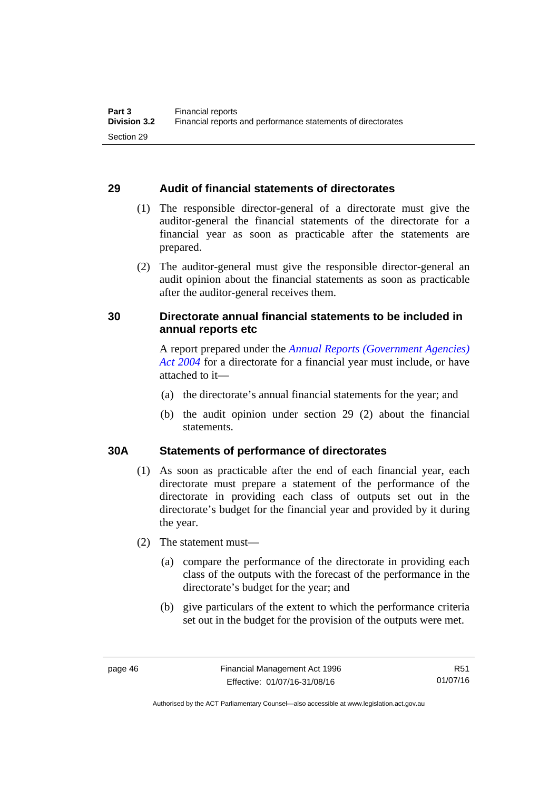### **29 Audit of financial statements of directorates**

- (1) The responsible director-general of a directorate must give the auditor-general the financial statements of the directorate for a financial year as soon as practicable after the statements are prepared.
- (2) The auditor-general must give the responsible director-general an audit opinion about the financial statements as soon as practicable after the auditor-general receives them.

## **30 Directorate annual financial statements to be included in annual reports etc**

A report prepared under the *[Annual Reports \(Government Agencies\)](http://www.legislation.act.gov.au/a/2004-8)  [Act 2004](http://www.legislation.act.gov.au/a/2004-8)* for a directorate for a financial year must include, or have attached to it—

- (a) the directorate's annual financial statements for the year; and
- (b) the audit opinion under section 29 (2) about the financial statements.

## **30A Statements of performance of directorates**

- (1) As soon as practicable after the end of each financial year, each directorate must prepare a statement of the performance of the directorate in providing each class of outputs set out in the directorate's budget for the financial year and provided by it during the year.
- (2) The statement must—
	- (a) compare the performance of the directorate in providing each class of the outputs with the forecast of the performance in the directorate's budget for the year; and
	- (b) give particulars of the extent to which the performance criteria set out in the budget for the provision of the outputs were met.

R51 01/07/16

Authorised by the ACT Parliamentary Counsel—also accessible at www.legislation.act.gov.au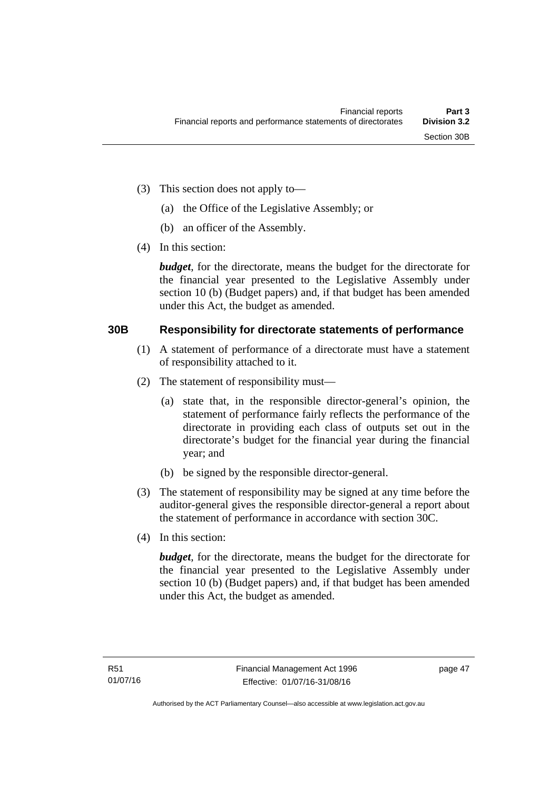- (3) This section does not apply to—
	- (a) the Office of the Legislative Assembly; or
	- (b) an officer of the Assembly.
- (4) In this section:

*budget*, for the directorate, means the budget for the directorate for the financial year presented to the Legislative Assembly under section 10 (b) (Budget papers) and, if that budget has been amended under this Act, the budget as amended.

### **30B Responsibility for directorate statements of performance**

- (1) A statement of performance of a directorate must have a statement of responsibility attached to it.
- (2) The statement of responsibility must—
	- (a) state that, in the responsible director-general's opinion, the statement of performance fairly reflects the performance of the directorate in providing each class of outputs set out in the directorate's budget for the financial year during the financial year; and
	- (b) be signed by the responsible director-general.
- (3) The statement of responsibility may be signed at any time before the auditor-general gives the responsible director-general a report about the statement of performance in accordance with section 30C.
- (4) In this section:

*budget*, for the directorate, means the budget for the directorate for the financial year presented to the Legislative Assembly under section 10 (b) (Budget papers) and, if that budget has been amended under this Act, the budget as amended.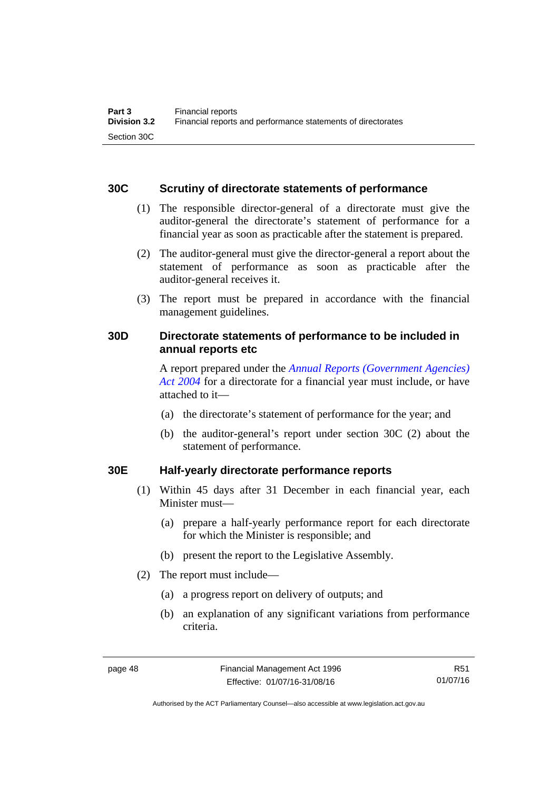### **30C Scrutiny of directorate statements of performance**

- (1) The responsible director-general of a directorate must give the auditor-general the directorate's statement of performance for a financial year as soon as practicable after the statement is prepared.
- (2) The auditor-general must give the director-general a report about the statement of performance as soon as practicable after the auditor-general receives it.
- (3) The report must be prepared in accordance with the financial management guidelines.

## **30D Directorate statements of performance to be included in annual reports etc**

A report prepared under the *[Annual Reports \(Government Agencies\)](http://www.legislation.act.gov.au/a/2004-8)  [Act 2004](http://www.legislation.act.gov.au/a/2004-8)* for a directorate for a financial year must include, or have attached to it—

- (a) the directorate's statement of performance for the year; and
- (b) the auditor-general's report under section 30C (2) about the statement of performance.

### **30E Half-yearly directorate performance reports**

- (1) Within 45 days after 31 December in each financial year, each Minister must—
	- (a) prepare a half-yearly performance report for each directorate for which the Minister is responsible; and
	- (b) present the report to the Legislative Assembly.
- (2) The report must include—
	- (a) a progress report on delivery of outputs; and
	- (b) an explanation of any significant variations from performance criteria.

R51 01/07/16

Authorised by the ACT Parliamentary Counsel—also accessible at www.legislation.act.gov.au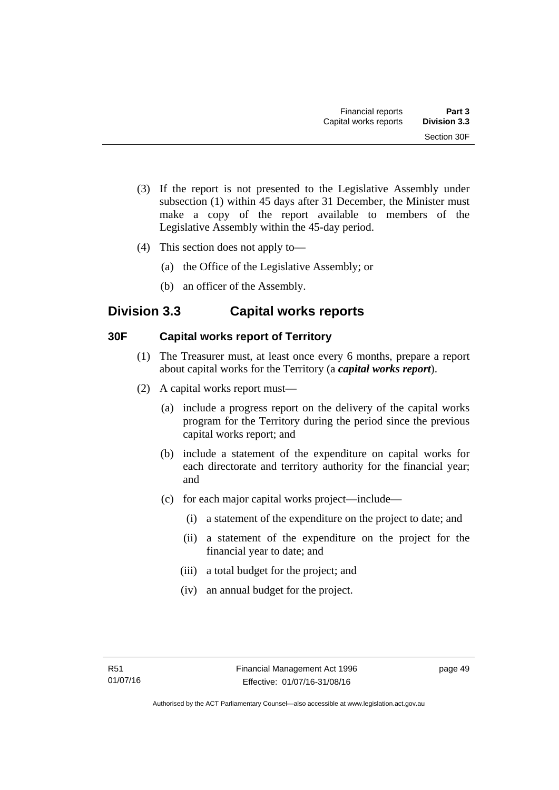- (3) If the report is not presented to the Legislative Assembly under subsection (1) within 45 days after 31 December, the Minister must make a copy of the report available to members of the Legislative Assembly within the 45-day period.
- (4) This section does not apply to—
	- (a) the Office of the Legislative Assembly; or
	- (b) an officer of the Assembly.

## **Division 3.3 Capital works reports**

## **30F Capital works report of Territory**

- (1) The Treasurer must, at least once every 6 months, prepare a report about capital works for the Territory (a *capital works report*).
- (2) A capital works report must—
	- (a) include a progress report on the delivery of the capital works program for the Territory during the period since the previous capital works report; and
	- (b) include a statement of the expenditure on capital works for each directorate and territory authority for the financial year; and
	- (c) for each major capital works project—include—
		- (i) a statement of the expenditure on the project to date; and
		- (ii) a statement of the expenditure on the project for the financial year to date; and
		- (iii) a total budget for the project; and
		- (iv) an annual budget for the project.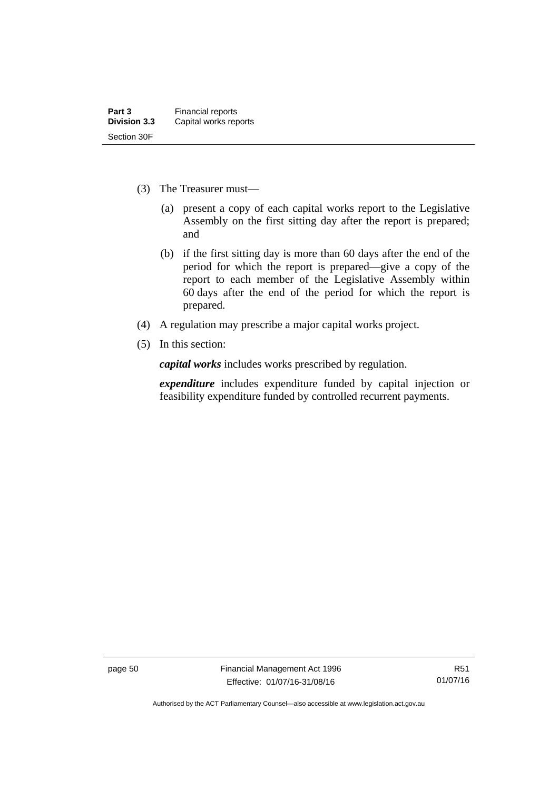- (3) The Treasurer must—
	- (a) present a copy of each capital works report to the Legislative Assembly on the first sitting day after the report is prepared; and
	- (b) if the first sitting day is more than 60 days after the end of the period for which the report is prepared—give a copy of the report to each member of the Legislative Assembly within 60 days after the end of the period for which the report is prepared.
- (4) A regulation may prescribe a major capital works project.
- (5) In this section:

*capital works* includes works prescribed by regulation.

*expenditure* includes expenditure funded by capital injection or feasibility expenditure funded by controlled recurrent payments.

page 50 Financial Management Act 1996 Effective: 01/07/16-31/08/16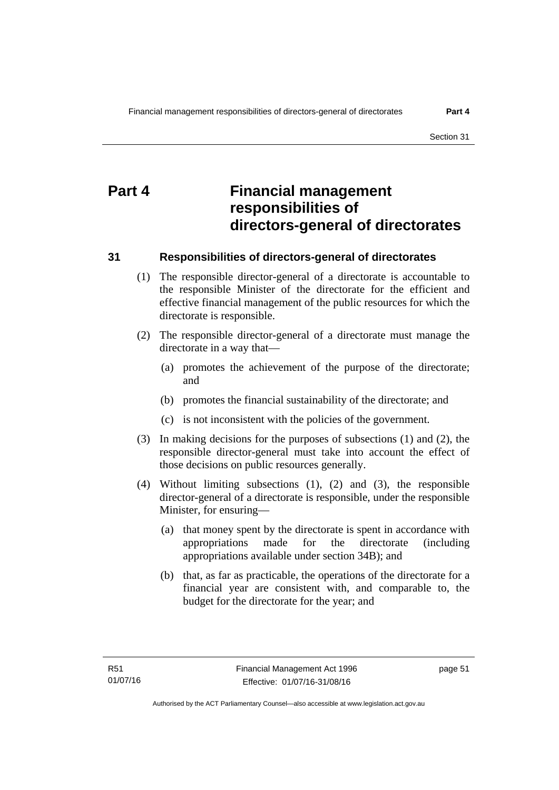# **Part 4 Financial management responsibilities of directors-general of directorates**

### **31 Responsibilities of directors-general of directorates**

- (1) The responsible director-general of a directorate is accountable to the responsible Minister of the directorate for the efficient and effective financial management of the public resources for which the directorate is responsible.
- (2) The responsible director-general of a directorate must manage the directorate in a way that—
	- (a) promotes the achievement of the purpose of the directorate; and
	- (b) promotes the financial sustainability of the directorate; and
	- (c) is not inconsistent with the policies of the government.
- (3) In making decisions for the purposes of subsections (1) and (2), the responsible director-general must take into account the effect of those decisions on public resources generally.
- (4) Without limiting subsections (1), (2) and (3), the responsible director-general of a directorate is responsible, under the responsible Minister, for ensuring—
	- (a) that money spent by the directorate is spent in accordance with appropriations made for the directorate (including appropriations available under section 34B); and
	- (b) that, as far as practicable, the operations of the directorate for a financial year are consistent with, and comparable to, the budget for the directorate for the year; and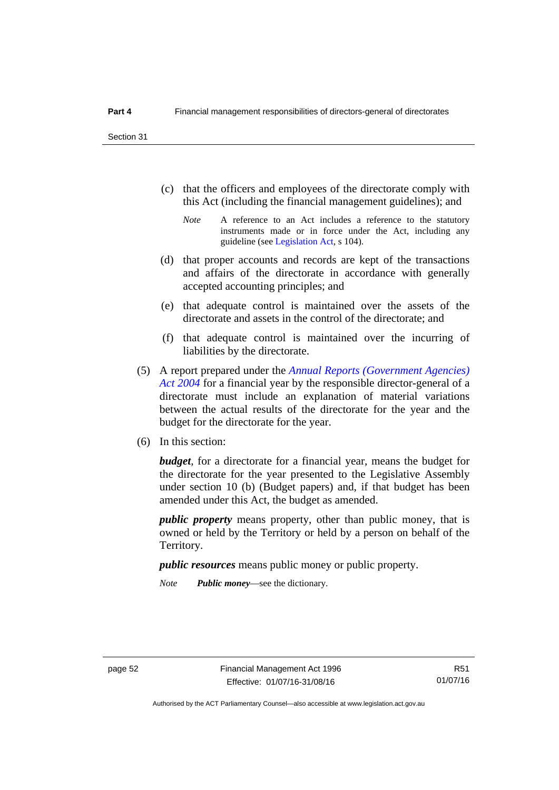- (c) that the officers and employees of the directorate comply with this Act (including the financial management guidelines); and
	- *Note* A reference to an Act includes a reference to the statutory instruments made or in force under the Act, including any guideline (see [Legislation Act](http://www.legislation.act.gov.au/a/2001-14), s 104).
- (d) that proper accounts and records are kept of the transactions and affairs of the directorate in accordance with generally accepted accounting principles; and
- (e) that adequate control is maintained over the assets of the directorate and assets in the control of the directorate; and
- (f) that adequate control is maintained over the incurring of liabilities by the directorate.
- (5) A report prepared under the *[Annual Reports \(Government Agencies\)](http://www.legislation.act.gov.au/a/2004-8)  [Act 2004](http://www.legislation.act.gov.au/a/2004-8)* for a financial year by the responsible director-general of a directorate must include an explanation of material variations between the actual results of the directorate for the year and the budget for the directorate for the year.
- (6) In this section:

*budget*, for a directorate for a financial year, means the budget for the directorate for the year presented to the Legislative Assembly under section 10 (b) (Budget papers) and, if that budget has been amended under this Act, the budget as amended.

*public property* means property, other than public money, that is owned or held by the Territory or held by a person on behalf of the Territory.

*public resources* means public money or public property.

*Note Public money*—see the dictionary.

Authorised by the ACT Parliamentary Counsel—also accessible at www.legislation.act.gov.au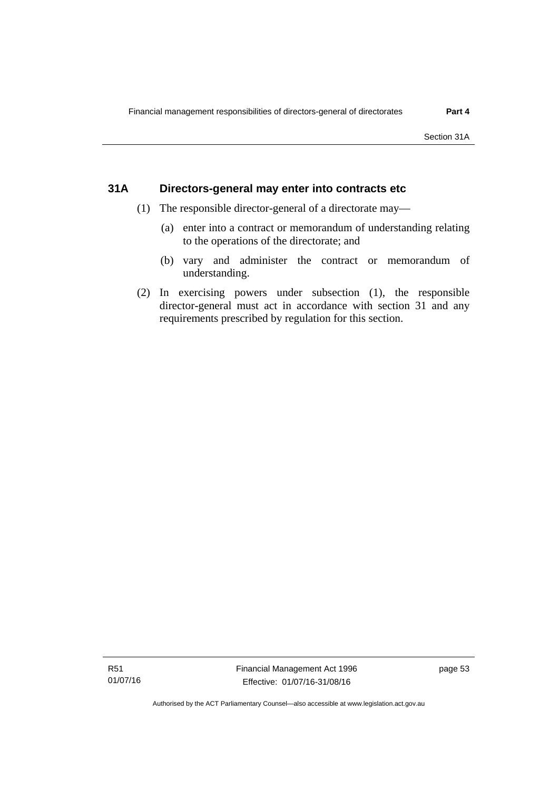### **31A Directors-general may enter into contracts etc**

- (1) The responsible director-general of a directorate may—
	- (a) enter into a contract or memorandum of understanding relating to the operations of the directorate; and
	- (b) vary and administer the contract or memorandum of understanding.
- (2) In exercising powers under subsection (1), the responsible director-general must act in accordance with section 31 and any requirements prescribed by regulation for this section.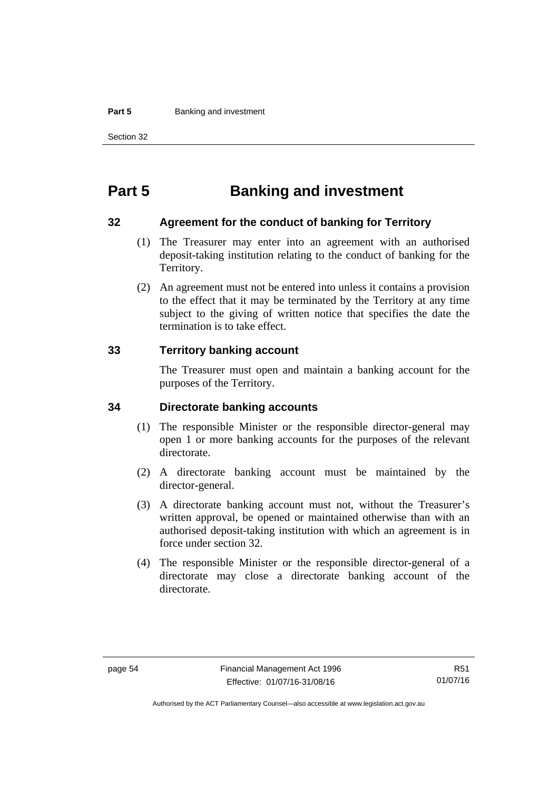#### **Part 5 Banking and investment**

Section 32

# **Part 5 Banking and investment**

### **32 Agreement for the conduct of banking for Territory**

- (1) The Treasurer may enter into an agreement with an authorised deposit-taking institution relating to the conduct of banking for the Territory.
- (2) An agreement must not be entered into unless it contains a provision to the effect that it may be terminated by the Territory at any time subject to the giving of written notice that specifies the date the termination is to take effect.

### **33 Territory banking account**

The Treasurer must open and maintain a banking account for the purposes of the Territory.

### **34 Directorate banking accounts**

- (1) The responsible Minister or the responsible director-general may open 1 or more banking accounts for the purposes of the relevant directorate.
- (2) A directorate banking account must be maintained by the director-general.
- (3) A directorate banking account must not, without the Treasurer's written approval, be opened or maintained otherwise than with an authorised deposit-taking institution with which an agreement is in force under section 32.
- (4) The responsible Minister or the responsible director-general of a directorate may close a directorate banking account of the directorate.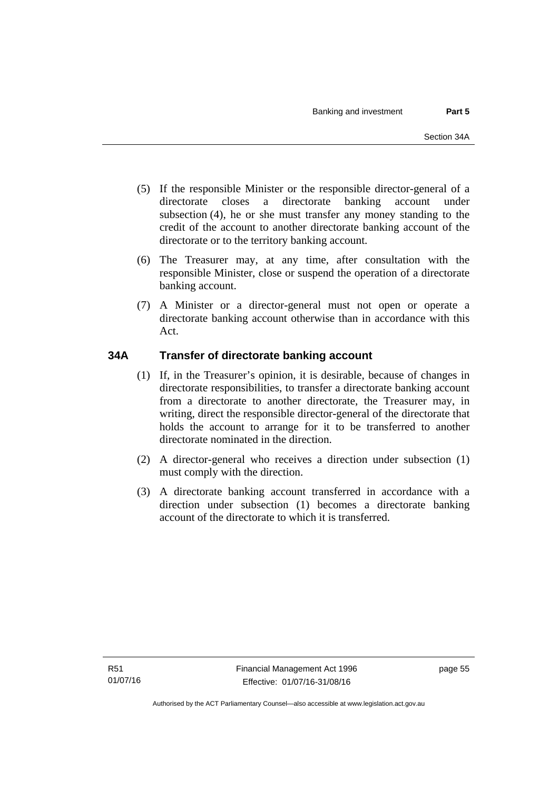- (5) If the responsible Minister or the responsible director-general of a directorate closes a directorate banking account under subsection (4), he or she must transfer any money standing to the credit of the account to another directorate banking account of the directorate or to the territory banking account.
- (6) The Treasurer may, at any time, after consultation with the responsible Minister, close or suspend the operation of a directorate banking account.
- (7) A Minister or a director-general must not open or operate a directorate banking account otherwise than in accordance with this Act.

## **34A Transfer of directorate banking account**

- (1) If, in the Treasurer's opinion, it is desirable, because of changes in directorate responsibilities, to transfer a directorate banking account from a directorate to another directorate, the Treasurer may, in writing, direct the responsible director-general of the directorate that holds the account to arrange for it to be transferred to another directorate nominated in the direction.
- (2) A director-general who receives a direction under subsection (1) must comply with the direction.
- (3) A directorate banking account transferred in accordance with a direction under subsection (1) becomes a directorate banking account of the directorate to which it is transferred.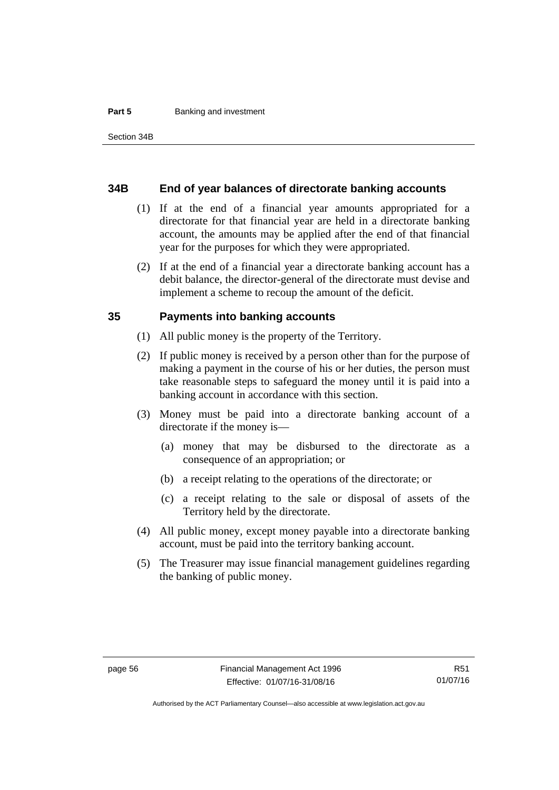#### **Part 5 Banking and investment**

#### **34B End of year balances of directorate banking accounts**

- (1) If at the end of a financial year amounts appropriated for a directorate for that financial year are held in a directorate banking account, the amounts may be applied after the end of that financial year for the purposes for which they were appropriated.
- (2) If at the end of a financial year a directorate banking account has a debit balance, the director-general of the directorate must devise and implement a scheme to recoup the amount of the deficit.

### **35 Payments into banking accounts**

- (1) All public money is the property of the Territory.
- (2) If public money is received by a person other than for the purpose of making a payment in the course of his or her duties, the person must take reasonable steps to safeguard the money until it is paid into a banking account in accordance with this section.
- (3) Money must be paid into a directorate banking account of a directorate if the money is—
	- (a) money that may be disbursed to the directorate as a consequence of an appropriation; or
	- (b) a receipt relating to the operations of the directorate; or
	- (c) a receipt relating to the sale or disposal of assets of the Territory held by the directorate.
- (4) All public money, except money payable into a directorate banking account, must be paid into the territory banking account.
- (5) The Treasurer may issue financial management guidelines regarding the banking of public money.

Authorised by the ACT Parliamentary Counsel—also accessible at www.legislation.act.gov.au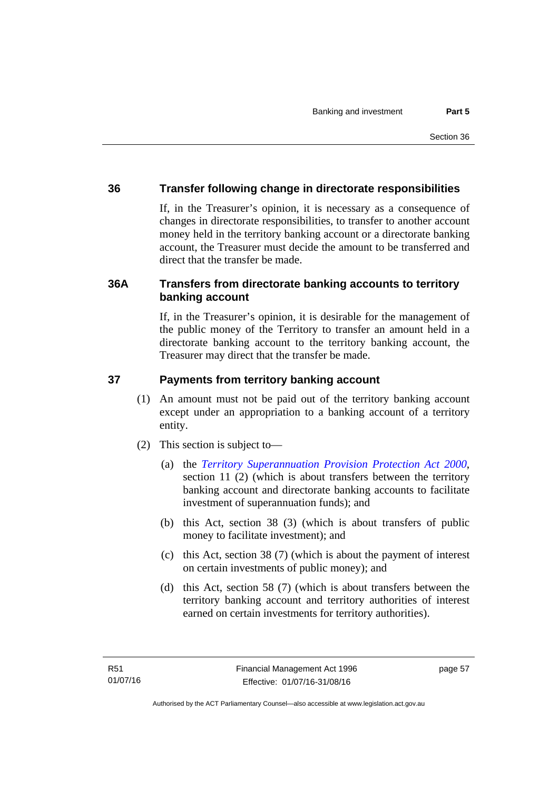## **36 Transfer following change in directorate responsibilities**

If, in the Treasurer's opinion, it is necessary as a consequence of changes in directorate responsibilities, to transfer to another account money held in the territory banking account or a directorate banking account, the Treasurer must decide the amount to be transferred and direct that the transfer be made.

## **36A Transfers from directorate banking accounts to territory banking account**

If, in the Treasurer's opinion, it is desirable for the management of the public money of the Territory to transfer an amount held in a directorate banking account to the territory banking account, the Treasurer may direct that the transfer be made.

### **37 Payments from territory banking account**

- (1) An amount must not be paid out of the territory banking account except under an appropriation to a banking account of a territory entity.
- (2) This section is subject to—
	- (a) the *[Territory Superannuation Provision Protection Act 2000](http://www.legislation.act.gov.au/a/2000-21)*, section 11 (2) (which is about transfers between the territory banking account and directorate banking accounts to facilitate investment of superannuation funds); and
	- (b) this Act, section 38 (3) (which is about transfers of public money to facilitate investment); and
	- (c) this Act, section 38 (7) (which is about the payment of interest on certain investments of public money); and
	- (d) this Act, section 58 (7) (which is about transfers between the territory banking account and territory authorities of interest earned on certain investments for territory authorities).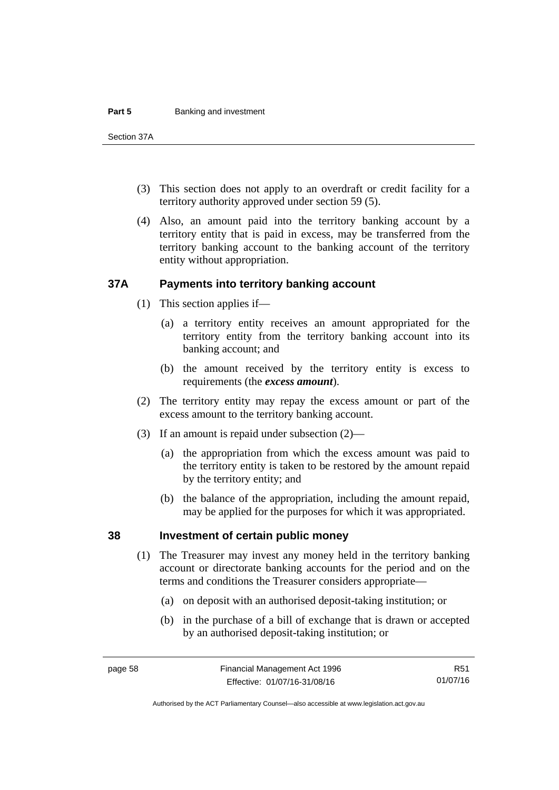#### **Part 5 Banking and investment**

Section 37A

- (3) This section does not apply to an overdraft or credit facility for a territory authority approved under section 59 (5).
- (4) Also, an amount paid into the territory banking account by a territory entity that is paid in excess, may be transferred from the territory banking account to the banking account of the territory entity without appropriation.

### **37A Payments into territory banking account**

- (1) This section applies if—
	- (a) a territory entity receives an amount appropriated for the territory entity from the territory banking account into its banking account; and
	- (b) the amount received by the territory entity is excess to requirements (the *excess amount*).
- (2) The territory entity may repay the excess amount or part of the excess amount to the territory banking account.
- (3) If an amount is repaid under subsection (2)—
	- (a) the appropriation from which the excess amount was paid to the territory entity is taken to be restored by the amount repaid by the territory entity; and
	- (b) the balance of the appropriation, including the amount repaid, may be applied for the purposes for which it was appropriated.

### **38 Investment of certain public money**

- (1) The Treasurer may invest any money held in the territory banking account or directorate banking accounts for the period and on the terms and conditions the Treasurer considers appropriate—
	- (a) on deposit with an authorised deposit-taking institution; or
	- (b) in the purchase of a bill of exchange that is drawn or accepted by an authorised deposit-taking institution; or

R51 01/07/16

Authorised by the ACT Parliamentary Counsel—also accessible at www.legislation.act.gov.au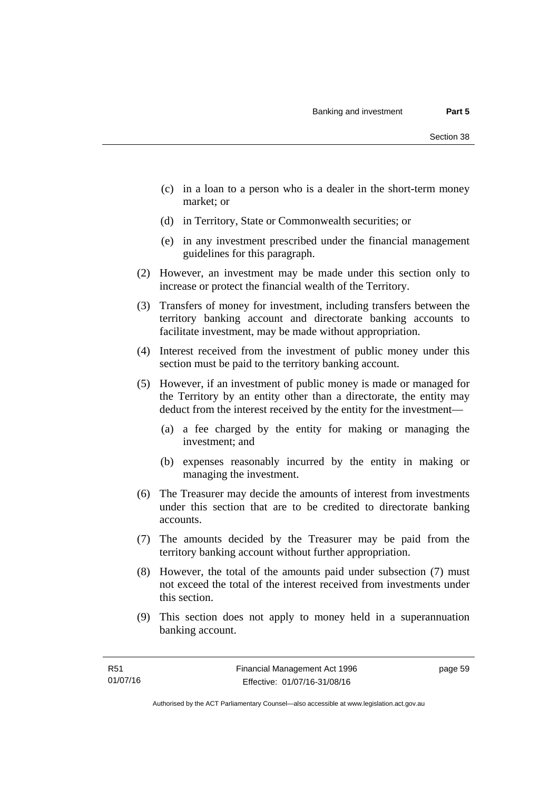- (c) in a loan to a person who is a dealer in the short-term money market; or
- (d) in Territory, State or Commonwealth securities; or
- (e) in any investment prescribed under the financial management guidelines for this paragraph.
- (2) However, an investment may be made under this section only to increase or protect the financial wealth of the Territory.
- (3) Transfers of money for investment, including transfers between the territory banking account and directorate banking accounts to facilitate investment, may be made without appropriation.
- (4) Interest received from the investment of public money under this section must be paid to the territory banking account.
- (5) However, if an investment of public money is made or managed for the Territory by an entity other than a directorate, the entity may deduct from the interest received by the entity for the investment—
	- (a) a fee charged by the entity for making or managing the investment; and
	- (b) expenses reasonably incurred by the entity in making or managing the investment.
- (6) The Treasurer may decide the amounts of interest from investments under this section that are to be credited to directorate banking accounts.
- (7) The amounts decided by the Treasurer may be paid from the territory banking account without further appropriation.
- (8) However, the total of the amounts paid under subsection (7) must not exceed the total of the interest received from investments under this section.
- (9) This section does not apply to money held in a superannuation banking account.

page 59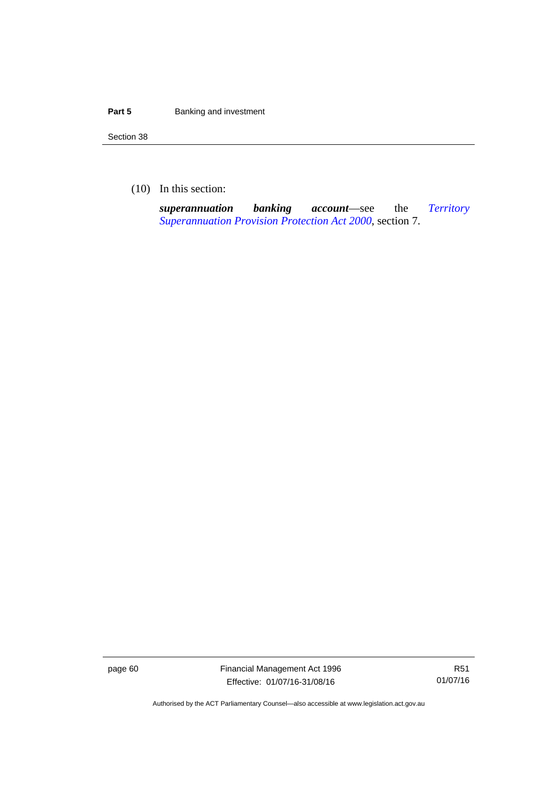#### **Part 5 Banking and investment**

Section 38

(10) In this section:

*superannuation banking account*—see the *[Territory](http://www.legislation.act.gov.au/a/2000-21)  [Superannuation Provision Protection Act 2000](http://www.legislation.act.gov.au/a/2000-21)*, section 7.

page 60 Financial Management Act 1996 Effective: 01/07/16-31/08/16

R51 01/07/16

Authorised by the ACT Parliamentary Counsel—also accessible at www.legislation.act.gov.au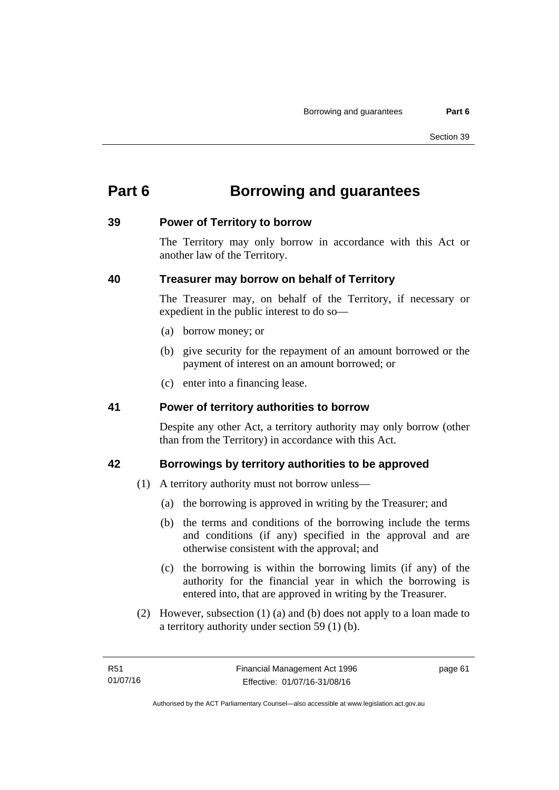# **Part 6 Borrowing and guarantees**

### **39 Power of Territory to borrow**

The Territory may only borrow in accordance with this Act or another law of the Territory.

## **40 Treasurer may borrow on behalf of Territory**

The Treasurer may, on behalf of the Territory, if necessary or expedient in the public interest to do so—

- (a) borrow money; or
- (b) give security for the repayment of an amount borrowed or the payment of interest on an amount borrowed; or
- (c) enter into a financing lease.

## **41 Power of territory authorities to borrow**

Despite any other Act, a territory authority may only borrow (other than from the Territory) in accordance with this Act.

## **42 Borrowings by territory authorities to be approved**

- (1) A territory authority must not borrow unless—
	- (a) the borrowing is approved in writing by the Treasurer; and
	- (b) the terms and conditions of the borrowing include the terms and conditions (if any) specified in the approval and are otherwise consistent with the approval; and
	- (c) the borrowing is within the borrowing limits (if any) of the authority for the financial year in which the borrowing is entered into, that are approved in writing by the Treasurer.
- (2) However, subsection (1) (a) and (b) does not apply to a loan made to a territory authority under section 59 (1) (b).

page 61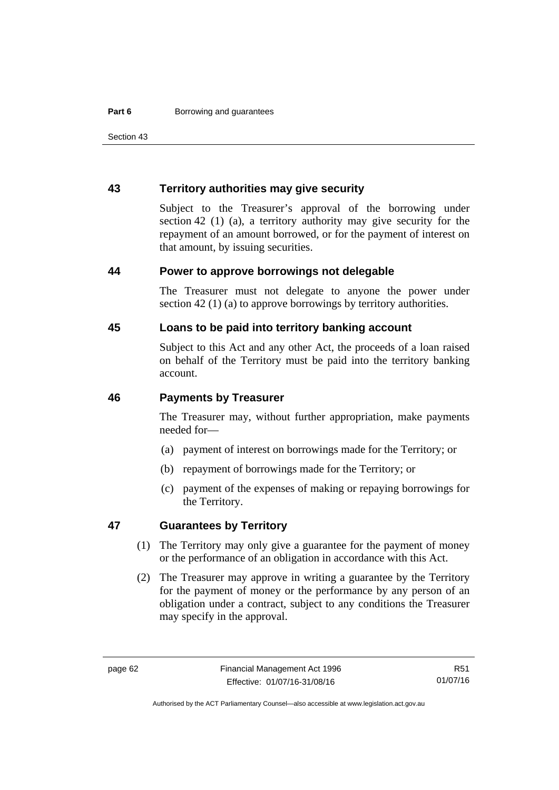Section 43

### **43 Territory authorities may give security**

Subject to the Treasurer's approval of the borrowing under section 42 (1) (a), a territory authority may give security for the repayment of an amount borrowed, or for the payment of interest on that amount, by issuing securities.

#### **44 Power to approve borrowings not delegable**

The Treasurer must not delegate to anyone the power under section 42 (1) (a) to approve borrowings by territory authorities.

### **45 Loans to be paid into territory banking account**

Subject to this Act and any other Act, the proceeds of a loan raised on behalf of the Territory must be paid into the territory banking account.

#### **46 Payments by Treasurer**

The Treasurer may, without further appropriation, make payments needed for—

- (a) payment of interest on borrowings made for the Territory; or
- (b) repayment of borrowings made for the Territory; or
- (c) payment of the expenses of making or repaying borrowings for the Territory.

### **47 Guarantees by Territory**

- (1) The Territory may only give a guarantee for the payment of money or the performance of an obligation in accordance with this Act.
- (2) The Treasurer may approve in writing a guarantee by the Territory for the payment of money or the performance by any person of an obligation under a contract, subject to any conditions the Treasurer may specify in the approval.

R51 01/07/16

Authorised by the ACT Parliamentary Counsel—also accessible at www.legislation.act.gov.au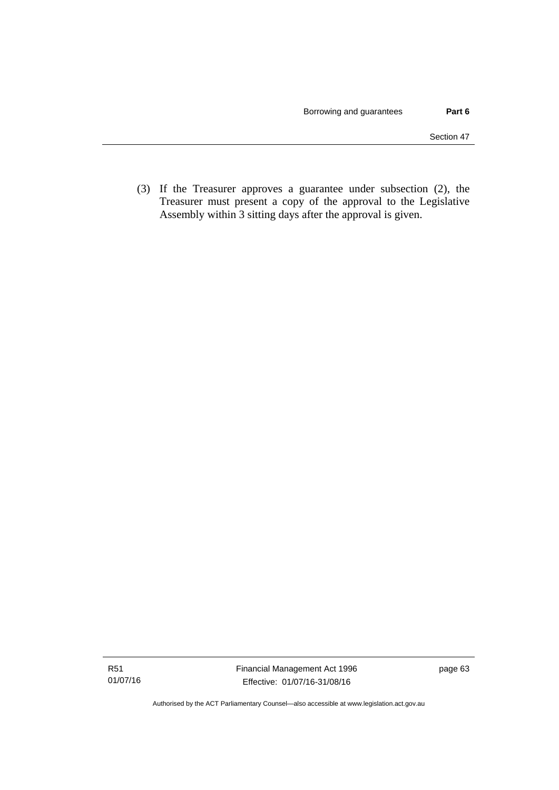(3) If the Treasurer approves a guarantee under subsection (2), the Treasurer must present a copy of the approval to the Legislative Assembly within 3 sitting days after the approval is given.

Authorised by the ACT Parliamentary Counsel—also accessible at www.legislation.act.gov.au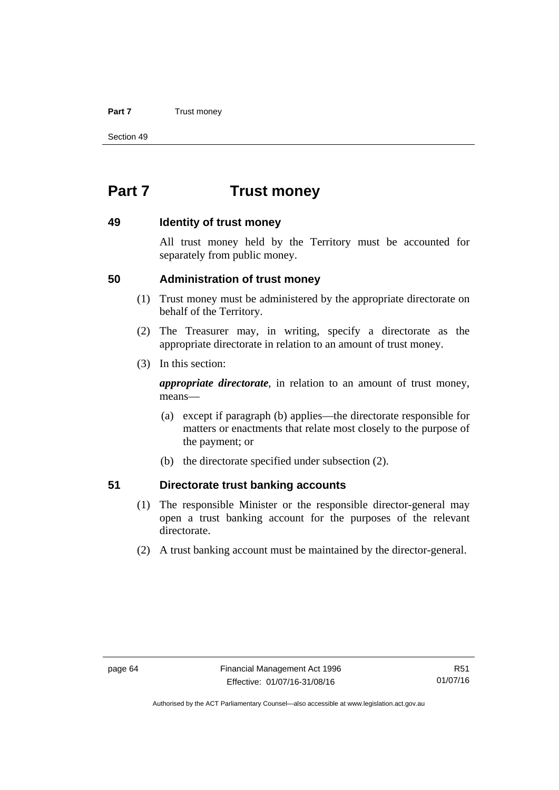#### **Part 7** Trust money

Section 49

# **Part 7 Trust money**

### **49 Identity of trust money**

All trust money held by the Territory must be accounted for separately from public money.

### **50 Administration of trust money**

- (1) Trust money must be administered by the appropriate directorate on behalf of the Territory.
- (2) The Treasurer may, in writing, specify a directorate as the appropriate directorate in relation to an amount of trust money.
- (3) In this section:

*appropriate directorate*, in relation to an amount of trust money, means—

- (a) except if paragraph (b) applies—the directorate responsible for matters or enactments that relate most closely to the purpose of the payment; or
- (b) the directorate specified under subsection (2).

### **51 Directorate trust banking accounts**

- (1) The responsible Minister or the responsible director-general may open a trust banking account for the purposes of the relevant directorate.
- (2) A trust banking account must be maintained by the director-general.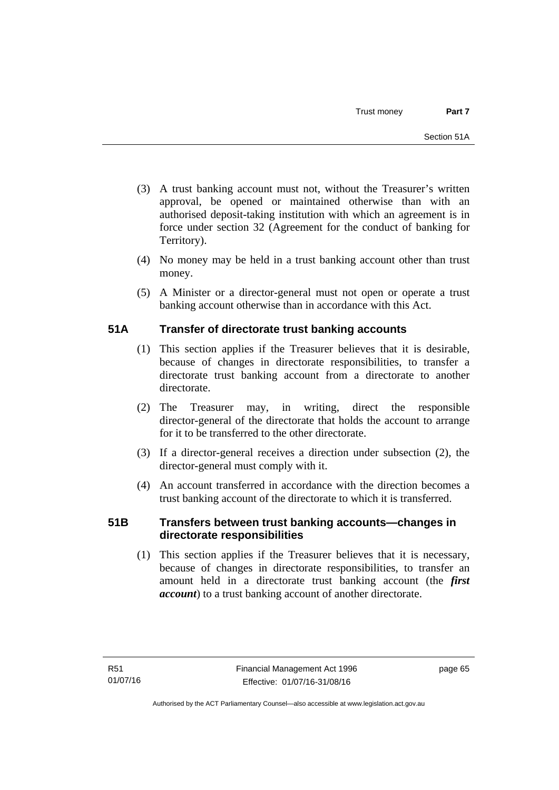- (3) A trust banking account must not, without the Treasurer's written approval, be opened or maintained otherwise than with an authorised deposit-taking institution with which an agreement is in force under section 32 (Agreement for the conduct of banking for Territory).
- (4) No money may be held in a trust banking account other than trust money.
- (5) A Minister or a director-general must not open or operate a trust banking account otherwise than in accordance with this Act.

# **51A Transfer of directorate trust banking accounts**

- (1) This section applies if the Treasurer believes that it is desirable, because of changes in directorate responsibilities, to transfer a directorate trust banking account from a directorate to another directorate.
- (2) The Treasurer may, in writing, direct the responsible director-general of the directorate that holds the account to arrange for it to be transferred to the other directorate.
- (3) If a director-general receives a direction under subsection (2), the director-general must comply with it.
- (4) An account transferred in accordance with the direction becomes a trust banking account of the directorate to which it is transferred.

# **51B Transfers between trust banking accounts—changes in directorate responsibilities**

 (1) This section applies if the Treasurer believes that it is necessary, because of changes in directorate responsibilities, to transfer an amount held in a directorate trust banking account (the *first account*) to a trust banking account of another directorate.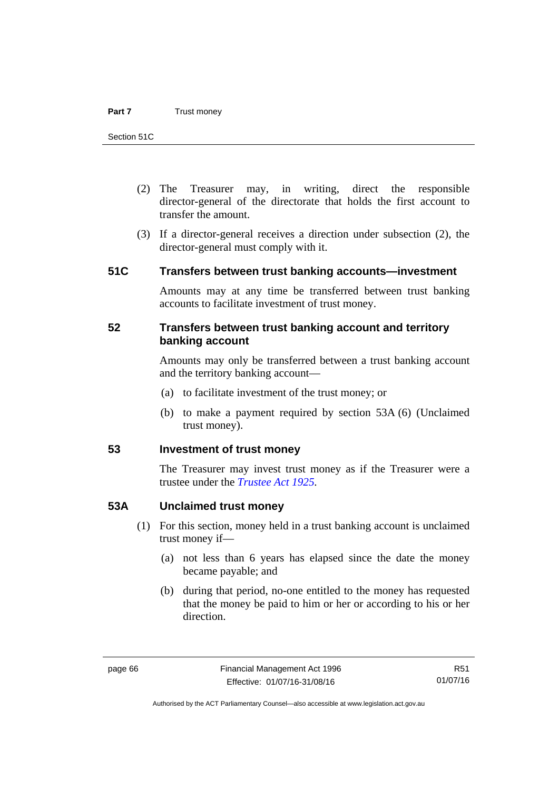- (2) The Treasurer may, in writing, direct the responsible director-general of the directorate that holds the first account to transfer the amount.
- (3) If a director-general receives a direction under subsection (2), the director-general must comply with it.

# **51C Transfers between trust banking accounts—investment**

Amounts may at any time be transferred between trust banking accounts to facilitate investment of trust money.

## **52 Transfers between trust banking account and territory banking account**

Amounts may only be transferred between a trust banking account and the territory banking account—

- (a) to facilitate investment of the trust money; or
- (b) to make a payment required by section 53A (6) (Unclaimed trust money).

# **53 Investment of trust money**

The Treasurer may invest trust money as if the Treasurer were a trustee under the *[Trustee Act 1925](http://www.legislation.act.gov.au/a/1925-14).*

### **53A Unclaimed trust money**

- (1) For this section, money held in a trust banking account is unclaimed trust money if—
	- (a) not less than 6 years has elapsed since the date the money became payable; and
	- (b) during that period, no-one entitled to the money has requested that the money be paid to him or her or according to his or her direction.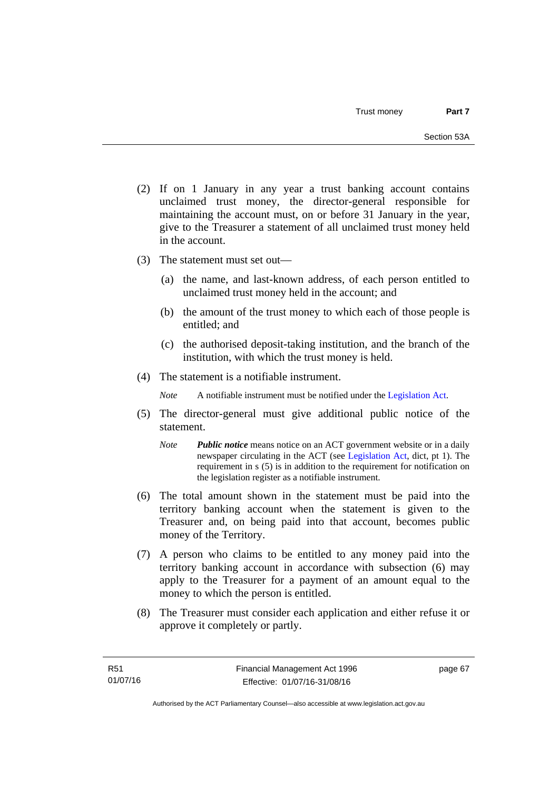- (2) If on 1 January in any year a trust banking account contains unclaimed trust money, the director-general responsible for maintaining the account must, on or before 31 January in the year, give to the Treasurer a statement of all unclaimed trust money held in the account.
- (3) The statement must set out—
	- (a) the name, and last-known address, of each person entitled to unclaimed trust money held in the account; and
	- (b) the amount of the trust money to which each of those people is entitled; and
	- (c) the authorised deposit-taking institution, and the branch of the institution, with which the trust money is held.
- (4) The statement is a notifiable instrument.

*Note* A notifiable instrument must be notified under the [Legislation Act](http://www.legislation.act.gov.au/a/2001-14).

- (5) The director-general must give additional public notice of the statement.
	- *Note Public notice* means notice on an ACT government website or in a daily newspaper circulating in the ACT (see [Legislation Act,](http://www.legislation.act.gov.au/a/2001-14) dict, pt 1). The requirement in s (5) is in addition to the requirement for notification on the legislation register as a notifiable instrument.
- (6) The total amount shown in the statement must be paid into the territory banking account when the statement is given to the Treasurer and, on being paid into that account, becomes public money of the Territory.
- (7) A person who claims to be entitled to any money paid into the territory banking account in accordance with subsection (6) may apply to the Treasurer for a payment of an amount equal to the money to which the person is entitled.
- (8) The Treasurer must consider each application and either refuse it or approve it completely or partly.

page 67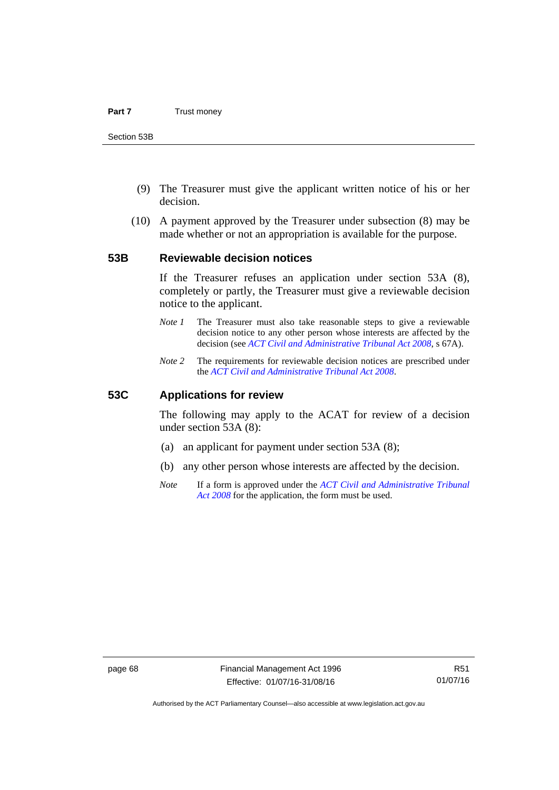- (9) The Treasurer must give the applicant written notice of his or her decision.
- (10) A payment approved by the Treasurer under subsection (8) may be made whether or not an appropriation is available for the purpose.

### **53B Reviewable decision notices**

If the Treasurer refuses an application under section 53A (8), completely or partly, the Treasurer must give a reviewable decision notice to the applicant.

- *Note 1* The Treasurer must also take reasonable steps to give a reviewable decision notice to any other person whose interests are affected by the decision (see *[ACT Civil and Administrative Tribunal Act 2008](http://www.legislation.act.gov.au/a/2008-35)*, s 67A).
- *Note 2* The requirements for reviewable decision notices are prescribed under the *[ACT Civil and Administrative Tribunal Act 2008](http://www.legislation.act.gov.au/a/2008-35)*.

### **53C Applications for review**

The following may apply to the ACAT for review of a decision under section 53A (8):

- (a) an applicant for payment under section 53A (8);
- (b) any other person whose interests are affected by the decision.
- *Note* If a form is approved under the *[ACT Civil and Administrative Tribunal](http://www.legislation.act.gov.au/a/2008-35)  [Act 2008](http://www.legislation.act.gov.au/a/2008-35)* for the application, the form must be used.

Authorised by the ACT Parliamentary Counsel—also accessible at www.legislation.act.gov.au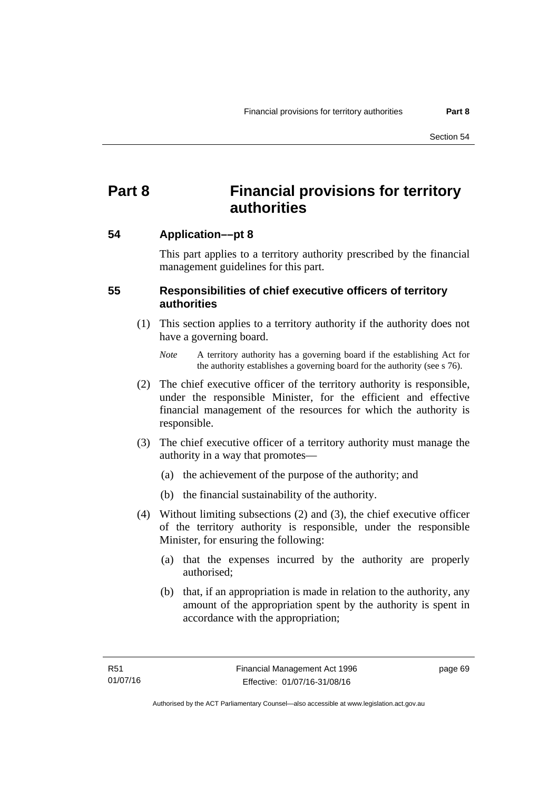# **Part 8 Financial provisions for territory authorities**

# **54 Application––pt 8**

This part applies to a territory authority prescribed by the financial management guidelines for this part.

# **55 Responsibilities of chief executive officers of territory authorities**

- (1) This section applies to a territory authority if the authority does not have a governing board.
	- *Note* A territory authority has a governing board if the establishing Act for the authority establishes a governing board for the authority (see s 76).
- (2) The chief executive officer of the territory authority is responsible, under the responsible Minister, for the efficient and effective financial management of the resources for which the authority is responsible.
- (3) The chief executive officer of a territory authority must manage the authority in a way that promotes—
	- (a) the achievement of the purpose of the authority; and
	- (b) the financial sustainability of the authority.
- (4) Without limiting subsections (2) and (3), the chief executive officer of the territory authority is responsible, under the responsible Minister, for ensuring the following:
	- (a) that the expenses incurred by the authority are properly authorised;
	- (b) that, if an appropriation is made in relation to the authority, any amount of the appropriation spent by the authority is spent in accordance with the appropriation;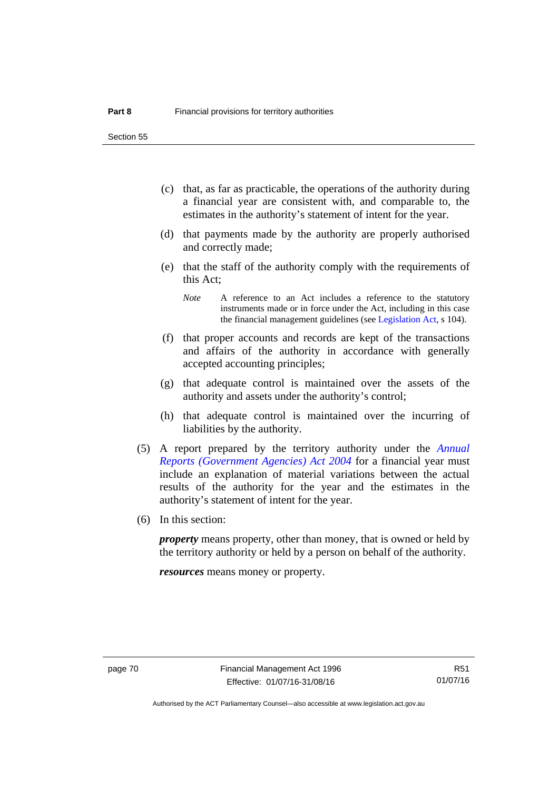Section 55

- (c) that, as far as practicable, the operations of the authority during a financial year are consistent with, and comparable to, the estimates in the authority's statement of intent for the year.
- (d) that payments made by the authority are properly authorised and correctly made;
- (e) that the staff of the authority comply with the requirements of this Act;
	- *Note* A reference to an Act includes a reference to the statutory instruments made or in force under the Act, including in this case the financial management guidelines (see [Legislation Act,](http://www.legislation.act.gov.au/a/2001-14) s 104).
- (f) that proper accounts and records are kept of the transactions and affairs of the authority in accordance with generally accepted accounting principles;
- (g) that adequate control is maintained over the assets of the authority and assets under the authority's control;
- (h) that adequate control is maintained over the incurring of liabilities by the authority.
- (5) A report prepared by the territory authority under the *[Annual](http://www.legislation.act.gov.au/a/2004-8)  [Reports \(Government Agencies\) Act 2004](http://www.legislation.act.gov.au/a/2004-8)* for a financial year must include an explanation of material variations between the actual results of the authority for the year and the estimates in the authority's statement of intent for the year.
- (6) In this section:

*property* means property, other than money, that is owned or held by the territory authority or held by a person on behalf of the authority.

*resources* means money or property.

Authorised by the ACT Parliamentary Counsel—also accessible at www.legislation.act.gov.au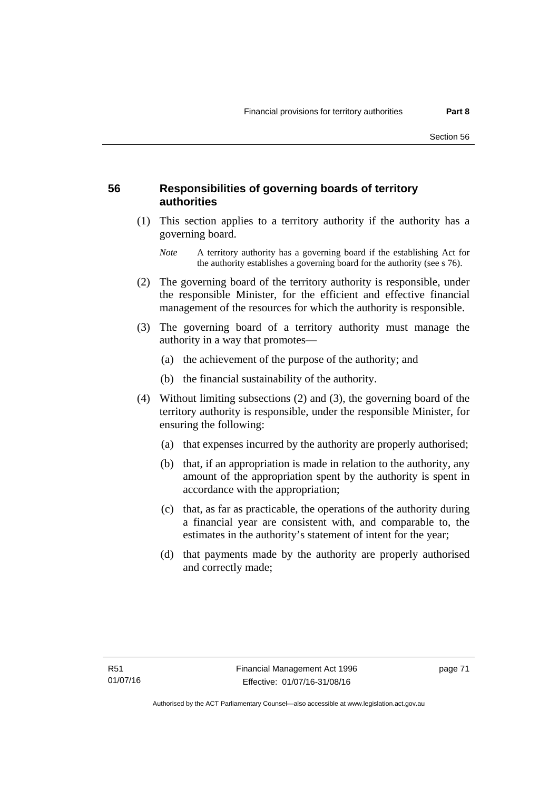# **56 Responsibilities of governing boards of territory authorities**

 (1) This section applies to a territory authority if the authority has a governing board.

- (2) The governing board of the territory authority is responsible, under the responsible Minister, for the efficient and effective financial management of the resources for which the authority is responsible.
- (3) The governing board of a territory authority must manage the authority in a way that promotes—
	- (a) the achievement of the purpose of the authority; and
	- (b) the financial sustainability of the authority.
- (4) Without limiting subsections (2) and (3), the governing board of the territory authority is responsible, under the responsible Minister, for ensuring the following:
	- (a) that expenses incurred by the authority are properly authorised;
	- (b) that, if an appropriation is made in relation to the authority, any amount of the appropriation spent by the authority is spent in accordance with the appropriation;
	- (c) that, as far as practicable, the operations of the authority during a financial year are consistent with, and comparable to, the estimates in the authority's statement of intent for the year;
	- (d) that payments made by the authority are properly authorised and correctly made;

*Note* A territory authority has a governing board if the establishing Act for the authority establishes a governing board for the authority (see s 76).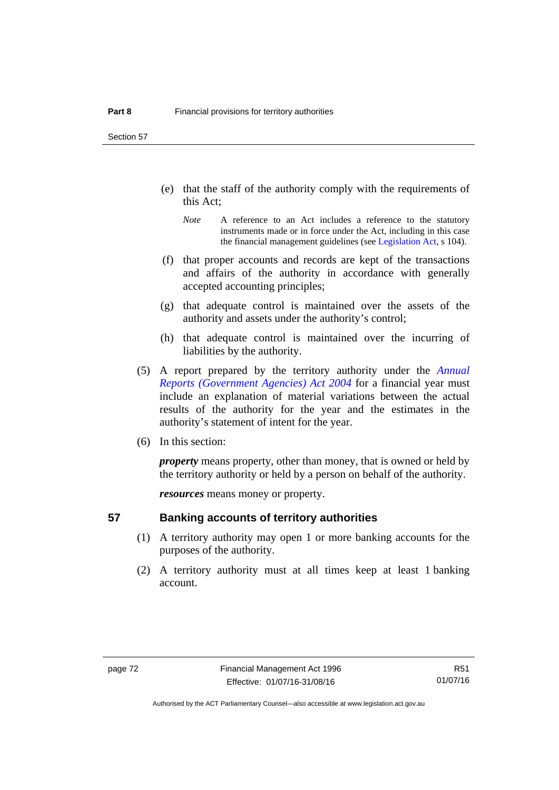Section 57

- (e) that the staff of the authority comply with the requirements of this Act;
	- *Note* A reference to an Act includes a reference to the statutory instruments made or in force under the Act, including in this case the financial management guidelines (see [Legislation Act,](http://www.legislation.act.gov.au/a/2001-14) s 104).
- (f) that proper accounts and records are kept of the transactions and affairs of the authority in accordance with generally accepted accounting principles;
- (g) that adequate control is maintained over the assets of the authority and assets under the authority's control;
- (h) that adequate control is maintained over the incurring of liabilities by the authority.
- (5) A report prepared by the territory authority under the *[Annual](http://www.legislation.act.gov.au/a/2004-8)  [Reports \(Government Agencies\) Act 2004](http://www.legislation.act.gov.au/a/2004-8)* for a financial year must include an explanation of material variations between the actual results of the authority for the year and the estimates in the authority's statement of intent for the year.
- (6) In this section:

*property* means property, other than money, that is owned or held by the territory authority or held by a person on behalf of the authority.

*resources* means money or property.

# **57 Banking accounts of territory authorities**

- (1) A territory authority may open 1 or more banking accounts for the purposes of the authority.
- (2) A territory authority must at all times keep at least 1 banking account.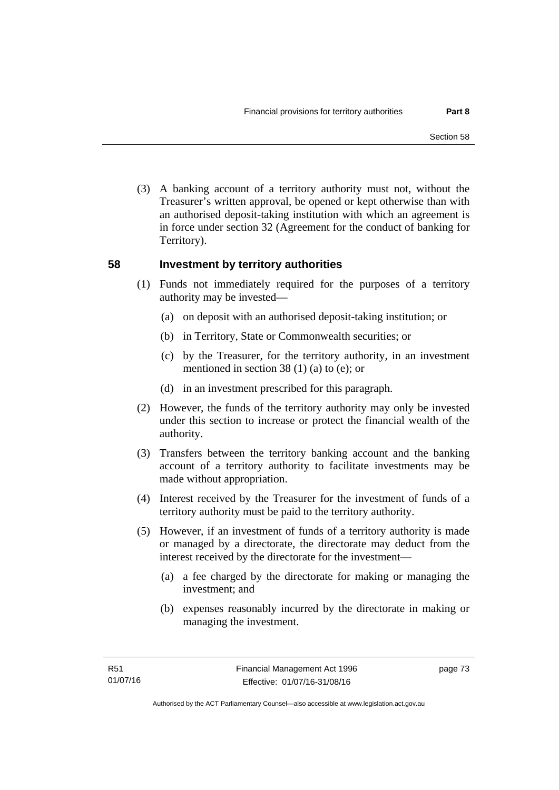(3) A banking account of a territory authority must not, without the Treasurer's written approval, be opened or kept otherwise than with an authorised deposit-taking institution with which an agreement is in force under section 32 (Agreement for the conduct of banking for Territory).

# **58 Investment by territory authorities**

- (1) Funds not immediately required for the purposes of a territory authority may be invested—
	- (a) on deposit with an authorised deposit-taking institution; or
	- (b) in Territory, State or Commonwealth securities; or
	- (c) by the Treasurer, for the territory authority, in an investment mentioned in section 38 (1) (a) to (e); or
	- (d) in an investment prescribed for this paragraph.
- (2) However, the funds of the territory authority may only be invested under this section to increase or protect the financial wealth of the authority.
- (3) Transfers between the territory banking account and the banking account of a territory authority to facilitate investments may be made without appropriation.
- (4) Interest received by the Treasurer for the investment of funds of a territory authority must be paid to the territory authority.
- (5) However, if an investment of funds of a territory authority is made or managed by a directorate, the directorate may deduct from the interest received by the directorate for the investment—
	- (a) a fee charged by the directorate for making or managing the investment; and
	- (b) expenses reasonably incurred by the directorate in making or managing the investment.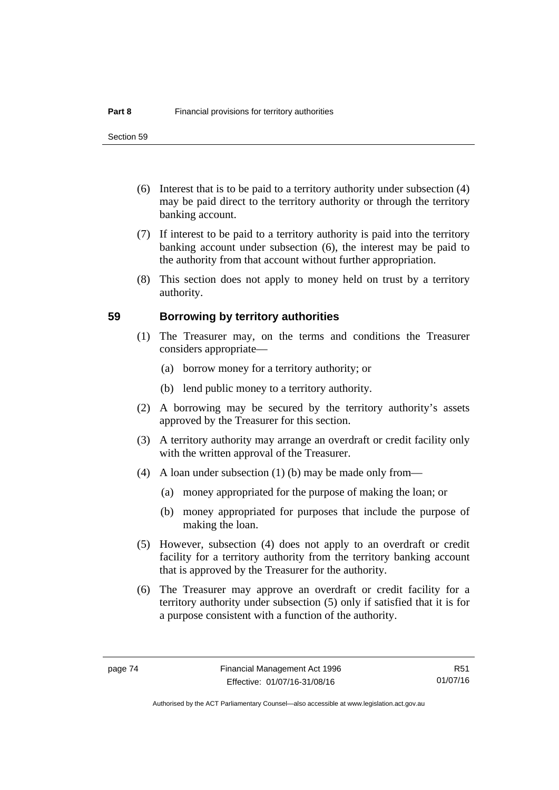- (6) Interest that is to be paid to a territory authority under subsection (4) may be paid direct to the territory authority or through the territory banking account.
- (7) If interest to be paid to a territory authority is paid into the territory banking account under subsection (6), the interest may be paid to the authority from that account without further appropriation.
- (8) This section does not apply to money held on trust by a territory authority.

### **59 Borrowing by territory authorities**

- (1) The Treasurer may, on the terms and conditions the Treasurer considers appropriate—
	- (a) borrow money for a territory authority; or
	- (b) lend public money to a territory authority.
- (2) A borrowing may be secured by the territory authority's assets approved by the Treasurer for this section.
- (3) A territory authority may arrange an overdraft or credit facility only with the written approval of the Treasurer.
- (4) A loan under subsection (1) (b) may be made only from—
	- (a) money appropriated for the purpose of making the loan; or
	- (b) money appropriated for purposes that include the purpose of making the loan.
- (5) However, subsection (4) does not apply to an overdraft or credit facility for a territory authority from the territory banking account that is approved by the Treasurer for the authority.
- (6) The Treasurer may approve an overdraft or credit facility for a territory authority under subsection (5) only if satisfied that it is for a purpose consistent with a function of the authority.

R51 01/07/16

Authorised by the ACT Parliamentary Counsel—also accessible at www.legislation.act.gov.au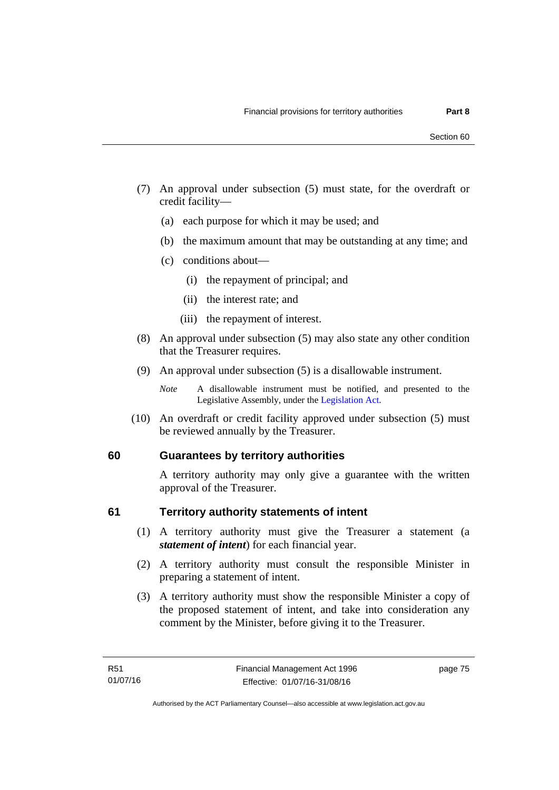- (7) An approval under subsection (5) must state, for the overdraft or credit facility—
	- (a) each purpose for which it may be used; and
	- (b) the maximum amount that may be outstanding at any time; and
	- (c) conditions about—
		- (i) the repayment of principal; and
		- (ii) the interest rate; and
		- (iii) the repayment of interest.
- (8) An approval under subsection (5) may also state any other condition that the Treasurer requires.
- (9) An approval under subsection (5) is a disallowable instrument.

 (10) An overdraft or credit facility approved under subsection (5) must be reviewed annually by the Treasurer.

# **60 Guarantees by territory authorities**

A territory authority may only give a guarantee with the written approval of the Treasurer.

### **61 Territory authority statements of intent**

- (1) A territory authority must give the Treasurer a statement (a *statement of intent*) for each financial year.
- (2) A territory authority must consult the responsible Minister in preparing a statement of intent.
- (3) A territory authority must show the responsible Minister a copy of the proposed statement of intent, and take into consideration any comment by the Minister, before giving it to the Treasurer.

*Note* A disallowable instrument must be notified, and presented to the Legislative Assembly, under the [Legislation Act.](http://www.legislation.act.gov.au/a/2001-14)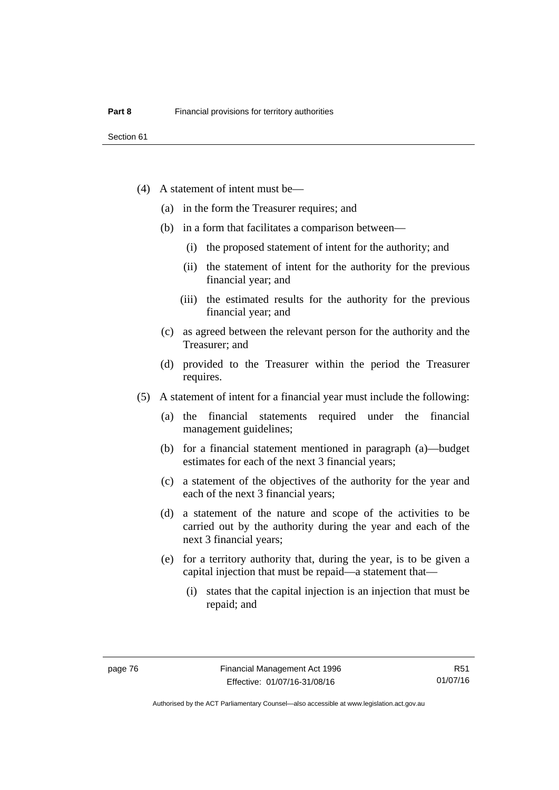- (4) A statement of intent must be—
	- (a) in the form the Treasurer requires; and
	- (b) in a form that facilitates a comparison between—
		- (i) the proposed statement of intent for the authority; and
		- (ii) the statement of intent for the authority for the previous financial year; and
		- (iii) the estimated results for the authority for the previous financial year; and
	- (c) as agreed between the relevant person for the authority and the Treasurer; and
	- (d) provided to the Treasurer within the period the Treasurer requires.
- (5) A statement of intent for a financial year must include the following:
	- (a) the financial statements required under the financial management guidelines;
	- (b) for a financial statement mentioned in paragraph (a)—budget estimates for each of the next 3 financial years;
	- (c) a statement of the objectives of the authority for the year and each of the next 3 financial years;
	- (d) a statement of the nature and scope of the activities to be carried out by the authority during the year and each of the next 3 financial years;
	- (e) for a territory authority that, during the year, is to be given a capital injection that must be repaid—a statement that—
		- (i) states that the capital injection is an injection that must be repaid; and

Authorised by the ACT Parliamentary Counsel—also accessible at www.legislation.act.gov.au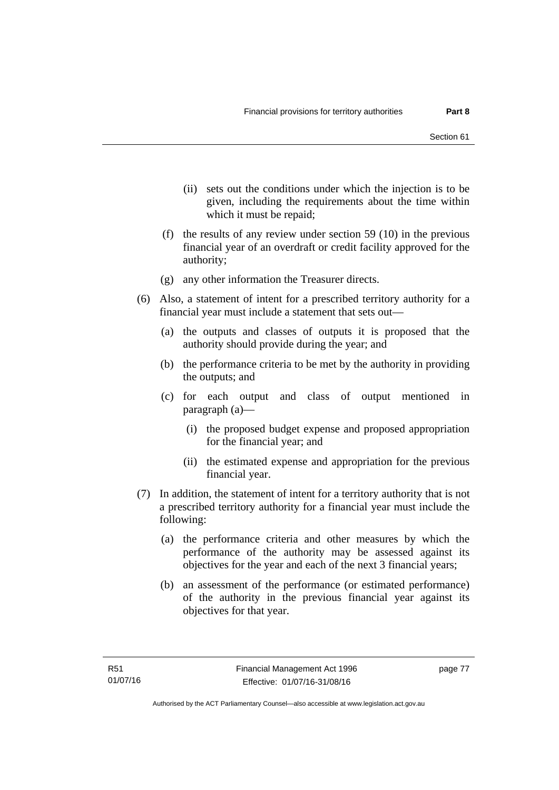- (ii) sets out the conditions under which the injection is to be given, including the requirements about the time within which it must be repaid;
- (f) the results of any review under section 59 (10) in the previous financial year of an overdraft or credit facility approved for the authority;
- (g) any other information the Treasurer directs.
- (6) Also, a statement of intent for a prescribed territory authority for a financial year must include a statement that sets out—
	- (a) the outputs and classes of outputs it is proposed that the authority should provide during the year; and
	- (b) the performance criteria to be met by the authority in providing the outputs; and
	- (c) for each output and class of output mentioned in paragraph (a)—
		- (i) the proposed budget expense and proposed appropriation for the financial year; and
		- (ii) the estimated expense and appropriation for the previous financial year.
- (7) In addition, the statement of intent for a territory authority that is not a prescribed territory authority for a financial year must include the following:
	- (a) the performance criteria and other measures by which the performance of the authority may be assessed against its objectives for the year and each of the next 3 financial years;
	- (b) an assessment of the performance (or estimated performance) of the authority in the previous financial year against its objectives for that year.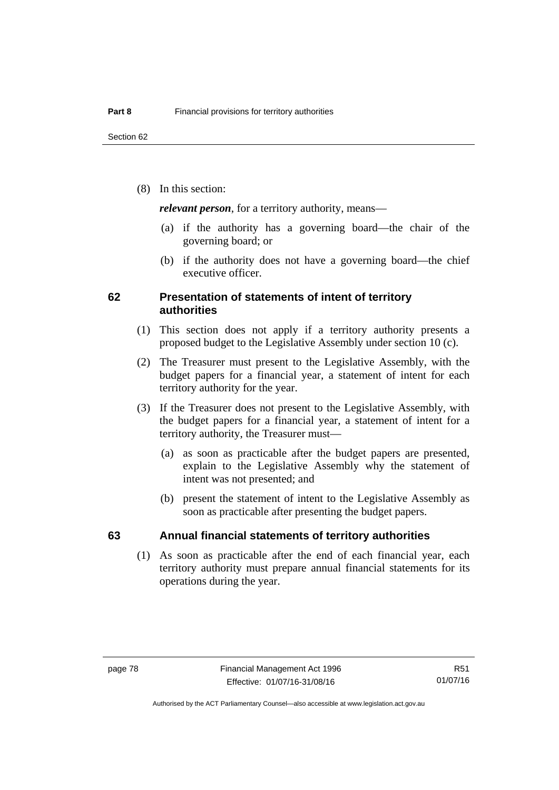(8) In this section:

*relevant person*, for a territory authority, means—

- (a) if the authority has a governing board—the chair of the governing board; or
- (b) if the authority does not have a governing board—the chief executive officer.

### **62 Presentation of statements of intent of territory authorities**

- (1) This section does not apply if a territory authority presents a proposed budget to the Legislative Assembly under section 10 (c).
- (2) The Treasurer must present to the Legislative Assembly, with the budget papers for a financial year, a statement of intent for each territory authority for the year.
- (3) If the Treasurer does not present to the Legislative Assembly, with the budget papers for a financial year, a statement of intent for a territory authority, the Treasurer must—
	- (a) as soon as practicable after the budget papers are presented, explain to the Legislative Assembly why the statement of intent was not presented; and
	- (b) present the statement of intent to the Legislative Assembly as soon as practicable after presenting the budget papers.

### **63 Annual financial statements of territory authorities**

 (1) As soon as practicable after the end of each financial year, each territory authority must prepare annual financial statements for its operations during the year.

R51 01/07/16

Authorised by the ACT Parliamentary Counsel—also accessible at www.legislation.act.gov.au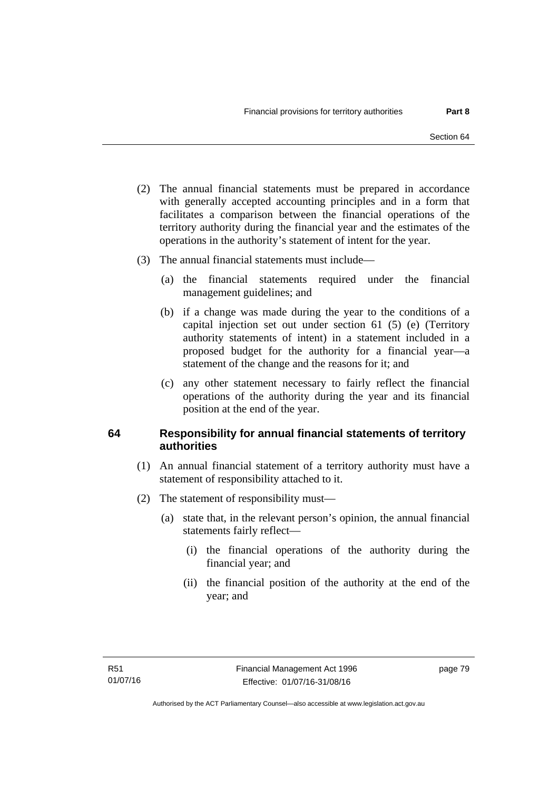- (2) The annual financial statements must be prepared in accordance with generally accepted accounting principles and in a form that facilitates a comparison between the financial operations of the territory authority during the financial year and the estimates of the operations in the authority's statement of intent for the year.
- (3) The annual financial statements must include—
	- (a) the financial statements required under the financial management guidelines; and
	- (b) if a change was made during the year to the conditions of a capital injection set out under section 61 (5) (e) (Territory authority statements of intent) in a statement included in a proposed budget for the authority for a financial year—a statement of the change and the reasons for it; and
	- (c) any other statement necessary to fairly reflect the financial operations of the authority during the year and its financial position at the end of the year.

# **64 Responsibility for annual financial statements of territory authorities**

- (1) An annual financial statement of a territory authority must have a statement of responsibility attached to it.
- (2) The statement of responsibility must—
	- (a) state that, in the relevant person's opinion, the annual financial statements fairly reflect—
		- (i) the financial operations of the authority during the financial year; and
		- (ii) the financial position of the authority at the end of the year; and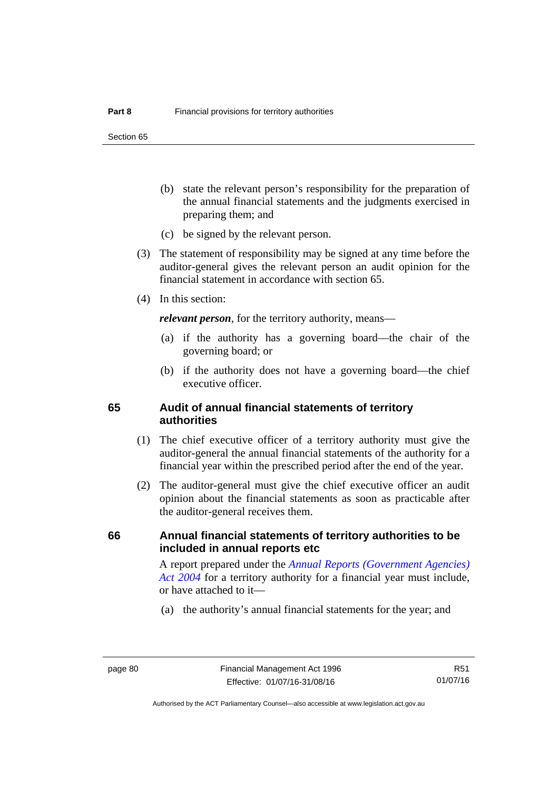Section 65

- (b) state the relevant person's responsibility for the preparation of the annual financial statements and the judgments exercised in preparing them; and
- (c) be signed by the relevant person.
- (3) The statement of responsibility may be signed at any time before the auditor-general gives the relevant person an audit opinion for the financial statement in accordance with section 65.
- (4) In this section:

*relevant person*, for the territory authority, means—

- (a) if the authority has a governing board—the chair of the governing board; or
- (b) if the authority does not have a governing board—the chief executive officer.

### **65 Audit of annual financial statements of territory authorities**

- (1) The chief executive officer of a territory authority must give the auditor-general the annual financial statements of the authority for a financial year within the prescribed period after the end of the year.
- (2) The auditor-general must give the chief executive officer an audit opinion about the financial statements as soon as practicable after the auditor-general receives them.

### **66 Annual financial statements of territory authorities to be included in annual reports etc**

A report prepared under the *[Annual Reports \(Government Agencies\)](http://www.legislation.act.gov.au/a/2004-8)  [Act 2004](http://www.legislation.act.gov.au/a/2004-8)* for a territory authority for a financial year must include, or have attached to it—

(a) the authority's annual financial statements for the year; and

R51 01/07/16

Authorised by the ACT Parliamentary Counsel—also accessible at www.legislation.act.gov.au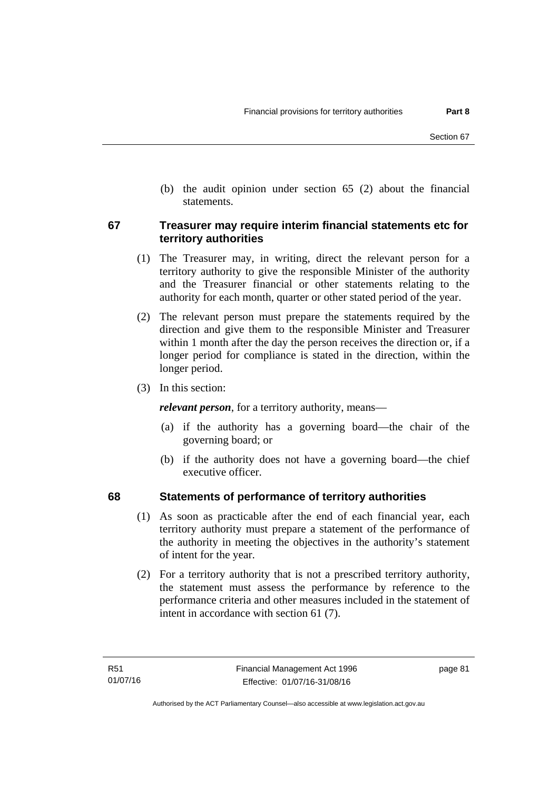(b) the audit opinion under section 65 (2) about the financial statements.

# **67 Treasurer may require interim financial statements etc for territory authorities**

- (1) The Treasurer may, in writing, direct the relevant person for a territory authority to give the responsible Minister of the authority and the Treasurer financial or other statements relating to the authority for each month, quarter or other stated period of the year.
- (2) The relevant person must prepare the statements required by the direction and give them to the responsible Minister and Treasurer within 1 month after the day the person receives the direction or, if a longer period for compliance is stated in the direction, within the longer period.
- (3) In this section:

*relevant person*, for a territory authority, means—

- (a) if the authority has a governing board—the chair of the governing board; or
- (b) if the authority does not have a governing board—the chief executive officer.

# **68 Statements of performance of territory authorities**

- (1) As soon as practicable after the end of each financial year, each territory authority must prepare a statement of the performance of the authority in meeting the objectives in the authority's statement of intent for the year.
- (2) For a territory authority that is not a prescribed territory authority, the statement must assess the performance by reference to the performance criteria and other measures included in the statement of intent in accordance with section 61 (7).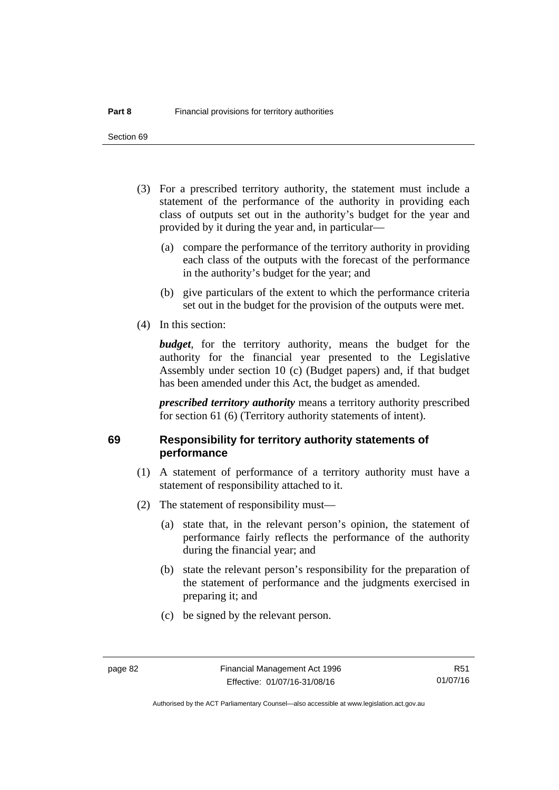- (3) For a prescribed territory authority, the statement must include a statement of the performance of the authority in providing each class of outputs set out in the authority's budget for the year and provided by it during the year and, in particular—
	- (a) compare the performance of the territory authority in providing each class of the outputs with the forecast of the performance in the authority's budget for the year; and
	- (b) give particulars of the extent to which the performance criteria set out in the budget for the provision of the outputs were met.
- (4) In this section:

*budget*, for the territory authority, means the budget for the authority for the financial year presented to the Legislative Assembly under section 10 (c) (Budget papers) and, if that budget has been amended under this Act, the budget as amended.

*prescribed territory authority* means a territory authority prescribed for section 61 (6) (Territory authority statements of intent).

# **69 Responsibility for territory authority statements of performance**

- (1) A statement of performance of a territory authority must have a statement of responsibility attached to it.
- (2) The statement of responsibility must—
	- (a) state that, in the relevant person's opinion, the statement of performance fairly reflects the performance of the authority during the financial year; and
	- (b) state the relevant person's responsibility for the preparation of the statement of performance and the judgments exercised in preparing it; and
	- (c) be signed by the relevant person.

Authorised by the ACT Parliamentary Counsel—also accessible at www.legislation.act.gov.au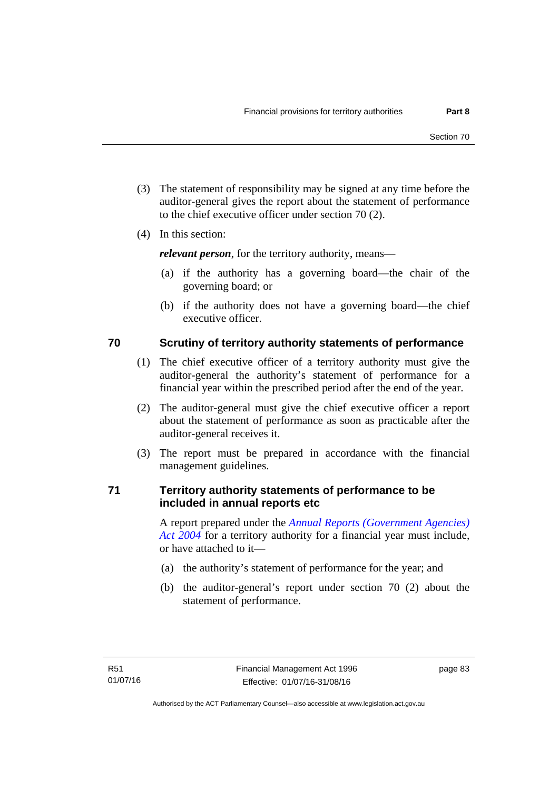- (3) The statement of responsibility may be signed at any time before the auditor-general gives the report about the statement of performance to the chief executive officer under section 70 (2).
- (4) In this section:

*relevant person*, for the territory authority, means—

- (a) if the authority has a governing board—the chair of the governing board; or
- (b) if the authority does not have a governing board—the chief executive officer.

# **70 Scrutiny of territory authority statements of performance**

- (1) The chief executive officer of a territory authority must give the auditor-general the authority's statement of performance for a financial year within the prescribed period after the end of the year.
- (2) The auditor-general must give the chief executive officer a report about the statement of performance as soon as practicable after the auditor-general receives it.
- (3) The report must be prepared in accordance with the financial management guidelines.

# **71 Territory authority statements of performance to be included in annual reports etc**

A report prepared under the *[Annual Reports \(Government Agencies\)](http://www.legislation.act.gov.au/a/2004-8)  [Act 2004](http://www.legislation.act.gov.au/a/2004-8)* for a territory authority for a financial year must include, or have attached to it—

- (a) the authority's statement of performance for the year; and
- (b) the auditor-general's report under section 70 (2) about the statement of performance.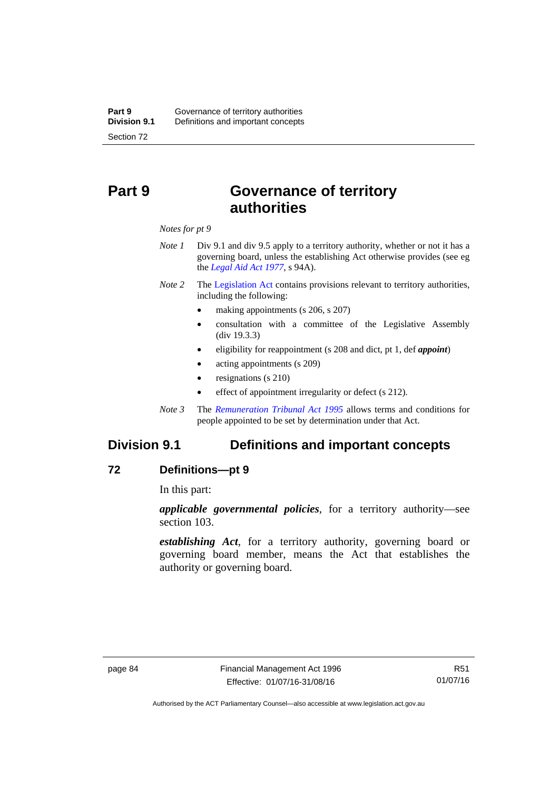# **Part 9 Governance of territory authorities**

*Notes for pt 9* 

- *Note 1* Div 9.1 and div 9.5 apply to a territory authority, whether or not it has a governing board, unless the establishing Act otherwise provides (see eg the *[Legal Aid Act 1977](http://www.legislation.act.gov.au/a/1977-31)*, s 94A).
- *Note 2* The [Legislation Act](http://www.legislation.act.gov.au/a/2001-14) contains provisions relevant to territory authorities, including the following:
	- making appointments (s 206, s 207)
	- consultation with a committee of the Legislative Assembly (div 19.3.3)
	- eligibility for reappointment (s 208 and dict, pt 1, def *appoint*)
	- acting appointments (s 209)
	- resignations (s 210)
	- effect of appointment irregularity or defect (s 212).
- *Note 3* The *[Remuneration Tribunal Act 1995](http://www.legislation.act.gov.au/a/1995-55)* allows terms and conditions for people appointed to be set by determination under that Act.

# **Division 9.1 Definitions and important concepts**

### **72 Definitions—pt 9**

In this part:

*applicable governmental policies*, for a territory authority—see section 103.

*establishing Act*, for a territory authority, governing board or governing board member, means the Act that establishes the authority or governing board.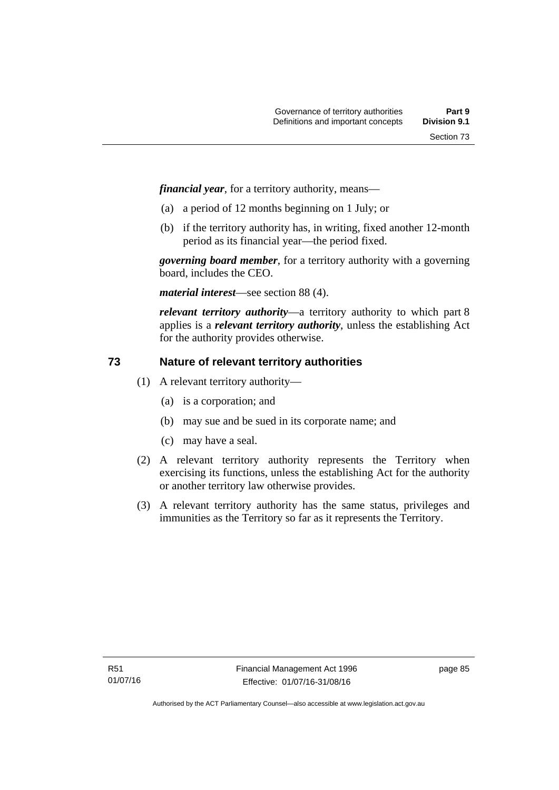*financial year*, for a territory authority, means—

- (a) a period of 12 months beginning on 1 July; or
- (b) if the territory authority has, in writing, fixed another 12-month period as its financial year—the period fixed.

*governing board member*, for a territory authority with a governing board, includes the CEO.

*material interest*—see section 88 (4).

*relevant territory authority*—a territory authority to which part 8 applies is a *relevant territory authority*, unless the establishing Act for the authority provides otherwise.

# **73 Nature of relevant territory authorities**

- (1) A relevant territory authority—
	- (a) is a corporation; and
	- (b) may sue and be sued in its corporate name; and
	- (c) may have a seal.
- (2) A relevant territory authority represents the Territory when exercising its functions, unless the establishing Act for the authority or another territory law otherwise provides.
- (3) A relevant territory authority has the same status, privileges and immunities as the Territory so far as it represents the Territory.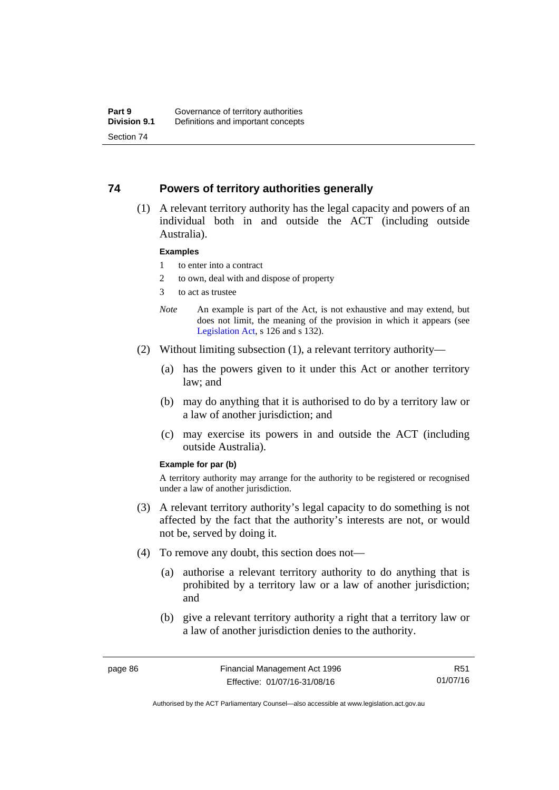# **74 Powers of territory authorities generally**

 (1) A relevant territory authority has the legal capacity and powers of an individual both in and outside the ACT (including outside Australia).

#### **Examples**

- 1 to enter into a contract
- 2 to own, deal with and dispose of property
- 3 to act as trustee
- *Note* An example is part of the Act, is not exhaustive and may extend, but does not limit, the meaning of the provision in which it appears (see [Legislation Act,](http://www.legislation.act.gov.au/a/2001-14) s 126 and s 132).
- (2) Without limiting subsection (1), a relevant territory authority—
	- (a) has the powers given to it under this Act or another territory law; and
	- (b) may do anything that it is authorised to do by a territory law or a law of another jurisdiction; and
	- (c) may exercise its powers in and outside the ACT (including outside Australia).

#### **Example for par (b)**

A territory authority may arrange for the authority to be registered or recognised under a law of another jurisdiction.

- (3) A relevant territory authority's legal capacity to do something is not affected by the fact that the authority's interests are not, or would not be, served by doing it.
- (4) To remove any doubt, this section does not—
	- (a) authorise a relevant territory authority to do anything that is prohibited by a territory law or a law of another jurisdiction; and
	- (b) give a relevant territory authority a right that a territory law or a law of another jurisdiction denies to the authority.

R51 01/07/16

Authorised by the ACT Parliamentary Counsel—also accessible at www.legislation.act.gov.au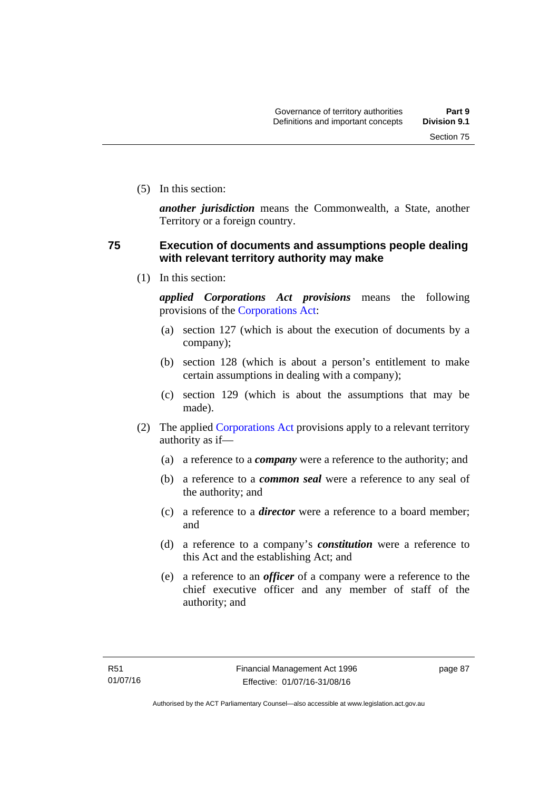(5) In this section:

*another jurisdiction* means the Commonwealth, a State, another Territory or a foreign country.

# **75 Execution of documents and assumptions people dealing with relevant territory authority may make**

(1) In this section:

*applied Corporations Act provisions* means the following provisions of the [Corporations Act:](http://www.comlaw.gov.au/Series/C2004A00818)

- (a) section 127 (which is about the execution of documents by a company);
- (b) section 128 (which is about a person's entitlement to make certain assumptions in dealing with a company);
- (c) section 129 (which is about the assumptions that may be made).
- (2) The applied [Corporations Act](http://www.comlaw.gov.au/Series/C2004A00818) provisions apply to a relevant territory authority as if—
	- (a) a reference to a *company* were a reference to the authority; and
	- (b) a reference to a *common seal* were a reference to any seal of the authority; and
	- (c) a reference to a *director* were a reference to a board member; and
	- (d) a reference to a company's *constitution* were a reference to this Act and the establishing Act; and
	- (e) a reference to an *officer* of a company were a reference to the chief executive officer and any member of staff of the authority; and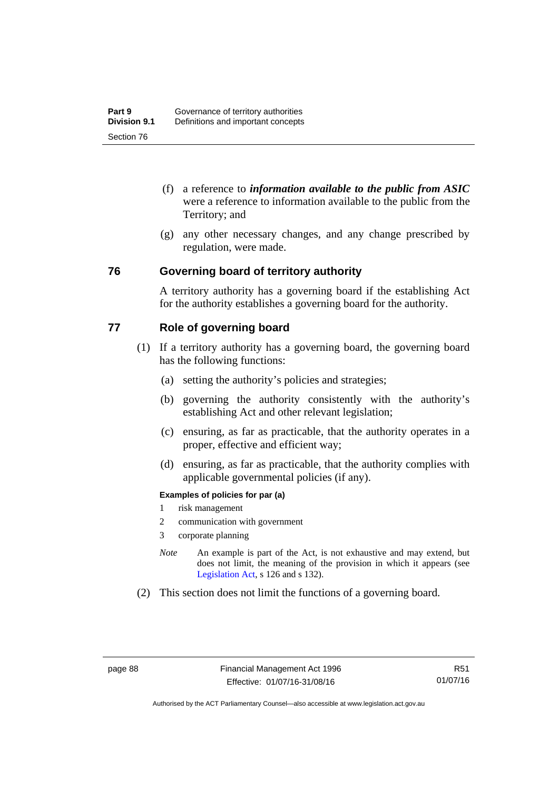- (f) a reference to *information available to the public from ASIC*  were a reference to information available to the public from the Territory; and
- (g) any other necessary changes, and any change prescribed by regulation, were made.

### **76 Governing board of territory authority**

A territory authority has a governing board if the establishing Act for the authority establishes a governing board for the authority.

# **77 Role of governing board**

- (1) If a territory authority has a governing board, the governing board has the following functions:
	- (a) setting the authority's policies and strategies;
	- (b) governing the authority consistently with the authority's establishing Act and other relevant legislation;
	- (c) ensuring, as far as practicable, that the authority operates in a proper, effective and efficient way;
	- (d) ensuring, as far as practicable, that the authority complies with applicable governmental policies (if any).

### **Examples of policies for par (a)**

- 1 risk management
- 2 communication with government
- 3 corporate planning
- *Note* An example is part of the Act, is not exhaustive and may extend, but does not limit, the meaning of the provision in which it appears (see [Legislation Act,](http://www.legislation.act.gov.au/a/2001-14) s 126 and s 132).
- (2) This section does not limit the functions of a governing board.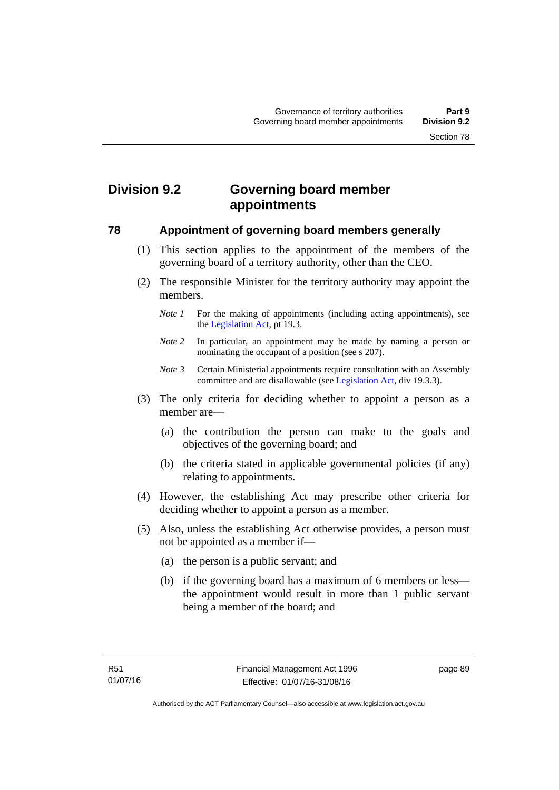# **Division 9.2 Governing board member appointments**

### **78 Appointment of governing board members generally**

- (1) This section applies to the appointment of the members of the governing board of a territory authority, other than the CEO.
- (2) The responsible Minister for the territory authority may appoint the members.
	- *Note 1* For the making of appointments (including acting appointments), see the [Legislation Act,](http://www.legislation.act.gov.au/a/2001-14) pt 19.3.
	- *Note 2* In particular, an appointment may be made by naming a person or nominating the occupant of a position (see s 207).
	- *Note 3* Certain Ministerial appointments require consultation with an Assembly committee and are disallowable (see [Legislation Act,](http://www.legislation.act.gov.au/a/2001-14) div 19.3.3).
- (3) The only criteria for deciding whether to appoint a person as a member are—
	- (a) the contribution the person can make to the goals and objectives of the governing board; and
	- (b) the criteria stated in applicable governmental policies (if any) relating to appointments.
- (4) However, the establishing Act may prescribe other criteria for deciding whether to appoint a person as a member.
- (5) Also, unless the establishing Act otherwise provides, a person must not be appointed as a member if—
	- (a) the person is a public servant; and
	- (b) if the governing board has a maximum of 6 members or less the appointment would result in more than 1 public servant being a member of the board; and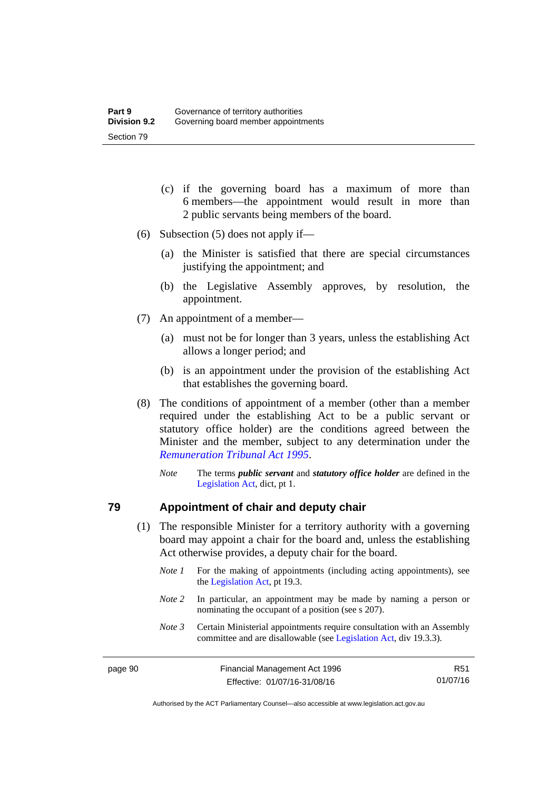- (c) if the governing board has a maximum of more than 6 members—the appointment would result in more than 2 public servants being members of the board.
- (6) Subsection (5) does not apply if—
	- (a) the Minister is satisfied that there are special circumstances justifying the appointment; and
	- (b) the Legislative Assembly approves, by resolution, the appointment.
- (7) An appointment of a member—
	- (a) must not be for longer than 3 years, unless the establishing Act allows a longer period; and
	- (b) is an appointment under the provision of the establishing Act that establishes the governing board.
- (8) The conditions of appointment of a member (other than a member required under the establishing Act to be a public servant or statutory office holder) are the conditions agreed between the Minister and the member, subject to any determination under the *[Remuneration Tribunal Act 1995](http://www.legislation.act.gov.au/a/1995-55)*.
	- *Note* The terms *public servant* and *statutory office holder* are defined in the [Legislation Act,](http://www.legislation.act.gov.au/a/2001-14) dict, pt 1.

### **79 Appointment of chair and deputy chair**

- (1) The responsible Minister for a territory authority with a governing board may appoint a chair for the board and, unless the establishing Act otherwise provides, a deputy chair for the board.
	- *Note 1* For the making of appointments (including acting appointments), see the [Legislation Act,](http://www.legislation.act.gov.au/a/2001-14) pt 19.3.
	- *Note 2* In particular, an appointment may be made by naming a person or nominating the occupant of a position (see s 207).
	- *Note 3* Certain Ministerial appointments require consultation with an Assembly committee and are disallowable (see [Legislation Act,](http://www.legislation.act.gov.au/a/2001-14) div 19.3.3).

R51 01/07/16

Authorised by the ACT Parliamentary Counsel—also accessible at www.legislation.act.gov.au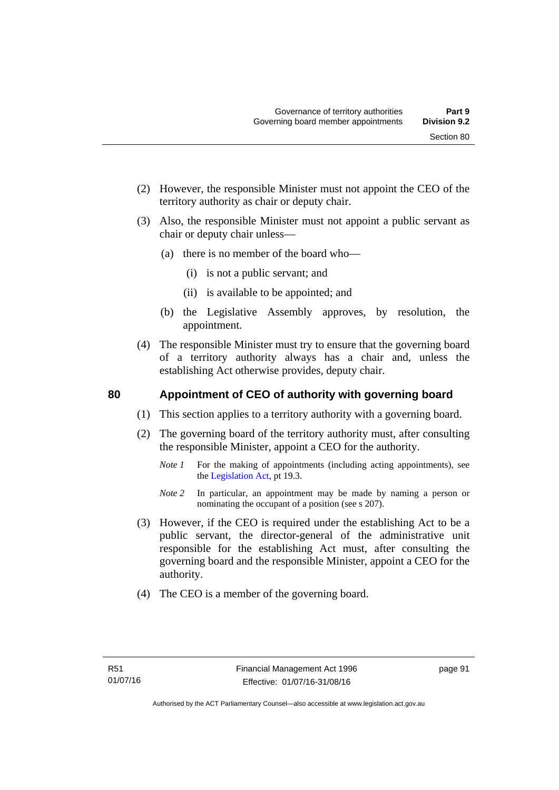- (2) However, the responsible Minister must not appoint the CEO of the territory authority as chair or deputy chair.
- (3) Also, the responsible Minister must not appoint a public servant as chair or deputy chair unless—
	- (a) there is no member of the board who—
		- (i) is not a public servant; and
		- (ii) is available to be appointed; and
	- (b) the Legislative Assembly approves, by resolution, the appointment.
- (4) The responsible Minister must try to ensure that the governing board of a territory authority always has a chair and, unless the establishing Act otherwise provides, deputy chair.

# **80 Appointment of CEO of authority with governing board**

- (1) This section applies to a territory authority with a governing board.
- (2) The governing board of the territory authority must, after consulting the responsible Minister, appoint a CEO for the authority.
	- *Note 1* For the making of appointments (including acting appointments), see the [Legislation Act,](http://www.legislation.act.gov.au/a/2001-14) pt 19.3.
	- *Note* 2 In particular, an appointment may be made by naming a person or nominating the occupant of a position (see s 207).
- (3) However, if the CEO is required under the establishing Act to be a public servant, the director-general of the administrative unit responsible for the establishing Act must, after consulting the governing board and the responsible Minister, appoint a CEO for the authority.
- (4) The CEO is a member of the governing board.

page 91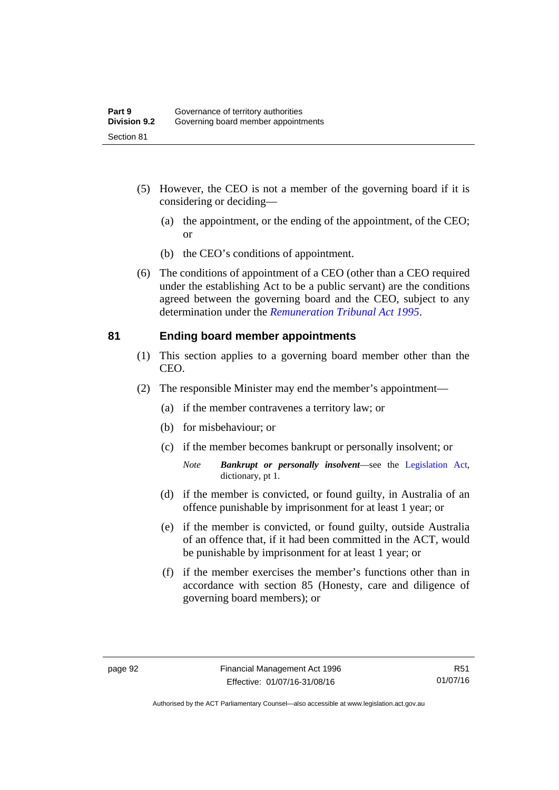- (5) However, the CEO is not a member of the governing board if it is considering or deciding—
	- (a) the appointment, or the ending of the appointment, of the CEO; or
	- (b) the CEO's conditions of appointment.
- (6) The conditions of appointment of a CEO (other than a CEO required under the establishing Act to be a public servant) are the conditions agreed between the governing board and the CEO, subject to any determination under the *[Remuneration Tribunal Act 1995](http://www.legislation.act.gov.au/a/1995-55)*.

### **81 Ending board member appointments**

- (1) This section applies to a governing board member other than the CEO.
- (2) The responsible Minister may end the member's appointment—
	- (a) if the member contravenes a territory law; or
	- (b) for misbehaviour; or
	- (c) if the member becomes bankrupt or personally insolvent; or
		- *Note Bankrupt or personally insolvent*—see the [Legislation Act,](http://www.legislation.act.gov.au/a/2001-14) dictionary, pt 1.
	- (d) if the member is convicted, or found guilty, in Australia of an offence punishable by imprisonment for at least 1 year; or
	- (e) if the member is convicted, or found guilty, outside Australia of an offence that, if it had been committed in the ACT, would be punishable by imprisonment for at least 1 year; or
	- (f) if the member exercises the member's functions other than in accordance with section 85 (Honesty, care and diligence of governing board members); or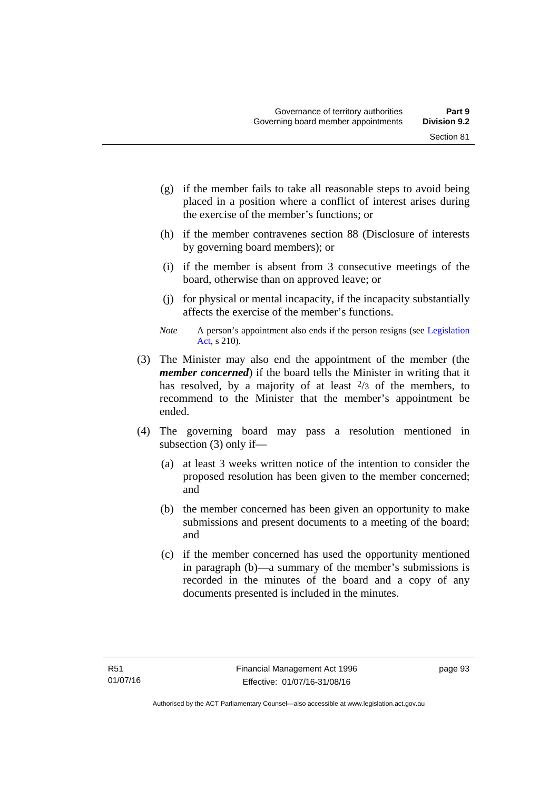- (g) if the member fails to take all reasonable steps to avoid being placed in a position where a conflict of interest arises during the exercise of the member's functions; or
- (h) if the member contravenes section 88 (Disclosure of interests by governing board members); or
- (i) if the member is absent from 3 consecutive meetings of the board, otherwise than on approved leave; or
- (j) for physical or mental incapacity, if the incapacity substantially affects the exercise of the member's functions.
- *Note* A person's appointment also ends if the person resigns (see Legislation [Act](http://www.legislation.act.gov.au/a/2001-14), s 210).
- (3) The Minister may also end the appointment of the member (the *member concerned*) if the board tells the Minister in writing that it has resolved, by a majority of at least  $\frac{2}{3}$  of the members, to recommend to the Minister that the member's appointment be ended.
- (4) The governing board may pass a resolution mentioned in subsection (3) only if—
	- (a) at least 3 weeks written notice of the intention to consider the proposed resolution has been given to the member concerned; and
	- (b) the member concerned has been given an opportunity to make submissions and present documents to a meeting of the board; and
	- (c) if the member concerned has used the opportunity mentioned in paragraph (b)—a summary of the member's submissions is recorded in the minutes of the board and a copy of any documents presented is included in the minutes.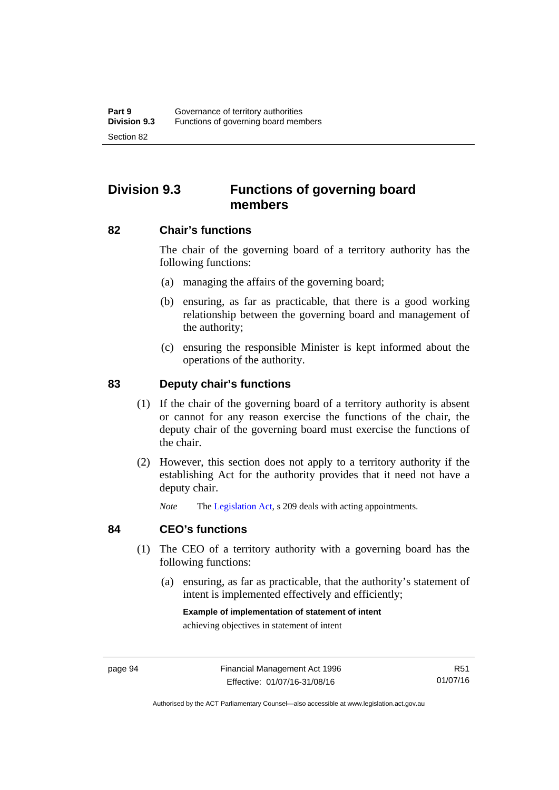# **Division 9.3 Functions of governing board members**

### **82 Chair's functions**

The chair of the governing board of a territory authority has the following functions:

- (a) managing the affairs of the governing board;
- (b) ensuring, as far as practicable, that there is a good working relationship between the governing board and management of the authority;
- (c) ensuring the responsible Minister is kept informed about the operations of the authority.

# **83 Deputy chair's functions**

- (1) If the chair of the governing board of a territory authority is absent or cannot for any reason exercise the functions of the chair, the deputy chair of the governing board must exercise the functions of the chair.
- (2) However, this section does not apply to a territory authority if the establishing Act for the authority provides that it need not have a deputy chair.

*Note* The [Legislation Act,](http://www.legislation.act.gov.au/a/2001-14) s 209 deals with acting appointments.

### **84 CEO's functions**

- (1) The CEO of a territory authority with a governing board has the following functions:
	- (a) ensuring, as far as practicable, that the authority's statement of intent is implemented effectively and efficiently;

#### **Example of implementation of statement of intent**

achieving objectives in statement of intent

R51 01/07/16

Authorised by the ACT Parliamentary Counsel—also accessible at www.legislation.act.gov.au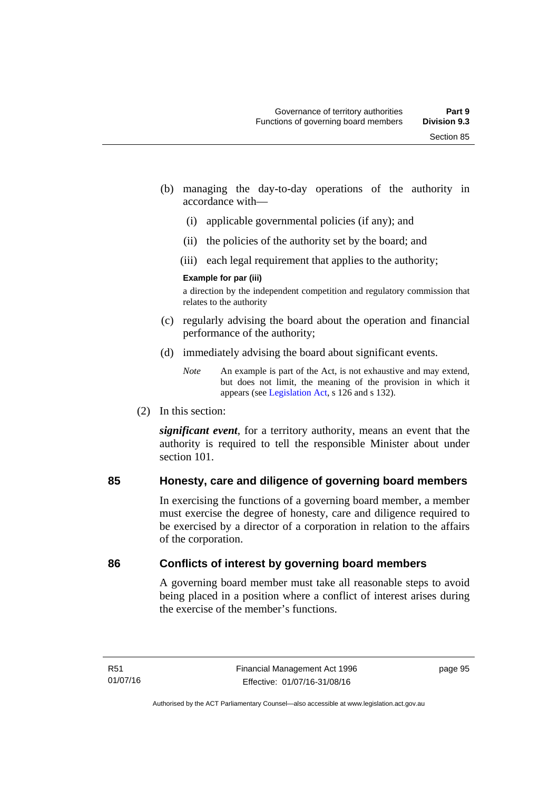- (b) managing the day-to-day operations of the authority in accordance with—
	- (i) applicable governmental policies (if any); and
	- (ii) the policies of the authority set by the board; and
	- (iii) each legal requirement that applies to the authority;

### **Example for par (iii)**

a direction by the independent competition and regulatory commission that relates to the authority

- (c) regularly advising the board about the operation and financial performance of the authority;
- (d) immediately advising the board about significant events.

(2) In this section:

*significant event*, for a territory authority, means an event that the authority is required to tell the responsible Minister about under section 101

# **85 Honesty, care and diligence of governing board members**

In exercising the functions of a governing board member, a member must exercise the degree of honesty, care and diligence required to be exercised by a director of a corporation in relation to the affairs of the corporation.

# **86 Conflicts of interest by governing board members**

A governing board member must take all reasonable steps to avoid being placed in a position where a conflict of interest arises during the exercise of the member's functions.

*Note* An example is part of the Act, is not exhaustive and may extend, but does not limit, the meaning of the provision in which it appears (see [Legislation Act,](http://www.legislation.act.gov.au/a/2001-14) s 126 and s 132).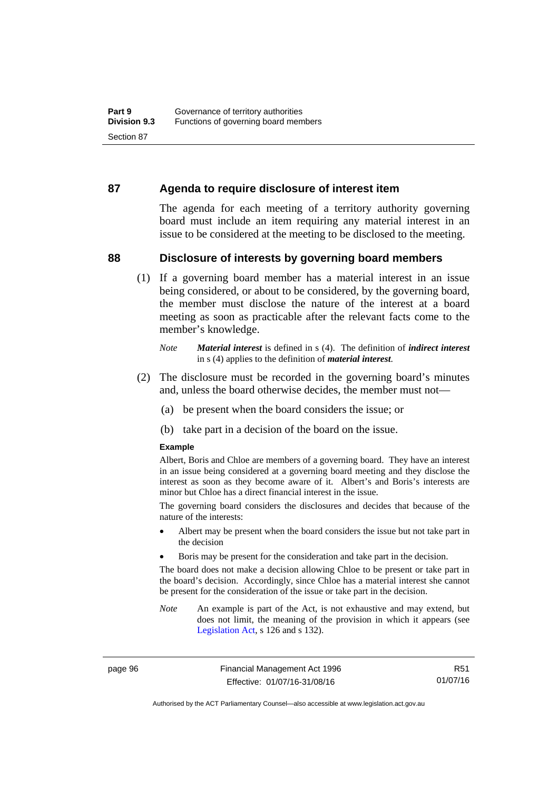### **87 Agenda to require disclosure of interest item**

The agenda for each meeting of a territory authority governing board must include an item requiring any material interest in an issue to be considered at the meeting to be disclosed to the meeting.

### **88 Disclosure of interests by governing board members**

(1) If a governing board member has a material interest in an issue being considered, or about to be considered, by the governing board, the member must disclose the nature of the interest at a board meeting as soon as practicable after the relevant facts come to the member's knowledge.

- (2) The disclosure must be recorded in the governing board's minutes and, unless the board otherwise decides, the member must not—
	- (a) be present when the board considers the issue; or
	- (b) take part in a decision of the board on the issue.

### **Example**

Albert, Boris and Chloe are members of a governing board. They have an interest in an issue being considered at a governing board meeting and they disclose the interest as soon as they become aware of it. Albert's and Boris's interests are minor but Chloe has a direct financial interest in the issue.

The governing board considers the disclosures and decides that because of the nature of the interests:

- Albert may be present when the board considers the issue but not take part in the decision
- Boris may be present for the consideration and take part in the decision.

The board does not make a decision allowing Chloe to be present or take part in the board's decision. Accordingly, since Chloe has a material interest she cannot be present for the consideration of the issue or take part in the decision.

*Note* An example is part of the Act, is not exhaustive and may extend, but does not limit, the meaning of the provision in which it appears (see [Legislation Act,](http://www.legislation.act.gov.au/a/2001-14) s 126 and s 132).

page 96 Financial Management Act 1996 Effective: 01/07/16-31/08/16

R51 01/07/16

Authorised by the ACT Parliamentary Counsel—also accessible at www.legislation.act.gov.au

*Note Material interest* is defined in s (4). The definition of *indirect interest* in s (4) applies to the definition of *material interest*.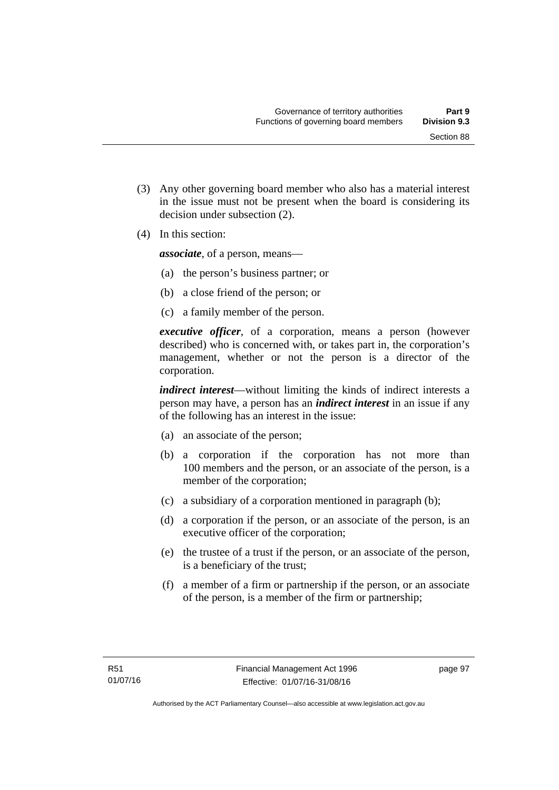(3) Any other governing board member who also has a material interest in the issue must not be present when the board is considering its

(4) In this section:

*associate*, of a person, means—

decision under subsection (2).

- (a) the person's business partner; or
- (b) a close friend of the person; or
- (c) a family member of the person.

*executive officer*, of a corporation, means a person (however described) who is concerned with, or takes part in, the corporation's management, whether or not the person is a director of the corporation.

*indirect interest*—without limiting the kinds of indirect interests a person may have, a person has an *indirect interest* in an issue if any of the following has an interest in the issue:

- (a) an associate of the person;
- (b) a corporation if the corporation has not more than 100 members and the person, or an associate of the person, is a member of the corporation;
- (c) a subsidiary of a corporation mentioned in paragraph (b);
- (d) a corporation if the person, or an associate of the person, is an executive officer of the corporation;
- (e) the trustee of a trust if the person, or an associate of the person, is a beneficiary of the trust;
- (f) a member of a firm or partnership if the person, or an associate of the person, is a member of the firm or partnership;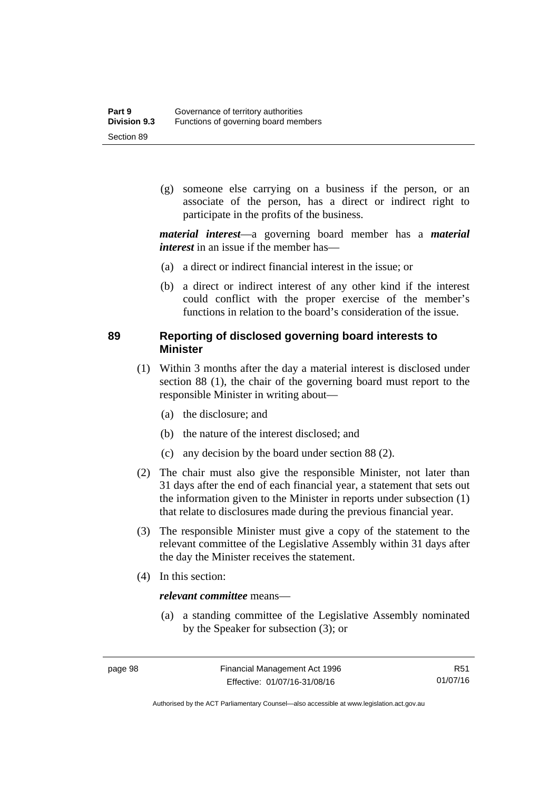(g) someone else carrying on a business if the person, or an associate of the person, has a direct or indirect right to participate in the profits of the business.

*material interest*—a governing board member has a *material interest* in an issue if the member has—

- (a) a direct or indirect financial interest in the issue; or
- (b) a direct or indirect interest of any other kind if the interest could conflict with the proper exercise of the member's functions in relation to the board's consideration of the issue.

# **89 Reporting of disclosed governing board interests to Minister**

- (1) Within 3 months after the day a material interest is disclosed under section 88 (1), the chair of the governing board must report to the responsible Minister in writing about—
	- (a) the disclosure; and
	- (b) the nature of the interest disclosed; and
	- (c) any decision by the board under section 88 (2).
- (2) The chair must also give the responsible Minister, not later than 31 days after the end of each financial year, a statement that sets out the information given to the Minister in reports under subsection (1) that relate to disclosures made during the previous financial year.
- (3) The responsible Minister must give a copy of the statement to the relevant committee of the Legislative Assembly within 31 days after the day the Minister receives the statement.
- (4) In this section:

### *relevant committee* means—

 (a) a standing committee of the Legislative Assembly nominated by the Speaker for subsection (3); or

R51 01/07/16

Authorised by the ACT Parliamentary Counsel—also accessible at www.legislation.act.gov.au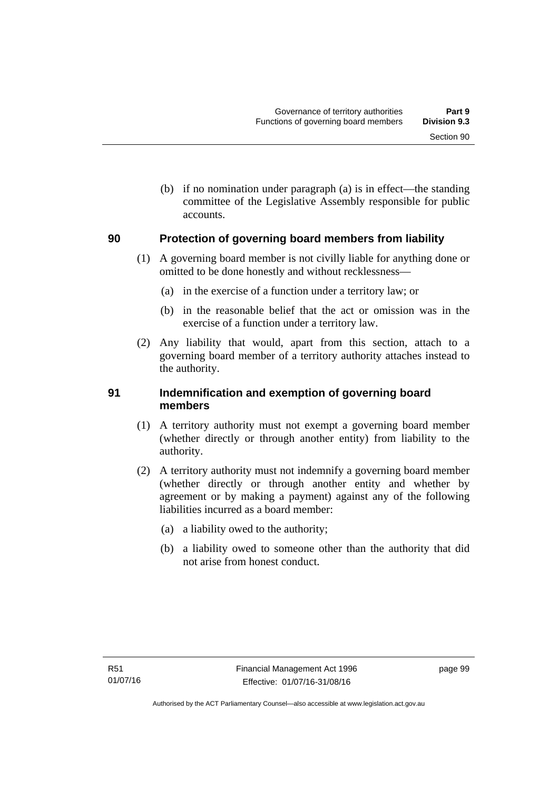(b) if no nomination under paragraph (a) is in effect—the standing committee of the Legislative Assembly responsible for public accounts.

#### **90 Protection of governing board members from liability**

- (1) A governing board member is not civilly liable for anything done or omitted to be done honestly and without recklessness—
	- (a) in the exercise of a function under a territory law; or
	- (b) in the reasonable belief that the act or omission was in the exercise of a function under a territory law.
- (2) Any liability that would, apart from this section, attach to a governing board member of a territory authority attaches instead to the authority.

#### **91 Indemnification and exemption of governing board members**

- (1) A territory authority must not exempt a governing board member (whether directly or through another entity) from liability to the authority.
- (2) A territory authority must not indemnify a governing board member (whether directly or through another entity and whether by agreement or by making a payment) against any of the following liabilities incurred as a board member:
	- (a) a liability owed to the authority;
	- (b) a liability owed to someone other than the authority that did not arise from honest conduct.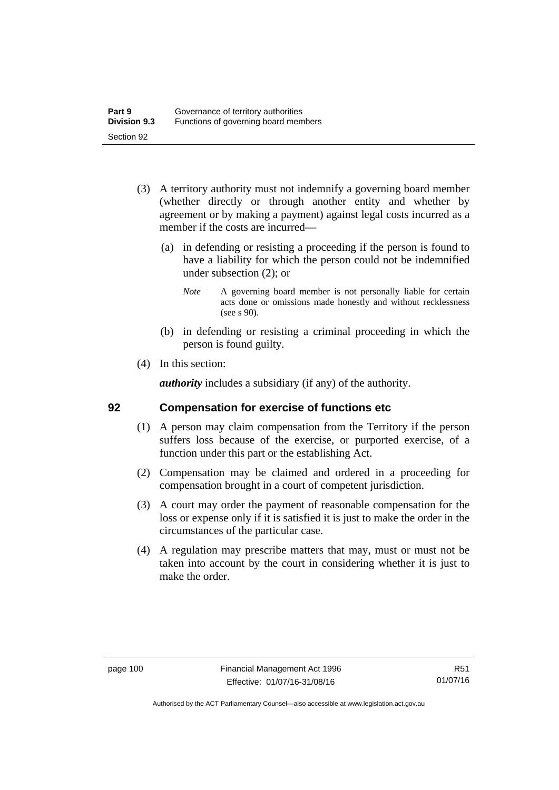- (3) A territory authority must not indemnify a governing board member (whether directly or through another entity and whether by agreement or by making a payment) against legal costs incurred as a member if the costs are incurred—
	- (a) in defending or resisting a proceeding if the person is found to have a liability for which the person could not be indemnified under subsection (2); or
		- *Note* A governing board member is not personally liable for certain acts done or omissions made honestly and without recklessness (see s 90).
	- (b) in defending or resisting a criminal proceeding in which the person is found guilty.
- (4) In this section:

*authority* includes a subsidiary (if any) of the authority.

#### **92 Compensation for exercise of functions etc**

- (1) A person may claim compensation from the Territory if the person suffers loss because of the exercise, or purported exercise, of a function under this part or the establishing Act.
- (2) Compensation may be claimed and ordered in a proceeding for compensation brought in a court of competent jurisdiction.
- (3) A court may order the payment of reasonable compensation for the loss or expense only if it is satisfied it is just to make the order in the circumstances of the particular case.
- (4) A regulation may prescribe matters that may, must or must not be taken into account by the court in considering whether it is just to make the order.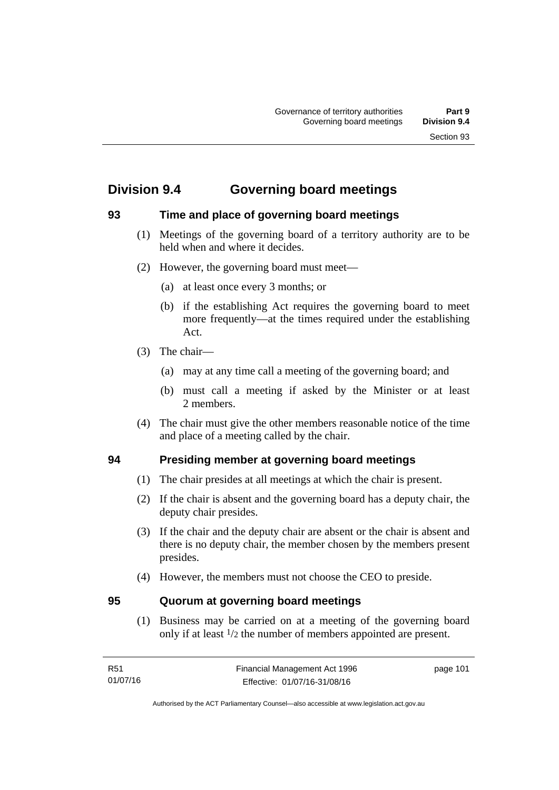# **Division 9.4 Governing board meetings**

# **93 Time and place of governing board meetings**

- (1) Meetings of the governing board of a territory authority are to be held when and where it decides.
- (2) However, the governing board must meet—
	- (a) at least once every 3 months; or
	- (b) if the establishing Act requires the governing board to meet more frequently—at the times required under the establishing Act.
- (3) The chair—
	- (a) may at any time call a meeting of the governing board; and
	- (b) must call a meeting if asked by the Minister or at least 2 members.
- (4) The chair must give the other members reasonable notice of the time and place of a meeting called by the chair.

## **94 Presiding member at governing board meetings**

- (1) The chair presides at all meetings at which the chair is present.
- (2) If the chair is absent and the governing board has a deputy chair, the deputy chair presides.
- (3) If the chair and the deputy chair are absent or the chair is absent and there is no deputy chair, the member chosen by the members present presides.
- (4) However, the members must not choose the CEO to preside.

#### **95 Quorum at governing board meetings**

(1) Business may be carried on at a meeting of the governing board only if at least 1/2 the number of members appointed are present.

page 101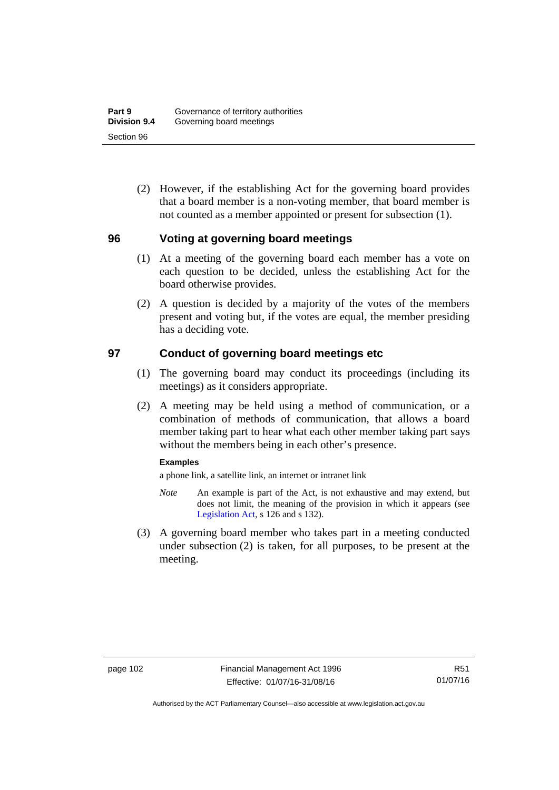(2) However, if the establishing Act for the governing board provides that a board member is a non-voting member, that board member is not counted as a member appointed or present for subsection (1).

#### **96 Voting at governing board meetings**

- (1) At a meeting of the governing board each member has a vote on each question to be decided, unless the establishing Act for the board otherwise provides.
- (2) A question is decided by a majority of the votes of the members present and voting but, if the votes are equal, the member presiding has a deciding vote.

#### **97 Conduct of governing board meetings etc**

- (1) The governing board may conduct its proceedings (including its meetings) as it considers appropriate.
- (2) A meeting may be held using a method of communication, or a combination of methods of communication, that allows a board member taking part to hear what each other member taking part says without the members being in each other's presence.

#### **Examples**

a phone link, a satellite link, an internet or intranet link

- *Note* An example is part of the Act, is not exhaustive and may extend, but does not limit, the meaning of the provision in which it appears (see [Legislation Act,](http://www.legislation.act.gov.au/a/2001-14) s 126 and s 132).
- (3) A governing board member who takes part in a meeting conducted under subsection (2) is taken, for all purposes, to be present at the meeting.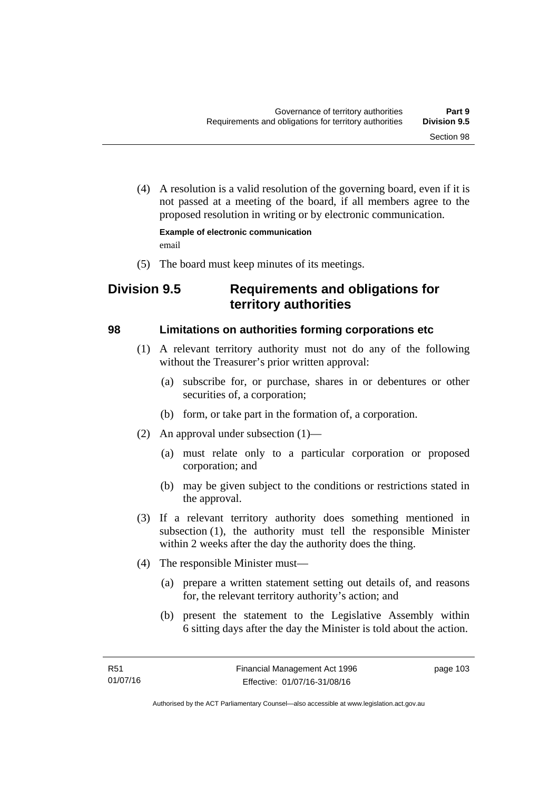(4) A resolution is a valid resolution of the governing board, even if it is not passed at a meeting of the board, if all members agree to the proposed resolution in writing or by electronic communication.

**Example of electronic communication**  email

(5) The board must keep minutes of its meetings.

# **Division 9.5 Requirements and obligations for territory authorities**

#### **98 Limitations on authorities forming corporations etc**

- (1) A relevant territory authority must not do any of the following without the Treasurer's prior written approval:
	- (a) subscribe for, or purchase, shares in or debentures or other securities of, a corporation;
	- (b) form, or take part in the formation of, a corporation.
- (2) An approval under subsection (1)—
	- (a) must relate only to a particular corporation or proposed corporation; and
	- (b) may be given subject to the conditions or restrictions stated in the approval.
- (3) If a relevant territory authority does something mentioned in subsection (1), the authority must tell the responsible Minister within 2 weeks after the day the authority does the thing.
- (4) The responsible Minister must—
	- (a) prepare a written statement setting out details of, and reasons for, the relevant territory authority's action; and
	- (b) present the statement to the Legislative Assembly within 6 sitting days after the day the Minister is told about the action.

page 103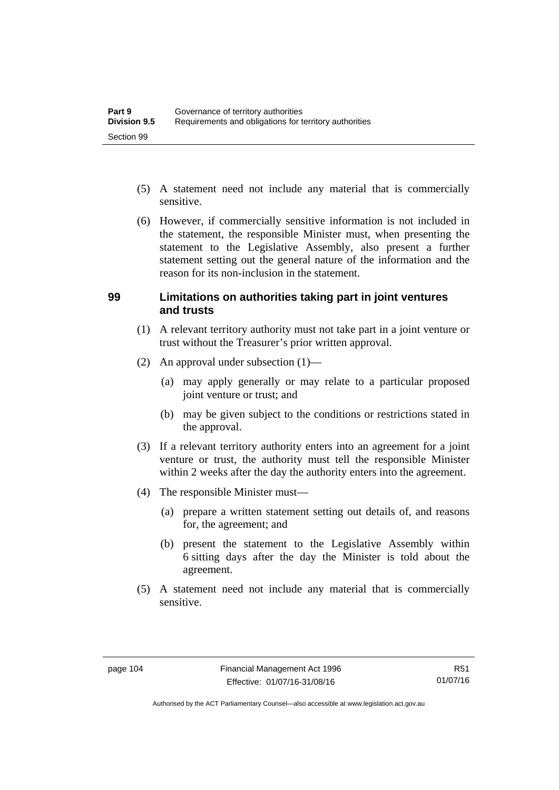- (5) A statement need not include any material that is commercially sensitive.
- (6) However, if commercially sensitive information is not included in the statement, the responsible Minister must, when presenting the statement to the Legislative Assembly, also present a further statement setting out the general nature of the information and the reason for its non-inclusion in the statement.

#### **99 Limitations on authorities taking part in joint ventures and trusts**

- (1) A relevant territory authority must not take part in a joint venture or trust without the Treasurer's prior written approval.
- (2) An approval under subsection (1)—
	- (a) may apply generally or may relate to a particular proposed joint venture or trust; and
	- (b) may be given subject to the conditions or restrictions stated in the approval.
- (3) If a relevant territory authority enters into an agreement for a joint venture or trust, the authority must tell the responsible Minister within 2 weeks after the day the authority enters into the agreement.
- (4) The responsible Minister must—
	- (a) prepare a written statement setting out details of, and reasons for, the agreement; and
	- (b) present the statement to the Legislative Assembly within 6 sitting days after the day the Minister is told about the agreement.
- (5) A statement need not include any material that is commercially sensitive.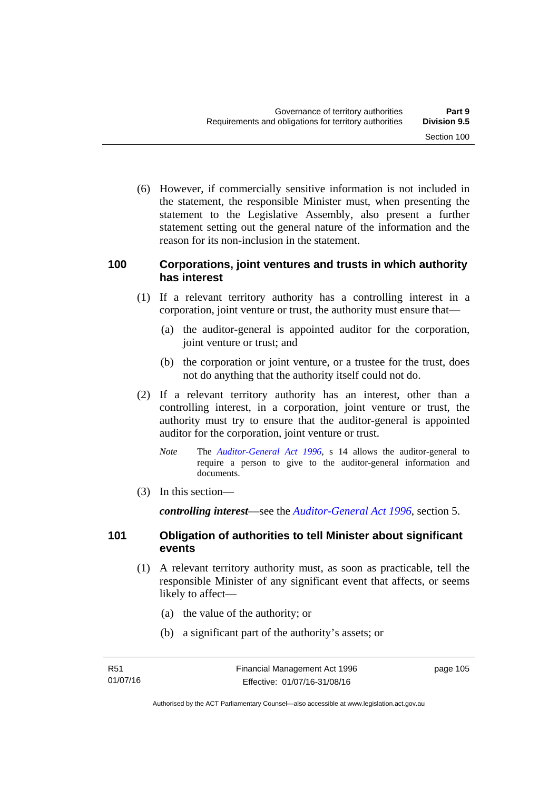(6) However, if commercially sensitive information is not included in the statement, the responsible Minister must, when presenting the statement to the Legislative Assembly, also present a further statement setting out the general nature of the information and the reason for its non-inclusion in the statement.

#### **100 Corporations, joint ventures and trusts in which authority has interest**

- (1) If a relevant territory authority has a controlling interest in a corporation, joint venture or trust, the authority must ensure that—
	- (a) the auditor-general is appointed auditor for the corporation, joint venture or trust; and
	- (b) the corporation or joint venture, or a trustee for the trust, does not do anything that the authority itself could not do.
- (2) If a relevant territory authority has an interest, other than a controlling interest, in a corporation, joint venture or trust, the authority must try to ensure that the auditor-general is appointed auditor for the corporation, joint venture or trust.
	- *Note* The *[Auditor-General Act 1996](http://www.legislation.act.gov.au/a/1996-23)*, s 14 allows the auditor-general to require a person to give to the auditor-general information and documents.
- (3) In this section—

*controlling interest*—see the *[Auditor-General Act 1996](http://www.legislation.act.gov.au/a/1996-23)*, section 5.

#### **101 Obligation of authorities to tell Minister about significant events**

- (1) A relevant territory authority must, as soon as practicable, tell the responsible Minister of any significant event that affects, or seems likely to affect—
	- (a) the value of the authority; or
	- (b) a significant part of the authority's assets; or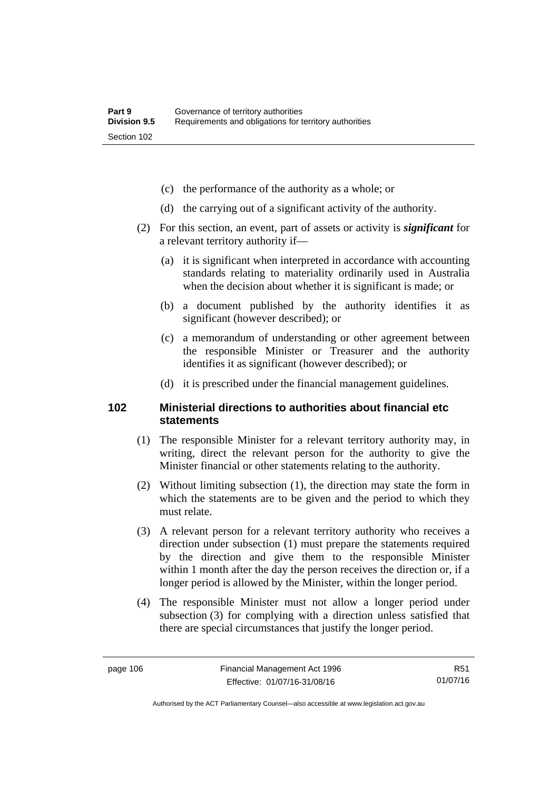- (c) the performance of the authority as a whole; or
- (d) the carrying out of a significant activity of the authority.
- (2) For this section, an event, part of assets or activity is *significant* for a relevant territory authority if—
	- (a) it is significant when interpreted in accordance with accounting standards relating to materiality ordinarily used in Australia when the decision about whether it is significant is made; or
	- (b) a document published by the authority identifies it as significant (however described); or
	- (c) a memorandum of understanding or other agreement between the responsible Minister or Treasurer and the authority identifies it as significant (however described); or
	- (d) it is prescribed under the financial management guidelines.

#### **102 Ministerial directions to authorities about financial etc statements**

- (1) The responsible Minister for a relevant territory authority may, in writing, direct the relevant person for the authority to give the Minister financial or other statements relating to the authority.
- (2) Without limiting subsection (1), the direction may state the form in which the statements are to be given and the period to which they must relate.
- (3) A relevant person for a relevant territory authority who receives a direction under subsection (1) must prepare the statements required by the direction and give them to the responsible Minister within 1 month after the day the person receives the direction or, if a longer period is allowed by the Minister, within the longer period.
- (4) The responsible Minister must not allow a longer period under subsection (3) for complying with a direction unless satisfied that there are special circumstances that justify the longer period.

R51 01/07/16

Authorised by the ACT Parliamentary Counsel—also accessible at www.legislation.act.gov.au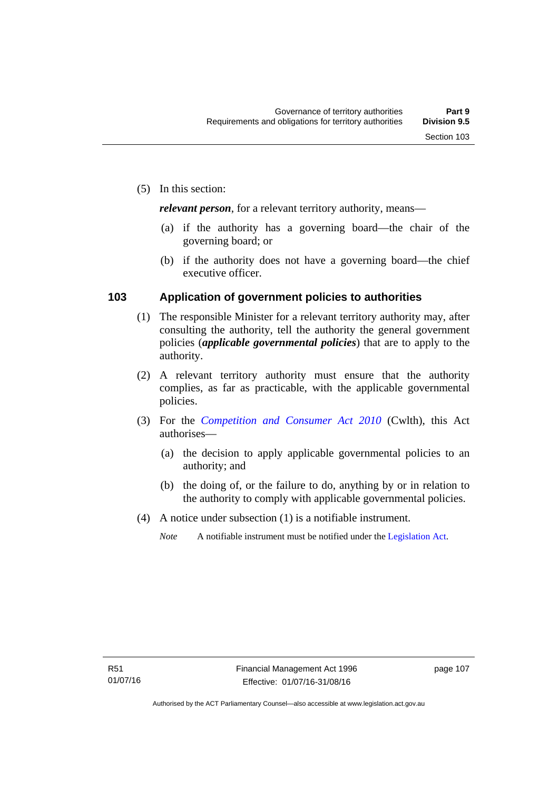*relevant person*, for a relevant territory authority, means—

- (a) if the authority has a governing board—the chair of the governing board; or
- (b) if the authority does not have a governing board—the chief executive officer.

#### **103 Application of government policies to authorities**

- (1) The responsible Minister for a relevant territory authority may, after consulting the authority, tell the authority the general government policies (*applicable governmental policies*) that are to apply to the authority.
- (2) A relevant territory authority must ensure that the authority complies, as far as practicable, with the applicable governmental policies.
- (3) For the *[Competition and Consumer Act 2010](http://www.comlaw.gov.au/Series/C2004A00109)* (Cwlth), this Act authorises—
	- (a) the decision to apply applicable governmental policies to an authority; and
	- (b) the doing of, or the failure to do, anything by or in relation to the authority to comply with applicable governmental policies.
- (4) A notice under subsection (1) is a notifiable instrument.
	- *Note* A notifiable instrument must be notified under the [Legislation Act](http://www.legislation.act.gov.au/a/2001-14).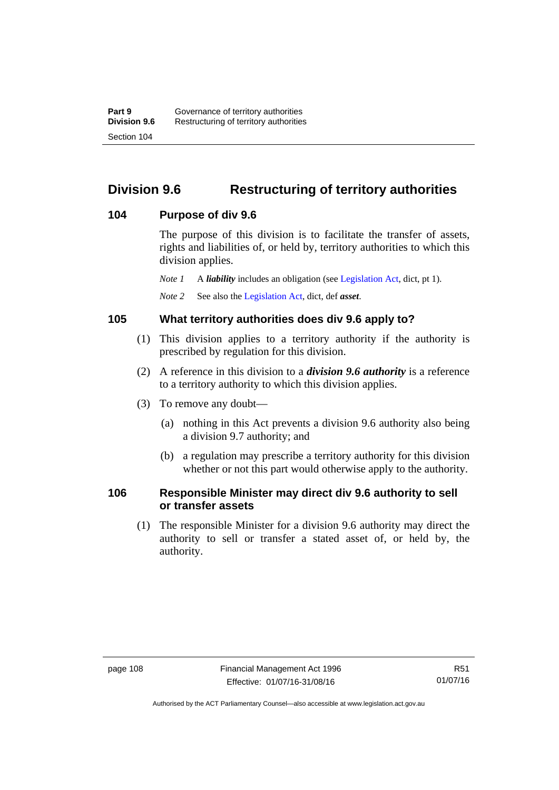# **Division 9.6 Restructuring of territory authorities**

#### **104 Purpose of div 9.6**

The purpose of this division is to facilitate the transfer of assets, rights and liabilities of, or held by, territory authorities to which this division applies.

*Note 1* A *liability* includes an obligation (see [Legislation Act,](http://www.legislation.act.gov.au/a/2001-14) dict, pt 1).

*Note 2* See also the [Legislation Act](http://www.legislation.act.gov.au/a/2001-14), dict, def *asset*.

#### **105 What territory authorities does div 9.6 apply to?**

- (1) This division applies to a territory authority if the authority is prescribed by regulation for this division.
- (2) A reference in this division to a *division 9.6 authority* is a reference to a territory authority to which this division applies.
- (3) To remove any doubt—
	- (a) nothing in this Act prevents a division 9.6 authority also being a division 9.7 authority; and
	- (b) a regulation may prescribe a territory authority for this division whether or not this part would otherwise apply to the authority.

#### **106 Responsible Minister may direct div 9.6 authority to sell or transfer assets**

 (1) The responsible Minister for a division 9.6 authority may direct the authority to sell or transfer a stated asset of, or held by, the authority.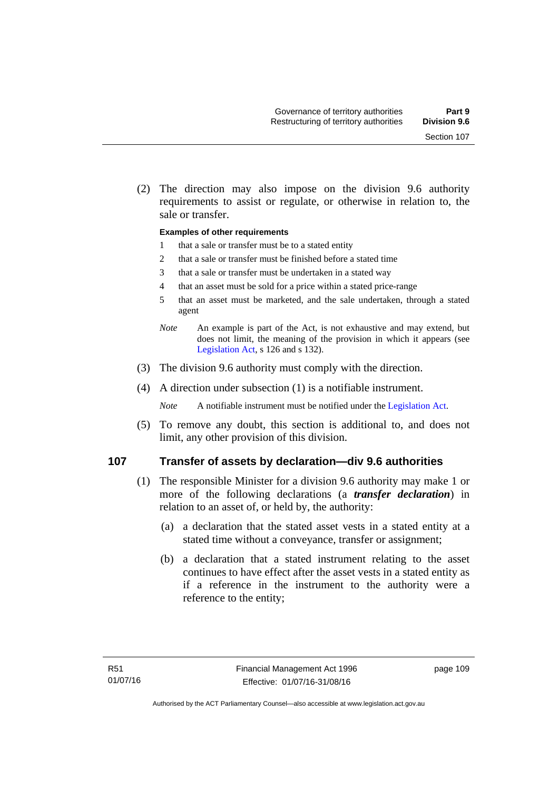(2) The direction may also impose on the division 9.6 authority requirements to assist or regulate, or otherwise in relation to, the sale or transfer.

#### **Examples of other requirements**

- 1 that a sale or transfer must be to a stated entity
- 2 that a sale or transfer must be finished before a stated time
- 3 that a sale or transfer must be undertaken in a stated way
- 4 that an asset must be sold for a price within a stated price-range
- 5 that an asset must be marketed, and the sale undertaken, through a stated agent
- *Note* An example is part of the Act, is not exhaustive and may extend, but does not limit, the meaning of the provision in which it appears (see [Legislation Act,](http://www.legislation.act.gov.au/a/2001-14) s 126 and s 132).
- (3) The division 9.6 authority must comply with the direction.
- (4) A direction under subsection (1) is a notifiable instrument.

*Note* A notifiable instrument must be notified under the [Legislation Act](http://www.legislation.act.gov.au/a/2001-14).

 (5) To remove any doubt, this section is additional to, and does not limit, any other provision of this division.

#### **107 Transfer of assets by declaration—div 9.6 authorities**

- (1) The responsible Minister for a division 9.6 authority may make 1 or more of the following declarations (a *transfer declaration*) in relation to an asset of, or held by, the authority:
	- (a) a declaration that the stated asset vests in a stated entity at a stated time without a conveyance, transfer or assignment;
	- (b) a declaration that a stated instrument relating to the asset continues to have effect after the asset vests in a stated entity as if a reference in the instrument to the authority were a reference to the entity;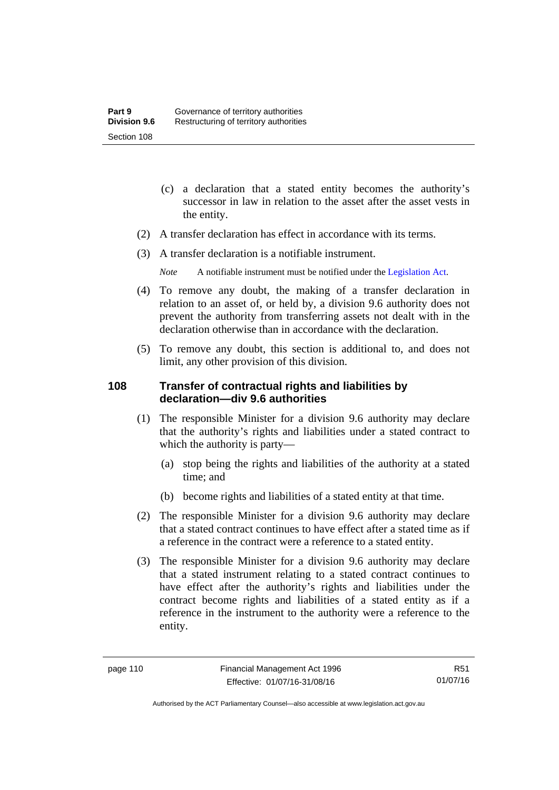- (c) a declaration that a stated entity becomes the authority's successor in law in relation to the asset after the asset vests in the entity.
- (2) A transfer declaration has effect in accordance with its terms.
- (3) A transfer declaration is a notifiable instrument.
	- *Note* A notifiable instrument must be notified under the [Legislation Act](http://www.legislation.act.gov.au/a/2001-14).
- (4) To remove any doubt, the making of a transfer declaration in relation to an asset of, or held by, a division 9.6 authority does not prevent the authority from transferring assets not dealt with in the declaration otherwise than in accordance with the declaration.
- (5) To remove any doubt, this section is additional to, and does not limit, any other provision of this division.

#### **108 Transfer of contractual rights and liabilities by declaration—div 9.6 authorities**

- (1) The responsible Minister for a division 9.6 authority may declare that the authority's rights and liabilities under a stated contract to which the authority is party—
	- (a) stop being the rights and liabilities of the authority at a stated time; and
	- (b) become rights and liabilities of a stated entity at that time.
- (2) The responsible Minister for a division 9.6 authority may declare that a stated contract continues to have effect after a stated time as if a reference in the contract were a reference to a stated entity.
- (3) The responsible Minister for a division 9.6 authority may declare that a stated instrument relating to a stated contract continues to have effect after the authority's rights and liabilities under the contract become rights and liabilities of a stated entity as if a reference in the instrument to the authority were a reference to the entity.

R51 01/07/16

Authorised by the ACT Parliamentary Counsel—also accessible at www.legislation.act.gov.au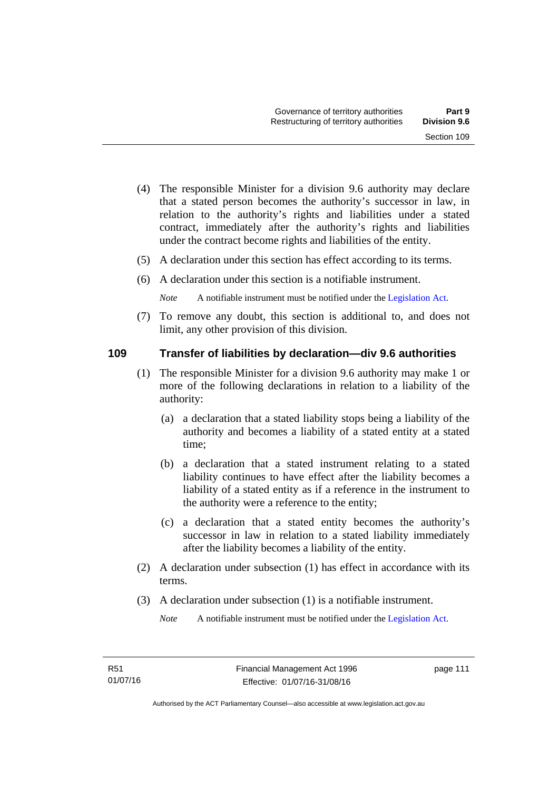- (4) The responsible Minister for a division 9.6 authority may declare that a stated person becomes the authority's successor in law, in relation to the authority's rights and liabilities under a stated contract, immediately after the authority's rights and liabilities under the contract become rights and liabilities of the entity.
- (5) A declaration under this section has effect according to its terms.
- (6) A declaration under this section is a notifiable instrument.

*Note* A notifiable instrument must be notified under the [Legislation Act](http://www.legislation.act.gov.au/a/2001-14).

 (7) To remove any doubt, this section is additional to, and does not limit, any other provision of this division.

#### **109 Transfer of liabilities by declaration—div 9.6 authorities**

- (1) The responsible Minister for a division 9.6 authority may make 1 or more of the following declarations in relation to a liability of the authority:
	- (a) a declaration that a stated liability stops being a liability of the authority and becomes a liability of a stated entity at a stated time;
	- (b) a declaration that a stated instrument relating to a stated liability continues to have effect after the liability becomes a liability of a stated entity as if a reference in the instrument to the authority were a reference to the entity;
	- (c) a declaration that a stated entity becomes the authority's successor in law in relation to a stated liability immediately after the liability becomes a liability of the entity.
- (2) A declaration under subsection (1) has effect in accordance with its terms.
- (3) A declaration under subsection (1) is a notifiable instrument.

*Note* A notifiable instrument must be notified under the [Legislation Act](http://www.legislation.act.gov.au/a/2001-14).

page 111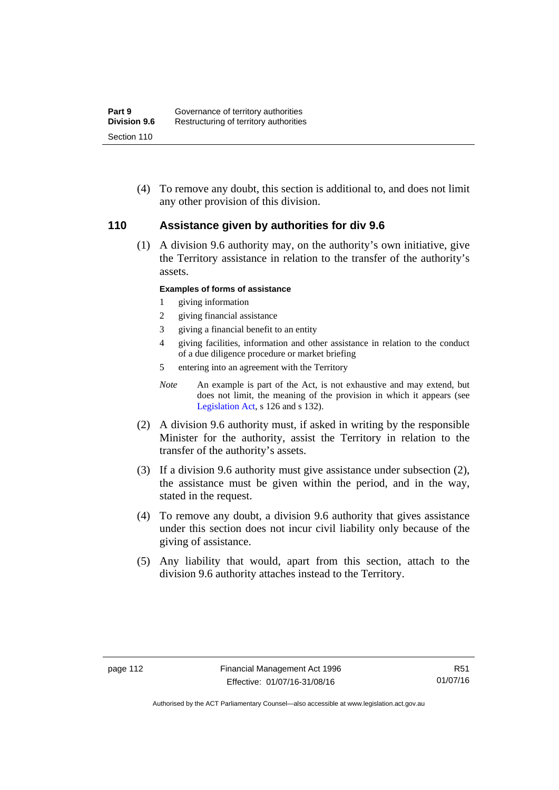(4) To remove any doubt, this section is additional to, and does not limit any other provision of this division.

#### **110 Assistance given by authorities for div 9.6**

(1) A division 9.6 authority may, on the authority's own initiative, give the Territory assistance in relation to the transfer of the authority's assets.

#### **Examples of forms of assistance**

- 1 giving information
- 2 giving financial assistance
- 3 giving a financial benefit to an entity
- 4 giving facilities, information and other assistance in relation to the conduct of a due diligence procedure or market briefing
- 5 entering into an agreement with the Territory
- *Note* An example is part of the Act, is not exhaustive and may extend, but does not limit, the meaning of the provision in which it appears (see [Legislation Act,](http://www.legislation.act.gov.au/a/2001-14) s 126 and s 132).
- (2) A division 9.6 authority must, if asked in writing by the responsible Minister for the authority, assist the Territory in relation to the transfer of the authority's assets.
- (3) If a division 9.6 authority must give assistance under subsection (2), the assistance must be given within the period, and in the way, stated in the request.
- (4) To remove any doubt, a division 9.6 authority that gives assistance under this section does not incur civil liability only because of the giving of assistance.
- (5) Any liability that would, apart from this section, attach to the division 9.6 authority attaches instead to the Territory.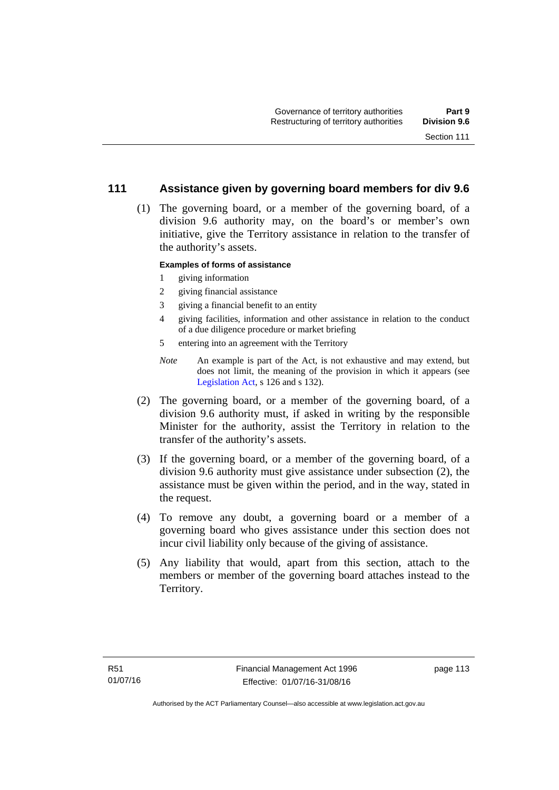#### **111 Assistance given by governing board members for div 9.6**

 (1) The governing board, or a member of the governing board, of a division 9.6 authority may, on the board's or member's own initiative, give the Territory assistance in relation to the transfer of the authority's assets.

#### **Examples of forms of assistance**

- 1 giving information
- 2 giving financial assistance
- 3 giving a financial benefit to an entity
- 4 giving facilities, information and other assistance in relation to the conduct of a due diligence procedure or market briefing
- 5 entering into an agreement with the Territory
- *Note* An example is part of the Act, is not exhaustive and may extend, but does not limit, the meaning of the provision in which it appears (see [Legislation Act,](http://www.legislation.act.gov.au/a/2001-14) s 126 and s 132).
- (2) The governing board, or a member of the governing board, of a division 9.6 authority must, if asked in writing by the responsible Minister for the authority, assist the Territory in relation to the transfer of the authority's assets.
- (3) If the governing board, or a member of the governing board, of a division 9.6 authority must give assistance under subsection (2), the assistance must be given within the period, and in the way, stated in the request.
- (4) To remove any doubt, a governing board or a member of a governing board who gives assistance under this section does not incur civil liability only because of the giving of assistance.
- (5) Any liability that would, apart from this section, attach to the members or member of the governing board attaches instead to the Territory.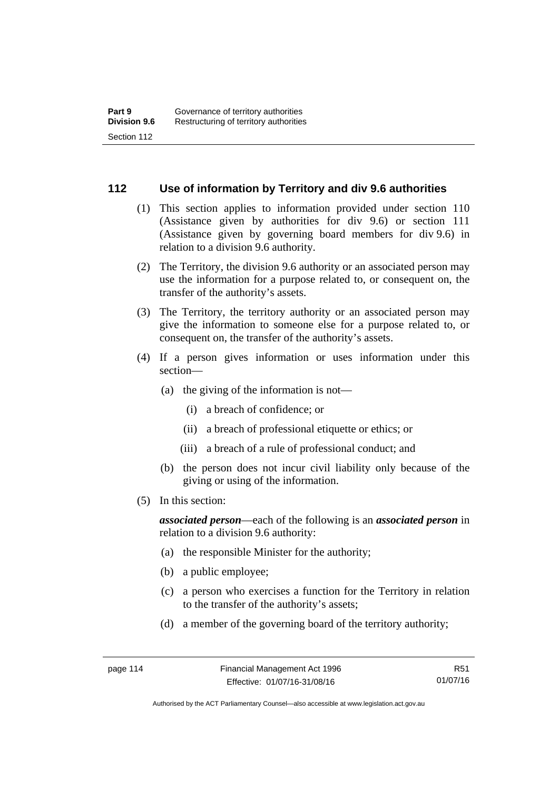#### **112 Use of information by Territory and div 9.6 authorities**

- (1) This section applies to information provided under section 110 (Assistance given by authorities for div 9.6) or section 111 (Assistance given by governing board members for div 9.6) in relation to a division 9.6 authority.
- (2) The Territory, the division 9.6 authority or an associated person may use the information for a purpose related to, or consequent on, the transfer of the authority's assets.
- (3) The Territory, the territory authority or an associated person may give the information to someone else for a purpose related to, or consequent on, the transfer of the authority's assets.
- (4) If a person gives information or uses information under this section—
	- (a) the giving of the information is not—
		- (i) a breach of confidence; or
		- (ii) a breach of professional etiquette or ethics; or
		- (iii) a breach of a rule of professional conduct; and
	- (b) the person does not incur civil liability only because of the giving or using of the information.
- (5) In this section:

*associated person*—each of the following is an *associated person* in relation to a division 9.6 authority:

- (a) the responsible Minister for the authority;
- (b) a public employee;
- (c) a person who exercises a function for the Territory in relation to the transfer of the authority's assets;
- (d) a member of the governing board of the territory authority;

R51 01/07/16

Authorised by the ACT Parliamentary Counsel—also accessible at www.legislation.act.gov.au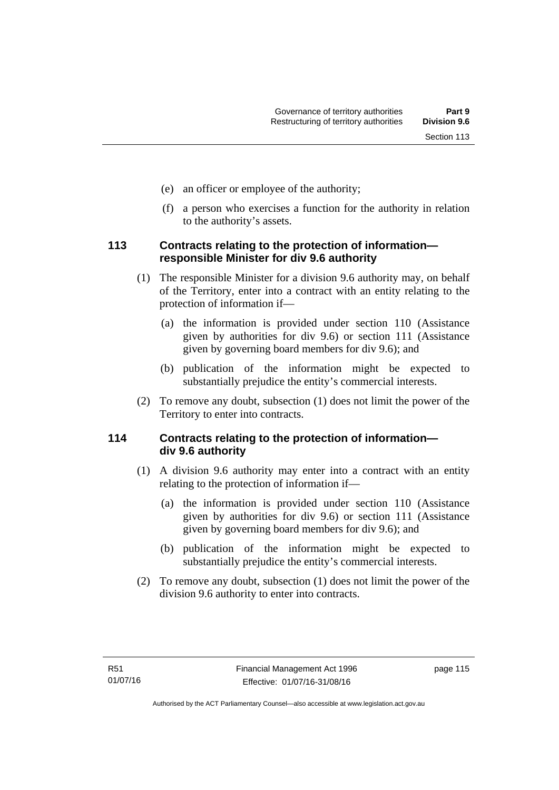- (e) an officer or employee of the authority;
- (f) a person who exercises a function for the authority in relation to the authority's assets.

## **113 Contracts relating to the protection of information responsible Minister for div 9.6 authority**

- (1) The responsible Minister for a division 9.6 authority may, on behalf of the Territory, enter into a contract with an entity relating to the protection of information if—
	- (a) the information is provided under section 110 (Assistance given by authorities for div 9.6) or section 111 (Assistance given by governing board members for div 9.6); and
	- (b) publication of the information might be expected to substantially prejudice the entity's commercial interests.
- (2) To remove any doubt, subsection (1) does not limit the power of the Territory to enter into contracts.

# **114 Contracts relating to the protection of information div 9.6 authority**

- (1) A division 9.6 authority may enter into a contract with an entity relating to the protection of information if—
	- (a) the information is provided under section 110 (Assistance given by authorities for div 9.6) or section 111 (Assistance given by governing board members for div 9.6); and
	- (b) publication of the information might be expected to substantially prejudice the entity's commercial interests.
- (2) To remove any doubt, subsection (1) does not limit the power of the division 9.6 authority to enter into contracts.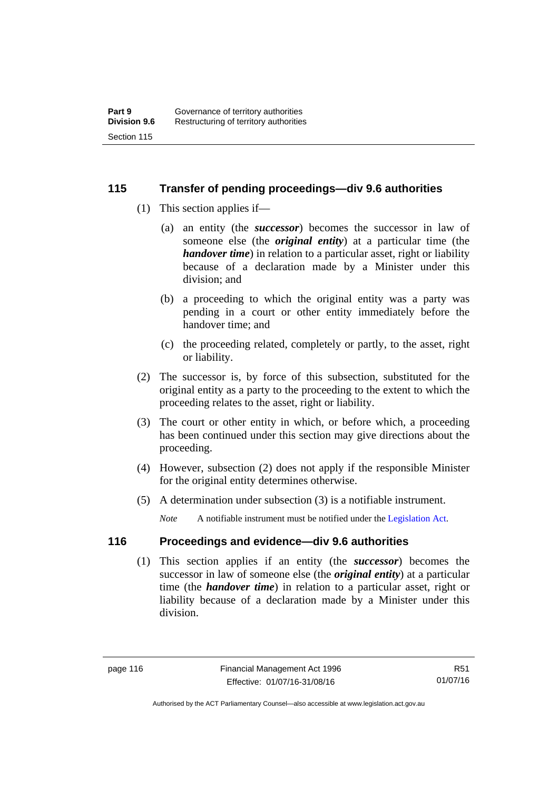#### **115 Transfer of pending proceedings—div 9.6 authorities**

- (1) This section applies if—
	- (a) an entity (the *successor*) becomes the successor in law of someone else (the *original entity*) at a particular time (the *handover time*) in relation to a particular asset, right or liability because of a declaration made by a Minister under this division; and
	- (b) a proceeding to which the original entity was a party was pending in a court or other entity immediately before the handover time; and
	- (c) the proceeding related, completely or partly, to the asset, right or liability.
- (2) The successor is, by force of this subsection, substituted for the original entity as a party to the proceeding to the extent to which the proceeding relates to the asset, right or liability.
- (3) The court or other entity in which, or before which, a proceeding has been continued under this section may give directions about the proceeding.
- (4) However, subsection (2) does not apply if the responsible Minister for the original entity determines otherwise.
- (5) A determination under subsection (3) is a notifiable instrument.

*Note* A notifiable instrument must be notified under the [Legislation Act](http://www.legislation.act.gov.au/a/2001-14).

# **116 Proceedings and evidence—div 9.6 authorities**

 (1) This section applies if an entity (the *successor*) becomes the successor in law of someone else (the *original entity*) at a particular time (the *handover time*) in relation to a particular asset, right or liability because of a declaration made by a Minister under this division.

Authorised by the ACT Parliamentary Counsel—also accessible at www.legislation.act.gov.au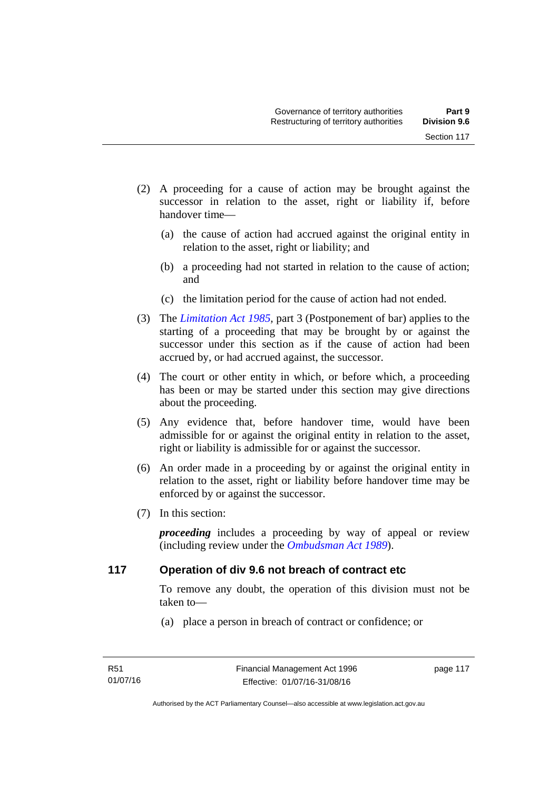- (2) A proceeding for a cause of action may be brought against the successor in relation to the asset, right or liability if, before handover time—
	- (a) the cause of action had accrued against the original entity in relation to the asset, right or liability; and
	- (b) a proceeding had not started in relation to the cause of action; and
	- (c) the limitation period for the cause of action had not ended.
- (3) The *[Limitation Act 1985](http://www.legislation.act.gov.au/a/1985-66),* part 3 (Postponement of bar) applies to the starting of a proceeding that may be brought by or against the successor under this section as if the cause of action had been accrued by, or had accrued against, the successor.
- (4) The court or other entity in which, or before which, a proceeding has been or may be started under this section may give directions about the proceeding.
- (5) Any evidence that, before handover time, would have been admissible for or against the original entity in relation to the asset, right or liability is admissible for or against the successor.
- (6) An order made in a proceeding by or against the original entity in relation to the asset, right or liability before handover time may be enforced by or against the successor.
- (7) In this section:

*proceeding* includes a proceeding by way of appeal or review (including review under the *[Ombudsman Act 1989](http://www.legislation.act.gov.au/a/alt_a1989-45co)*).

#### **117 Operation of div 9.6 not breach of contract etc**

To remove any doubt, the operation of this division must not be taken to—

(a) place a person in breach of contract or confidence; or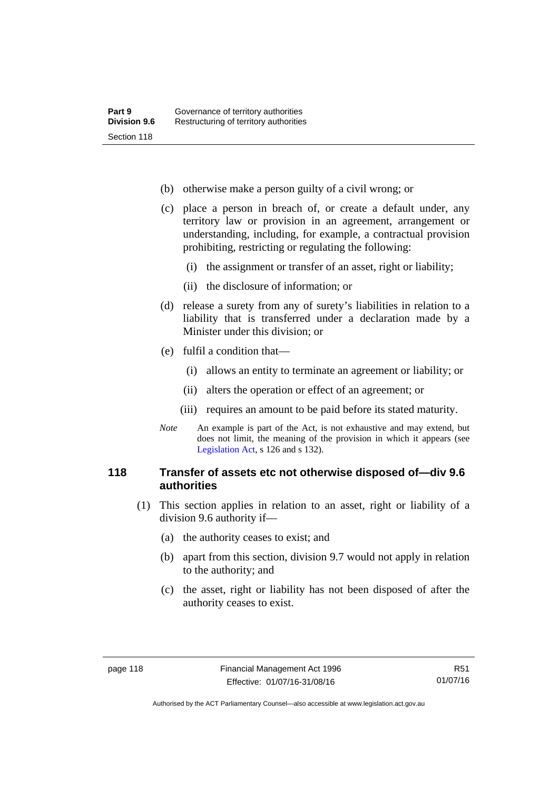- (b) otherwise make a person guilty of a civil wrong; or
- (c) place a person in breach of, or create a default under, any territory law or provision in an agreement, arrangement or understanding, including, for example, a contractual provision prohibiting, restricting or regulating the following:
	- (i) the assignment or transfer of an asset, right or liability;
	- (ii) the disclosure of information; or
- (d) release a surety from any of surety's liabilities in relation to a liability that is transferred under a declaration made by a Minister under this division; or
- (e) fulfil a condition that—
	- (i) allows an entity to terminate an agreement or liability; or
	- (ii) alters the operation or effect of an agreement; or
	- (iii) requires an amount to be paid before its stated maturity.
- *Note* An example is part of the Act, is not exhaustive and may extend, but does not limit, the meaning of the provision in which it appears (see [Legislation Act,](http://www.legislation.act.gov.au/a/2001-14) s 126 and s 132).

#### **118 Transfer of assets etc not otherwise disposed of—div 9.6 authorities**

- (1) This section applies in relation to an asset, right or liability of a division 9.6 authority if—
	- (a) the authority ceases to exist; and
	- (b) apart from this section, division 9.7 would not apply in relation to the authority; and
	- (c) the asset, right or liability has not been disposed of after the authority ceases to exist.

Authorised by the ACT Parliamentary Counsel—also accessible at www.legislation.act.gov.au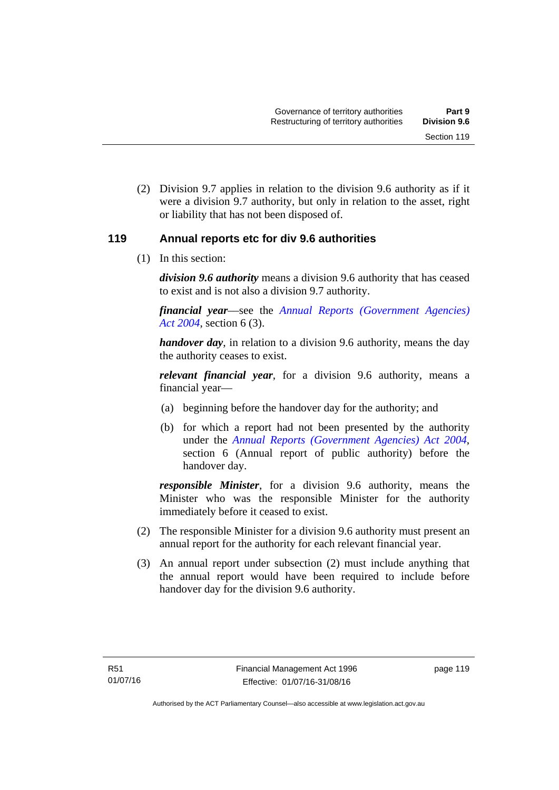(2) Division 9.7 applies in relation to the division 9.6 authority as if it were a division 9.7 authority, but only in relation to the asset, right or liability that has not been disposed of.

#### **119 Annual reports etc for div 9.6 authorities**

(1) In this section:

*division 9.6 authority* means a division 9.6 authority that has ceased to exist and is not also a division 9.7 authority.

*financial year*––see the *[Annual Reports \(Government Agencies\)](http://www.legislation.act.gov.au/a/2004-8)  [Act 2004](http://www.legislation.act.gov.au/a/2004-8)*, section 6 (3).

*handover day*, in relation to a division 9.6 authority, means the day the authority ceases to exist.

*relevant financial year*, for a division 9.6 authority, means a financial year—

- (a) beginning before the handover day for the authority; and
- (b) for which a report had not been presented by the authority under the *[Annual Reports \(Government Agencies\) Act 2004](http://www.legislation.act.gov.au/a/2004-8)*, section 6 (Annual report of public authority) before the handover day.

*responsible Minister*, for a division 9.6 authority, means the Minister who was the responsible Minister for the authority immediately before it ceased to exist.

- (2) The responsible Minister for a division 9.6 authority must present an annual report for the authority for each relevant financial year.
- (3) An annual report under subsection (2) must include anything that the annual report would have been required to include before handover day for the division 9.6 authority.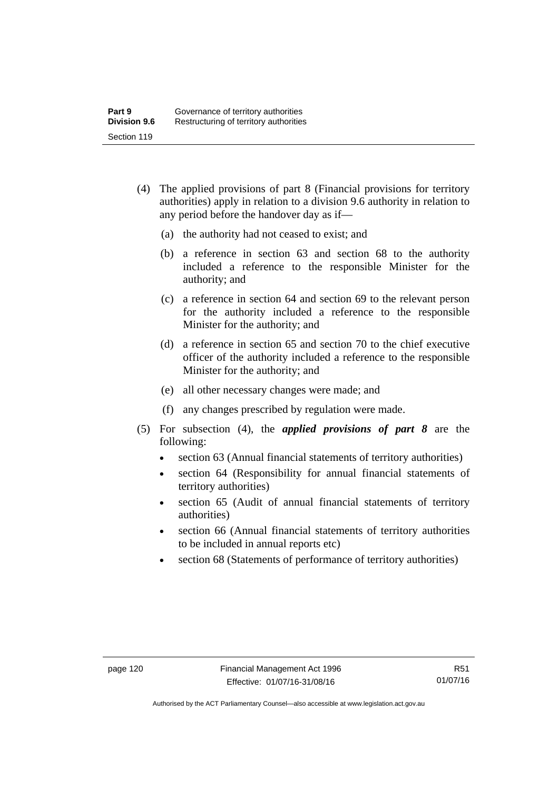- (4) The applied provisions of part 8 (Financial provisions for territory authorities) apply in relation to a division 9.6 authority in relation to any period before the handover day as if—
	- (a) the authority had not ceased to exist; and
	- (b) a reference in section 63 and section 68 to the authority included a reference to the responsible Minister for the authority; and
	- (c) a reference in section 64 and section 69 to the relevant person for the authority included a reference to the responsible Minister for the authority; and
	- (d) a reference in section 65 and section 70 to the chief executive officer of the authority included a reference to the responsible Minister for the authority; and
	- (e) all other necessary changes were made; and
	- (f) any changes prescribed by regulation were made.
- (5) For subsection (4), the *applied provisions of part 8* are the following:
	- section 63 (Annual financial statements of territory authorities)
	- section 64 (Responsibility for annual financial statements of territory authorities)
	- section 65 (Audit of annual financial statements of territory authorities)
	- section 66 (Annual financial statements of territory authorities to be included in annual reports etc)
	- section 68 (Statements of performance of territory authorities)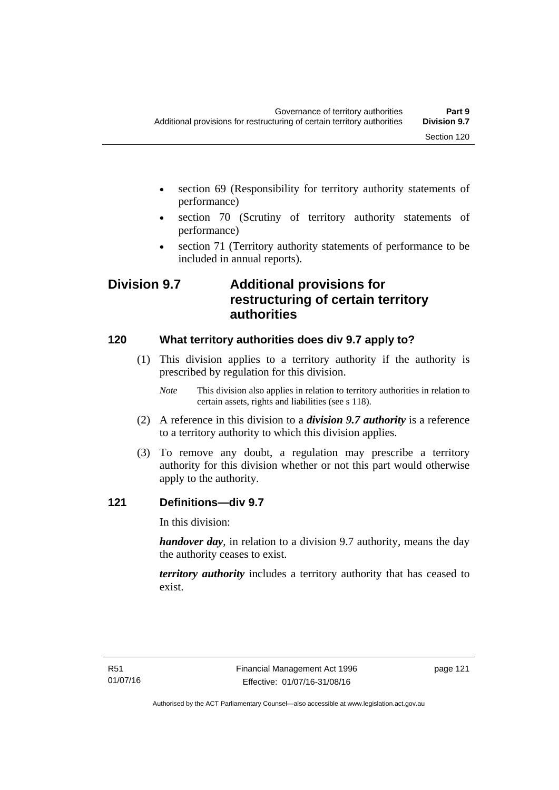- section 69 (Responsibility for territory authority statements of performance)
- section 70 (Scrutiny of territory authority statements of performance)
- section 71 (Territory authority statements of performance to be included in annual reports).

# **Division 9.7 Additional provisions for restructuring of certain territory authorities**

# **120 What territory authorities does div 9.7 apply to?**

- (1) This division applies to a territory authority if the authority is prescribed by regulation for this division.
	- *Note* This division also applies in relation to territory authorities in relation to certain assets, rights and liabilities (see s 118).
- (2) A reference in this division to a *division 9.7 authority* is a reference to a territory authority to which this division applies.
- (3) To remove any doubt, a regulation may prescribe a territory authority for this division whether or not this part would otherwise apply to the authority.

## **121 Definitions—div 9.7**

In this division:

*handover day*, in relation to a division 9.7 authority, means the day the authority ceases to exist.

*territory authority* includes a territory authority that has ceased to exist.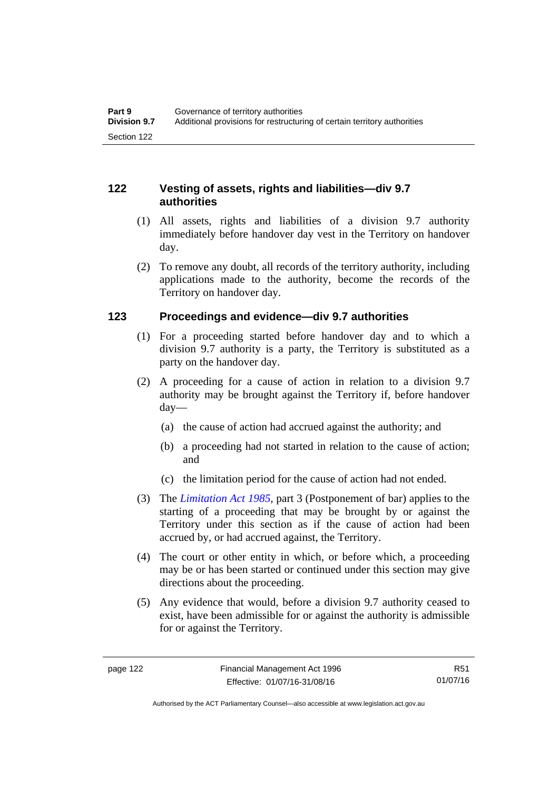## **122 Vesting of assets, rights and liabilities—div 9.7 authorities**

- (1) All assets, rights and liabilities of a division 9.7 authority immediately before handover day vest in the Territory on handover day.
- (2) To remove any doubt, all records of the territory authority, including applications made to the authority, become the records of the Territory on handover day.

## **123 Proceedings and evidence—div 9.7 authorities**

- (1) For a proceeding started before handover day and to which a division 9.7 authority is a party, the Territory is substituted as a party on the handover day.
- (2) A proceeding for a cause of action in relation to a division 9.7 authority may be brought against the Territory if, before handover day—
	- (a) the cause of action had accrued against the authority; and
	- (b) a proceeding had not started in relation to the cause of action; and
	- (c) the limitation period for the cause of action had not ended.
- (3) The *[Limitation Act 1985](http://www.legislation.act.gov.au/a/1985-66),* part 3 (Postponement of bar) applies to the starting of a proceeding that may be brought by or against the Territory under this section as if the cause of action had been accrued by, or had accrued against, the Territory.
- (4) The court or other entity in which, or before which, a proceeding may be or has been started or continued under this section may give directions about the proceeding.
- (5) Any evidence that would, before a division 9.7 authority ceased to exist, have been admissible for or against the authority is admissible for or against the Territory.

R51 01/07/16

Authorised by the ACT Parliamentary Counsel—also accessible at www.legislation.act.gov.au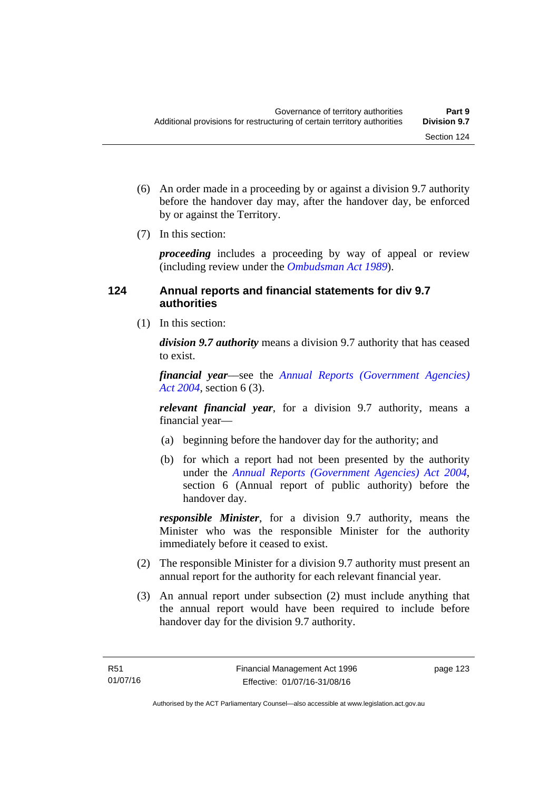- (6) An order made in a proceeding by or against a division 9.7 authority before the handover day may, after the handover day, be enforced by or against the Territory.
- (7) In this section:

*proceeding* includes a proceeding by way of appeal or review (including review under the *[Ombudsman Act 1989](http://www.legislation.act.gov.au/a/alt_a1989-45co)*).

## **124 Annual reports and financial statements for div 9.7 authorities**

(1) In this section:

*division 9.7 authority* means a division 9.7 authority that has ceased to exist.

*financial year*––see the *[Annual Reports \(Government Agencies\)](http://www.legislation.act.gov.au/a/2004-8)  [Act 2004](http://www.legislation.act.gov.au/a/2004-8)*, section 6 (3).

*relevant financial year*, for a division 9.7 authority, means a financial year—

- (a) beginning before the handover day for the authority; and
- (b) for which a report had not been presented by the authority under the *[Annual Reports \(Government Agencies\) Act 2004](http://www.legislation.act.gov.au/a/2004-8)*, section 6 (Annual report of public authority) before the handover day.

*responsible Minister*, for a division 9.7 authority, means the Minister who was the responsible Minister for the authority immediately before it ceased to exist.

- (2) The responsible Minister for a division 9.7 authority must present an annual report for the authority for each relevant financial year.
- (3) An annual report under subsection (2) must include anything that the annual report would have been required to include before handover day for the division 9.7 authority.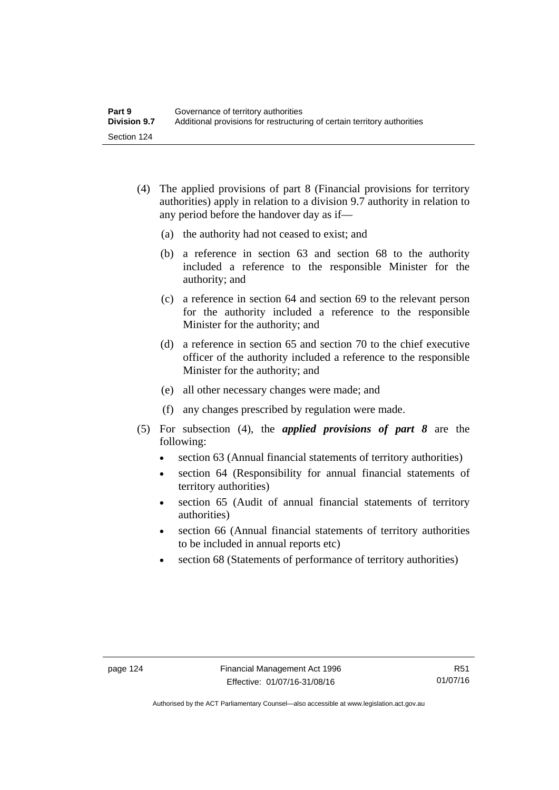- (4) The applied provisions of part 8 (Financial provisions for territory authorities) apply in relation to a division 9.7 authority in relation to any period before the handover day as if—
	- (a) the authority had not ceased to exist; and
	- (b) a reference in section 63 and section 68 to the authority included a reference to the responsible Minister for the authority; and
	- (c) a reference in section 64 and section 69 to the relevant person for the authority included a reference to the responsible Minister for the authority; and
	- (d) a reference in section 65 and section 70 to the chief executive officer of the authority included a reference to the responsible Minister for the authority; and
	- (e) all other necessary changes were made; and
	- (f) any changes prescribed by regulation were made.
- (5) For subsection (4), the *applied provisions of part 8* are the following:
	- section 63 (Annual financial statements of territory authorities)
	- section 64 (Responsibility for annual financial statements of territory authorities)
	- section 65 (Audit of annual financial statements of territory authorities)
	- section 66 (Annual financial statements of territory authorities to be included in annual reports etc)
	- section 68 (Statements of performance of territory authorities)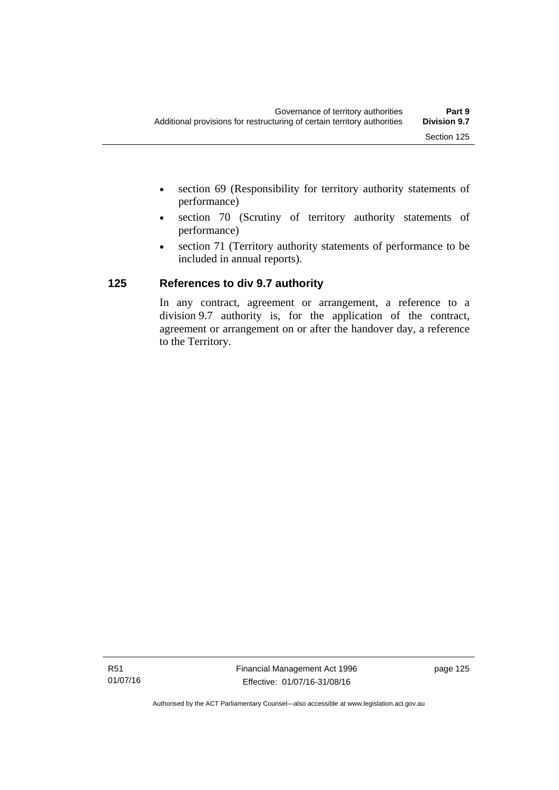- section 69 (Responsibility for territory authority statements of performance)
- section 70 (Scrutiny of territory authority statements of performance)
- section 71 (Territory authority statements of performance to be included in annual reports).

# **125 References to div 9.7 authority**

In any contract, agreement or arrangement, a reference to a division 9.7 authority is, for the application of the contract, agreement or arrangement on or after the handover day, a reference to the Territory.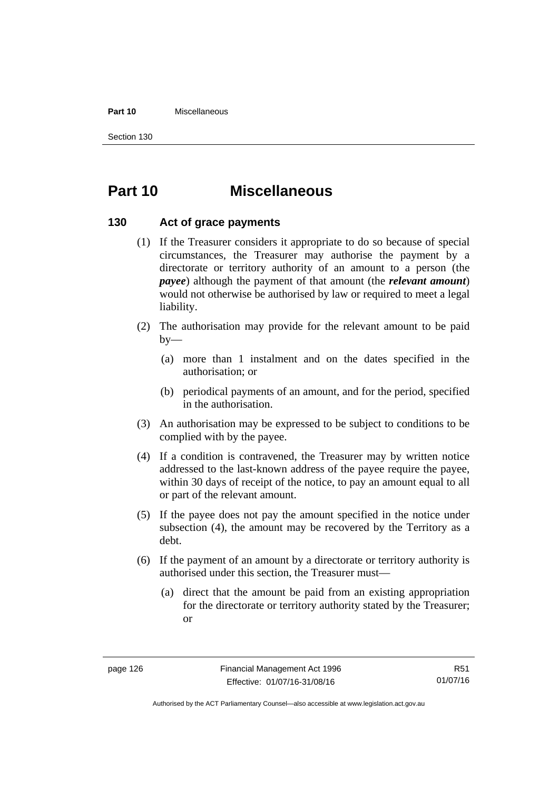#### **Part 10** Miscellaneous

Section 130

# **Part 10 Miscellaneous**

#### **130 Act of grace payments**

- (1) If the Treasurer considers it appropriate to do so because of special circumstances, the Treasurer may authorise the payment by a directorate or territory authority of an amount to a person (the *payee*) although the payment of that amount (the *relevant amount*) would not otherwise be authorised by law or required to meet a legal liability.
- (2) The authorisation may provide for the relevant amount to be paid  $by-$ 
	- (a) more than 1 instalment and on the dates specified in the authorisation; or
	- (b) periodical payments of an amount, and for the period, specified in the authorisation.
- (3) An authorisation may be expressed to be subject to conditions to be complied with by the payee.
- (4) If a condition is contravened, the Treasurer may by written notice addressed to the last-known address of the payee require the payee, within 30 days of receipt of the notice, to pay an amount equal to all or part of the relevant amount.
- (5) If the payee does not pay the amount specified in the notice under subsection (4), the amount may be recovered by the Territory as a debt.
- (6) If the payment of an amount by a directorate or territory authority is authorised under this section, the Treasurer must—
	- (a) direct that the amount be paid from an existing appropriation for the directorate or territory authority stated by the Treasurer; or

Authorised by the ACT Parliamentary Counsel—also accessible at www.legislation.act.gov.au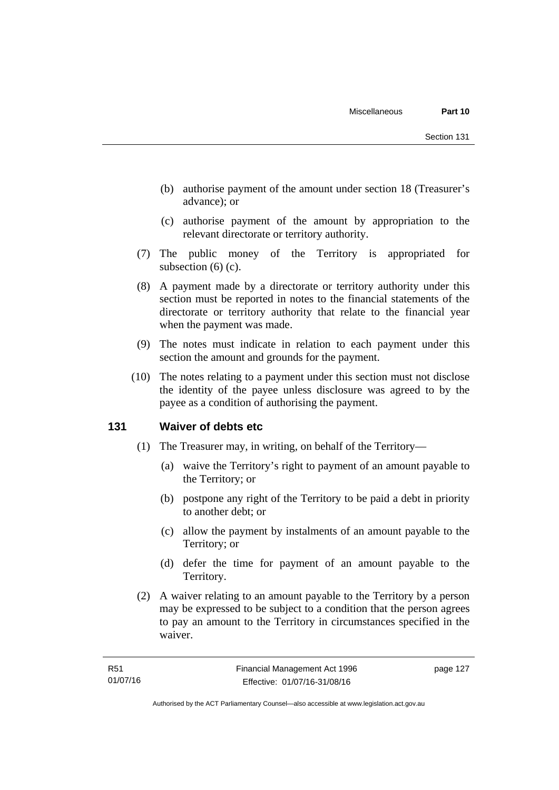- (b) authorise payment of the amount under section 18 (Treasurer's advance); or
- (c) authorise payment of the amount by appropriation to the relevant directorate or territory authority.
- (7) The public money of the Territory is appropriated for subsection (6) (c).
- (8) A payment made by a directorate or territory authority under this section must be reported in notes to the financial statements of the directorate or territory authority that relate to the financial year when the payment was made.
- (9) The notes must indicate in relation to each payment under this section the amount and grounds for the payment.
- (10) The notes relating to a payment under this section must not disclose the identity of the payee unless disclosure was agreed to by the payee as a condition of authorising the payment.

#### **131 Waiver of debts etc**

- (1) The Treasurer may, in writing, on behalf of the Territory—
	- (a) waive the Territory's right to payment of an amount payable to the Territory; or
	- (b) postpone any right of the Territory to be paid a debt in priority to another debt; or
	- (c) allow the payment by instalments of an amount payable to the Territory; or
	- (d) defer the time for payment of an amount payable to the Territory.
- (2) A waiver relating to an amount payable to the Territory by a person may be expressed to be subject to a condition that the person agrees to pay an amount to the Territory in circumstances specified in the waiver.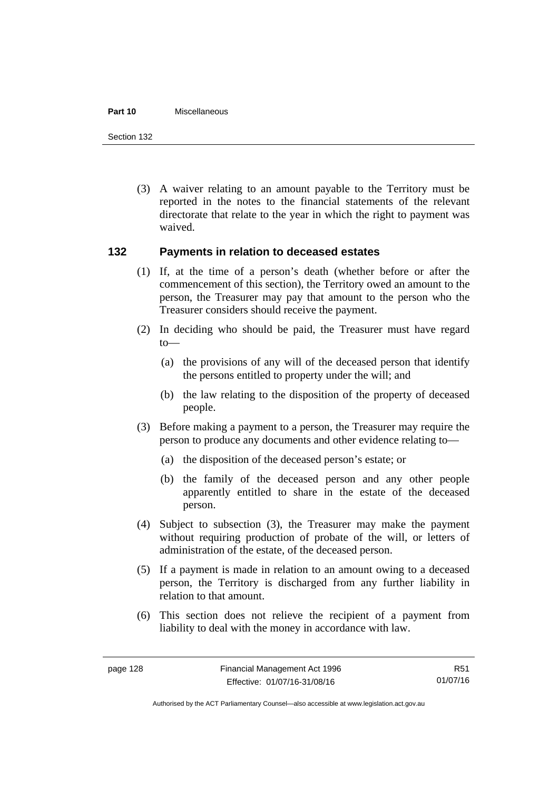#### **Part 10** Miscellaneous

Section 132

 (3) A waiver relating to an amount payable to the Territory must be reported in the notes to the financial statements of the relevant directorate that relate to the year in which the right to payment was waived.

#### **132 Payments in relation to deceased estates**

- (1) If, at the time of a person's death (whether before or after the commencement of this section), the Territory owed an amount to the person, the Treasurer may pay that amount to the person who the Treasurer considers should receive the payment.
- (2) In deciding who should be paid, the Treasurer must have regard to—
	- (a) the provisions of any will of the deceased person that identify the persons entitled to property under the will; and
	- (b) the law relating to the disposition of the property of deceased people.
- (3) Before making a payment to a person, the Treasurer may require the person to produce any documents and other evidence relating to—
	- (a) the disposition of the deceased person's estate; or
	- (b) the family of the deceased person and any other people apparently entitled to share in the estate of the deceased person.
- (4) Subject to subsection (3), the Treasurer may make the payment without requiring production of probate of the will, or letters of administration of the estate, of the deceased person.
- (5) If a payment is made in relation to an amount owing to a deceased person, the Territory is discharged from any further liability in relation to that amount.
- (6) This section does not relieve the recipient of a payment from liability to deal with the money in accordance with law.

R51 01/07/16

Authorised by the ACT Parliamentary Counsel—also accessible at www.legislation.act.gov.au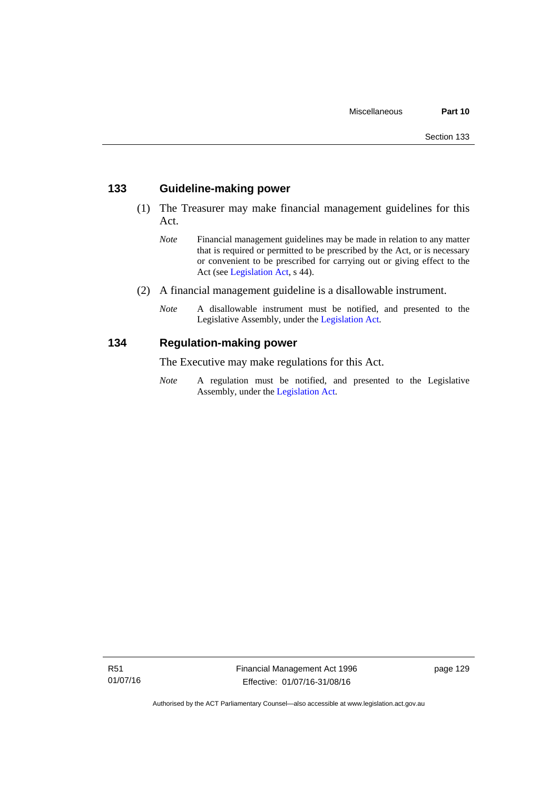#### **133 Guideline-making power**

- (1) The Treasurer may make financial management guidelines for this Act.
	- *Note* Financial management guidelines may be made in relation to any matter that is required or permitted to be prescribed by the Act, or is necessary or convenient to be prescribed for carrying out or giving effect to the Act (see [Legislation Act,](http://www.legislation.act.gov.au/a/2001-14) s 44).
- (2) A financial management guideline is a disallowable instrument.
	- *Note* A disallowable instrument must be notified, and presented to the Legislative Assembly, under the [Legislation Act.](http://www.legislation.act.gov.au/a/2001-14)

#### **134 Regulation-making power**

The Executive may make regulations for this Act.

*Note* A regulation must be notified, and presented to the Legislative Assembly, under the [Legislation Act](http://www.legislation.act.gov.au/a/2001-14).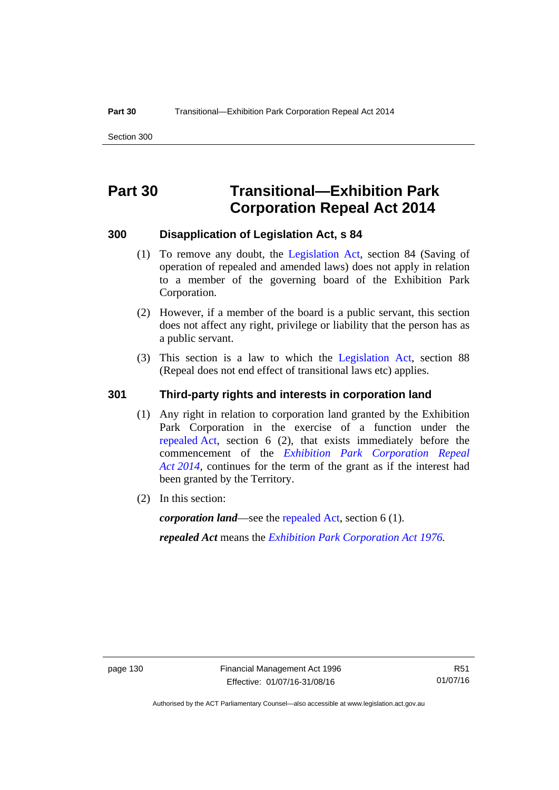# **Part 30 Transitional—Exhibition Park Corporation Repeal Act 2014**

#### **300 Disapplication of Legislation Act, s 84**

- (1) To remove any doubt, the [Legislation Act,](http://www.legislation.act.gov.au/a/2001-14) section 84 (Saving of operation of repealed and amended laws) does not apply in relation to a member of the governing board of the Exhibition Park Corporation.
- (2) However, if a member of the board is a public servant, this section does not affect any right, privilege or liability that the person has as a public servant.
- (3) This section is a law to which the [Legislation Act](http://www.legislation.act.gov.au/a/2001-14), section 88 (Repeal does not end effect of transitional laws etc) applies.

#### **301 Third-party rights and interests in corporation land**

- (1) Any right in relation to corporation land granted by the Exhibition Park Corporation in the exercise of a function under the [repealed Act,](http://www.legislation.act.gov.au/a/1976-1/default.asp) section 6 (2), that exists immediately before the commencement of the *[Exhibition Park Corporation Repeal](http://www.legislation.act.gov.au/a/2014-54/default.asp)  [Act 2014](http://www.legislation.act.gov.au/a/2014-54/default.asp)*, continues for the term of the grant as if the interest had been granted by the Territory.
- (2) In this section:

*corporation land*—see the [repealed Act](http://www.legislation.act.gov.au/a/1976-1/default.asp), section 6 (1).

*repealed Act* means the *[Exhibition Park Corporation Act 1976](http://www.legislation.act.gov.au/a/1976-1).*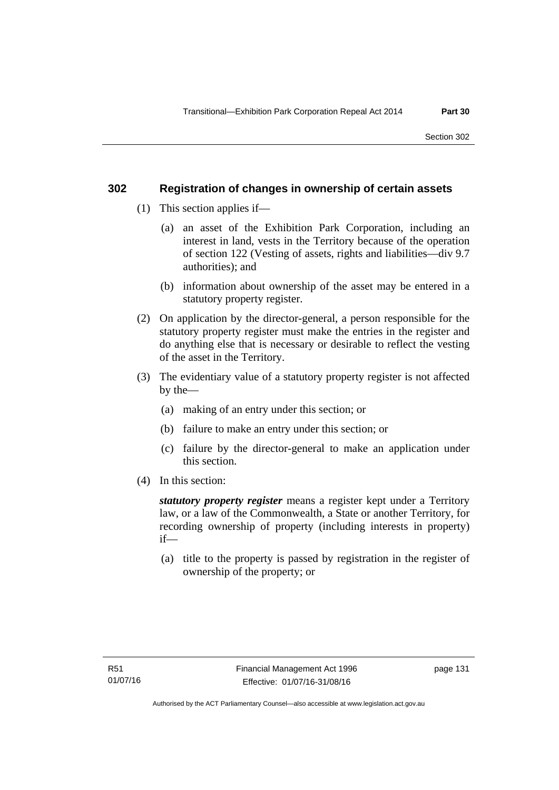#### **302 Registration of changes in ownership of certain assets**

- (1) This section applies if—
	- (a) an asset of the Exhibition Park Corporation, including an interest in land, vests in the Territory because of the operation of section 122 (Vesting of assets, rights and liabilities—div 9.7 authorities); and
	- (b) information about ownership of the asset may be entered in a statutory property register.
- (2) On application by the director-general, a person responsible for the statutory property register must make the entries in the register and do anything else that is necessary or desirable to reflect the vesting of the asset in the Territory.
- (3) The evidentiary value of a statutory property register is not affected by the—
	- (a) making of an entry under this section; or
	- (b) failure to make an entry under this section; or
	- (c) failure by the director-general to make an application under this section.
- (4) In this section:

*statutory property register* means a register kept under a Territory law, or a law of the Commonwealth, a State or another Territory, for recording ownership of property (including interests in property) if—

 (a) title to the property is passed by registration in the register of ownership of the property; or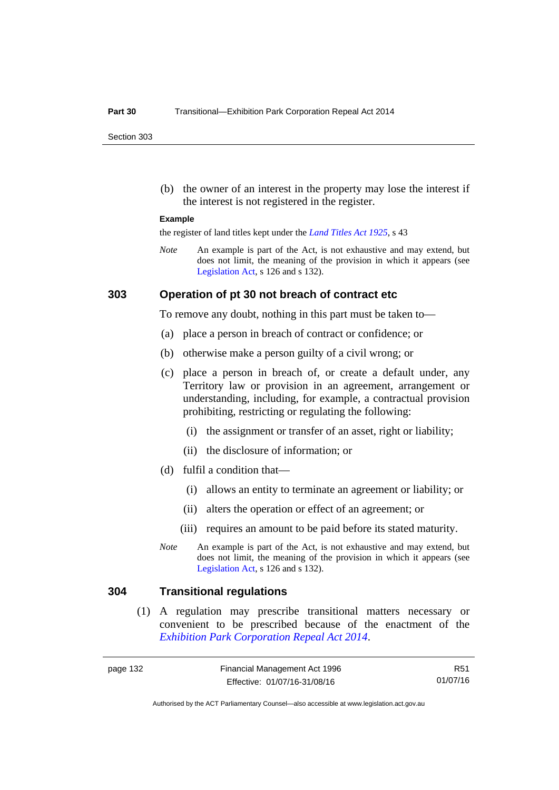Section 303

 (b) the owner of an interest in the property may lose the interest if the interest is not registered in the register.

#### **Example**

the register of land titles kept under the *[Land Titles Act 1925](http://www.legislation.act.gov.au/a/1925-1)*, s 43

*Note* An example is part of the Act, is not exhaustive and may extend, but does not limit, the meaning of the provision in which it appears (see [Legislation Act,](http://www.legislation.act.gov.au/a/2001-14) s 126 and s 132).

#### **303 Operation of pt 30 not breach of contract etc**

To remove any doubt, nothing in this part must be taken to—

- (a) place a person in breach of contract or confidence; or
- (b) otherwise make a person guilty of a civil wrong; or
- (c) place a person in breach of, or create a default under, any Territory law or provision in an agreement, arrangement or understanding, including, for example, a contractual provision prohibiting, restricting or regulating the following:
	- (i) the assignment or transfer of an asset, right or liability;
	- (ii) the disclosure of information; or
- (d) fulfil a condition that—
	- (i) allows an entity to terminate an agreement or liability; or
	- (ii) alters the operation or effect of an agreement; or
	- (iii) requires an amount to be paid before its stated maturity.
- *Note* An example is part of the Act, is not exhaustive and may extend, but does not limit, the meaning of the provision in which it appears (see [Legislation Act,](http://www.legislation.act.gov.au/a/2001-14) s 126 and s 132).

#### **304 Transitional regulations**

 (1) A regulation may prescribe transitional matters necessary or convenient to be prescribed because of the enactment of the *[Exhibition Park Corporation Repeal Act 2014](http://www.legislation.act.gov.au/a/2014-54/default.asp)*.

R51 01/07/16

Authorised by the ACT Parliamentary Counsel—also accessible at www.legislation.act.gov.au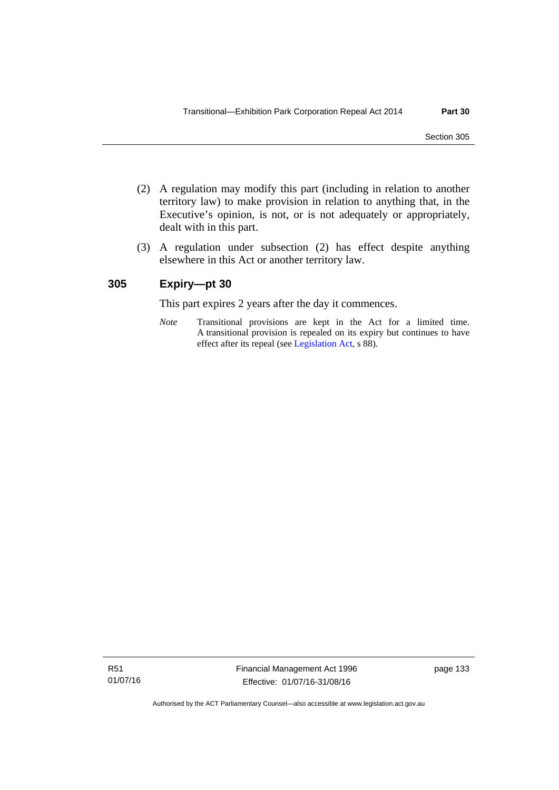- (2) A regulation may modify this part (including in relation to another territory law) to make provision in relation to anything that, in the Executive's opinion, is not, or is not adequately or appropriately, dealt with in this part.
- (3) A regulation under subsection (2) has effect despite anything elsewhere in this Act or another territory law.

## **305 Expiry—pt 30**

This part expires 2 years after the day it commences.

*Note* Transitional provisions are kept in the Act for a limited time. A transitional provision is repealed on its expiry but continues to have effect after its repeal (see [Legislation Act,](http://www.legislation.act.gov.au/a/2001-14) s 88).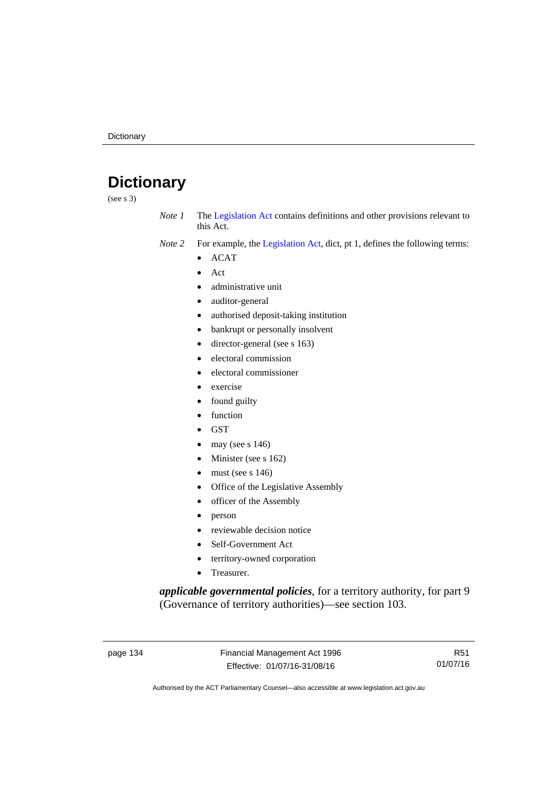# **Dictionary**

(see s 3)

- *Note 1* The [Legislation Act](http://www.legislation.act.gov.au/a/2001-14) contains definitions and other provisions relevant to this Act.
- *Note 2* For example, the [Legislation Act,](http://www.legislation.act.gov.au/a/2001-14) dict, pt 1, defines the following terms:
	- ACAT
	- Act
	- administrative unit
	- auditor-general
	- authorised deposit-taking institution
	- bankrupt or personally insolvent
	- director-general (see s 163)
	- electoral commission
	- electoral commissioner
	- exercise
	- found guilty
	- function
	- **GST**
	- may (see s 146)
	- Minister (see s 162)
	- must (see s 146)
	- Office of the Legislative Assembly
	- officer of the Assembly
	- person
	- reviewable decision notice
	- Self-Government Act
	- territory-owned corporation
	- Treasurer.

*applicable governmental policies*, for a territory authority, for part 9 (Governance of territory authorities)—see section 103.

page 134 Financial Management Act 1996 Effective: 01/07/16-31/08/16

R51 01/07/16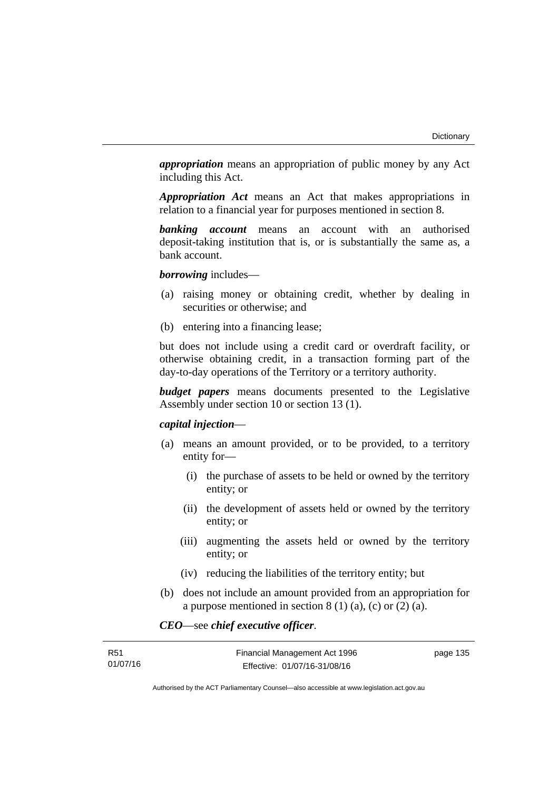*appropriation* means an appropriation of public money by any Act including this Act.

*Appropriation Act* means an Act that makes appropriations in relation to a financial year for purposes mentioned in section 8.

*banking account* means an account with an authorised deposit-taking institution that is, or is substantially the same as, a bank account.

*borrowing* includes—

- (a) raising money or obtaining credit, whether by dealing in securities or otherwise; and
- (b) entering into a financing lease;

but does not include using a credit card or overdraft facility, or otherwise obtaining credit, in a transaction forming part of the day-to-day operations of the Territory or a territory authority.

*budget papers* means documents presented to the Legislative Assembly under section 10 or section 13 (1).

## *capital injection*—

- (a) means an amount provided, or to be provided, to a territory entity for—
	- (i) the purchase of assets to be held or owned by the territory entity; or
	- (ii) the development of assets held or owned by the territory entity; or
	- (iii) augmenting the assets held or owned by the territory entity; or
	- (iv) reducing the liabilities of the territory entity; but
- (b) does not include an amount provided from an appropriation for a purpose mentioned in section  $8(1)(a)$ , (c) or  $(2)(a)$ .

*CEO*—see *chief executive officer*.

| R51      | Financial Management Act 1996 | page 135 |
|----------|-------------------------------|----------|
| 01/07/16 | Effective: 01/07/16-31/08/16  |          |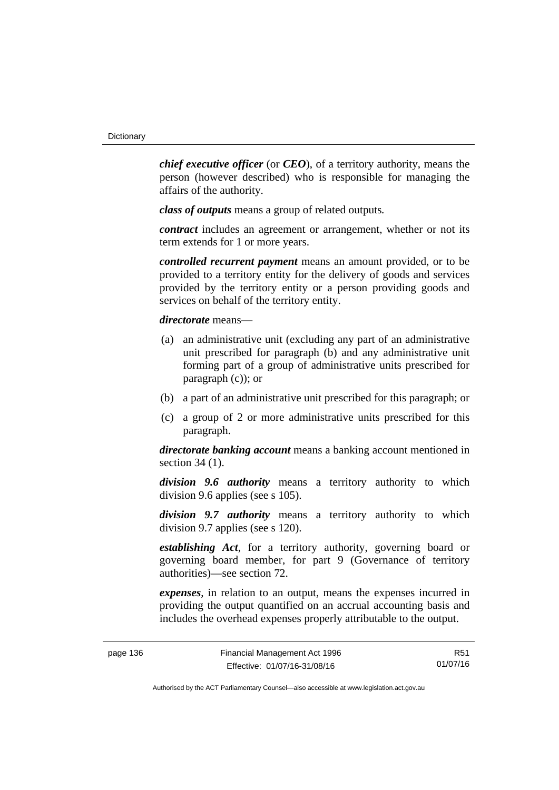*chief executive officer* (or *CEO*), of a territory authority, means the person (however described) who is responsible for managing the affairs of the authority.

*class of outputs* means a group of related outputs*.*

*contract* includes an agreement or arrangement, whether or not its term extends for 1 or more years.

*controlled recurrent payment* means an amount provided, or to be provided to a territory entity for the delivery of goods and services provided by the territory entity or a person providing goods and services on behalf of the territory entity.

*directorate* means––

- (a) an administrative unit (excluding any part of an administrative unit prescribed for paragraph (b) and any administrative unit forming part of a group of administrative units prescribed for paragraph (c)); or
- (b) a part of an administrative unit prescribed for this paragraph; or
- (c) a group of 2 or more administrative units prescribed for this paragraph.

*directorate banking account* means a banking account mentioned in section 34 (1).

*division 9.6 authority* means a territory authority to which division 9.6 applies (see s 105).

*division 9.7 authority* means a territory authority to which division 9.7 applies (see s 120).

*establishing Act*, for a territory authority, governing board or governing board member, for part 9 (Governance of territory authorities)—see section 72.

*expenses*, in relation to an output, means the expenses incurred in providing the output quantified on an accrual accounting basis and includes the overhead expenses properly attributable to the output.

R51 01/07/16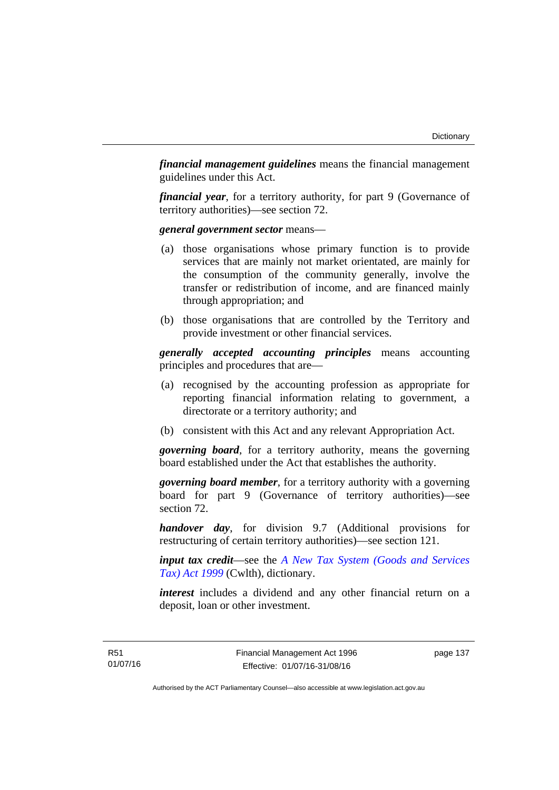*financial management guidelines* means the financial management guidelines under this Act.

*financial year*, for a territory authority, for part 9 (Governance of territory authorities)—see section 72.

*general government sector* means—

- (a) those organisations whose primary function is to provide services that are mainly not market orientated, are mainly for the consumption of the community generally, involve the transfer or redistribution of income, and are financed mainly through appropriation; and
- (b) those organisations that are controlled by the Territory and provide investment or other financial services.

*generally accepted accounting principles* means accounting principles and procedures that are—

- (a) recognised by the accounting profession as appropriate for reporting financial information relating to government, a directorate or a territory authority; and
- (b) consistent with this Act and any relevant Appropriation Act.

*governing board*, for a territory authority, means the governing board established under the Act that establishes the authority.

*governing board member*, for a territory authority with a governing board for part 9 (Governance of territory authorities)—see section 72.

*handover day*, for division 9.7 (Additional provisions for restructuring of certain territory authorities)—see section 121.

*input tax credit*—see the *[A New Tax System \(Goods and Services](http://www.comlaw.gov.au/Series/C2004A00446)  [Tax\) Act 1999](http://www.comlaw.gov.au/Series/C2004A00446)* (Cwlth), dictionary.

*interest* includes a dividend and any other financial return on a deposit, loan or other investment.

page 137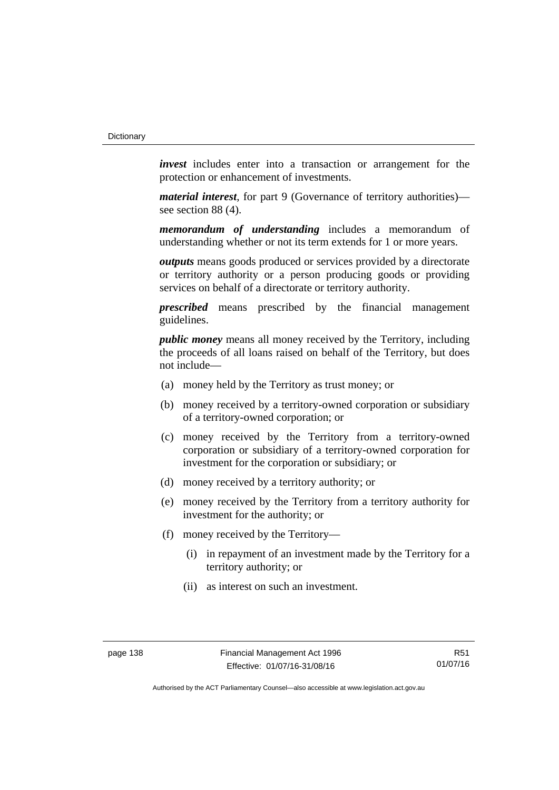*invest* includes enter into a transaction or arrangement for the protection or enhancement of investments.

*material interest*, for part 9 (Governance of territory authorities) see section 88 (4).

*memorandum of understanding* includes a memorandum of understanding whether or not its term extends for 1 or more years.

*outputs* means goods produced or services provided by a directorate or territory authority or a person producing goods or providing services on behalf of a directorate or territory authority.

*prescribed* means prescribed by the financial management guidelines.

*public money* means all money received by the Territory, including the proceeds of all loans raised on behalf of the Territory, but does not include—

- (a) money held by the Territory as trust money; or
- (b) money received by a territory-owned corporation or subsidiary of a territory-owned corporation; or
- (c) money received by the Territory from a territory-owned corporation or subsidiary of a territory-owned corporation for investment for the corporation or subsidiary; or
- (d) money received by a territory authority; or
- (e) money received by the Territory from a territory authority for investment for the authority; or
- (f) money received by the Territory—
	- (i) in repayment of an investment made by the Territory for a territory authority; or
	- (ii) as interest on such an investment.

R51 01/07/16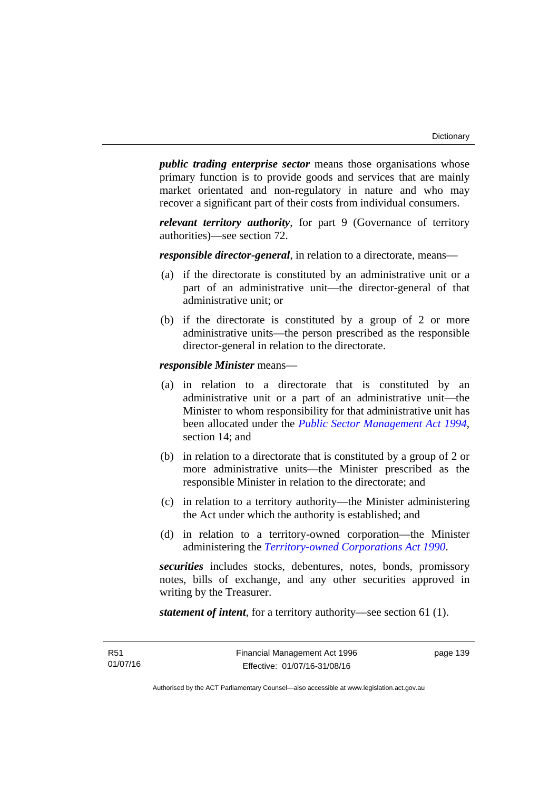*public trading enterprise sector* means those organisations whose primary function is to provide goods and services that are mainly market orientated and non-regulatory in nature and who may recover a significant part of their costs from individual consumers.

*relevant territory authority*, for part 9 (Governance of territory authorities)—see section 72.

*responsible director-general*, in relation to a directorate, means—

- (a) if the directorate is constituted by an administrative unit or a part of an administrative unit—the director-general of that administrative unit; or
- (b) if the directorate is constituted by a group of 2 or more administrative units—the person prescribed as the responsible director-general in relation to the directorate.

*responsible Minister* means—

- (a) in relation to a directorate that is constituted by an administrative unit or a part of an administrative unit—the Minister to whom responsibility for that administrative unit has been allocated under the *[Public Sector Management Act 1994](http://www.legislation.act.gov.au/a/1994-37)*, section 14; and
- (b) in relation to a directorate that is constituted by a group of 2 or more administrative units—the Minister prescribed as the responsible Minister in relation to the directorate; and
- (c) in relation to a territory authority—the Minister administering the Act under which the authority is established; and
- (d) in relation to a territory-owned corporation—the Minister administering the *[Territory-owned Corporations Act 1990](http://www.legislation.act.gov.au/a/1990-53)*.

*securities* includes stocks, debentures, notes, bonds, promissory notes, bills of exchange, and any other securities approved in writing by the Treasurer.

*statement of intent*, for a territory authority—see section 61 (1).

page 139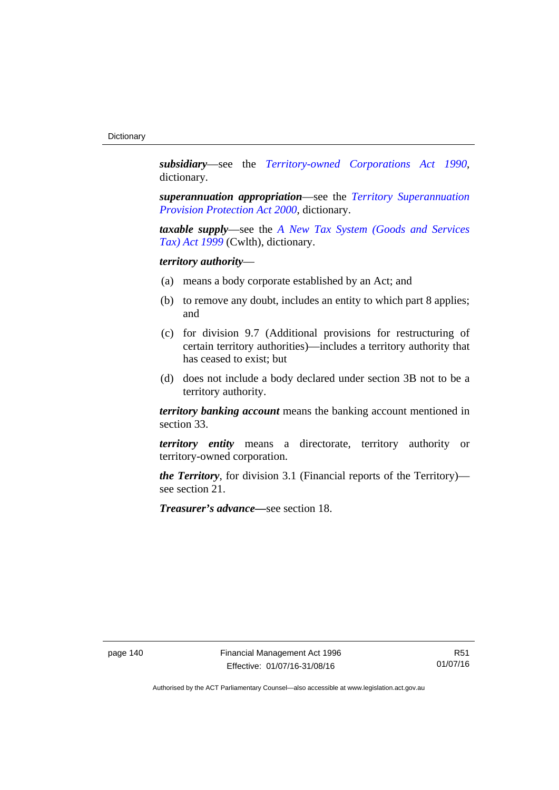*subsidiary*—see the *[Territory-owned Corporations Act 1990](http://www.legislation.act.gov.au/a/1990-53)*, dictionary.

*superannuation appropriation*—see the *[Territory Superannuation](http://www.legislation.act.gov.au/a/2000-21)  [Provision Protection Act 2000](http://www.legislation.act.gov.au/a/2000-21)*, dictionary.

*taxable supply*—see the *[A New Tax System \(Goods and Services](http://www.comlaw.gov.au/Series/C2004A00446)  [Tax\) Act 1999](http://www.comlaw.gov.au/Series/C2004A00446)* (Cwlth), dictionary.

# *territory authority*—

- (a) means a body corporate established by an Act; and
- (b) to remove any doubt, includes an entity to which part 8 applies; and
- (c) for division 9.7 (Additional provisions for restructuring of certain territory authorities)—includes a territory authority that has ceased to exist; but
- (d) does not include a body declared under section 3B not to be a territory authority.

*territory banking account* means the banking account mentioned in section 33.

*territory entity* means a directorate, territory authority or territory-owned corporation.

*the Territory*, for division 3.1 (Financial reports of the Territory) see section 21.

*Treasurer's advance—*see section 18.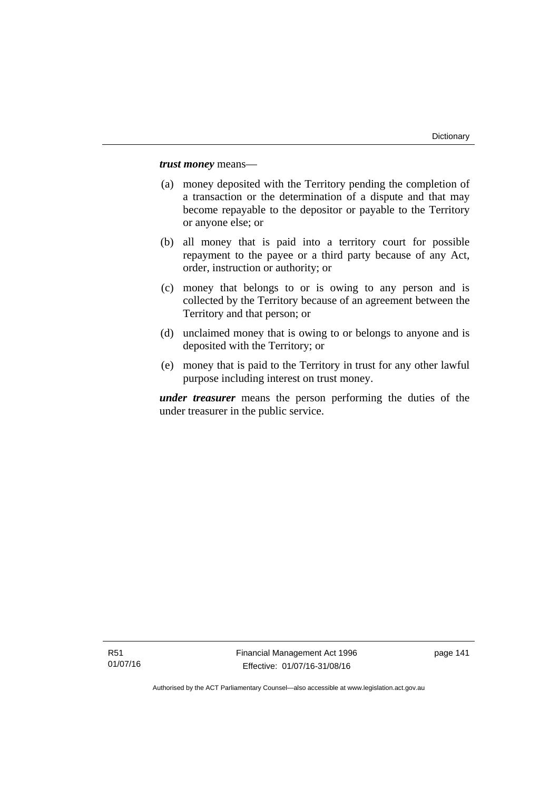*trust money* means—

- (a) money deposited with the Territory pending the completion of a transaction or the determination of a dispute and that may become repayable to the depositor or payable to the Territory or anyone else; or
- (b) all money that is paid into a territory court for possible repayment to the payee or a third party because of any Act, order, instruction or authority; or
- (c) money that belongs to or is owing to any person and is collected by the Territory because of an agreement between the Territory and that person; or
- (d) unclaimed money that is owing to or belongs to anyone and is deposited with the Territory; or
- (e) money that is paid to the Territory in trust for any other lawful purpose including interest on trust money.

*under treasurer* means the person performing the duties of the under treasurer in the public service.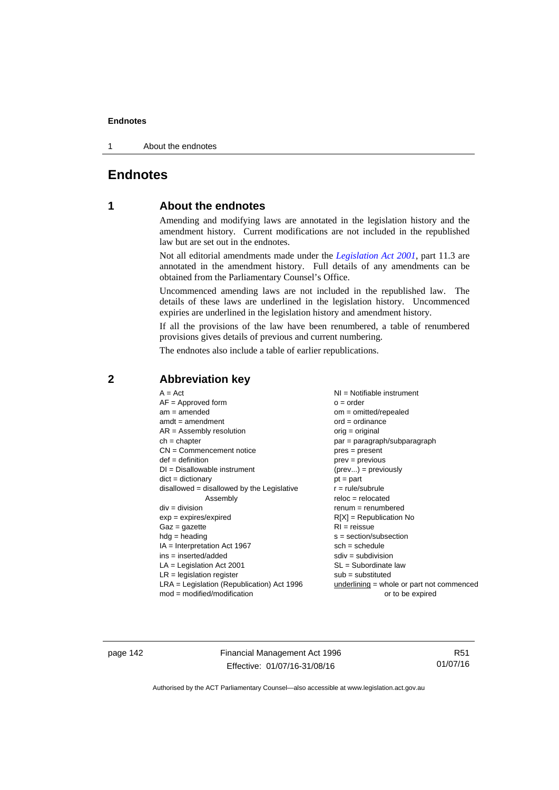1 About the endnotes

# **Endnotes**

# **1 About the endnotes**

Amending and modifying laws are annotated in the legislation history and the amendment history. Current modifications are not included in the republished law but are set out in the endnotes.

Not all editorial amendments made under the *[Legislation Act 2001](http://www.legislation.act.gov.au/a/2001-14)*, part 11.3 are annotated in the amendment history. Full details of any amendments can be obtained from the Parliamentary Counsel's Office.

Uncommenced amending laws are not included in the republished law. The details of these laws are underlined in the legislation history. Uncommenced expiries are underlined in the legislation history and amendment history.

If all the provisions of the law have been renumbered, a table of renumbered provisions gives details of previous and current numbering.

The endnotes also include a table of earlier republications.

|                                                   | $A = Act$<br>$AF =$ Approved form<br>$am = amended$<br>$amdt = amendment$<br>$AR = Assembly resolution$<br>$ch = chapter$<br>$CN =$ Commencement notice<br>$def = definition$<br>$DI = Disallowable instrument$<br>$dict = dictionary$<br>$disallowed = disallowed by the Legislative$<br>Assembly<br>$div = division$<br>$exp = expires/expired$<br>$Gaz = gazette$<br>$hdg = heading$<br>$IA = Interpretation Act 1967$<br>$ins = inserted/added$<br>$LA =$ Legislation Act 2001<br>$LR =$ legislation register | NI = Notifiable instrument<br>$o = order$<br>$om = omitted/repealed$<br>$ord = ordinance$<br>$orig = original$<br>par = paragraph/subparagraph<br>$pres = present$<br>$prev = previous$<br>$(\text{prev}) = \text{previously}$<br>$pt = part$<br>$r = rule/subrule$<br>$reloc = relocated$<br>$remum = renumbered$<br>$R[X]$ = Republication No<br>$RI = reissue$<br>$s = section/subsection$<br>$sch = schedule$<br>$sdiv = subdivision$<br>$SL = Subordinate$ law<br>$sub =$ substituted |
|---------------------------------------------------|-------------------------------------------------------------------------------------------------------------------------------------------------------------------------------------------------------------------------------------------------------------------------------------------------------------------------------------------------------------------------------------------------------------------------------------------------------------------------------------------------------------------|--------------------------------------------------------------------------------------------------------------------------------------------------------------------------------------------------------------------------------------------------------------------------------------------------------------------------------------------------------------------------------------------------------------------------------------------------------------------------------------------|
| $mod = modified/modification$<br>or to be expired | $LRA =$ Legislation (Republication) Act 1996                                                                                                                                                                                                                                                                                                                                                                                                                                                                      | $underlining = whole or part not commenced$                                                                                                                                                                                                                                                                                                                                                                                                                                                |

# **2 Abbreviation key**

page 142 Financial Management Act 1996 Effective: 01/07/16-31/08/16

R51 01/07/16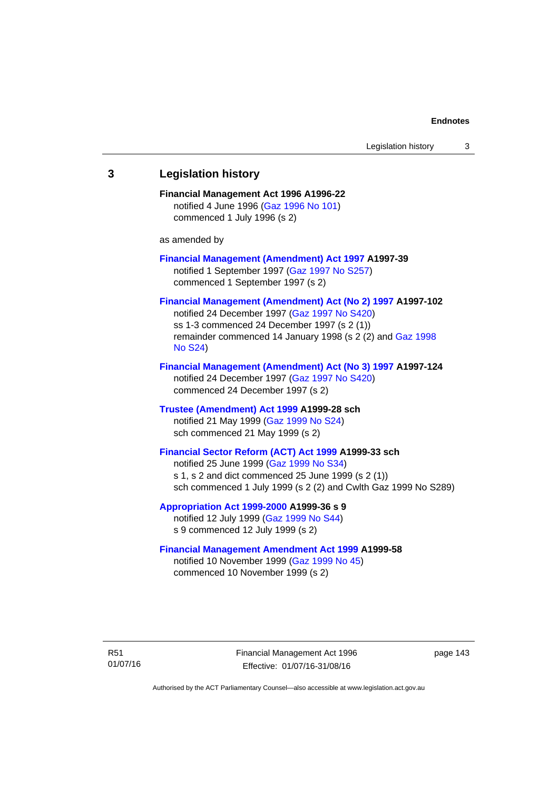# **3 Legislation history Financial Management Act 1996 A1996-22**  notified 4 June 1996 [\(Gaz 1996 No 101\)](http://www.legislation.act.gov.au/gaz/1996-101/default.asp) commenced 1 July 1996 (s 2) as amended by **[Financial Management \(Amendment\) Act 1997](http://www.legislation.act.gov.au/a/1997-39) A1997-39**  notified 1 September 1997 [\(Gaz 1997 No S257\)](http://www.legislation.act.gov.au/gaz/1997-S257/default.asp) commenced 1 September 1997 (s 2) **[Financial Management \(Amendment\) Act \(No 2\) 1997](http://www.legislation.act.gov.au/a/1997-102) A1997-102**  notified 24 December 1997 [\(Gaz 1997 No S420](http://www.legislation.act.gov.au/gaz/1997-S420/default.asp)) ss 1-3 commenced 24 December 1997 (s 2 (1)) remainder commenced 14 January 1998 (s 2 (2) and [Gaz 1998](http://www.legislation.act.gov.au/gaz/1998-S24/default.asp)  [No S24](http://www.legislation.act.gov.au/gaz/1998-S24/default.asp)) **[Financial Management \(Amendment\) Act \(No 3\) 1997](http://www.legislation.act.gov.au/a/1997-124) A1997-124**  notified 24 December 1997 [\(Gaz 1997 No S420](http://www.legislation.act.gov.au/gaz/1997-S420/default.asp)) commenced 24 December 1997 (s 2) **[Trustee \(Amendment\) Act 1999](http://www.legislation.act.gov.au/a/1999-28) A1999-28 sch**  notified 21 May 1999 ([Gaz 1999 No S24](http://www.legislation.act.gov.au/gaz/1999-S24/default.asp)) sch commenced 21 May 1999 (s 2) **[Financial Sector Reform \(ACT\) Act 1999](http://www.legislation.act.gov.au/a/1999-33) A1999-33 sch**  notified 25 June 1999 ([Gaz 1999 No S34](http://www.legislation.act.gov.au/gaz/1999-S34/default.asp)) s 1, s 2 and dict commenced 25 June 1999 (s 2 (1)) sch commenced 1 July 1999 (s 2 (2) and Cwlth Gaz 1999 No S289) **[Appropriation Act 1999-2000](http://www.legislation.act.gov.au/a/1999-36/default.asp) A1999-36 s 9**  notified 12 July 1999 ([Gaz 1999 No S44](http://www.legislation.act.gov.au/gaz/1999-S44/default.asp)) s 9 commenced 12 July 1999 (s 2) **[Financial Management Amendment Act 1999](http://www.legislation.act.gov.au/a/1999-58) A1999-58**  notified 10 November 1999 [\(Gaz 1999 No 45](http://www.legislation.act.gov.au/gaz/1999-45/default.asp))

commenced 10 November 1999 (s 2)

Financial Management Act 1996 Effective: 01/07/16-31/08/16

page 143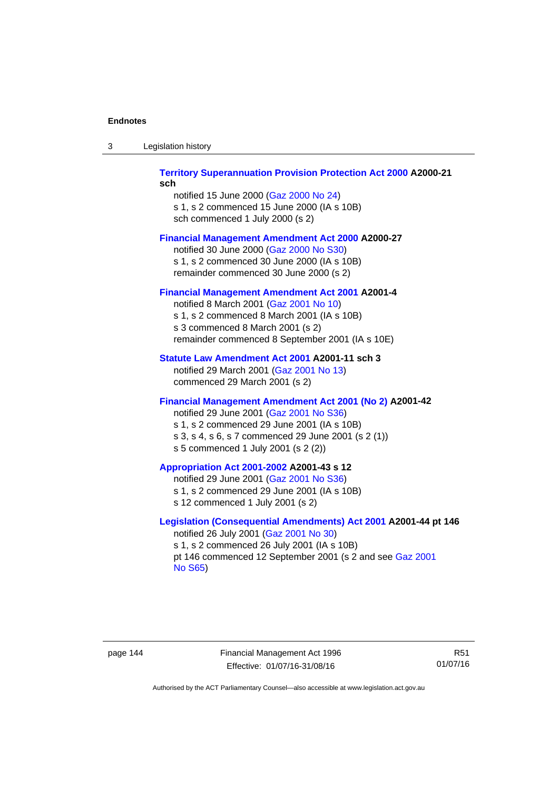| -3 | Legislation history |  |
|----|---------------------|--|
|----|---------------------|--|

## **[Territory Superannuation Provision Protection Act 2000](http://www.legislation.act.gov.au/a/2000-21) A2000-21 sch**

notified 15 June 2000 ([Gaz 2000 No 24\)](http://www.legislation.act.gov.au/gaz/2000-24/default.asp) s 1, s 2 commenced 15 June 2000 (IA s 10B) sch commenced 1 July 2000 (s 2)

## **[Financial Management Amendment Act 2000](http://www.legislation.act.gov.au/a/2000-27) A2000-27**

notified 30 June 2000 ([Gaz 2000 No S30](http://www.legislation.act.gov.au/gaz/2000-S30/default.asp)) s 1, s 2 commenced 30 June 2000 (IA s 10B) remainder commenced 30 June 2000 (s 2)

### **[Financial Management Amendment Act 2001](http://www.legislation.act.gov.au/a/2001-4) A2001-4**

notified 8 March 2001 [\(Gaz 2001 No 10](http://www.legislation.act.gov.au/gaz/2001-10/default.asp)) s 1, s 2 commenced 8 March 2001 (IA s 10B) s 3 commenced 8 March 2001 (s 2) remainder commenced 8 September 2001 (IA s 10E)

## **[Statute Law Amendment Act 2001](http://www.legislation.act.gov.au/a/2001-11) A2001-11 sch 3**

notified 29 March 2001 ([Gaz 2001 No 13\)](http://www.legislation.act.gov.au/gaz/2001-13/default.asp) commenced 29 March 2001 (s 2)

## **[Financial Management Amendment Act 2001 \(No 2\)](http://www.legislation.act.gov.au/a/2001-42) A2001-42**

notified 29 June 2001 ([Gaz 2001 No S36](http://www.legislation.act.gov.au/gaz/2001-S36/default.asp)) s 1, s 2 commenced 29 June 2001 (IA s 10B) s 3, s 4, s 6, s 7 commenced 29 June 2001 (s 2 (1)) s 5 commenced 1 July 2001 (s 2 (2))

## **[Appropriation Act 2001-2002](http://www.legislation.act.gov.au/a/2001-43/default.asp) A2001-43 s 12**

notified 29 June 2001 ([Gaz 2001 No S36](http://www.legislation.act.gov.au/gaz/2001-S36/default.asp)) s 1, s 2 commenced 29 June 2001 (IA s 10B) s 12 commenced 1 July 2001 (s 2)

## **[Legislation \(Consequential Amendments\) Act 2001](http://www.legislation.act.gov.au/a/2001-44) A2001-44 pt 146**  notified 26 July 2001 ([Gaz 2001 No 30\)](http://www.legislation.act.gov.au/gaz/2001-30/default.asp)

s 1, s 2 commenced 26 July 2001 (IA s 10B) pt 146 commenced 12 September 2001 (s 2 and see [Gaz 2001](http://www.legislation.act.gov.au/gaz/2001-S65/default.asp)  [No S65](http://www.legislation.act.gov.au/gaz/2001-S65/default.asp))

page 144 Financial Management Act 1996 Effective: 01/07/16-31/08/16

R51 01/07/16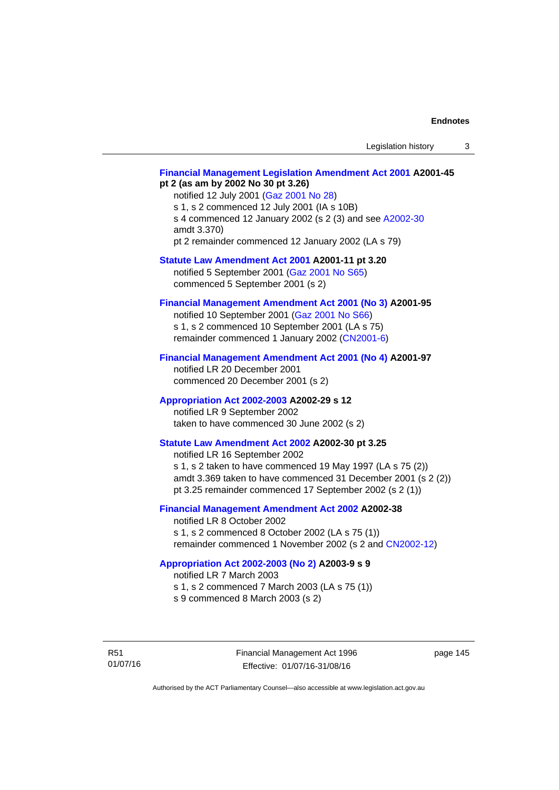## **[Financial Management Legislation Amendment Act 2001](http://www.legislation.act.gov.au/a/2001-45) A2001-45 pt 2 (as am by 2002 No 30 pt 3.26)**

notified 12 July 2001 ([Gaz 2001 No 28\)](http://www.legislation.act.gov.au/gaz/2001-28/default.asp) s 1, s 2 commenced 12 July 2001 (IA s 10B) s 4 commenced 12 January 2002 (s 2 (3) and see [A2002-30](http://www.legislation.act.gov.au/a/2002-30/default.asp) amdt 3.370) pt 2 remainder commenced 12 January 2002 (LA s 79)

**[Statute Law Amendment Act 2001](http://www.legislation.act.gov.au/a/2001-11) A2001-11 pt 3.20** 

notified 5 September 2001 [\(Gaz 2001 No S65\)](http://www.legislation.act.gov.au/gaz/2001-S65/default.asp) commenced 5 September 2001 (s 2)

# **[Financial Management Amendment Act 2001 \(No 3\)](http://www.legislation.act.gov.au/a/2001-95) A2001-95**

notified 10 September 2001 [\(Gaz 2001 No S66\)](http://www.legislation.act.gov.au/gaz/2001-S66/default.asp) s 1, s 2 commenced 10 September 2001 (LA s 75) remainder commenced 1 January 2002 [\(CN2001-6\)](http://www.legislation.act.gov.au/cn/2001-6/default.asp)

## **[Financial Management Amendment Act 2001 \(No 4\)](http://www.legislation.act.gov.au/a/2001-97) A2001-97**

notified LR 20 December 2001 commenced 20 December 2001 (s 2)

## **[Appropriation Act 2002-2003](http://www.legislation.act.gov.au/a/2002-29/default.asp) A2002-29 s 12**

notified LR 9 September 2002 taken to have commenced 30 June 2002 (s 2)

# **[Statute Law Amendment Act 2002](http://www.legislation.act.gov.au/a/2002-30) A2002-30 pt 3.25**

notified LR 16 September 2002 s 1, s 2 taken to have commenced 19 May 1997 (LA s 75 (2)) amdt 3.369 taken to have commenced 31 December 2001 (s 2 (2)) pt 3.25 remainder commenced 17 September 2002 (s 2 (1))

## **[Financial Management Amendment Act 2002](http://www.legislation.act.gov.au/a/2002-38) A2002-38**

notified LR 8 October 2002 s 1, s 2 commenced 8 October 2002 (LA s 75 (1)) remainder commenced 1 November 2002 (s 2 and [CN2002-12](http://www.legislation.act.gov.au/cn/2002-12/default.asp))

## **[Appropriation Act 2002-2003 \(No 2\)](http://www.legislation.act.gov.au/a/2003-9/default.asp) A2003-9 s 9**

notified LR 7 March 2003

s 1, s 2 commenced 7 March 2003 (LA s 75 (1))

s 9 commenced 8 March 2003 (s 2)

R51 01/07/16 Financial Management Act 1996 Effective: 01/07/16-31/08/16

page 145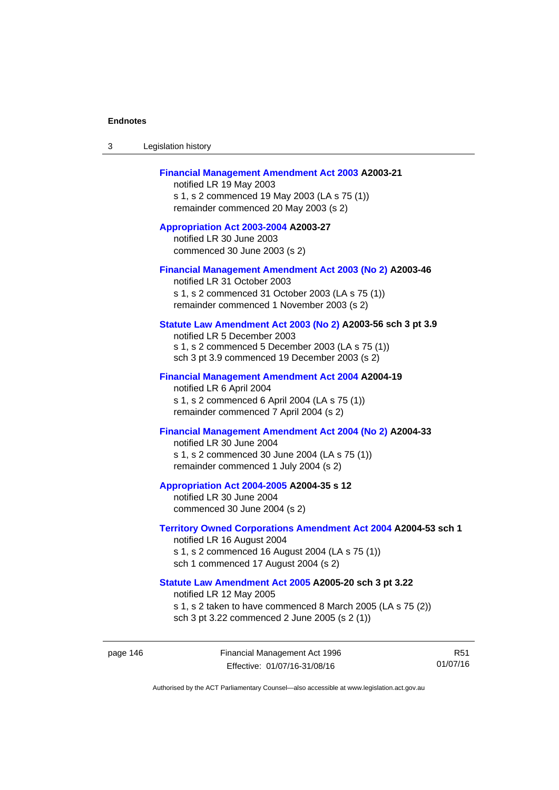| 3 | Legislation history |  |
|---|---------------------|--|
|---|---------------------|--|

## **[Financial Management Amendment Act 2003](http://www.legislation.act.gov.au/a/2003-21) A2003-21**

notified LR 19 May 2003 s 1, s 2 commenced 19 May 2003 (LA s 75 (1)) remainder commenced 20 May 2003 (s 2)

**[Appropriation Act 2003-2004](http://www.legislation.act.gov.au/a/2003-27/default.asp) A2003-27**  notified LR 30 June 2003 commenced 30 June 2003 (s 2)

#### **[Financial Management Amendment Act 2003 \(No 2\)](http://www.legislation.act.gov.au/a/2003-46) A2003-46**

notified LR 31 October 2003 s 1, s 2 commenced 31 October 2003 (LA s 75 (1)) remainder commenced 1 November 2003 (s 2)

## **[Statute Law Amendment Act 2003 \(No 2\)](http://www.legislation.act.gov.au/a/2003-56) A2003-56 sch 3 pt 3.9**

notified LR 5 December 2003 s 1, s 2 commenced 5 December 2003 (LA s 75 (1)) sch 3 pt 3.9 commenced 19 December 2003 (s 2)

#### **[Financial Management Amendment Act 2004](http://www.legislation.act.gov.au/a/2004-19) A2004-19**

notified LR 6 April 2004 s 1, s 2 commenced 6 April 2004 (LA s 75 (1)) remainder commenced 7 April 2004 (s 2)

## **[Financial Management Amendment Act 2004 \(No 2\)](http://www.legislation.act.gov.au/a/2004-33) A2004-33**

notified LR 30 June 2004 s 1, s 2 commenced 30 June 2004 (LA s 75 (1)) remainder commenced 1 July 2004 (s 2)

#### **[Appropriation Act 2004-2005](http://www.legislation.act.gov.au/a/2004-35/default.asp) A2004-35 s 12**

notified LR 30 June 2004 commenced 30 June 2004 (s 2)

#### **[Territory Owned Corporations Amendment Act 2004](http://www.legislation.act.gov.au/a/2004-53) A2004-53 sch 1**  notified LR 16 August 2004

s 1, s 2 commenced 16 August 2004 (LA s 75 (1)) sch 1 commenced 17 August 2004 (s 2)

## **[Statute Law Amendment Act 2005](http://www.legislation.act.gov.au/a/2005-20) A2005-20 sch 3 pt 3.22**

notified LR 12 May 2005

- s 1, s 2 taken to have commenced 8 March 2005 (LA s 75 (2))
- sch 3 pt 3.22 commenced 2 June 2005 (s 2 (1))

page 146 Financial Management Act 1996 Effective: 01/07/16-31/08/16

R51 01/07/16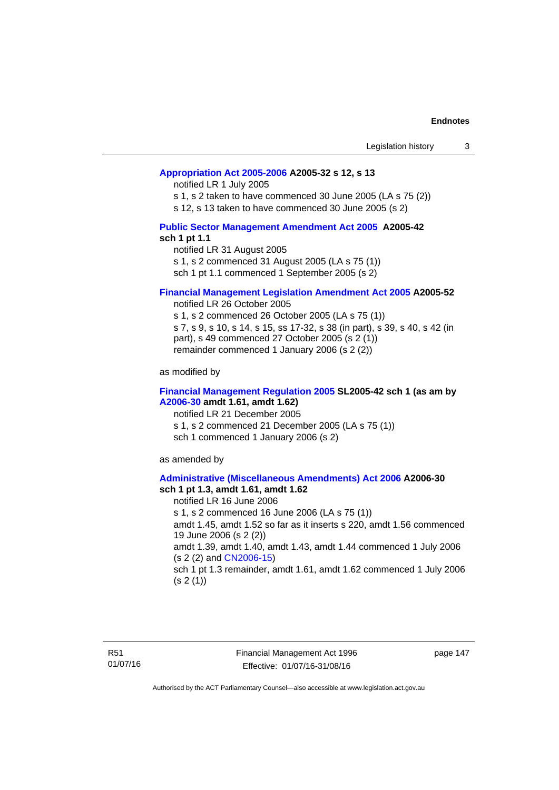## **[Appropriation Act 2005-2006](http://www.legislation.act.gov.au/a/2005-32/default.asp) A2005-32 s 12, s 13**

notified LR 1 July 2005

s 1, s 2 taken to have commenced 30 June 2005 (LA s 75 (2))

s 12, s 13 taken to have commenced 30 June 2005 (s 2)

## **[Public Sector Management Amendment Act 2005](http://www.legislation.act.gov.au/a/2005-42/default.asp) A2005-42 sch 1 pt 1.1**

notified LR 31 August 2005 s 1, s 2 commenced 31 August 2005 (LA s 75 (1)) sch 1 pt 1.1 commenced 1 September 2005 (s 2)

### **[Financial Management Legislation Amendment Act 2005](http://www.legislation.act.gov.au/a/2005-52) A2005-52**

notified LR 26 October 2005

s 1, s 2 commenced 26 October 2005 (LA s 75 (1)) s 7, s 9, s 10, s 14, s 15, ss 17-32, s 38 (in part), s 39, s 40, s 42 (in part), s 49 commenced 27 October 2005 (s 2 (1)) remainder commenced 1 January 2006 (s 2 (2))

as modified by

## **[Financial Management Regulation 2005](http://www.legislation.act.gov.au/sl/2005-42) SL2005-42 sch 1 (as am by [A2006-30](http://www.legislation.act.gov.au/a/2006-30) amdt 1.61, amdt 1.62)**

notified LR 21 December 2005 s 1, s 2 commenced 21 December 2005 (LA s 75 (1)) sch 1 commenced 1 January 2006 (s 2)

as amended by

#### **[Administrative \(Miscellaneous Amendments\) Act 2006](http://www.legislation.act.gov.au/a/2006-30) A2006-30 sch 1 pt 1.3, amdt 1.61, amdt 1.62**

notified LR 16 June 2006 s 1, s 2 commenced 16 June 2006 (LA s 75 (1)) amdt 1.45, amdt 1.52 so far as it inserts s 220, amdt 1.56 commenced 19 June 2006 (s 2 (2)) amdt 1.39, amdt 1.40, amdt 1.43, amdt 1.44 commenced 1 July 2006 (s 2 (2) and [CN2006-15](http://www.legislation.act.gov.au/cn/2006-15/default.asp)) sch 1 pt 1.3 remainder, amdt 1.61, amdt 1.62 commenced 1 July 2006  $(s 2(1))$ 

page 147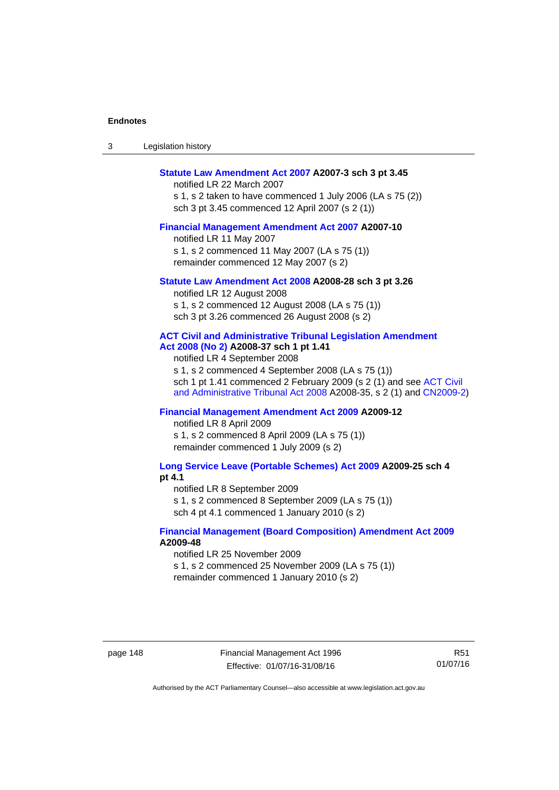| -3 | Legislation history |  |
|----|---------------------|--|
|----|---------------------|--|

#### **[Statute Law Amendment Act 2007](http://www.legislation.act.gov.au/a/2007-3) A2007-3 sch 3 pt 3.45**

notified LR 22 March 2007 s 1, s 2 taken to have commenced 1 July 2006 (LA s 75 (2)) sch 3 pt 3.45 commenced 12 April 2007 (s 2 (1))

#### **[Financial Management Amendment Act 2007](http://www.legislation.act.gov.au/a/2007-10) A2007-10**

notified LR 11 May 2007 s 1, s 2 commenced 11 May 2007 (LA s 75 (1)) remainder commenced 12 May 2007 (s 2)

#### **[Statute Law Amendment Act 2008](http://www.legislation.act.gov.au/a/2008-28) A2008-28 sch 3 pt 3.26**

notified LR 12 August 2008 s 1, s 2 commenced 12 August 2008 (LA s 75 (1)) sch 3 pt 3.26 commenced 26 August 2008 (s 2)

## **[ACT Civil and Administrative Tribunal Legislation Amendment](http://www.legislation.act.gov.au/a/2008-37)**

**[Act 2008 \(No 2\)](http://www.legislation.act.gov.au/a/2008-37) A2008-37 sch 1 pt 1.41** 

notified LR 4 September 2008

s 1, s 2 commenced 4 September 2008 (LA s 75 (1)) sch 1 pt 1.41 commenced 2 February 2009 (s 2 (1) and see [ACT Civil](http://www.legislation.act.gov.au/a/2008-35)  [and Administrative Tribunal Act 2008](http://www.legislation.act.gov.au/a/2008-35) A2008-35, s 2 (1) and [CN2009-2](http://www.legislation.act.gov.au/cn/2009-2/default.asp))

## **[Financial Management Amendment Act 2009](http://www.legislation.act.gov.au/a/2009-12) A2009-12**

notified LR 8 April 2009

s 1, s 2 commenced 8 April 2009 (LA s 75 (1)) remainder commenced 1 July 2009 (s 2)

**[Long Service Leave \(Portable Schemes\) Act 2009](http://www.legislation.act.gov.au/a/2009-25) A2009-25 sch 4 pt 4.1** 

notified LR 8 September 2009

s 1, s 2 commenced 8 September 2009 (LA s 75 (1))

sch 4 pt 4.1 commenced 1 January 2010 (s 2)

## **[Financial Management \(Board Composition\) Amendment Act 2009](http://www.legislation.act.gov.au/a/2009-48) A2009-48**

notified LR 25 November 2009

s 1, s 2 commenced 25 November 2009 (LA s 75 (1))

remainder commenced 1 January 2010 (s 2)

page 148 Financial Management Act 1996 Effective: 01/07/16-31/08/16

R51 01/07/16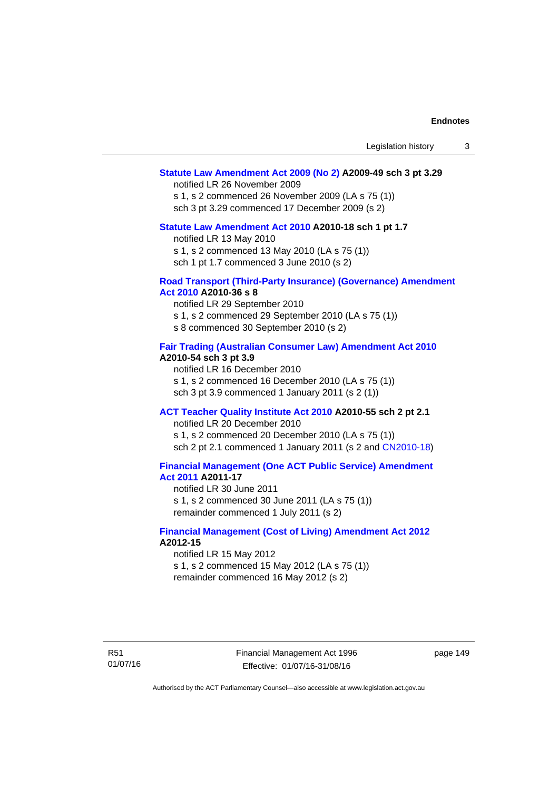## **[Statute Law Amendment Act 2009 \(No 2\)](http://www.legislation.act.gov.au/a/2009-49) A2009-49 sch 3 pt 3.29**

notified LR 26 November 2009

s 1, s 2 commenced 26 November 2009 (LA s 75 (1)) sch 3 pt 3.29 commenced 17 December 2009 (s 2)

#### **[Statute Law Amendment Act 2010](http://www.legislation.act.gov.au/a/2010-18) A2010-18 sch 1 pt 1.7**

notified LR 13 May 2010 s 1, s 2 commenced 13 May 2010 (LA s 75 (1))

sch 1 pt 1.7 commenced 3 June 2010 (s 2)

#### **[Road Transport \(Third-Party Insurance\) \(Governance\) Amendment](http://www.legislation.act.gov.au/a/2010-36)  [Act 2010](http://www.legislation.act.gov.au/a/2010-36) A2010-36 s 8**

notified LR 29 September 2010 s 1, s 2 commenced 29 September 2010 (LA s 75 (1)) s 8 commenced 30 September 2010 (s 2)

## **[Fair Trading \(Australian Consumer Law\) Amendment Act 2010](http://www.legislation.act.gov.au/a/2010-54) A2010-54 sch 3 pt 3.9**

notified LR 16 December 2010 s 1, s 2 commenced 16 December 2010 (LA s 75 (1)) sch 3 pt 3.9 commenced 1 January 2011 (s 2 (1))

# **[ACT Teacher Quality Institute Act 2010](http://www.legislation.act.gov.au/a/2010-55) A2010-55 sch 2 pt 2.1**

notified LR 20 December 2010

s 1, s 2 commenced 20 December 2010 (LA s 75 (1)) sch 2 pt 2.1 commenced 1 January 2011 (s 2 and [CN2010-18\)](http://www.legislation.act.gov.au/cn/2010-18/default.asp)

# **[Financial Management \(One ACT Public Service\) Amendment](http://www.legislation.act.gov.au/a/2011-17)  [Act 2011](http://www.legislation.act.gov.au/a/2011-17) A2011-17**

notified LR 30 June 2011 s 1, s 2 commenced 30 June 2011 (LA s 75 (1)) remainder commenced 1 July 2011 (s 2)

## **[Financial Management \(Cost of Living\) Amendment Act 2012](http://www.legislation.act.gov.au/a/2012-15) A2012-15**

notified LR 15 May 2012 s 1, s 2 commenced 15 May 2012 (LA s 75 (1)) remainder commenced 16 May 2012 (s 2)

R51 01/07/16 Financial Management Act 1996 Effective: 01/07/16-31/08/16

page 149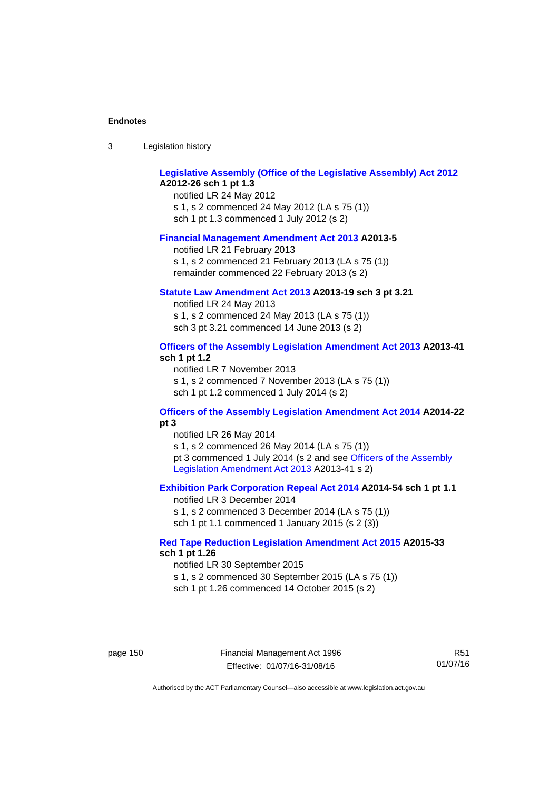| -3 | Legislation history |  |
|----|---------------------|--|
|----|---------------------|--|

## **[Legislative Assembly \(Office of the Legislative Assembly\) Act 2012](http://www.legislation.act.gov.au/a/2012-26) A2012-26 sch 1 pt 1.3**

notified LR 24 May 2012 s 1, s 2 commenced 24 May 2012 (LA s 75 (1)) sch 1 pt 1.3 commenced 1 July 2012 (s 2)

#### **[Financial Management Amendment Act 2013](http://www.legislation.act.gov.au/a/2013-5/default.asp) A2013-5**

notified LR 21 February 2013 s 1, s 2 commenced 21 February 2013 (LA s 75 (1)) remainder commenced 22 February 2013 (s 2)

### **[Statute Law Amendment Act 2013](http://www.legislation.act.gov.au/a/2013-19) A2013-19 sch 3 pt 3.21**

notified LR 24 May 2013 s 1, s 2 commenced 24 May 2013 (LA s 75 (1)) sch 3 pt 3.21 commenced 14 June 2013 (s 2)

## **[Officers of the Assembly Legislation Amendment Act 2013](http://www.legislation.act.gov.au/a/2013-41/default.asp) A2013-41 sch 1 pt 1.2**

notified LR 7 November 2013 s 1, s 2 commenced 7 November 2013 (LA s 75 (1)) sch 1 pt 1.2 commenced 1 July 2014 (s 2)

## **[Officers of the Assembly Legislation Amendment Act 2014](http://www.legislation.act.gov.au/a/2014-22/default.asp) A2014-22 pt 3**

notified LR 26 May 2014 s 1, s 2 commenced 26 May 2014 (LA s 75 (1)) pt 3 commenced 1 July 2014 (s 2 and see [Officers of the Assembly](http://www.legislation.act.gov.au/a/2013-41/default.asp)  [Legislation Amendment Act 2013](http://www.legislation.act.gov.au/a/2013-41/default.asp) A2013-41 s 2)

## **[Exhibition Park Corporation Repeal Act 2014](http://www.legislation.act.gov.au/a/2014-54/default.asp) A2014-54 sch 1 pt 1.1**

notified LR 3 December 2014 s 1, s 2 commenced 3 December 2014 (LA s 75 (1)) sch 1 pt 1.1 commenced 1 January 2015 (s 2 (3))

## **[Red Tape Reduction Legislation Amendment Act 2015](http://www.legislation.act.gov.au/a/2015-33/default.asp) A2015-33 sch 1 pt 1.26**

notified LR 30 September 2015 s 1, s 2 commenced 30 September 2015 (LA s 75 (1)) sch 1 pt 1.26 commenced 14 October 2015 (s 2)

page 150 Financial Management Act 1996 Effective: 01/07/16-31/08/16

R51 01/07/16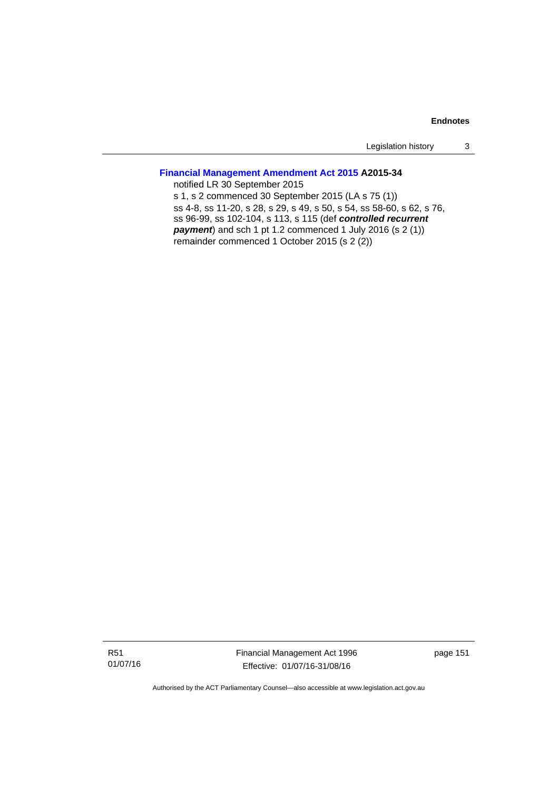Legislation history 3

# **[Financial Management Amendment Act 2015](http://www.legislation.act.gov.au/a/2015-34/default.asp) A2015-34**

notified LR 30 September 2015 s 1, s 2 commenced 30 September 2015 (LA s 75 (1)) ss 4-8, ss 11-20, s 28, s 29, s 49, s 50, s 54, ss 58-60, s 62, s 76, ss 96-99, ss 102-104, s 113, s 115 (def *controlled recurrent payment*) and sch 1 pt 1.2 commenced 1 July 2016 (s 2 (1)) remainder commenced 1 October 2015 (s 2 (2))

R51 01/07/16 Financial Management Act 1996 Effective: 01/07/16-31/08/16

page 151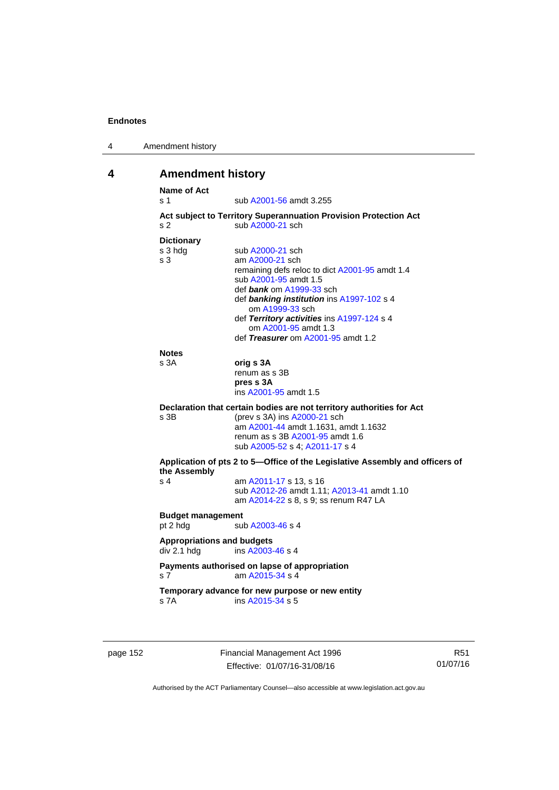| 4 | Amendment history |
|---|-------------------|
|---|-------------------|

# **4 Amendment history**

| <b>Name of Act</b><br>s 1         | sub A2001-56 amdt 3.255                                                      |
|-----------------------------------|------------------------------------------------------------------------------|
|                                   | Act subject to Territory Superannuation Provision Protection Act             |
| s 2                               | sub A2000-21 sch                                                             |
| <b>Dictionary</b>                 |                                                                              |
| s 3 hdg                           | sub A2000-21 sch                                                             |
| s <sub>3</sub>                    | am A2000-21 sch                                                              |
|                                   | remaining defs reloc to dict A2001-95 amdt 1.4                               |
|                                   | sub A2001-95 amdt 1.5                                                        |
|                                   | def bank om A1999-33 sch                                                     |
|                                   | def banking institution ins A1997-102 s 4<br>om A1999-33 sch                 |
|                                   | def Territory activities ins A1997-124 s 4                                   |
|                                   | om A2001-95 amdt 1.3                                                         |
|                                   | def Treasurer om A2001-95 amdt 1.2                                           |
| <b>Notes</b>                      |                                                                              |
| s 3A                              | orig s 3A                                                                    |
|                                   | renum as s 3B                                                                |
|                                   | pres s 3A                                                                    |
|                                   | ins A2001-95 amdt 1.5                                                        |
|                                   | Declaration that certain bodies are not territory authorities for Act        |
| s <sub>3B</sub>                   | (prev s 3A) ins A2000-21 sch                                                 |
|                                   | am A2001-44 amdt 1.1631, amdt 1.1632                                         |
|                                   | renum as s 3B A2001-95 amdt 1.6                                              |
|                                   | sub A2005-52 s 4; A2011-17 s 4                                               |
| the Assembly                      | Application of pts 2 to 5-Office of the Legislative Assembly and officers of |
| s <sub>4</sub>                    | am A2011-17 s 13, s 16                                                       |
|                                   | sub A2012-26 amdt 1.11; A2013-41 amdt 1.10                                   |
|                                   | am A2014-22 s 8, s 9; ss renum R47 LA                                        |
| <b>Budget management</b>          |                                                                              |
| pt 2 hdg                          | sub A2003-46 s 4                                                             |
| <b>Appropriations and budgets</b> |                                                                              |
| div 2.1 hdg                       | ins A2003-46 s 4                                                             |
|                                   | Payments authorised on lapse of appropriation                                |
|                                   | am A2015-34 s 4                                                              |
| s <sub>7</sub>                    | Temporary advance for new purpose or new entity                              |

page 152 Financial Management Act 1996 Effective: 01/07/16-31/08/16

R51 01/07/16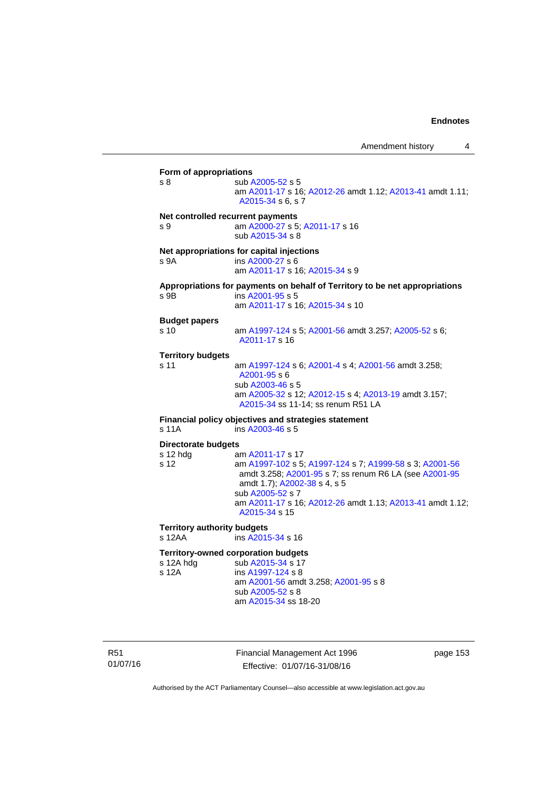**Form of appropriations**  s 8 sub [A2005-52](http://www.legislation.act.gov.au/a/2005-52) s 5 am [A2011-17](http://www.legislation.act.gov.au/a/2011-17) s 16; [A2012-26](http://www.legislation.act.gov.au/a/2012-26) amdt 1.12; [A2013-41](http://www.legislation.act.gov.au/a/2013-41/default.asp) amdt 1.11; [A2015-34](http://www.legislation.act.gov.au/a/2015-34/default.asp) s 6, s 7 **Net controlled recurrent payments** s 9 am [A2000-27](http://www.legislation.act.gov.au/a/2000-27) s 5; [A2011-17](http://www.legislation.act.gov.au/a/2011-17) s 16 sub [A2015-34](http://www.legislation.act.gov.au/a/2015-34/default.asp) s 8 **Net appropriations for capital injections** s 9A ins [A2000-27](http://www.legislation.act.gov.au/a/2000-27) s 6 am [A2011-17](http://www.legislation.act.gov.au/a/2011-17) s 16; [A2015-34](http://www.legislation.act.gov.au/a/2015-34/default.asp) s 9 **Appropriations for payments on behalf of Territory to be net appropriations**  s 9B ins [A2001-95](http://www.legislation.act.gov.au/a/2001-95) s 5 am [A2011-17](http://www.legislation.act.gov.au/a/2011-17) s 16; [A2015-34](http://www.legislation.act.gov.au/a/2015-34/default.asp) s 10 **Budget papers**  s 10 am [A1997-124](http://www.legislation.act.gov.au/a/1997-124) s 5; [A2001-56](http://www.legislation.act.gov.au/a/2001-56) amdt 3.257; [A2005-52](http://www.legislation.act.gov.au/a/2005-52) s 6; [A2011-17](http://www.legislation.act.gov.au/a/2011-17) s 16 **Territory budgets**  s 11 am [A1997-124](http://www.legislation.act.gov.au/a/1997-124) s 6; [A2001-4](http://www.legislation.act.gov.au/a/2001-4) s 4; [A2001-56](http://www.legislation.act.gov.au/a/2001-56) amdt 3.258; [A2001-95](http://www.legislation.act.gov.au/a/2001-95) s 6 sub [A2003-46](http://www.legislation.act.gov.au/a/2003-46) s 5 am [A2005-32](http://www.legislation.act.gov.au/a/2005-32) s 12; [A2012-15](http://www.legislation.act.gov.au/a/2012-15) s 4; [A2013-19](http://www.legislation.act.gov.au/a/2013-19) amdt 3.157; [A2015-34](http://www.legislation.act.gov.au/a/2015-34/default.asp) ss 11-14; ss renum R51 LA **Financial policy objectives and strategies statement**  s 11A ins [A2003-46](http://www.legislation.act.gov.au/a/2003-46) s 5 **Directorate budgets** s 12 hdg am [A2011-17](http://www.legislation.act.gov.au/a/2011-17) s 17 s 12 am [A1997-102](http://www.legislation.act.gov.au/a/1997-102) s 5; [A1997-124](http://www.legislation.act.gov.au/a/1997-124) s 7; [A1999-58](http://www.legislation.act.gov.au/a/1999-58) s 3; [A2001-56](http://www.legislation.act.gov.au/a/2001-56) amdt 3.258; [A2001-95](http://www.legislation.act.gov.au/a/2001-95) s 7; ss renum R6 LA (see [A2001-95](http://www.legislation.act.gov.au/a/2001-95) amdt 1.7); [A2002-38](http://www.legislation.act.gov.au/a/2002-38) s 4, s 5 sub [A2005-52](http://www.legislation.act.gov.au/a/2005-52) s 7 am [A2011-17](http://www.legislation.act.gov.au/a/2011-17) s 16; [A2012-26](http://www.legislation.act.gov.au/a/2012-26) amdt 1.13; [A2013-41](http://www.legislation.act.gov.au/a/2013-41/default.asp) amdt 1.12; [A2015-34](http://www.legislation.act.gov.au/a/2015-34/default.asp) s 15 **Territory authority budgets**  s 12AA **ins [A2015-34](http://www.legislation.act.gov.au/a/2015-34/default.asp) s** 16 **Territory-owned corporation budgets**  s 12A hdg sub [A2015-34](http://www.legislation.act.gov.au/a/2015-34/default.asp) s 17<br>s 12A ins A1997-124 s 8 ins [A1997-124](http://www.legislation.act.gov.au/a/1997-124) s 8 am [A2001-56](http://www.legislation.act.gov.au/a/2001-56) amdt 3.258; [A2001-95](http://www.legislation.act.gov.au/a/2001-95) s 8 sub [A2005-52](http://www.legislation.act.gov.au/a/2005-52) s 8 am [A2015-34](http://www.legislation.act.gov.au/a/2015-34/default.asp) ss 18-20

R51 01/07/16 Financial Management Act 1996 Effective: 01/07/16-31/08/16

page 153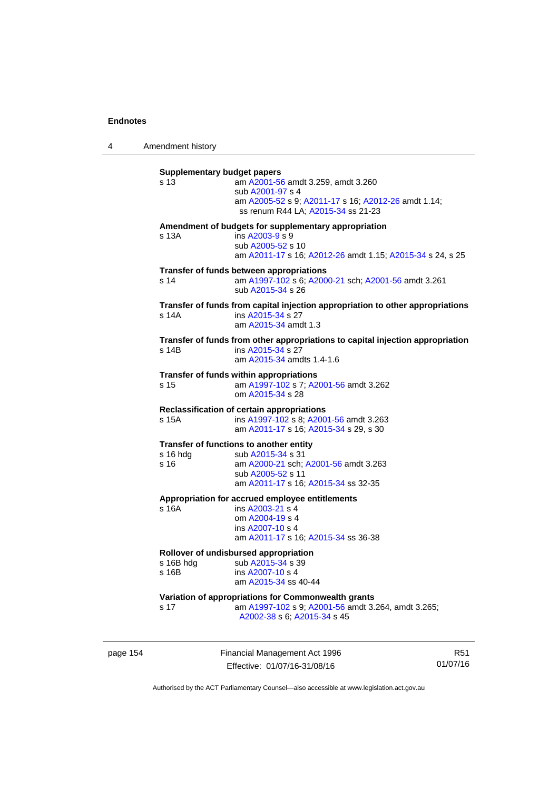4 Amendment history

| s 13       | am A2001-56 amdt 3.259, amdt 3.260<br>sub A2001-97 s 4                                    |
|------------|-------------------------------------------------------------------------------------------|
|            | am A2005-52 s 9; A2011-17 s 16; A2012-26 amdt 1.14;<br>ss renum R44 LA; A2015-34 ss 21-23 |
|            | Amendment of budgets for supplementary appropriation                                      |
| s 13A      | ins A2003-9 s 9                                                                           |
|            | sub A2005-52 s 10<br>am A2011-17 s 16; A2012-26 amdt 1.15; A2015-34 s 24, s 25            |
|            | Transfer of funds between appropriations                                                  |
| s 14       | am A1997-102 s 6; A2000-21 sch; A2001-56 amdt 3.261<br>sub A2015-34 s 26                  |
|            | Transfer of funds from capital injection appropriation to other appropriations            |
| s 14A      | ins A2015-34 s 27                                                                         |
|            | am A2015-34 amdt 1.3                                                                      |
|            | Transfer of funds from other appropriations to capital injection appropriation            |
| s 14B      | ins A2015-34 s 27<br>am A2015-34 amdts 1.4-1.6                                            |
|            |                                                                                           |
|            | Transfer of funds within appropriations                                                   |
| s 15       | am A1997-102 s 7; A2001-56 amdt 3.262                                                     |
|            | om A2015-34 s 28                                                                          |
|            | Reclassification of certain appropriations                                                |
| s 15A      | ins A1997-102 s 8; A2001-56 amdt 3.263                                                    |
|            | am A2011-17 s 16; A2015-34 s 29, s 30                                                     |
|            | Transfer of functions to another entity                                                   |
| $s$ 16 hdg | sub A2015-34 s 31                                                                         |
| s 16       | am A2000-21 sch; A2001-56 amdt 3.263                                                      |
|            | sub A2005-52 s 11                                                                         |
|            | am A2011-17 s 16; A2015-34 ss 32-35                                                       |
|            | Appropriation for accrued employee entitlements                                           |
| s 16A      | ins A2003-21 s 4                                                                          |
|            | om A2004-19 s 4                                                                           |
|            | ins A2007-10 s 4                                                                          |
|            | am A2011-17 s 16; A2015-34 ss 36-38                                                       |
|            | Rollover of undisbursed appropriation                                                     |
| s 16B hdg  | sub A2015-34 s 39                                                                         |
| $s$ 16 $B$ | ins A2007-10 s 4                                                                          |
|            | am A2015-34 ss 40-44                                                                      |
|            | Variation of appropriations for Commonwealth grants                                       |
| s 17       | am A1997-102 s 9; A2001-56 amdt 3.264, amdt 3.265;                                        |
|            | A2002-38 s 6; A2015-34 s 45                                                               |

page 154 Financial Management Act 1996 Effective: 01/07/16-31/08/16

R51 01/07/16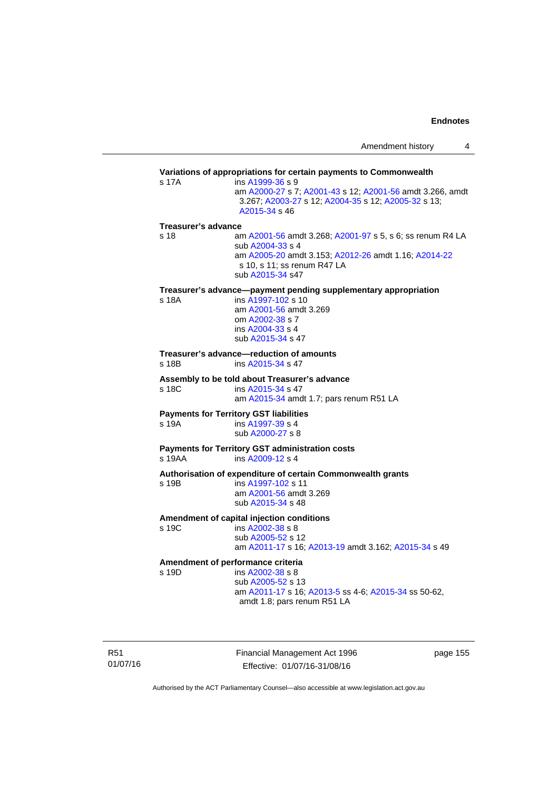|                            |                                                                                                                                                                                                                            | Amendment history<br>4 |
|----------------------------|----------------------------------------------------------------------------------------------------------------------------------------------------------------------------------------------------------------------------|------------------------|
| s 17A                      | Variations of appropriations for certain payments to Commonwealth<br>ins A1999-36 s 9<br>am A2000-27 s 7; A2001-43 s 12; A2001-56 amdt 3.266, amdt<br>3.267; A2003-27 s 12; A2004-35 s 12; A2005-32 s 13;<br>A2015-34 s 46 |                        |
| <b>Treasurer's advance</b> |                                                                                                                                                                                                                            |                        |
| s 18                       | am A2001-56 amdt 3.268; A2001-97 s 5, s 6; ss renum R4 LA<br>sub A2004-33 s 4<br>am A2005-20 amdt 3.153; A2012-26 amdt 1.16; A2014-22<br>s 10, s 11; ss renum R47 LA<br>sub A2015-34 s47                                   |                        |
| s 18A                      | Treasurer's advance—payment pending supplementary appropriation<br>ins A1997-102 s 10<br>am A2001-56 amdt 3.269<br>om A2002-38 s 7<br>ins A2004-33 s 4<br>sub A2015-34 s 47                                                |                        |
| s 18B                      | Treasurer's advance-reduction of amounts<br>ins A2015-34 s 47                                                                                                                                                              |                        |
| s 18C                      | Assembly to be told about Treasurer's advance<br>ins A2015-34 s 47<br>am A2015-34 amdt 1.7; pars renum R51 LA                                                                                                              |                        |
| s 19A                      | <b>Payments for Territory GST liabilities</b><br>ins A1997-39 s 4<br>sub A2000-27 s 8                                                                                                                                      |                        |
| s 19AA                     | <b>Payments for Territory GST administration costs</b><br>ins $A2009-12$ s 4                                                                                                                                               |                        |
| s 19B                      | Authorisation of expenditure of certain Commonwealth grants<br>ins A1997-102 s 11<br>am A2001-56 amdt 3.269<br>sub A2015-34 s 48                                                                                           |                        |
| s 19C                      | Amendment of capital injection conditions<br>ins A2002-38 s 8<br>sub A2005-52 s 12<br>am A2011-17 s 16; A2013-19 amdt 3.162; A2015-34 s 49                                                                                 |                        |

# **Amendment of performance criteria**

ins [A2002-38](http://www.legislation.act.gov.au/a/2002-38) s 8 sub [A2005-52](http://www.legislation.act.gov.au/a/2005-52) s 13 am [A2011-17](http://www.legislation.act.gov.au/a/2011-17) s 16; [A2013-5](http://www.legislation.act.gov.au/a/2013-5/default.asp) ss 4-6; [A2015-34](http://www.legislation.act.gov.au/a/2015-34/default.asp) ss 50-62, amdt 1.8; pars renum R51 LA

R51 01/07/16 Financial Management Act 1996 Effective: 01/07/16-31/08/16

page 155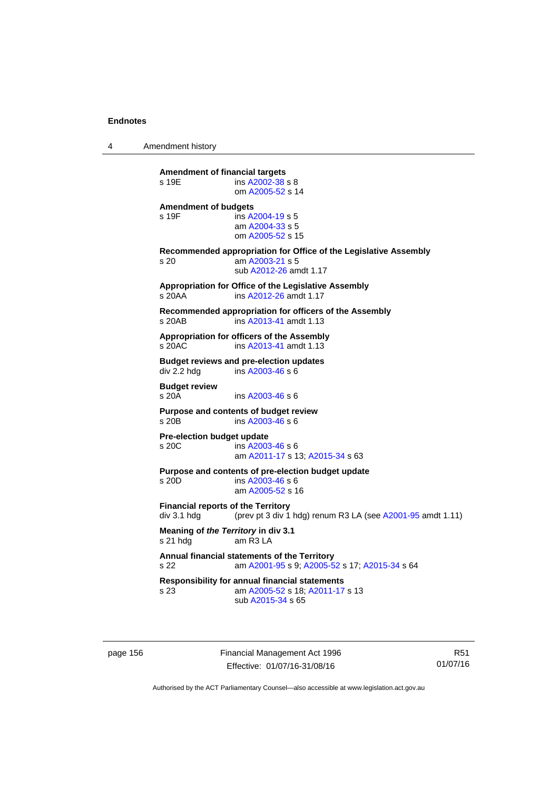4 Amendment history

| <b>Amendment of budgets</b>                                                                                            |  |
|------------------------------------------------------------------------------------------------------------------------|--|
| s 19F<br>ins A2004-19 s 5<br>am A2004-33 s 5<br>om A2005-52 s 15                                                       |  |
| Recommended appropriation for Office of the Legislative Assembly<br>am A2003-21 s 5<br>s 20<br>sub A2012-26 amdt 1.17  |  |
| Appropriation for Office of the Legislative Assembly<br>$s$ 20 $AA$<br>ins A2012-26 amdt 1.17                          |  |
| Recommended appropriation for officers of the Assembly<br>ins A2013-41 amdt 1.13<br>s 20AB                             |  |
| Appropriation for officers of the Assembly<br>ins A2013-41 amdt 1.13<br>s 20AC                                         |  |
| <b>Budget reviews and pre-election updates</b><br>div 2.2 hdg<br>ins A2003-46 s 6                                      |  |
| <b>Budget review</b><br>$s$ 20 $A$<br>ins A2003-46 s 6                                                                 |  |
| Purpose and contents of budget review<br>s 20 <sub>B</sub><br>ins A2003-46 s 6                                         |  |
| Pre-election budget update<br>s 20C<br>ins A2003-46 s 6<br>am A2011-17 s 13; A2015-34 s 63                             |  |
| Purpose and contents of pre-election budget update<br>ins A2003-46 s 6<br>s 20D<br>am A2005-52 s 16                    |  |
| <b>Financial reports of the Territory</b><br>(prev pt 3 div 1 hdg) renum R3 LA (see A2001-95 amdt 1.11)<br>div 3.1 hdg |  |
| Meaning of the Territory in div 3.1<br>s 21 hdg<br>am $R3LA$                                                           |  |
| Annual financial statements of the Territory<br>am A2001-95 s 9; A2005-52 s 17; A2015-34 s 64<br>s 22                  |  |
| Responsibility for annual financial statements<br>am A2005-52 s 18; A2011-17 s 13<br>s 23<br>sub A2015-34 s 65         |  |

page 156 **Financial Management Act 1996** Effective: 01/07/16-31/08/16

R51 01/07/16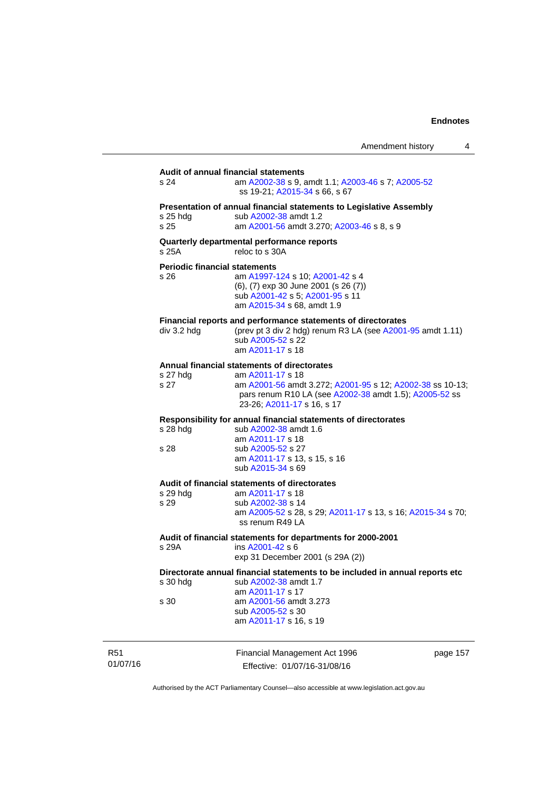| Amendment history |  |
|-------------------|--|
|-------------------|--|

|                             | s 24                                         | Audit of annual financial statements<br>am A2002-38 s 9, amdt 1.1; A2003-46 s 7; A2005-52<br>ss 19-21; A2015-34 s 66, s 67                                                                                           |
|-----------------------------|----------------------------------------------|----------------------------------------------------------------------------------------------------------------------------------------------------------------------------------------------------------------------|
|                             | $s$ 25 hdg<br>s 25                           | Presentation of annual financial statements to Legislative Assembly<br>sub A2002-38 amdt 1.2<br>am A2001-56 amdt 3.270; A2003-46 s 8, s 9                                                                            |
|                             | s 25A                                        | Quarterly departmental performance reports<br>reloc to s 30A                                                                                                                                                         |
|                             | <b>Periodic financial statements</b><br>s 26 | am A1997-124 s 10; A2001-42 s 4<br>(6), (7) exp 30 June 2001 (s 26 (7))<br>sub A2001-42 s 5; A2001-95 s 11<br>am A2015-34 s 68, amdt 1.9                                                                             |
|                             | div 3.2 hdg                                  | Financial reports and performance statements of directorates<br>(prev pt 3 div 2 hdg) renum R3 LA (see A2001-95 amdt 1.11)<br>sub A2005-52 s 22<br>am A2011-17 s 18                                                  |
|                             | s 27 hdg<br>s 27                             | Annual financial statements of directorates<br>am A2011-17 s 18<br>am A2001-56 amdt 3.272; A2001-95 s 12; A2002-38 ss 10-13;<br>pars renum R10 LA (see A2002-38 amdt 1.5); A2005-52 ss<br>23-26; A2011-17 s 16, s 17 |
|                             | $s$ 28 hdg<br>s 28                           | Responsibility for annual financial statements of directorates<br>sub A2002-38 amdt 1.6<br>am A2011-17 s 18<br>sub A2005-52 s 27<br>am A2011-17 s 13, s 15, s 16<br>sub A2015-34 s 69                                |
|                             | s 29 hdg<br>s 29                             | Audit of financial statements of directorates<br>am A2011-17 s 18<br>sub A2002-38 s 14<br>am A2005-52 s 28, s 29; A2011-17 s 13, s 16; A2015-34 s 70;<br>ss renum R49 LA                                             |
|                             | s 29A                                        | Audit of financial statements for departments for 2000-2001<br>ins A2001-42 s 6<br>exp 31 December 2001 (s 29A (2))                                                                                                  |
|                             | s 30 hdg                                     | Directorate annual financial statements to be included in annual reports etc<br>sub A2002-38 amdt 1.7<br>am A2011-17 s 17                                                                                            |
|                             | s 30                                         | am A2001-56 amdt 3.273<br>sub A2005-52 s 30<br>am A2011-17 s 16, s 19                                                                                                                                                |
| R <sub>51</sub><br>01/07/16 |                                              | Financial Management Act 1996<br>page 157<br>Effective: 01/07/16-31/08/16                                                                                                                                            |

Authorised by the ACT Parliamentary Counsel—also accessible at www.legislation.act.gov.au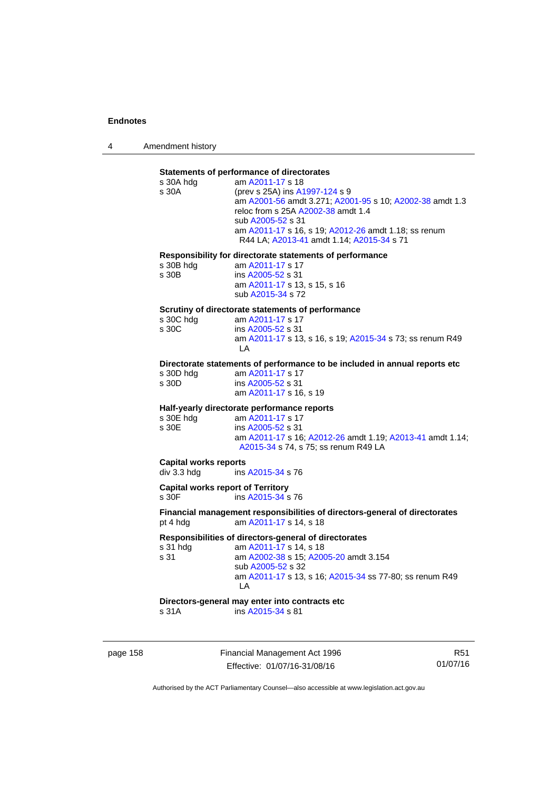4 Amendment history

# **Statements of performance of directorates**

| s 30A hdg                                | am A2011-17 s 18                                                           |
|------------------------------------------|----------------------------------------------------------------------------|
| s 30A                                    | (prev s 25A) ins A1997-124 s 9                                             |
|                                          | am A2001-56 amdt 3.271; A2001-95 s 10; A2002-38 amdt 1.3                   |
|                                          | reloc from s 25A A2002-38 amdt 1.4                                         |
|                                          | sub A2005-52 s 31                                                          |
|                                          |                                                                            |
|                                          | am A2011-17 s 16, s 19; A2012-26 amdt 1.18; ss renum                       |
|                                          | R44 LA; A2013-41 amdt 1.14; A2015-34 s 71                                  |
|                                          |                                                                            |
|                                          | Responsibility for directorate statements of performance                   |
| s 30B hdg                                | am A2011-17 s 17                                                           |
| s 30B                                    | ins A2005-52 s 31                                                          |
|                                          | am A2011-17 s 13, s 15, s 16                                               |
|                                          | sub A2015-34 s 72                                                          |
|                                          |                                                                            |
|                                          | Scrutiny of directorate statements of performance                          |
| s 30C hdg                                | am A2011-17 s 17                                                           |
|                                          |                                                                            |
| s 30C                                    | ins A2005-52 s 31                                                          |
|                                          | am A2011-17 s 13, s 16, s 19; A2015-34 s 73; ss renum R49                  |
|                                          | LA                                                                         |
|                                          |                                                                            |
|                                          | Directorate statements of performance to be included in annual reports etc |
| s 30D hdg                                | am A2011-17 s 17                                                           |
| s 30D                                    | ins A2005-52 s 31                                                          |
|                                          | am A2011-17 s 16, s 19                                                     |
|                                          |                                                                            |
|                                          |                                                                            |
|                                          |                                                                            |
|                                          | Half-yearly directorate performance reports                                |
| s 30E hdg                                | am A2011-17 s 17                                                           |
| s 30E                                    | ins A2005-52 s 31                                                          |
|                                          | am A2011-17 s 16; A2012-26 amdt 1.19; A2013-41 amdt 1.14;                  |
|                                          | A2015-34 s 74, s 75; ss renum R49 LA                                       |
|                                          |                                                                            |
| <b>Capital works reports</b>             |                                                                            |
| div 3.3 hdg                              | ins A2015-34 s 76                                                          |
|                                          |                                                                            |
| <b>Capital works report of Territory</b> |                                                                            |
| s <sub>30F</sub>                         | ins A2015-34 s 76                                                          |
|                                          |                                                                            |
|                                          | Financial management responsibilities of directors-general of directorates |
| pt 4 hdg                                 | am A2011-17 s 14, s 18                                                     |
|                                          |                                                                            |
|                                          | Responsibilities of directors-general of directorates                      |
| s 31 hdg                                 | am A2011-17 s 14, s 18                                                     |
| s 31                                     | am A2002-38 s 15; A2005-20 amdt 3.154                                      |
|                                          | sub A2005-52 s 32                                                          |
|                                          | am A2011-17 s 13, s 16; A2015-34 ss 77-80; ss renum R49                    |
|                                          | LA                                                                         |
|                                          |                                                                            |
|                                          | Directors-general may enter into contracts etc<br>ins A2015-34 s 81        |

page 158 Financial Management Act 1996 Effective: 01/07/16-31/08/16

R51 01/07/16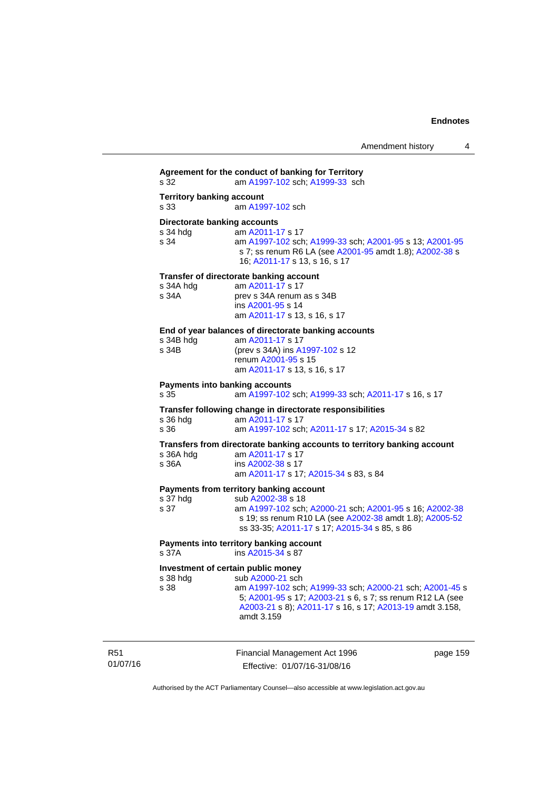**Agreement for the conduct of banking for Territory** s 32 am [A1997-102](http://www.legislation.act.gov.au/a/1997-102) sch; [A1999-33](http://www.legislation.act.gov.au/a/1999-33) sch **Territory banking account** s 33 am [A1997-102](http://www.legislation.act.gov.au/a/1997-102) sch **Directorate banking accounts**  s 34 hdg am [A2011-17](http://www.legislation.act.gov.au/a/2011-17) s 17 s 34 am [A1997-102](http://www.legislation.act.gov.au/a/1997-102) sch; [A1999-33](http://www.legislation.act.gov.au/a/1999-33) sch; [A2001-95](http://www.legislation.act.gov.au/a/2001-95) s 13; [A2001-95](http://www.legislation.act.gov.au/a/2001-95) s 7; ss renum R6 LA (see [A2001-95](http://www.legislation.act.gov.au/a/2001-95) amdt 1.8); [A2002-38](http://www.legislation.act.gov.au/a/2002-38) s 16; [A2011-17](http://www.legislation.act.gov.au/a/2011-17) s 13, s 16, s 17 **Transfer of directorate banking account**  s 34A hdg am [A2011-17](http://www.legislation.act.gov.au/a/2011-17) s 17<br>s 34A **brev** s 34A renum prev s 34A renum as s 34B ins [A2001-95](http://www.legislation.act.gov.au/a/2001-95) s 14 am [A2011-17](http://www.legislation.act.gov.au/a/2011-17) s 13, s 16, s 17 **End of year balances of directorate banking accounts** s 34B hdg am [A2011-17](http://www.legislation.act.gov.au/a/2011-17) s 17 s 34B (prev s 34A) ins [A1997-102](http://www.legislation.act.gov.au/a/1997-102) s 12 renum [A2001-95](http://www.legislation.act.gov.au/a/2001-95) s 15 am [A2011-17](http://www.legislation.act.gov.au/a/2011-17) s 13, s 16, s 17 **Payments into banking accounts** s 35 am [A1997-102](http://www.legislation.act.gov.au/a/1997-102) sch; [A1999-33](http://www.legislation.act.gov.au/a/1999-33) sch; [A2011-17](http://www.legislation.act.gov.au/a/2011-17) s 16, s 17 **Transfer following change in directorate responsibilities** am [A2011-17](http://www.legislation.act.gov.au/a/2011-17) s 17 s 36 am [A1997-102](http://www.legislation.act.gov.au/a/1997-102) sch; [A2011-17](http://www.legislation.act.gov.au/a/2011-17) s 17; [A2015-34](http://www.legislation.act.gov.au/a/2015-34/default.asp) s 82 **Transfers from directorate banking accounts to territory banking account**  s 36A hdg am [A2011-17](http://www.legislation.act.gov.au/a/2011-17) s 17 s 36A ins [A2002-38](http://www.legislation.act.gov.au/a/2002-38) s 17 am [A2011-17](http://www.legislation.act.gov.au/a/2011-17) s 17; [A2015-34](http://www.legislation.act.gov.au/a/2015-34/default.asp) s 83, s 84 **Payments from territory banking account**<br>s 37 hdg sub A2002-38 s 18 s 37 hdg sub [A2002-38](http://www.legislation.act.gov.au/a/2002-38) s 18<br>s 37 am A1997-102 sch s 37 am [A1997-102](http://www.legislation.act.gov.au/a/1997-102) sch; [A2000-21](http://www.legislation.act.gov.au/a/2000-21) sch; [A2001-95](http://www.legislation.act.gov.au/a/2001-95) s 16; [A2002-38](http://www.legislation.act.gov.au/a/2002-38) s 19; ss renum R10 LA (see [A2002-38](http://www.legislation.act.gov.au/a/2002-38) amdt 1.8); [A2005-52](http://www.legislation.act.gov.au/a/2005-52) ss 33-35; [A2011-17](http://www.legislation.act.gov.au/a/2011-17) s 17; [A2015-34](http://www.legislation.act.gov.au/a/2015-34/default.asp) s 85, s 86 **Payments into territory banking account**  s 37A ins [A2015-34](http://www.legislation.act.gov.au/a/2015-34/default.asp) s 87 **Investment of certain public money**  s 38 hdg sub [A2000-21](http://www.legislation.act.gov.au/a/2000-21) sch s 38 am [A1997-102](http://www.legislation.act.gov.au/a/1997-102) sch; [A1999-33](http://www.legislation.act.gov.au/a/1999-33) sch; [A2000-21](http://www.legislation.act.gov.au/a/2000-21) sch; [A2001-45](http://www.legislation.act.gov.au/a/2001-45) s 5; [A2001-95](http://www.legislation.act.gov.au/a/2001-95) s 17; [A2003-21](http://www.legislation.act.gov.au/a/2003-21) s 6, s 7; ss renum R12 LA (see [A2003-21](http://www.legislation.act.gov.au/a/2003-21) s 8); [A2011-17](http://www.legislation.act.gov.au/a/2011-17) s 16, s 17; [A2013-19](http://www.legislation.act.gov.au/a/2013-19) amdt 3.158, amdt 3.159

R51 01/07/16 Financial Management Act 1996 Effective: 01/07/16-31/08/16

page 159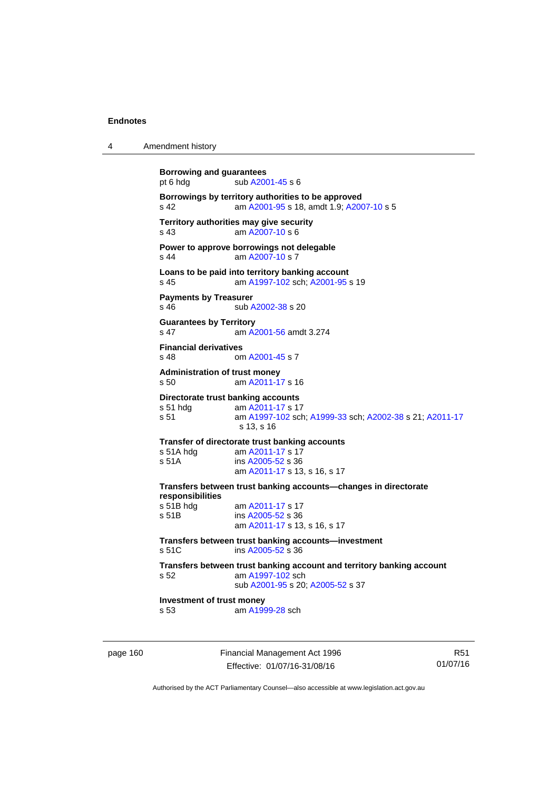| 4 | Amendment history |
|---|-------------------|
|---|-------------------|

| <b>Borrowing and guarantees</b><br>pt 6 hdg       | sub A2001-45 s 6                                                                                                                |
|---------------------------------------------------|---------------------------------------------------------------------------------------------------------------------------------|
| s <sub>42</sub>                                   | Borrowings by territory authorities to be approved<br>am A2001-95 s 18, amdt 1.9; A2007-10 s 5                                  |
| s <sub>43</sub>                                   | Territory authorities may give security<br>am A2007-10 s 6                                                                      |
| s <sub>44</sub>                                   | Power to approve borrowings not delegable<br>am A2007-10 s 7                                                                    |
| s 45                                              | Loans to be paid into territory banking account<br>am A1997-102 sch; A2001-95 s 19                                              |
| <b>Payments by Treasurer</b><br>$s$ 46            | sub A2002-38 s 20                                                                                                               |
| <b>Guarantees by Territory</b><br>s <sub>47</sub> | am A2001-56 amdt 3.274                                                                                                          |
| <b>Financial derivatives</b><br>s 48              | om A2001-45 s 7                                                                                                                 |
| <b>Administration of trust money</b><br>s 50      | am A2011-17 s 16                                                                                                                |
| s 51 hda<br>s <sub>51</sub>                       | Directorate trust banking accounts<br>am A2011-17 s 17<br>am A1997-102 sch; A1999-33 sch; A2002-38 s 21; A2011-17<br>s 13, s 16 |
| s 51A hdg<br>s <sub>51A</sub>                     | Transfer of directorate trust banking accounts<br>am A2011-17 s 17<br>ins A2005-52 s 36<br>am A2011-17 s 13, s 16, s 17         |
| responsibilities                                  | Transfers between trust banking accounts-changes in directorate                                                                 |
| s 51B hdg<br>s 51B                                | am A2011-17 s 17<br>ins A2005-52 s 36<br>am A2011-17 s 13, s 16, s 17                                                           |
| s, 51C                                            | Transfers between trust banking accounts-investment<br>ins $A2005-52$ s 36                                                      |
| s <sub>52</sub>                                   | Transfers between trust banking account and territory banking account<br>am A1997-102 sch<br>sub A2001-95 s 20; A2005-52 s 37   |
| Investment of trust money<br>s 53                 | am A1999-28 sch                                                                                                                 |
|                                                   |                                                                                                                                 |

page 160 Financial Management Act 1996 Effective: 01/07/16-31/08/16

R51 01/07/16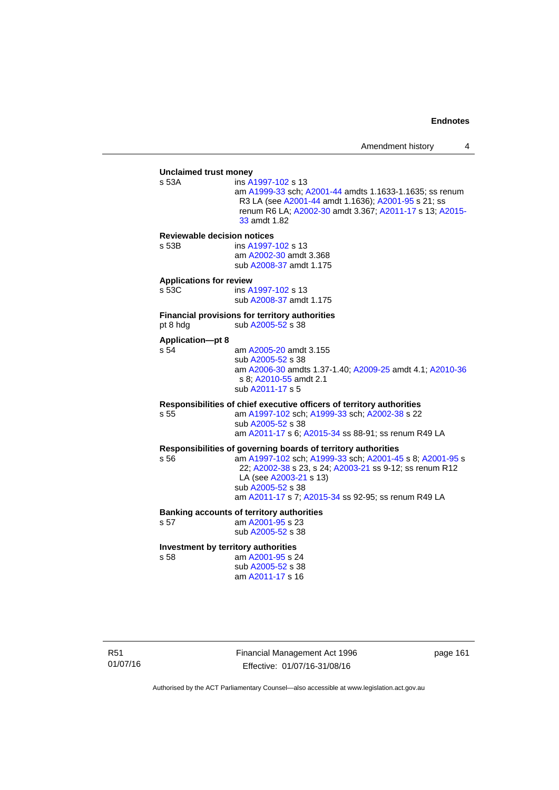## **Unclaimed trust money**  ins [A1997-102](http://www.legislation.act.gov.au/a/1997-102) s 13 am [A1999-33](http://www.legislation.act.gov.au/a/1999-33) sch; [A2001-44](http://www.legislation.act.gov.au/a/2001-44) amdts 1.1633-1.1635; ss renum R3 LA (see [A2001-44](http://www.legislation.act.gov.au/a/2001-44) amdt 1.1636); [A2001-95](http://www.legislation.act.gov.au/a/2001-95) s 21; ss renum R6 LA; [A2002-30](http://www.legislation.act.gov.au/a/2002-30) amdt 3.367; [A2011-17](http://www.legislation.act.gov.au/a/2011-17) s 13; [A2015-](http://www.legislation.act.gov.au/a/2015-33/default.asp) [33](http://www.legislation.act.gov.au/a/2015-33/default.asp) amdt 1.82 **Reviewable decision notices**  s 53B ins [A1997-102](http://www.legislation.act.gov.au/a/1997-102) s 13 am [A2002-30](http://www.legislation.act.gov.au/a/2002-30) amdt 3.368 sub [A2008-37](http://www.legislation.act.gov.au/a/2008-37) amdt 1.175 **Applications for review**  s 53C ins [A1997-102](http://www.legislation.act.gov.au/a/1997-102) s 13 sub [A2008-37](http://www.legislation.act.gov.au/a/2008-37) amdt 1.175 **Financial provisions for territory authorities**  pt 8 hdg  $sub A2005-52$  s 38 **Application—pt 8**  s 54 am [A2005-20](http://www.legislation.act.gov.au/a/2005-20) amdt 3.155 sub [A2005-52](http://www.legislation.act.gov.au/a/2005-52) s 38 am [A2006-30](http://www.legislation.act.gov.au/a/2006-30) amdts 1.37-1.40; [A2009-25](http://www.legislation.act.gov.au/a/2009-25) amdt 4.1; [A2010-36](http://www.legislation.act.gov.au/a/2010-36) s 8; [A2010-55](http://www.legislation.act.gov.au/a/2010-55) amdt 2.1 sub [A2011-17](http://www.legislation.act.gov.au/a/2011-17) s 5 **Responsibilities of chief executive officers of territory authorities**  s 55 am [A1997-102](http://www.legislation.act.gov.au/a/1997-102) sch; [A1999-33](http://www.legislation.act.gov.au/a/1999-33) sch; [A2002-38](http://www.legislation.act.gov.au/a/2002-38) s 22 sub [A2005-52](http://www.legislation.act.gov.au/a/2005-52) s 38 am [A2011-17](http://www.legislation.act.gov.au/a/2011-17) s 6; [A2015-34](http://www.legislation.act.gov.au/a/2015-34/default.asp) ss 88-91; ss renum R49 LA **Responsibilities of governing boards of territory authorities**  am [A1997-102](http://www.legislation.act.gov.au/a/1997-102) sch; [A1999-33](http://www.legislation.act.gov.au/a/1999-33) sch; [A2001-45](http://www.legislation.act.gov.au/a/2001-45) s 8; [A2001-95](http://www.legislation.act.gov.au/a/2001-95) s 22; [A2002-38](http://www.legislation.act.gov.au/a/2002-38) s 23, s 24; [A2003-21](http://www.legislation.act.gov.au/a/2003-21) ss 9-12; ss renum R12 LA (see [A2003-21](http://www.legislation.act.gov.au/a/2003-21) s 13) sub [A2005-52](http://www.legislation.act.gov.au/a/2005-52) s 38 am [A2011-17](http://www.legislation.act.gov.au/a/2011-17) s 7; [A2015-34](http://www.legislation.act.gov.au/a/2015-34/default.asp) ss 92-95; ss renum R49 LA **Banking accounts of territory authorities**  s 57 am [A2001-95](http://www.legislation.act.gov.au/a/2001-95) s 23 sub [A2005-52](http://www.legislation.act.gov.au/a/2005-52) s 38 **Investment by territory authorities**  s 58 am [A2001-95](http://www.legislation.act.gov.au/a/2001-95) s 24 sub [A2005-52](http://www.legislation.act.gov.au/a/2005-52) s 38

R51 01/07/16 Financial Management Act 1996 Effective: 01/07/16-31/08/16

page 161

Authorised by the ACT Parliamentary Counsel—also accessible at www.legislation.act.gov.au

am [A2011-17](http://www.legislation.act.gov.au/a/2011-17) s 16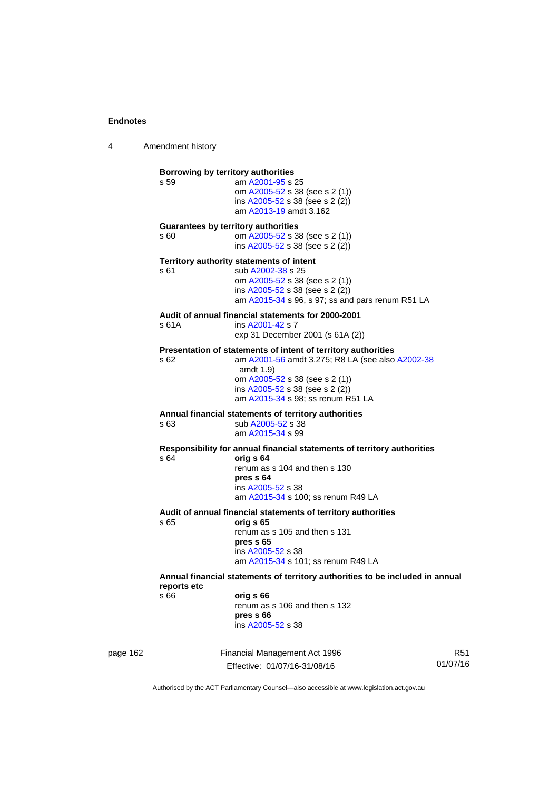4 Amendment history

| page 162 |                     | Financial Management Act 1996<br>Effective: 01/07/16-31/08/16                                                                                                                                                                             | R <sub>51</sub><br>01/07/16 |
|----------|---------------------|-------------------------------------------------------------------------------------------------------------------------------------------------------------------------------------------------------------------------------------------|-----------------------------|
|          | reports etc<br>s 66 | Annual financial statements of territory authorities to be included in annual<br>orig s 66<br>renum as s 106 and then s 132<br>pres s 66<br>ins A2005-52 s 38                                                                             |                             |
|          | s 65                | Audit of annual financial statements of territory authorities<br>orig s 65<br>renum as s 105 and then s 131<br>pres s 65<br>ins A2005-52 s 38<br>am A2015-34 s 101; ss renum R49 LA                                                       |                             |
|          | s 64                | Responsibility for annual financial statements of territory authorities<br>orig s 64<br>renum as s 104 and then s 130<br>pres s 64<br>ins A2005-52 s 38<br>am A2015-34 s 100; ss renum R49 LA                                             |                             |
|          | s 63                | Annual financial statements of territory authorities<br>sub A2005-52 s 38<br>am A2015-34 s 99                                                                                                                                             |                             |
|          | s 62                | Presentation of statements of intent of territory authorities<br>am A2001-56 amdt 3.275; R8 LA (see also A2002-38<br>amdt $1.9$<br>om A2005-52 s 38 (see s 2 (1))<br>ins A2005-52 s 38 (see s 2 (2))<br>am A2015-34 s 98; ss renum R51 LA |                             |
|          | s 61A               | Audit of annual financial statements for 2000-2001<br>ins A2001-42 s 7<br>exp 31 December 2001 (s 61A (2))                                                                                                                                |                             |
|          | s 61                | Territory authority statements of intent<br>sub A2002-38 s 25<br>om A2005-52 s 38 (see s 2 (1))<br>ins A2005-52 s 38 (see s 2 (2))<br>am A2015-34 s 96, s 97; ss and pars renum R51 LA                                                    |                             |
|          | s 60                | <b>Guarantees by territory authorities</b><br>om A2005-52 s 38 (see s 2 (1))<br>ins A2005-52 s 38 (see s 2 (2))                                                                                                                           |                             |
|          | s 59                | Borrowing by territory authorities<br>am A2001-95 s 25<br>om A2005-52 s 38 (see s 2 (1))<br>ins $A2005-52$ s 38 (see s 2 (2))<br>am A2013-19 amdt 3.162                                                                                   |                             |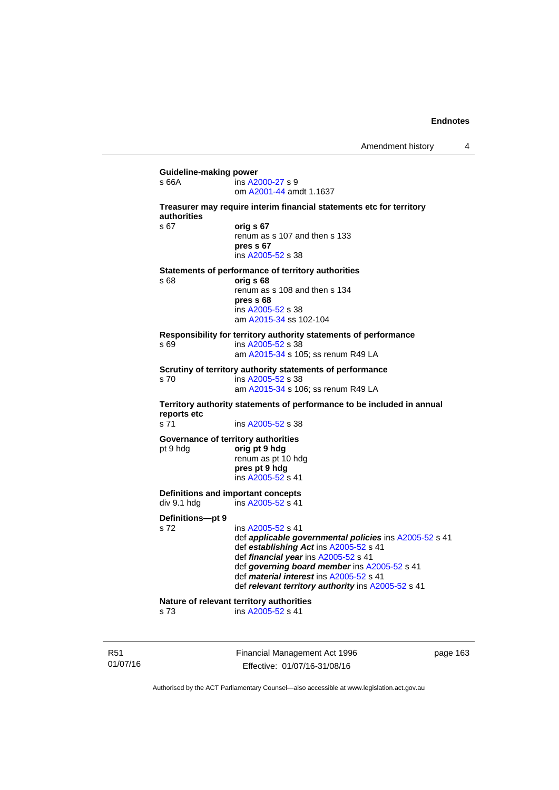| s 66A                    | ins A2000-27 s 9<br>om A2001-44 amdt 1.1637                                                                                                                                                                                                                                                                           |
|--------------------------|-----------------------------------------------------------------------------------------------------------------------------------------------------------------------------------------------------------------------------------------------------------------------------------------------------------------------|
| authorities              | Treasurer may require interim financial statements etc for territory                                                                                                                                                                                                                                                  |
| s <sub>67</sub>          | orig s 67<br>renum as s 107 and then s 133<br>pres s 67<br>ins A2005-52 s 38                                                                                                                                                                                                                                          |
| s 68                     | Statements of performance of territory authorities<br>orig s 68<br>renum as s 108 and then s 134<br>pres s 68<br>ins A2005-52 s 38<br>am A2015-34 ss 102-104                                                                                                                                                          |
| s 69                     | Responsibility for territory authority statements of performance<br>ins A2005-52 s 38<br>am A2015-34 s 105; ss renum R49 LA                                                                                                                                                                                           |
| s 70                     | Scrutiny of territory authority statements of performance<br>ins A2005-52 s 38<br>am A2015-34 s 106; ss renum R49 LA                                                                                                                                                                                                  |
| reports etc              | Territory authority statements of performance to be included in annual                                                                                                                                                                                                                                                |
| s 71                     | ins A2005-52 s 38                                                                                                                                                                                                                                                                                                     |
| pt 9 hdg                 | Governance of territory authorities<br>orig pt 9 hdg<br>renum as pt 10 hdg<br>pres pt 9 hdg<br>ins A2005-52 s 41                                                                                                                                                                                                      |
| div 9.1 hdg              | Definitions and important concepts<br>ins A2005-52 s 41                                                                                                                                                                                                                                                               |
| Definitions-pt 9<br>s 72 | ins A2005-52 s 41<br>def applicable governmental policies ins A2005-52 s 41<br>def establishing Act ins A2005-52 s 41<br>def financial year ins A2005-52 s 41<br>def governing board member ins A2005-52 s 41<br>def <i>material interest</i> ins A2005-52 s 41<br>def relevant territory authority ins A2005-52 s 41 |
|                          | Nature of relevant territory authorities                                                                                                                                                                                                                                                                              |

R51 01/07/16 Financial Management Act 1996 Effective: 01/07/16-31/08/16

page 163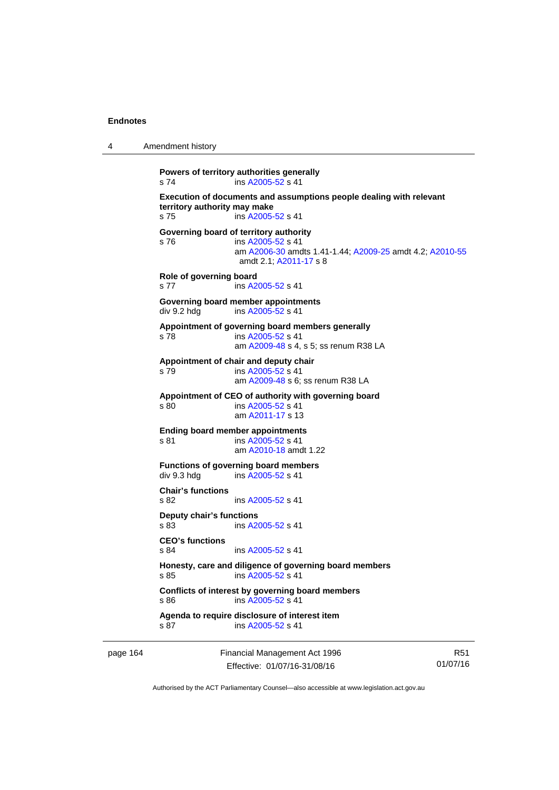| 4 | Amendment history |
|---|-------------------|
|---|-------------------|

```
Powers of territory authorities generally 
s 74 ins A2005-52 s 41 
Execution of documents and assumptions people dealing with relevant 
territory authority may make 
s 75 ins A2005-52 s 41 
Governing board of territory authority 
s 76 ins A2005-52 s 41 
                 am A2006-30 amdts 1.41-1.44; A2009-25 amdt 4.2; A2010-55
                amdt 2.1; A2011-17 s 8 
Role of governing board 
s 77 ins A2005-52 s 41 
Governing board member appointments 
A2005-52 s 41
Appointment of governing board members generally 
s 78 ins A2005-52 s 41 
                 am A2009-48 s 4, s 5; ss renum R38 LA 
Appointment of chair and deputy chair 
s 79 ins A2005-52 s 41 
                 am A2009-48 s 6; ss renum R38 LA
Appointment of CEO of authority with governing board 
s 80 ins A2005-52 s 41 
                 am A2011-17 s 13 
Ending board member appointments 
s 81 ins A2005-52 s 41 
                 am A2010-18 amdt 1.22
Functions of governing board members 
div 9.3 hdg ins A2005-52 s 41 
Chair's functions 
s 82 ins A2005-52 s 41 
Deputy chair's functions 
s 83 ins A2005-52 s 41 
CEO's functions 
                A2005-52 s 41
Honesty, care and diligence of governing board members 
A2005-52 s 41
Conflicts of interest by governing board members 
s 86 ins A2005-52 s 41 
Agenda to require disclosure of interest item 
A2005-52 s 41
```
page 164 Financial Management Act 1996 Effective: 01/07/16-31/08/16

R51 01/07/16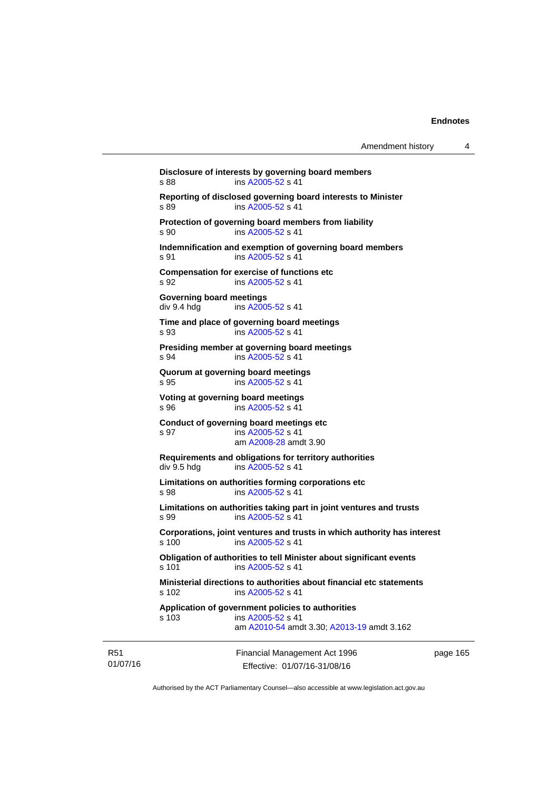Financial Management Act 1996 **Disclosure of interests by governing board members**  s 88 ins [A2005-52](http://www.legislation.act.gov.au/a/2005-52) s 41 **Reporting of disclosed governing board interests to Minister**  s 89 ins [A2005-52](http://www.legislation.act.gov.au/a/2005-52) s 41 **Protection of governing board members from liability**  s 90 ins [A2005-52](http://www.legislation.act.gov.au/a/2005-52) s 41 **Indemnification and exemption of governing board members**  s 91 ins [A2005-52](http://www.legislation.act.gov.au/a/2005-52) s 41 **Compensation for exercise of functions etc**  s 92 **ins [A2005-52](http://www.legislation.act.gov.au/a/2005-52) s 41 Governing board meetings**  div 9.4 hdg ins [A2005-52](http://www.legislation.act.gov.au/a/2005-52) s 41 **Time and place of governing board meetings**  s 93 ins [A2005-52](http://www.legislation.act.gov.au/a/2005-52) s 41 **Presiding member at governing board meetings**  s 94 ins [A2005-52](http://www.legislation.act.gov.au/a/2005-52) s 41 **Quorum at governing board meetings**  s 95 ins [A2005-52](http://www.legislation.act.gov.au/a/2005-52) s 41 **Voting at governing board meetings**  s 96 ins [A2005-52](http://www.legislation.act.gov.au/a/2005-52) s 41 **Conduct of governing board meetings etc**  s 97 ins [A2005-52](http://www.legislation.act.gov.au/a/2005-52) s 41 am [A2008-28](http://www.legislation.act.gov.au/a/2008-28) amdt 3.90 **Requirements and obligations for territory authorities**<br>div 9.5 hdg ins A2005-52 s 41 ins  $A2005 - 52$  s 41 **Limitations on authorities forming corporations etc**  s 98 ins [A2005-52](http://www.legislation.act.gov.au/a/2005-52) s 41 **Limitations on authorities taking part in joint ventures and trusts**  s 99 ins [A2005-52](http://www.legislation.act.gov.au/a/2005-52) s 41 **Corporations, joint ventures and trusts in which authority has interest**  ins [A2005-52](http://www.legislation.act.gov.au/a/2005-52) s 41 **Obligation of authorities to tell Minister about significant events**  s 101 ins [A2005-52](http://www.legislation.act.gov.au/a/2005-52) s 41 **Ministerial directions to authorities about financial etc statements**  s 102 ins [A2005-52](http://www.legislation.act.gov.au/a/2005-52) s 41 **Application of government policies to authorities**  s 103 ins [A2005-52](http://www.legislation.act.gov.au/a/2005-52) s 41 am [A2010-54](http://www.legislation.act.gov.au/a/2010-54) amdt 3.30; [A2013-19](http://www.legislation.act.gov.au/a/2013-19) amdt 3.162

R51 01/07/16

Effective: 01/07/16-31/08/16

page 165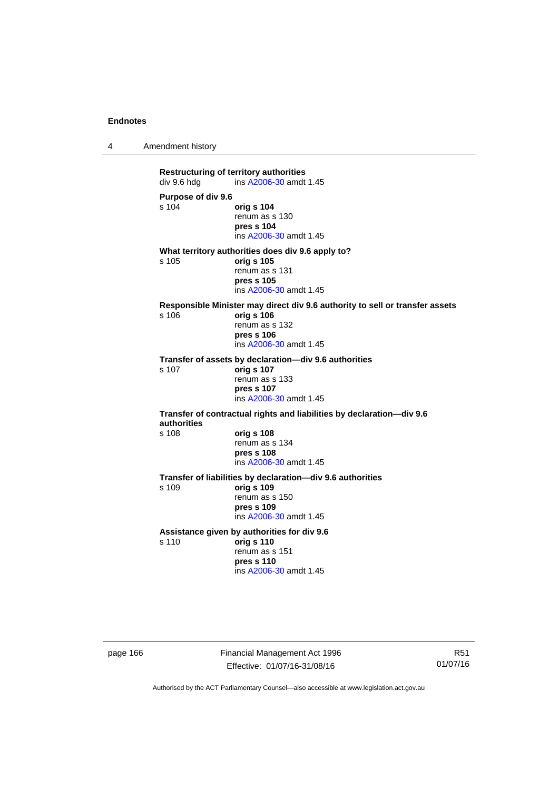4 Amendment history

**Restructuring of territory authorities**<br>div 9.6 hdg ins A2006-30 amdt ins [A2006-30](http://www.legislation.act.gov.au/a/2006-30) amdt 1.45 **Purpose of div 9.6**  s 104 **orig s 104** renum as s 130 **pres s 104**  ins [A2006-30](http://www.legislation.act.gov.au/a/2006-30) amdt 1.45 **What territory authorities does div 9.6 apply to?**  s 105 **orig s 105** renum as s 131 **pres s 105**  ins [A2006-30](http://www.legislation.act.gov.au/a/2006-30) amdt 1.45 **Responsible Minister may direct div 9.6 authority to sell or transfer assets**  s 106 **orig s 106** renum as s 132 **pres s 106**  ins [A2006-30](http://www.legislation.act.gov.au/a/2006-30) amdt 1.45 **Transfer of assets by declaration—div 9.6 authorities**  s 107 **orig s 107** renum as s 133 **pres s 107**  ins [A2006-30](http://www.legislation.act.gov.au/a/2006-30) amdt 1.45 **Transfer of contractual rights and liabilities by declaration—div 9.6 authorities**  s 108 **orig s 108** renum as s 134 **pres s 108**  ins [A2006-30](http://www.legislation.act.gov.au/a/2006-30) amdt 1.45 **Transfer of liabilities by declaration—div 9.6 authorities**  s 109 **orig s 109** renum as s 150 **pres s 109**  ins [A2006-30](http://www.legislation.act.gov.au/a/2006-30) amdt 1.45 **Assistance given by authorities for div 9.6**  s 110 **orig s 110** renum as s 151 **pres s 110**  ins [A2006-30](http://www.legislation.act.gov.au/a/2006-30) amdt 1.45

page 166 Financial Management Act 1996 Effective: 01/07/16-31/08/16

R51 01/07/16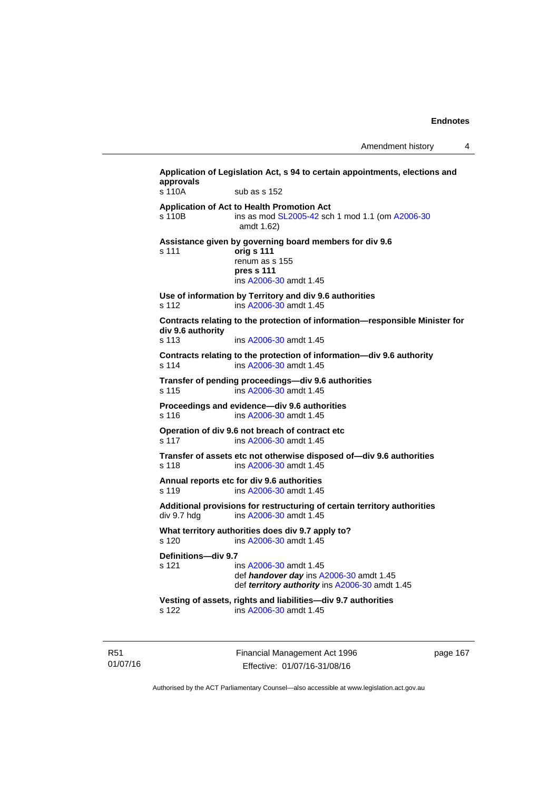Amendment history 4

| s 110A                       | sub as s 152                                                                                                                    |
|------------------------------|---------------------------------------------------------------------------------------------------------------------------------|
| s 110B                       | Application of Act to Health Promotion Act<br>ins as mod SL2005-42 sch 1 mod 1.1 (om A2006-30<br>amdt 1.62)                     |
| s 111                        | Assistance given by governing board members for div 9.6<br>orig s 111<br>renum as s 155<br>pres s 111<br>ins A2006-30 amdt 1.45 |
| s 112                        | Use of information by Territory and div 9.6 authorities<br>ins A2006-30 amdt 1.45                                               |
| div 9.6 authority<br>$s$ 113 | Contracts relating to the protection of information-responsible Minister for<br>ins A2006-30 amdt 1.45                          |
| s 114                        | Contracts relating to the protection of information-div 9.6 authority<br>ins A2006-30 amdt 1.45                                 |
| s 115                        | Transfer of pending proceedings-div 9.6 authorities<br>ins A2006-30 amdt 1.45                                                   |
| s 116                        | Proceedings and evidence-div 9.6 authorities<br>ins A2006-30 amdt 1.45                                                          |
| s 117                        | Operation of div 9.6 not breach of contract etc<br>ins A2006-30 amdt 1.45                                                       |
| s 118                        | Transfer of assets etc not otherwise disposed of-div 9.6 authorities<br>ins A2006-30 amdt 1.45                                  |
| s 119                        | Annual reports etc for div 9.6 authorities<br>ins A2006-30 amdt 1.45                                                            |
| div 9.7 hdg                  | Additional provisions for restructuring of certain territory authorities<br>ins A2006-30 amdt 1.45                              |
| s 120                        | What territory authorities does div 9.7 apply to?<br>ins A2006-30 amdt 1.45                                                     |
| Definitions-div 9.7<br>s 121 | ins A2006-30 amdt 1.45<br>def handover day ins A2006-30 amdt 1.45<br>def territory authority ins A2006-30 amdt 1.45             |
| s 122                        | Vesting of assets, rights and liabilities-div 9.7 authorities<br>ins A2006-30 amdt 1.45                                         |

R51 01/07/16 Financial Management Act 1996 Effective: 01/07/16-31/08/16

page 167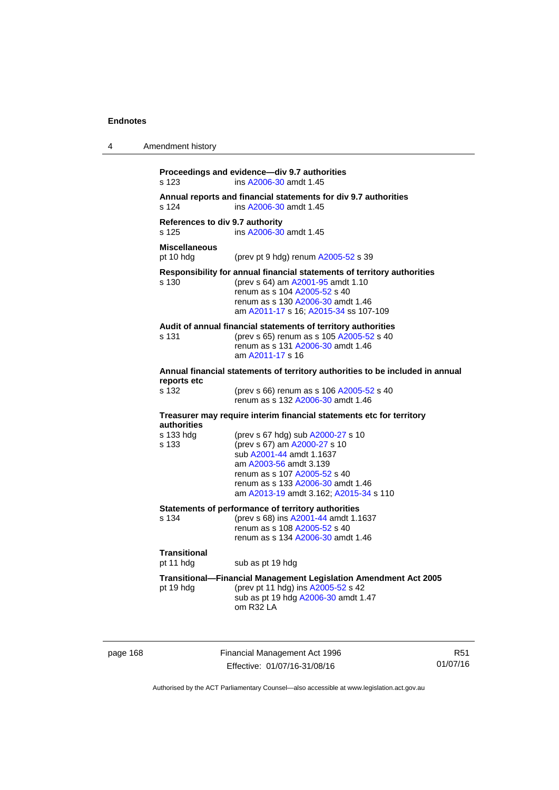| 4 | Amendment history                        |                                                                                                                                                                                                                                        |
|---|------------------------------------------|----------------------------------------------------------------------------------------------------------------------------------------------------------------------------------------------------------------------------------------|
|   | s 123                                    | Proceedings and evidence-div 9.7 authorities<br>ins A2006-30 amdt 1.45                                                                                                                                                                 |
|   | s 124                                    | Annual reports and financial statements for div 9.7 authorities<br>ins A2006-30 amdt 1.45                                                                                                                                              |
|   | References to div 9.7 authority<br>s 125 | ins A2006-30 amdt 1.45                                                                                                                                                                                                                 |
|   | <b>Miscellaneous</b><br>pt 10 hdg        | (prev pt 9 hdg) renum A2005-52 s 39                                                                                                                                                                                                    |
|   | s 130                                    | Responsibility for annual financial statements of territory authorities<br>(prev s 64) am A2001-95 amdt 1.10<br>renum as s 104 A2005-52 s 40<br>renum as s 130 A2006-30 amdt 1.46<br>am A2011-17 s 16; A2015-34 ss 107-109             |
|   | s 131                                    | Audit of annual financial statements of territory authorities<br>(prev s 65) renum as s 105 A2005-52 s 40<br>renum as s 131 A2006-30 amdt 1.46<br>am A2011-17 s 16                                                                     |
|   | reports etc                              | Annual financial statements of territory authorities to be included in annual                                                                                                                                                          |
|   | s 132                                    | (prev s 66) renum as s 106 A2005-52 s 40<br>renum as s 132 A2006-30 amdt 1.46                                                                                                                                                          |
|   | authorities                              | Treasurer may require interim financial statements etc for territory                                                                                                                                                                   |
|   | s 133 hdg<br>s 133                       | (prev s 67 hdg) sub A2000-27 s 10<br>(prev s 67) am A2000-27 s 10<br>sub A2001-44 amdt 1.1637<br>am A2003-56 amdt 3.139<br>renum as s 107 A2005-52 s 40<br>renum as s 133 A2006-30 amdt 1.46<br>am A2013-19 amdt 3.162; A2015-34 s 110 |
|   | s 134                                    | Statements of performance of territory authorities<br>(prev s 68) ins A2001-44 amdt 1.1637<br>renum as s 108 A2005-52 s 40<br>renum as s 134 A2006-30 amdt 1.46                                                                        |
|   | <b>Transitional</b><br>pt 11 hdg         | sub as pt 19 hdg                                                                                                                                                                                                                       |
|   | pt 19 hdg                                | <b>Transitional--Financial Management Legislation Amendment Act 2005</b><br>(prev pt 11 hdg) ins A2005-52 s 42<br>sub as pt 19 hdg A2006-30 amdt 1.47<br>om R32 LA                                                                     |

page 168 Financial Management Act 1996 Effective: 01/07/16-31/08/16

R51 01/07/16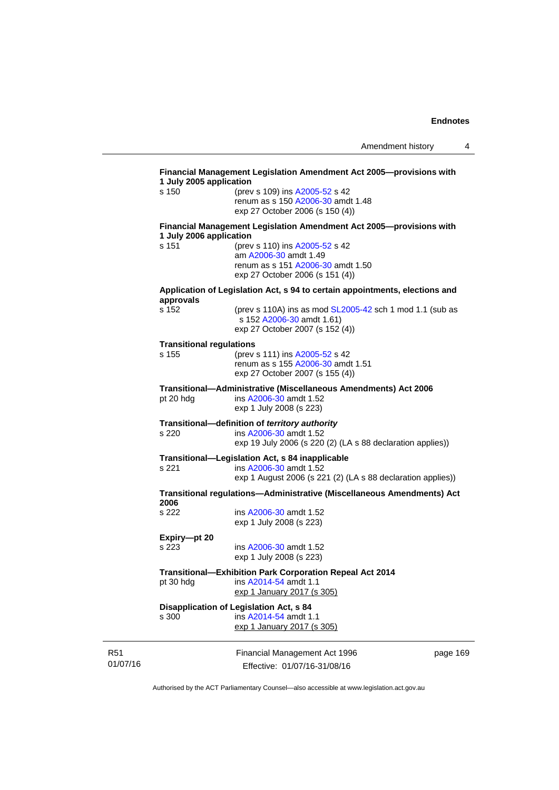| s 150                           | 1 July 2005 application<br>(prev s 109) ins A2005-52 s 42                   |  |
|---------------------------------|-----------------------------------------------------------------------------|--|
|                                 | renum as s 150 A2006-30 amdt 1.48                                           |  |
|                                 | exp 27 October 2006 (s 150 (4))                                             |  |
| 1 July 2006 application         | Financial Management Legislation Amendment Act 2005--- provisions with      |  |
| s 151                           | (prev s 110) ins A2005-52 s 42                                              |  |
|                                 | am A2006-30 amdt 1.49                                                       |  |
|                                 | renum as s 151 A2006-30 amdt 1.50<br>exp 27 October 2006 (s 151 (4))        |  |
|                                 |                                                                             |  |
| approvals                       | Application of Legislation Act, s 94 to certain appointments, elections and |  |
| s 152                           | (prev s 110A) ins as mod SL2005-42 sch 1 mod 1.1 (sub as                    |  |
|                                 | s 152 A2006-30 amdt 1.61)                                                   |  |
|                                 | exp 27 October 2007 (s 152 (4))                                             |  |
| <b>Transitional regulations</b> |                                                                             |  |
| s 155                           | (prev s 111) ins A2005-52 s 42<br>renum as s 155 A2006-30 amdt 1.51         |  |
|                                 | exp 27 October 2007 (s 155 (4))                                             |  |
|                                 | Transitional-Administrative (Miscellaneous Amendments) Act 2006             |  |
| pt 20 hdg                       | ins A2006-30 amdt 1.52                                                      |  |
|                                 | exp 1 July 2008 (s 223)                                                     |  |
|                                 | Transitional-definition of territory authority                              |  |
| s 220                           | ins A2006-30 amdt 1.52                                                      |  |
|                                 | exp 19 July 2006 (s 220 (2) (LA s 88 declaration applies))                  |  |
|                                 | Transitional-Legislation Act, s 84 inapplicable                             |  |
| s 221                           | ins A2006-30 amdt 1.52                                                      |  |
|                                 | exp 1 August 2006 (s 221 (2) (LA s 88 declaration applies))                 |  |
| 2006                            | Transitional regulations—Administrative (Miscellaneous Amendments) Act      |  |
| s 222                           | ins A2006-30 amdt 1.52                                                      |  |
|                                 | exp 1 July 2008 (s 223)                                                     |  |
| Expiry-pt 20                    |                                                                             |  |
| s 223                           | ins A2006-30 amdt 1.52                                                      |  |
|                                 | exp 1 July 2008 (s 223)                                                     |  |
|                                 | Transitional-Exhibition Park Corporation Repeal Act 2014                    |  |
|                                 | ins A2014-54 amdt 1.1                                                       |  |
| pt 30 hdg                       |                                                                             |  |
|                                 | exp 1 January 2017 (s 305)                                                  |  |
|                                 | Disapplication of Legislation Act, s 84                                     |  |
| s 300                           | ins A2014-54 amdt 1.1<br>exp 1 January 2017 (s 305)                         |  |

R51 01/07/16

Effective: 01/07/16-31/08/16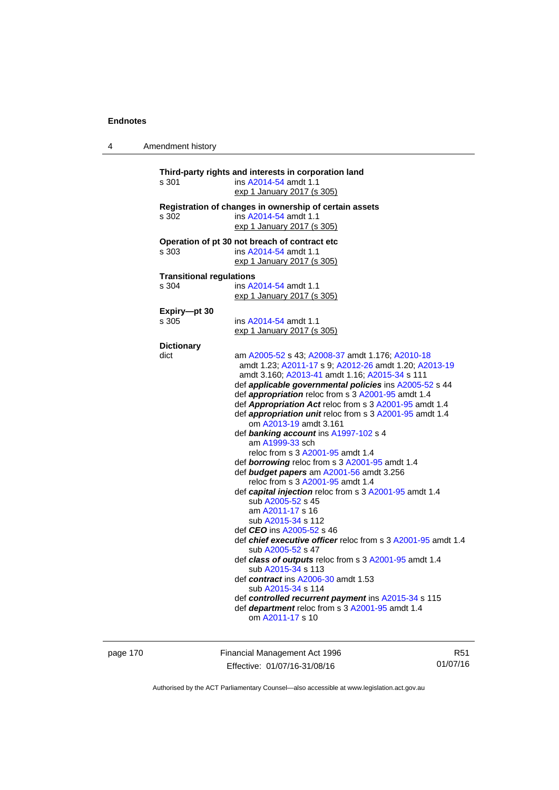4 Amendment history

| s 301                           | ins A2014-54 amdt 1.1                                               |
|---------------------------------|---------------------------------------------------------------------|
|                                 | exp 1 January 2017 (s 305)                                          |
|                                 | Registration of changes in ownership of certain assets              |
| s 302                           | ins A2014-54 amdt 1.1                                               |
|                                 | exp 1 January 2017 (s 305)                                          |
|                                 | Operation of pt 30 not breach of contract etc                       |
| s 303                           | ins A2014-54 amdt 1.1                                               |
|                                 | exp 1 January 2017 (s 305)                                          |
| <b>Transitional regulations</b> |                                                                     |
| s 304                           | ins A2014-54 amdt 1.1                                               |
|                                 | exp 1 January 2017 (s 305)                                          |
| Expiry-pt 30                    |                                                                     |
| s 305                           | ins A2014-54 amdt 1.1                                               |
|                                 | exp 1 January 2017 (s 305)                                          |
| <b>Dictionary</b>               |                                                                     |
| dict                            | am A2005-52 s 43; A2008-37 amdt 1.176; A2010-18                     |
|                                 | amdt 1.23; A2011-17 s 9; A2012-26 amdt 1.20; A2013-19               |
|                                 | amdt 3.160; A2013-41 amdt 1.16; A2015-34 s 111                      |
|                                 | def applicable governmental policies ins A2005-52 s 44              |
|                                 | def appropriation reloc from s 3 A2001-95 amdt 1.4                  |
|                                 | def Appropriation Act reloc from s 3 A2001-95 amdt 1.4              |
|                                 | def appropriation unit reloc from s 3 A2001-95 amdt 1.4             |
|                                 | om A2013-19 amdt 3.161                                              |
|                                 | def banking account ins A1997-102 s 4                               |
|                                 | am A1999-33 sch                                                     |
|                                 | reloc from s 3 A2001-95 amdt 1.4                                    |
|                                 | def borrowing reloc from s 3 A2001-95 amdt 1.4                      |
|                                 | def budget papers am A2001-56 amdt 3.256                            |
|                                 | reloc from s 3 A2001-95 amdt 1.4                                    |
|                                 | def capital injection reloc from s 3 A2001-95 amdt 1.4              |
|                                 | sub A2005-52 s 45                                                   |
|                                 | am A2011-17 s 16                                                    |
|                                 | sub A2015-34 s 112                                                  |
|                                 | def CEO ins A2005-52 s 46                                           |
|                                 | def <i>chief executive officer</i> reloc from s 3 A2001-95 amdt 1.4 |
|                                 | sub A2005-52 s 47                                                   |
|                                 | def class of outputs reloc from s 3 A2001-95 amdt 1.4               |
|                                 | sub A2015-34 s 113                                                  |
|                                 | def contract ins A2006-30 amdt 1.53                                 |
|                                 | sub A2015-34 s 114                                                  |
|                                 | def controlled recurrent payment ins A2015-34 s 115                 |
|                                 | def department reloc from s 3 A2001-95 amdt 1.4                     |

page 170 Financial Management Act 1996 Effective: 01/07/16-31/08/16

R51 01/07/16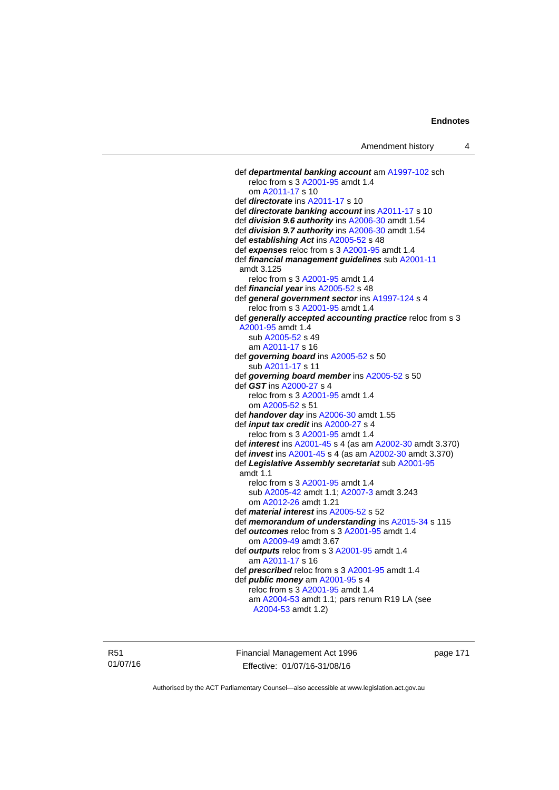```
 def departmental banking account am A1997-102 sch 
  reloc from s 3 A2001-95 amdt 1.4 
   om A2011-17 s 10 
def directorate ins A2011-17 s 10 
def directorate banking account ins A2011-17 s 10 
def division 9.6 authority ins A2006-30 amdt 1.54 
def division 9.7 authority ins A2006-30 amdt 1.54 
def establishing Act ins A2005-52 s 48 
def expenses reloc from s 3 A2001-95 amdt 1.4 
def financial management guidelines sub A2001-11
amdt 3.125
  reloc from s 3 A2001-95 amdt 1.4 
def financial year ins A2005-52 s 48 
def general government sector ins A1997-124 s 4 
  reloc from s 3 A2001-95 amdt 1.4 
def generally accepted accounting practice reloc from s 3 
A2001-95 amdt 1.4 
   sub A2005-52 s 49 
   am A2011-17 s 16 
def governing board ins A2005-52 s 50 
   sub A2011-17 s 11 
def governing board member ins A2005-52 s 50 
def GST ins A2000-27 s 4 
  reloc from s 3 A2001-95 amdt 1.4 
   om A2005-52 s 51 
def handover day ins A2006-30 amdt 1.55 
def input tax credit ins A2000-27 s 4 
  reloc from s 3 A2001-95 amdt 1.4 
def interest ins A2001-45 s 4 (as am A2002-30 amdt 3.370) 
def invest ins A2001-45 s 4 (as am A2002-30 amdt 3.370) 
def Legislative Assembly secretariat sub A2001-95
amdt 1.1
  reloc from s 3 A2001-95 amdt 1.4 
   sub A2005-42 amdt 1.1; A2007-3 amdt 3.243 
   om A2012-26 amdt 1.21
def material interest ins A2005-52 s 52 
def memorandum of understanding ins A2015-34 s 115 
def outcomes reloc from s 3 A2001-95 amdt 1.4 
   om A2009-49 amdt 3.67
def outputs reloc from s 3 A2001-95 amdt 1.4 
   am A2011-17 s 16 
def prescribed reloc from s 3 A2001-95 amdt 1.4 
def public money am A2001-95 s 4 
  reloc from s 3 A2001-95 amdt 1.4 
   am A2004-53 amdt 1.1; pars renum R19 LA (see 
   A2004-53 amdt 1.2)
```
R51 01/07/16 Financial Management Act 1996 Effective: 01/07/16-31/08/16

page 171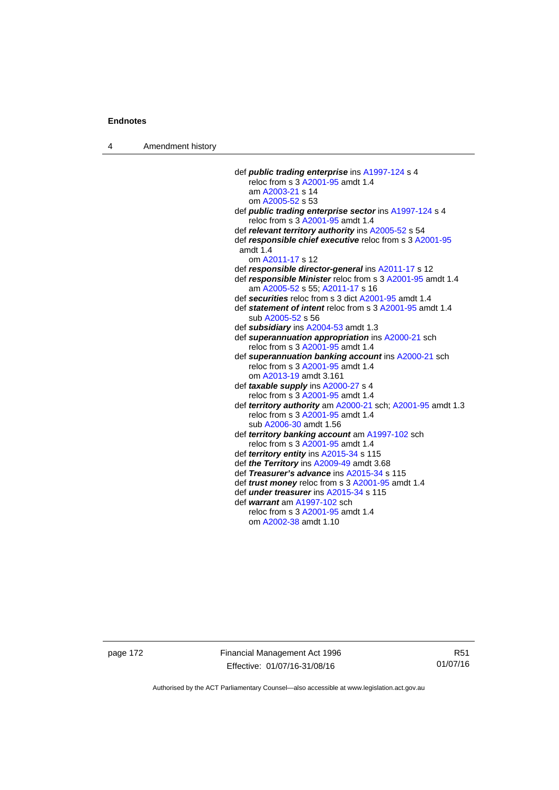4 Amendment history

| def public trading enterprise ins A1997-124 s 4                                              |
|----------------------------------------------------------------------------------------------|
| reloc from s 3 A2001-95 amdt 1.4                                                             |
| am A2003-21 s 14                                                                             |
| om A2005-52 s 53                                                                             |
| def <i>public trading enterprise sector</i> ins A1997-124 s 4                                |
| reloc from s 3 A2001-95 amdt 1.4                                                             |
| def relevant territory authority ins A2005-52 s 54                                           |
| def responsible chief executive reloc from s 3 A2001-95                                      |
| amdt $1.4$                                                                                   |
| om A2011-17 s 12                                                                             |
| def responsible director-general ins A2011-17 s 12                                           |
| def responsible Minister reloc from s 3 A2001-95 amdt 1.4<br>am A2005-52 s 55; A2011-17 s 16 |
| def securities reloc from s 3 dict A2001-95 amdt 1.4                                         |
| def statement of intent reloc from s 3 A2001-95 amdt 1.4                                     |
| sub A2005-52 s 56                                                                            |
| def subsidiary ins A2004-53 amdt 1.3                                                         |
| def superannuation appropriation ins A2000-21 sch                                            |
| reloc from s 3 A2001-95 amdt 1.4                                                             |
| def superannuation banking account ins A2000-21 sch                                          |
| reloc from s 3 A2001-95 amdt 1.4                                                             |
| om A2013-19 amdt 3.161                                                                       |
| def taxable supply ins A2000-27 s 4                                                          |
| reloc from s 3 A2001-95 amdt 1.4                                                             |
| def territory authority am A2000-21 sch; A2001-95 amdt 1.3                                   |
| reloc from s 3 A2001-95 amdt 1.4                                                             |
| sub A2006-30 amdt 1.56                                                                       |
| def territory banking account am A1997-102 sch                                               |
| reloc from s 3 A2001-95 amdt 1.4                                                             |
| def territory entity ins A2015-34 s 115                                                      |
| def the Territory ins A2009-49 amdt 3.68                                                     |
| def Treasurer's advance ins A2015-34 s 115                                                   |
| def trust money reloc from s 3 A2001-95 amdt 1.4                                             |
| def <i>under treasurer</i> ins A2015-34 s 115                                                |
| def warrant am A1997-102 sch                                                                 |
| reloc from s 3 A2001-95 amdt 1.4                                                             |
| om A2002-38 amdt 1.10                                                                        |
|                                                                                              |

page 172 Financial Management Act 1996 Effective: 01/07/16-31/08/16

R51 01/07/16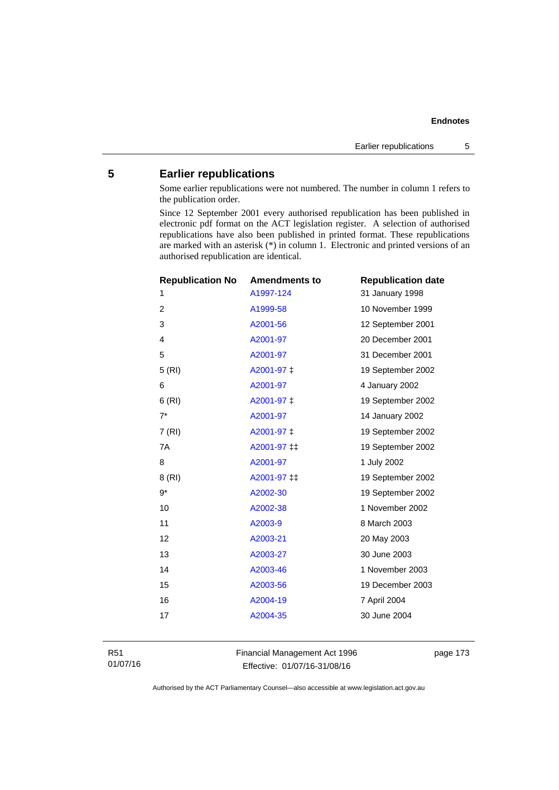# **5 Earlier republications**

Some earlier republications were not numbered. The number in column 1 refers to the publication order.

Since 12 September 2001 every authorised republication has been published in electronic pdf format on the ACT legislation register. A selection of authorised republications have also been published in printed format. These republications are marked with an asterisk (\*) in column 1. Electronic and printed versions of an authorised republication are identical.

| <b>Republication No</b> | <b>Amendments to</b> | <b>Republication date</b> |
|-------------------------|----------------------|---------------------------|
| 1                       | A1997-124            | 31 January 1998           |
| $\overline{c}$          | A1999-58             | 10 November 1999          |
| 3                       | A2001-56             | 12 September 2001         |
| 4                       | A2001-97             | 20 December 2001          |
| 5                       | A2001-97             | 31 December 2001          |
| 5 (RI)                  | A2001-97 ‡           | 19 September 2002         |
| 6                       | A2001-97             | 4 January 2002            |
| 6(RI)                   | A2001-97 ±           | 19 September 2002         |
| $7^*$                   | A2001-97             | 14 January 2002           |
| 7(RI)                   | A2001-97 ‡           | 19 September 2002         |
| 7A                      | A2001-97 ‡‡          | 19 September 2002         |
| 8                       | A2001-97             | 1 July 2002               |
| 8 (RI)                  | A2001-97 ‡‡          | 19 September 2002         |
| $9*$                    | A2002-30             | 19 September 2002         |
| 10                      | A2002-38             | 1 November 2002           |
| 11                      | A2003-9              | 8 March 2003              |
| 12                      | A2003-21             | 20 May 2003               |
| 13                      | A2003-27             | 30 June 2003              |
| 14                      | A2003-46             | 1 November 2003           |
| 15                      | A2003-56             | 19 December 2003          |
| 16                      | A2004-19             | 7 April 2004              |
| 17                      | A2004-35             | 30 June 2004              |
|                         |                      |                           |

R51 01/07/16 Financial Management Act 1996 Effective: 01/07/16-31/08/16

page 173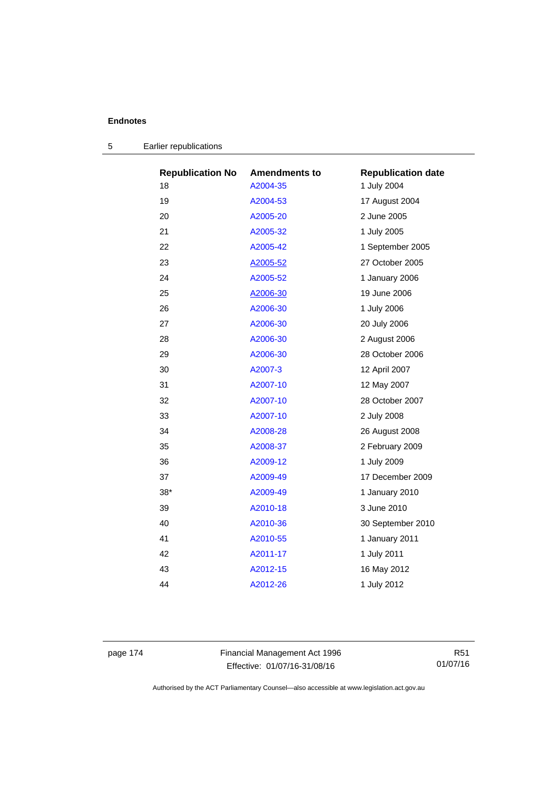| <b>Republication No</b> | <b>Amendments to</b> | <b>Republication date</b> |
|-------------------------|----------------------|---------------------------|
| 18                      | A2004-35             | 1 July 2004               |
| 19                      | A2004-53             | 17 August 2004            |
| 20                      | A2005-20             | 2 June 2005               |
| 21                      | A2005-32             | 1 July 2005               |
| 22                      | A2005-42             | 1 September 2005          |
| 23                      | A2005-52             | 27 October 2005           |
| 24                      | A2005-52             | 1 January 2006            |
| 25                      | A2006-30             | 19 June 2006              |
| 26                      | A2006-30             | 1 July 2006               |
| 27                      | A2006-30             | 20 July 2006              |
| 28                      | A2006-30             | 2 August 2006             |
| 29                      | A2006-30             | 28 October 2006           |
| 30                      | A2007-3              | 12 April 2007             |
| 31                      | A2007-10             | 12 May 2007               |
| 32                      | A2007-10             | 28 October 2007           |
| 33                      | A2007-10             | 2 July 2008               |
| 34                      | A2008-28             | 26 August 2008            |
| 35                      | A2008-37             | 2 February 2009           |
| 36                      | A2009-12             | 1 July 2009               |
| 37                      | A2009-49             | 17 December 2009          |
| $38*$                   | A2009-49             | 1 January 2010            |
| 39                      | A2010-18             | 3 June 2010               |
| 40                      | A2010-36             | 30 September 2010         |
| 41                      | A2010-55             | 1 January 2011            |
| 42                      | A2011-17             | 1 July 2011               |
| 43                      | A2012-15             | 16 May 2012               |
| 44                      | A2012-26             | 1 July 2012               |
|                         |                      |                           |

|  | Earlier republications |  |
|--|------------------------|--|
|--|------------------------|--|

page 174 Financial Management Act 1996 Effective: 01/07/16-31/08/16

R51 01/07/16